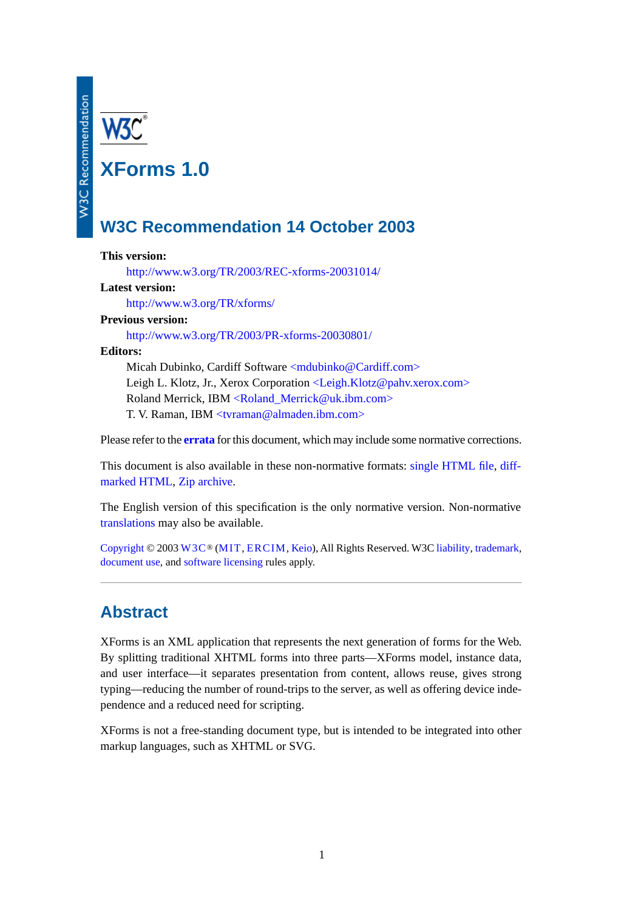**XForms 1.0**

# **W3C Recommendation 14 October 2003**

## **This version:**

<http://www.w3.org/TR/2003/REC-xforms-20031014/>

#### **Latest version:**

<http://www.w3.org/TR/xforms/>

#### **Previous version:**

<http://www.w3.org/TR/2003/PR-xforms-20030801/>

#### **Editors:**

Micah Dubinko, Cardiff Software [<mdubinko@Cardiff.com>](mailto:mdubinko@Cardiff.com) Leigh L. Klotz, Jr., Xerox Corporation [<Leigh.Klotz@pahv.xerox.com>](mailto:Leigh.Klotz@pahv.xerox.com) Roland Merrick, IBM [<Roland\\_Merrick@uk.ibm.com>](mailto:Roland_Merrick@uk.ibm.com) T. V. Raman, IBM [<tvraman@almaden.ibm.com>](mailto:tvraman@almaden.ibm.com)

Please refer to the **[errata](http://www.w3.org/2003/10/REC-xforms-10-20031014-errata.html)** for this document, which may include some normative corrections.

This document is also available in these non-normative formats: [single HTML file,](http://www.w3.org/TR/2003/REC-xforms-20031014/index-all.html) [diff](http://www.w3.org/TR/2003/REC-xforms-20031014/index-diff.html)[marked HTML,](http://www.w3.org/TR/2003/REC-xforms-20031014/index-diff.html) [Zip archive](http://www.w3.org/TR/2003/REC-xforms-20031014/REC-xforms-20031014.zip).

The English version of this specification is the only normative version. Non-normative [translations](http://www.w3.org/MarkUp/Forms/Translation/) may also be available.

[Copyright](http://www.w3.org/Consortium/Legal/ipr-notice#Copyright) © 2003 [W3C](http://www.w3.org/)® [\(MIT,](http://www.lcs.mit.edu/) [ERCIM,](http://www.ercim.org/) [Keio\)](http://www.keio.ac.jp/), All Rights Reserved. W3C [liability,](http://www.w3.org/Consortium/Legal/ipr-notice#Legal_Disclaimer) [trademark,](http://www.w3.org/Consortium/Legal/ipr-notice#W3C_Trademarks) [document use](http://www.w3.org/Consortium/Legal/copyright-documents), and [software licensing](http://www.w3.org/Consortium/Legal/copyright-software) rules apply.

# **Abstract**

XForms is an XML application that represents the next generation of forms for the Web. By splitting traditional XHTML forms into three parts—XForms model, instance data, and user interface—it separates presentation from content, allows reuse, gives strong typing—reducing the number of round-trips to the server, as well as offering device independence and a reduced need for scripting.

XForms is not a free-standing document type, but is intended to be integrated into other markup languages, such as XHTML or SVG.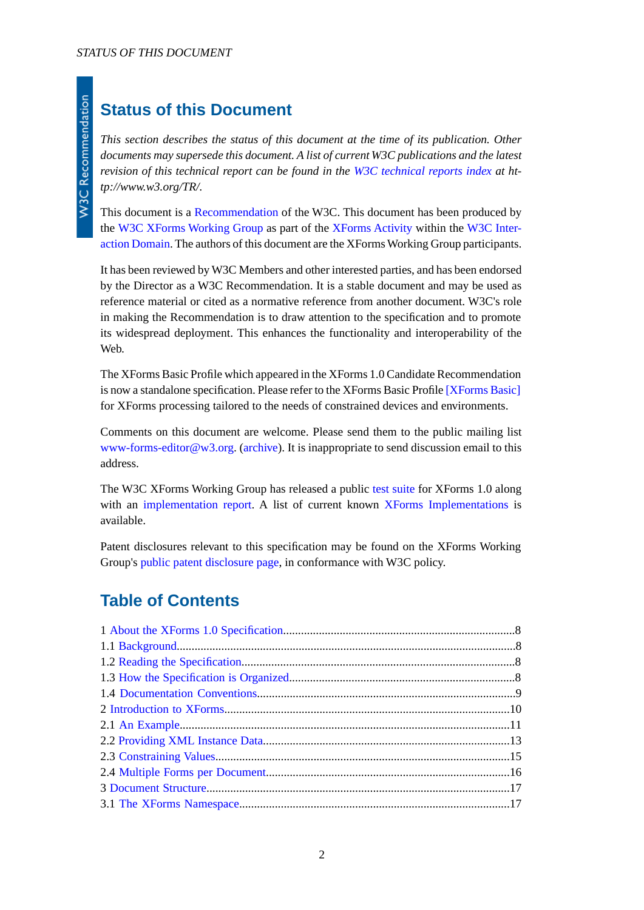# **Status of this Document**

*This section describes the status of this document at the time of its publication. Other documents may supersede this document. A list of current W3C publications and the latest revision of this technical report can be found in the [W3C technical reports index](http://www.w3.org/TR/) at http://www.w3.org/TR/.*

This document is a [Recommendation](http://www.w3.org/2003/06/Process-20030618/tr.html#RecsW3C) of the W3C. This document has been produced by the [W3C XForms Working Group](http://www.w3.org/MarkUp/Forms/Group/) as part of the [XForms Activity](http://www.w3.org/2002/Forms/Activity) within the [W3C Inter](http://www.w3.org/Interaction/)[action Domain](http://www.w3.org/Interaction/). The authors of this document are the XForms Working Group participants.

It has been reviewed by W3C Members and other interested parties, and has been endorsed by the Director as a W3C Recommendation. It is a stable document and may be used as reference material or cited as a normative reference from another document. W3C's role in making the Recommendation is to draw attention to the specification and to promote its widespread deployment. This enhances the functionality and interoperability of the Web.

The XForms Basic Profile which appeared in the XForms 1.0 Candidate Recommendation is now a standalone specification. Please refer to the XForms Basic Profile [\[XForms Basic\]](#page-122-0) for XForms processing tailored to the needs of constrained devices and environments.

Comments on this document are welcome. Please send them to the public mailing list [www-forms-editor@w3.org](mailto:www-forms-editor@w3.org). [\(archive](http://lists.w3.org/Archives/Public/www-forms-editor/)). It is inappropriate to send discussion email to this address.

The W3C XForms Working Group has released a public [test suite](http://www.w3.org/MarkUp/Forms/Test/) for XForms 1.0 along with an [implementation report.](http://www.w3.org/MarkUp/Forms/Test/ImplementationReport.html) A list of current known [XForms Implementations](http://www.w3.org/MarkUp/Forms/#implementations) is available.

Patent disclosures relevant to this specification may be found on the XForms Working Group's [public patent disclosure page,](http://www.w3.org/MarkUp/Forms/2002/disclosures.html) in conformance with W3C policy.

# **Table of Contents**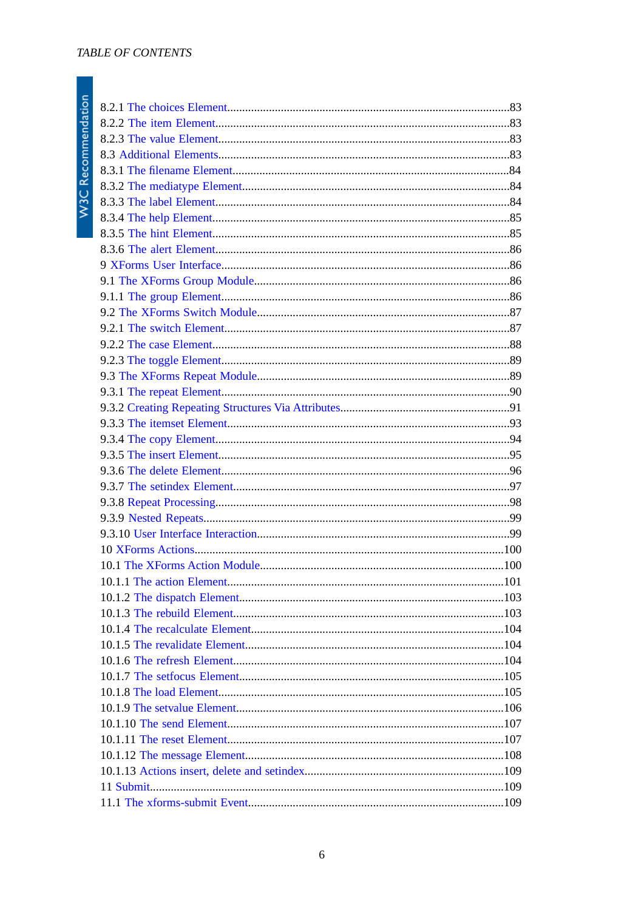| .101 |
|------|
|      |
|      |
|      |
|      |
|      |
|      |
|      |
|      |
|      |
|      |
|      |
|      |
|      |
|      |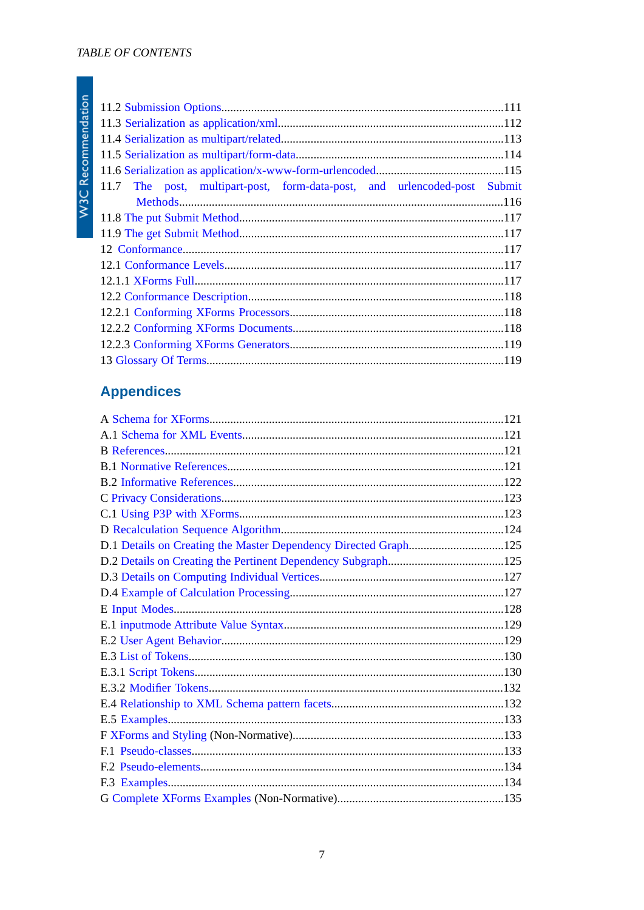| 11.7 The post, multipart-post, form-data-post, and urlencoded-post Submit |  |  |  |
|---------------------------------------------------------------------------|--|--|--|
|                                                                           |  |  |  |
|                                                                           |  |  |  |
|                                                                           |  |  |  |
|                                                                           |  |  |  |
|                                                                           |  |  |  |
|                                                                           |  |  |  |
|                                                                           |  |  |  |
|                                                                           |  |  |  |
|                                                                           |  |  |  |
|                                                                           |  |  |  |
|                                                                           |  |  |  |

# **Appendices**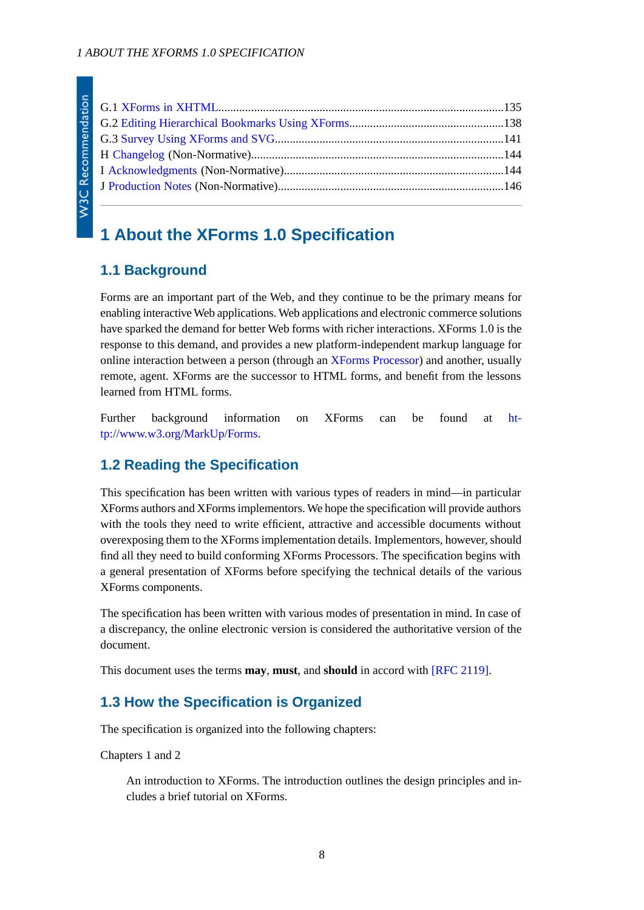# <span id="page-7-1"></span><span id="page-7-0"></span>**1 About the XForms 1.0 Specification**

## **1.1 Background**

Forms are an important part of the Web, and they continue to be the primary means for enabling interactive Web applications. Web applications and electronic commerce solutions have sparked the demand for better Web forms with richer interactions. XForms 1.0 is the response to this demand, and provides a new platform-independent markup language for online interaction between a person (through an [XForms Processor](#page-119-0)) and another, usually remote, agent. XForms are the successor to HTML forms, and benefit from the lessons learned from HTML forms.

<span id="page-7-2"></span>Further background information on XForms can be found at [ht](http://www.w3.org/MarkUp/Forms/)[tp://www.w3.org/MarkUp/Forms](http://www.w3.org/MarkUp/Forms/).

## **1.2 Reading the Specification**

This specification has been written with various types of readers in mind—in particular XForms authors and XForms implementors. We hope the specification will provide authors with the tools they need to write efficient, attractive and accessible documents without overexposing them to the XForms implementation details. Implementors, however, should find all they need to build conforming XForms Processors. The specification begins with a general presentation of XForms before specifying the technical details of the various XForms components.

<span id="page-7-3"></span>The specification has been written with various modes of presentation in mind. In case of a discrepancy, the online electronic version is considered the authoritative version of the document.

This document uses the terms **may**, **must**, and **should** in accord with [\[RFC 2119\].](#page-120-4)

## **1.3 How the Specification is Organized**

The specification is organized into the following chapters:

Chapters 1 and 2

An introduction to XForms. The introduction outlines the design principles and includes a brief tutorial on XForms.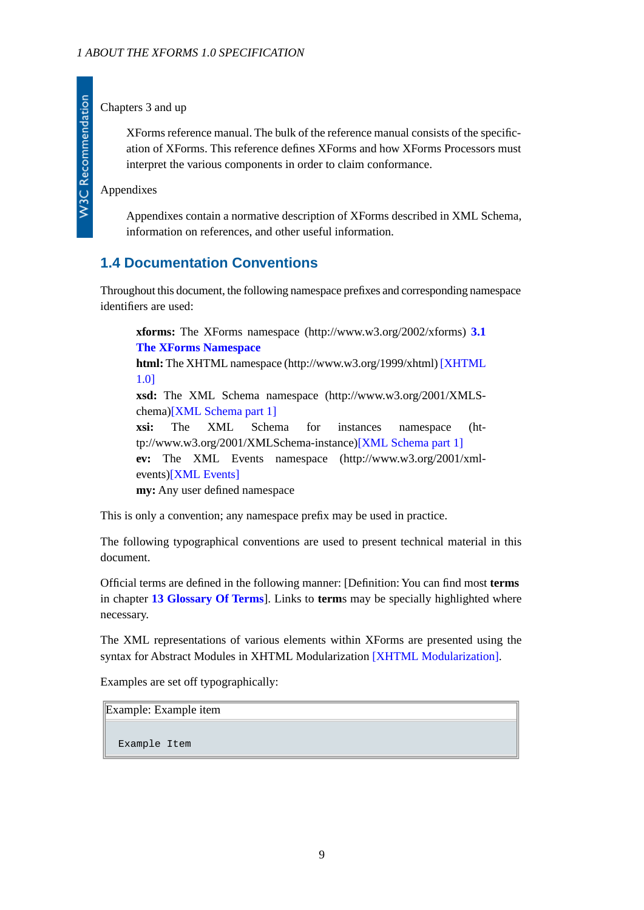Chapters 3 and up

XForms reference manual. The bulk of the reference manual consists of the specification of XForms. This reference defines XForms and how XForms Processors must interpret the various components in order to claim conformance.

Appendixes

Appendixes contain a normative description of XForms described in XML Schema, information on references, and other useful information.

## <span id="page-8-0"></span>**1.4 Documentation Conventions**

Throughout this document, the following namespace prefixes and corresponding namespace identifiers are used:

**xforms:** The XForms namespace (http://www.w3.org/2002/xforms) **[3.1](#page-16-1) [The XForms Namespace](#page-16-1)**

**html:** The XHTML namespace (http://www.w3.org/1999/xhtml) [\[XHTML](#page-122-3) [1.0\]](#page-122-3)

**xsd:** The XML Schema namespace (http://www.w3.org/2001/XMLSchema[\)\[XML Schema part 1\]](#page-121-1)

**xsi:** The XML Schema for instances namespace (http://www.w3.org/2001/XMLSchema-instance)[\[XML Schema part 1\]](#page-121-1) **ev:** The XML Events namespace (http://www.w3.org/2001/xmlevents[\)\[XML Events\]](#page-120-5) **my:** Any user defined namespace

This is only a convention; any namespace prefix may be used in practice.

The following typographical conventions are used to present technical material in this document.

Official terms are defined in the following manner: [Definition: You can find most **terms** in chapter **[13 Glossary Of Terms](#page-118-1)**]. Links to **term**s may be specially highlighted where necessary.

The XML representations of various elements within XForms are presented using the syntax for Abstract Modules in XHTML Modularization [\[XHTML Modularization\]](#page-120-6).

Examples are set off typographically:

Example: Example item

Example Item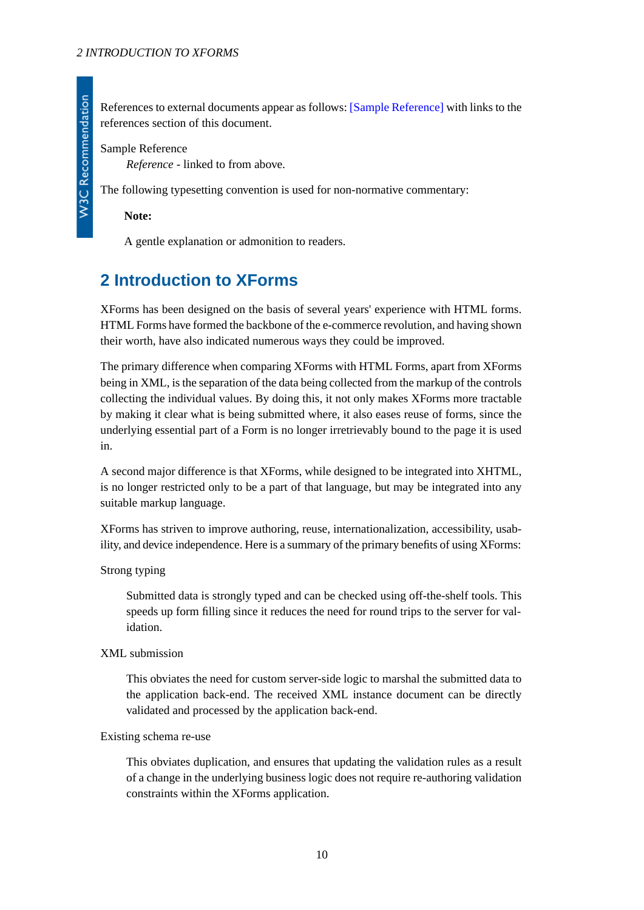References to external documents appear as follows: [\[Sample Reference\]](#page-9-1) with links to the references section of this document.

<span id="page-9-1"></span>Sample Reference

*Reference* - linked to from above.

The following typesetting convention is used for non-normative commentary:

**Note:**

A gentle explanation or admonition to readers.

# <span id="page-9-0"></span>**2 Introduction to XForms**

XForms has been designed on the basis of several years' experience with HTML forms. HTML Forms have formed the backbone of the e-commerce revolution, and having shown their worth, have also indicated numerous ways they could be improved.

The primary difference when comparing XForms with HTML Forms, apart from XForms being in XML, is the separation of the data being collected from the markup of the controls collecting the individual values. By doing this, it not only makes XForms more tractable by making it clear what is being submitted where, it also eases reuse of forms, since the underlying essential part of a Form is no longer irretrievably bound to the page it is used in.

A second major difference is that XForms, while designed to be integrated into XHTML, is no longer restricted only to be a part of that language, but may be integrated into any suitable markup language.

XForms has striven to improve authoring, reuse, internationalization, accessibility, usability, and device independence. Here is a summary of the primary benefits of using XForms:

Strong typing

Submitted data is strongly typed and can be checked using off-the-shelf tools. This speeds up form filling since it reduces the need for round trips to the server for validation.

#### XML submission

This obviates the need for custom server-side logic to marshal the submitted data to the application back-end. The received XML instance document can be directly validated and processed by the application back-end.

#### Existing schema re-use

This obviates duplication, and ensures that updating the validation rules as a result of a change in the underlying business logic does not require re-authoring validation constraints within the XForms application.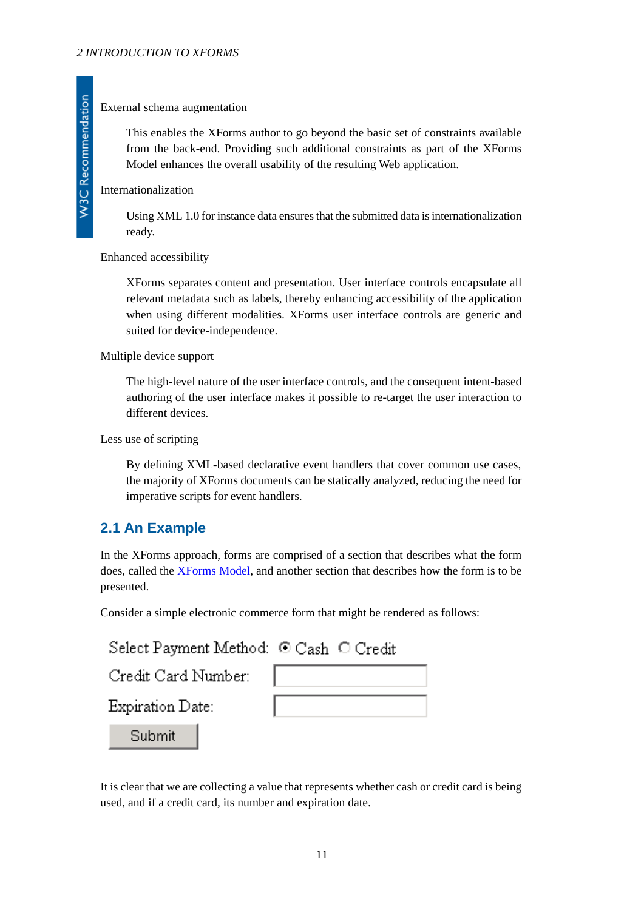### External schema augmentation

This enables the XForms author to go beyond the basic set of constraints available from the back-end. Providing such additional constraints as part of the XForms Model enhances the overall usability of the resulting Web application.

### Internationalization

Using XML 1.0 for instance data ensures that the submitted data is internationalization ready.

#### Enhanced accessibility

XForms separates content and presentation. User interface controls encapsulate all relevant metadata such as labels, thereby enhancing accessibility of the application when using different modalities. XForms user interface controls are generic and suited for device-independence.

### Multiple device support

The high-level nature of the user interface controls, and the consequent intent-based authoring of the user interface makes it possible to re-target the user interaction to different devices.

#### <span id="page-10-0"></span>Less use of scripting

By defining XML-based declarative event handlers that cover common use cases, the majority of XForms documents can be statically analyzed, reducing the need for imperative scripts for event handlers.

## **2.1 An Example**

In the XForms approach, forms are comprised of a section that describes what the form does, called the [XForms Model](#page-119-1), and another section that describes how the form is to be presented.

Consider a simple electronic commerce form that might be rendered as follows:

| Select Payment Method: ⊙ Cash © Credit |  |
|----------------------------------------|--|
| Credit Card Number:                    |  |
| Expiration Date:                       |  |
| Submit                                 |  |

It is clear that we are collecting a value that represents whether cash or credit card is being used, and if a credit card, its number and expiration date.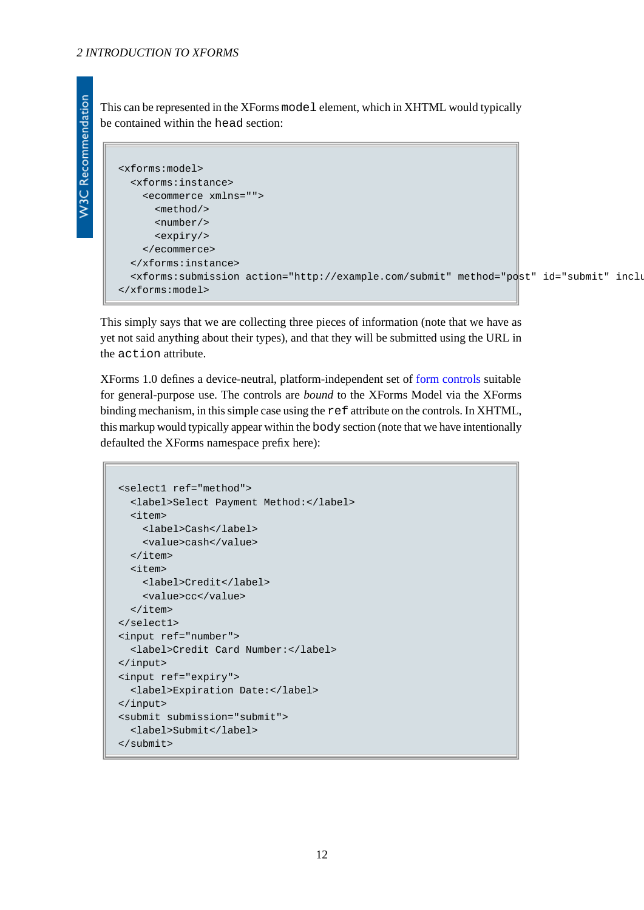This can be represented in the XForms model element, which in XHTML would typically be contained within the head section:

```
<xforms:model>
   <xforms:instance>
     <ecommerce xmlns="">
       <method/>
       <number/>
       <expiry/>
     </ecommerce>
   </xforms:instance>
   <xforms:submission action="http://example.com/submit" method="post" id="submit" includenamespaceprefixes=""/>
</xforms:model>
```
This simply says that we are collecting three pieces of information (note that we have as yet not said anything about their types), and that they will be submitted using the URL in the action attribute.

XForms 1.0 defines a device-neutral, platform-independent set of [form controls](#page-119-2) suitable for general-purpose use. The controls are *bound* to the XForms Model via the XForms binding mechanism, in this simple case using the ref attribute on the controls. In XHTML, this markup would typically appear within the body section (note that we have intentionally defaulted the XForms namespace prefix here):

```
<select1 ref="method">
   <label>Select Payment Method:</label>
   <item>
     <label>Cash</label>
     <value>cash</value>
   </item>
   <item>
     <label>Credit</label>
     <value>cc</value>
  \langleitem\rangle</select1>
<input ref="number">
   <label>Credit Card Number:</label>
</input>
<input ref="expiry">
   <label>Expiration Date:</label>
</input>
<submit submission="submit">
  <label>Submit</label>
</submit>
```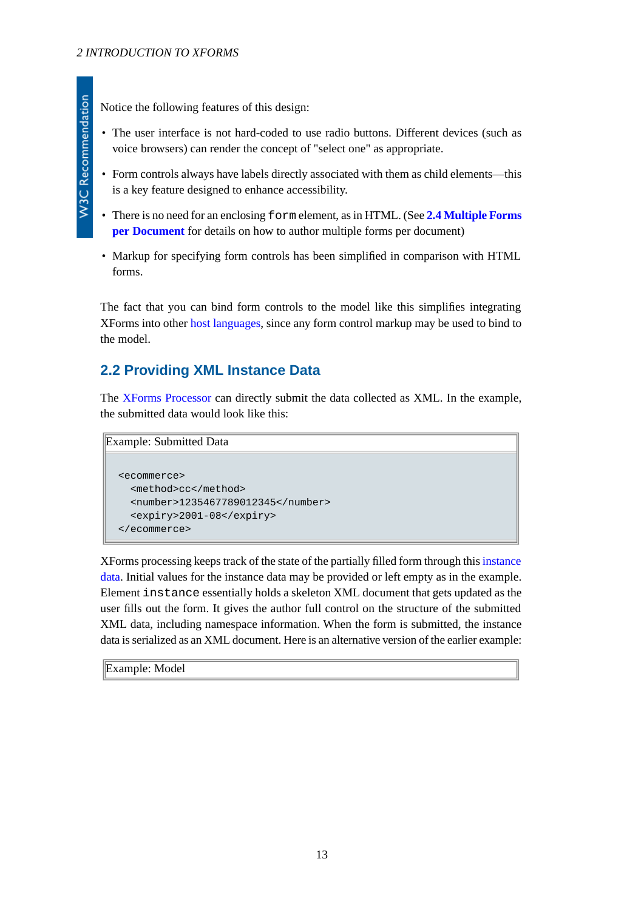Notice the following features of this design:

- The user interface is not hard-coded to use radio buttons. Different devices (such as voice browsers) can render the concept of "select one" as appropriate.
- Form controls always have labels directly associated with them as child elements—this is a key feature designed to enhance accessibility.
- There is no need for an enclosing form element, as in HTML. (See **[2.4 Multiple Forms](#page-15-0) [per Document](#page-15-0)** for details on how to author multiple forms per document)
- Markup for specifying form controls has been simplified in comparison with HTML forms.

<span id="page-12-0"></span>The fact that you can bind form controls to the model like this simplifies integrating XForms into other [host languages,](#page-119-3) since any form control markup may be used to bind to the model.

## **2.2 Providing XML Instance Data**

The [XForms Processor](#page-119-0) can directly submit the data collected as XML. In the example, the submitted data would look like this:

```
Example: Submitted Data
```

```
<ecommerce>
   <method>cc</method>
   <number>1235467789012345</number>
   <expiry>2001-08</expiry>
</ecommerce>
```
XForms processing keeps track of the state of the partially filled form through this [instance](#page-119-4) [data](#page-119-4). Initial values for the instance data may be provided or left empty as in the example. Element instance essentially holds a skeleton XML document that gets updated as the user fills out the form. It gives the author full control on the structure of the submitted XML data, including namespace information. When the form is submitted, the instance data is serialized as an XML document. Here is an alternative version of the earlier example:

Example: Model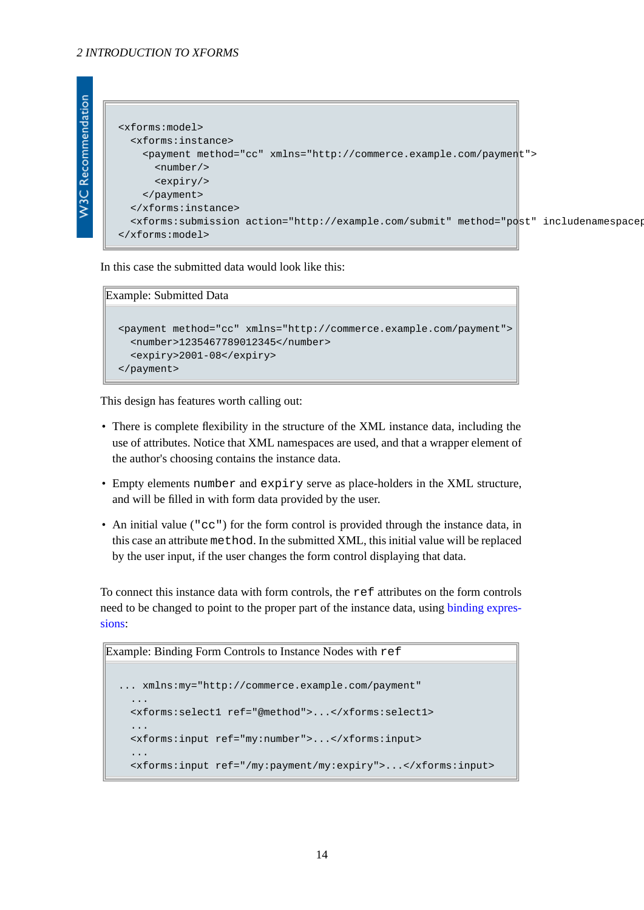```
W3C Recommendation
```

```
<xforms:model>
   <xforms:instance>
     <payment method="cc" xmlns="http://commerce.example.com/payment">
       <number/>
       <expiry/>
     </payment>
   </xforms:instance>
  <xforms:submission action="http://example.com/submit" method="post" includenamespacer
</xforms:model>
```
In this case the submitted data would look like this:

#### Example: Submitted Data

```
<payment method="cc" xmlns="http://commerce.example.com/payment">
   <number>1235467789012345</number>
   <expiry>2001-08</expiry>
</payment>
```
This design has features worth calling out:

- There is complete flexibility in the structure of the XML instance data, including the use of attributes. Notice that XML namespaces are used, and that a wrapper element of the author's choosing contains the instance data.
- Empty elements number and expiry serve as place-holders in the XML structure, and will be filled in with form data provided by the user.
- An initial value ("cc") for the form control is provided through the instance data, in this case an attribute method. In the submitted XML, this initial value will be replaced by the user input, if the user changes the form control displaying that data.

To connect this instance data with form controls, the ref attributes on the form controls need to be changed to point to the proper part of the instance data, using [binding expres](#page-118-2)[sions:](#page-118-2)

```
Example: Binding Form Controls to Instance Nodes with ref
```

```
... xmlns:my="http://commerce.example.com/payment"
 ...
  <xforms:select1 ref="@method">...</xforms:select1>
 ...
  <xforms:input ref="my:number">...</xforms:input>
  ...
  <xforms:input ref="/my:payment/my:expiry">...</xforms:input>
```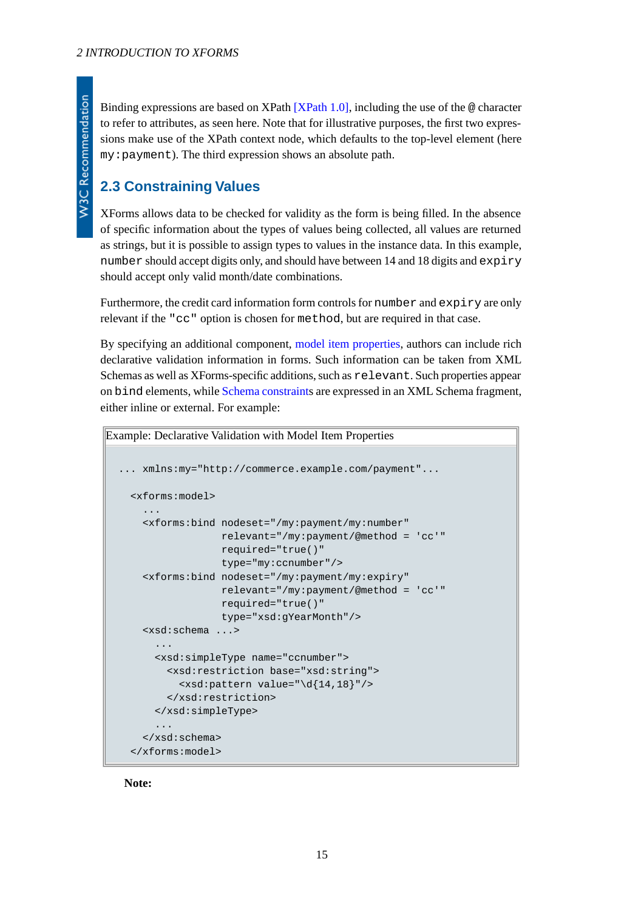Binding expressions are based on XPath  $[XPath 1.0]$ , including the use of the  $\omega$  character to refer to attributes, as seen here. Note that for illustrative purposes, the first two expressions make use of the XPath context node, which defaults to the top-level element (here my:payment). The third expression shows an absolute path.

# <span id="page-14-0"></span>**2.3 Constraining Values**

XForms allows data to be checked for validity as the form is being filled. In the absence of specific information about the types of values being collected, all values are returned as strings, but it is possible to assign types to values in the instance data. In this example, number should accept digits only, and should have between 14 and 18 digits and expiry should accept only valid month/date combinations.

Furthermore, the credit card information form controls for number and expiry are only relevant if the "cc" option is chosen for method, but are required in that case.

By specifying an additional component, [model item properties](#page-119-5), authors can include rich declarative validation information in forms. Such information can be taken from XML Schemas as well as XForms-specific additions, such as relevant. Such properties appear on bind elements, while [Schema constraints](#page-119-6) are expressed in an XML Schema fragment, either inline or external. For example:

```
Example: Declarative Validation with Model Item Properties
  ... xmlns:my="http://commerce.example.com/payment"...
     <xforms:model>
       ...
       <xforms:bind nodeset="/my:payment/my:number"
                     relevant="/my:payment/@method = 'cc'"
                     required="true()"
                     type="my:ccnumber"/>
       <xforms:bind nodeset="/my:payment/my:expiry"
                     relevant="/my:payment/@method = 'cc'"
                     required="true()"
                     type="xsd:gYearMonth"/>
       <xsd:schema ...>
   ...
         <xsd:simpleType name="ccnumber">
           <xsd:restriction base="xsd:string">
             <xsd:pattern value="\d{14,18}"/>
           </xsd:restriction>
         </xsd:simpleType>
         ...
       </xsd:schema>
     </xforms:model>
```
**Note:**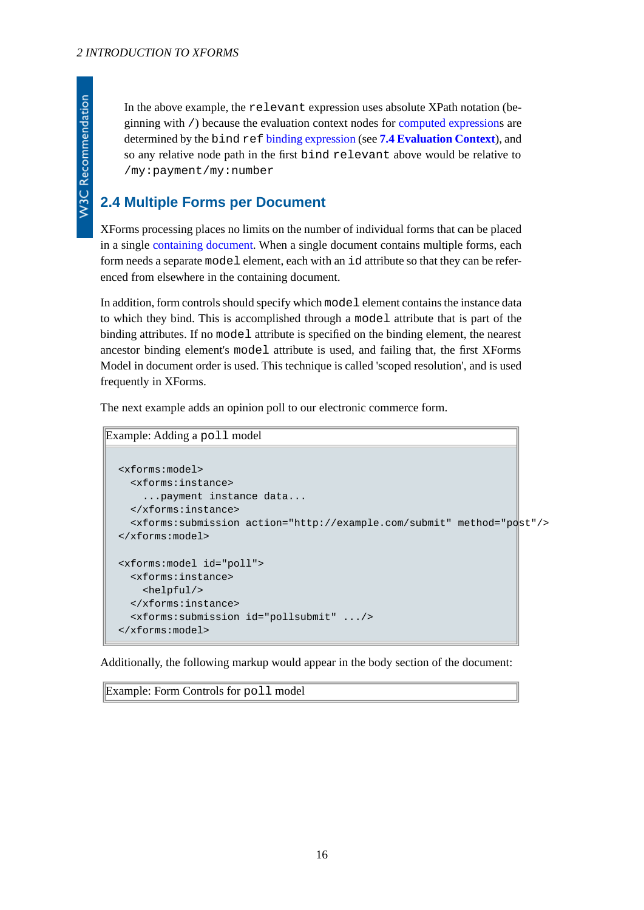W3C Recommendation

In the above example, the relevant expression uses absolute XPath notation (beginning with /) because the evaluation context nodes for [computed expressions](#page-118-3) are determined by the bind ref [binding expression](#page-118-2) (see **[7.4 Evaluation Context](#page-56-2)**), and so any relative node path in the first bind relevant above would be relative to /my:payment/my:number

## <span id="page-15-0"></span>**2.4 Multiple Forms per Document**

XForms processing places no limits on the number of individual forms that can be placed in a single [containing document](#page-118-4). When a single document contains multiple forms, each form needs a separate model element, each with an id attribute so that they can be referenced from elsewhere in the containing document.

In addition, form controls should specify which model element contains the instance data to which they bind. This is accomplished through a model attribute that is part of the binding attributes. If no model attribute is specified on the binding element, the nearest ancestor binding element's model attribute is used, and failing that, the first XForms Model in document order is used. This technique is called 'scoped resolution', and is used frequently in XForms.

The next example adds an opinion poll to our electronic commerce form.

```
Example: Adding a poll model
  <xforms:model>
     <xforms:instance>
       ...payment instance data...
     </xforms:instance>
     <xforms:submission action="http://example.com/submit" method="post"/>
  </xforms:model>
  <xforms:model id="poll">
     <xforms:instance>
       <helpful/>
     </xforms:instance>
     <xforms:submission id="pollsubmit" .../>
  </xforms:model>
```
Additionally, the following markup would appear in the body section of the document:

Example: Form Controls for poll model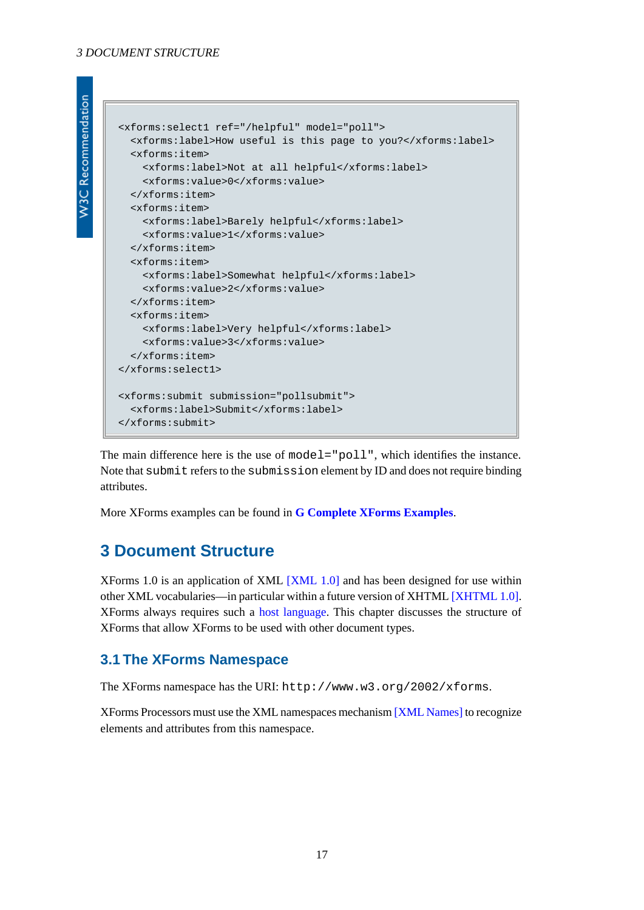```
W3C Recommendation
```

```
<xforms:select1 ref="/helpful" model="poll">
   <xforms:label>How useful is this page to you?</xforms:label>
   <xforms:item>
     <xforms:label>Not at all helpful</xforms:label>
     <xforms:value>0</xforms:value>
   </xforms:item>
  <xforms:item>
     <xforms:label>Barely helpful</xforms:label>
     <xforms:value>1</xforms:value>
   </xforms:item>
   <xforms:item>
     <xforms:label>Somewhat helpful</xforms:label>
     <xforms:value>2</xforms:value>
  </xforms:item>
   <xforms:item>
     <xforms:label>Very helpful</xforms:label>
     <xforms:value>3</xforms:value>
   </xforms:item>
</xforms:select1>
<xforms:submit submission="pollsubmit">
   <xforms:label>Submit</xforms:label>
</xforms:submit>
```
The main difference here is the use of model="poll", which identifies the instance. Note that submit refers to the submission element by ID and does not require binding attributes.

<span id="page-16-0"></span>More XForms examples can be found in **[G Complete XForms Examples](#page-134-0)**.

# **3 Document Structure**

<span id="page-16-1"></span>XForms 1.0 is an application of XML [\[XML 1.0\]](#page-121-3) and has been designed for use within other XML vocabularies—in particular within a future version of XHTML [\[XHTML 1.0\].](#page-122-3) XForms always requires such a [host language.](#page-119-3) This chapter discusses the structure of XForms that allow XForms to be used with other document types.

## **3.1 The XForms Namespace**

The XForms namespace has the URI: http://www.w3.org/2002/xforms.

XForms Processors must use the XML namespaces mechanism [\[XML Names\]](#page-121-4) to recognize elements and attributes from this namespace.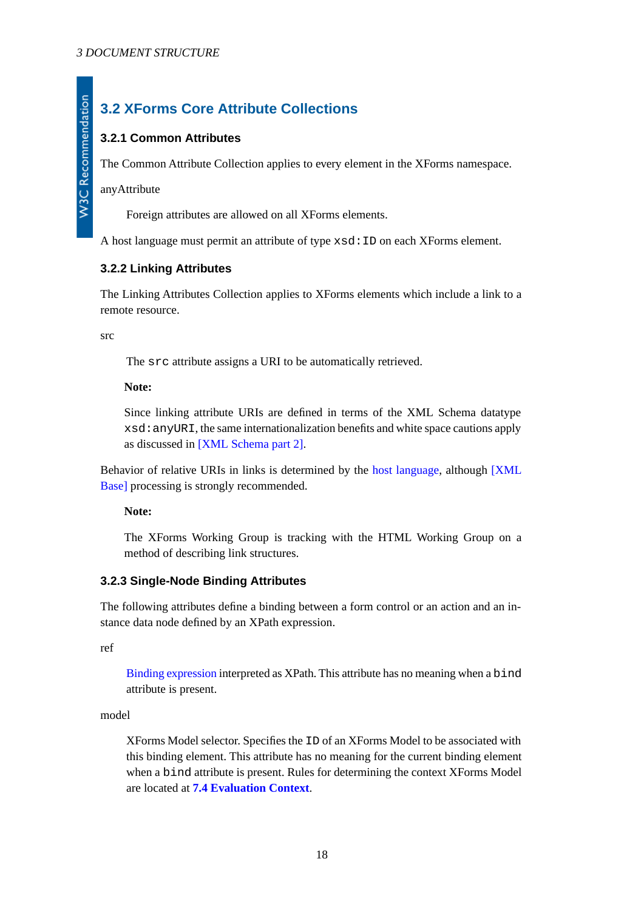# <span id="page-17-0"></span>**3.2 XForms Core Attribute Collections**

## <span id="page-17-1"></span>**3.2.1 Common Attributes**

The Common Attribute Collection applies to every element in the XForms namespace.

anyAttribute

Foreign attributes are allowed on all XForms elements.

<span id="page-17-2"></span>A host language must permit an attribute of type xsd:ID on each XForms element.

## **3.2.2 Linking Attributes**

The Linking Attributes Collection applies to XForms elements which include a link to a remote resource.

src

The src attribute assigns a URI to be automatically retrieved.

#### **Note:**

Since linking attribute URIs are defined in terms of the XML Schema datatype xsd:anyURI, the same internationalization benefits and white space cautions apply as discussed in [\[XML Schema part 2\]](#page-121-5).

Behavior of relative URIs in links is determined by the [host language,](#page-119-3) although [\[XML](#page-120-7) [Base\]](#page-120-7) processing is strongly recommended.

#### <span id="page-17-3"></span>**Note:**

The XForms Working Group is tracking with the HTML Working Group on a method of describing link structures.

## **3.2.3 Single-Node Binding Attributes**

The following attributes define a binding between a form control or an action and an instance data node defined by an XPath expression.

ref

[Binding expression](#page-118-2) interpreted as XPath. This attribute has no meaning when a bind attribute is present.

model

XForms Model selector. Specifies the ID of an XForms Model to be associated with this binding element. This attribute has no meaning for the current binding element when a bind attribute is present. Rules for determining the context XForms Model are located at **[7.4 Evaluation Context](#page-56-2)**.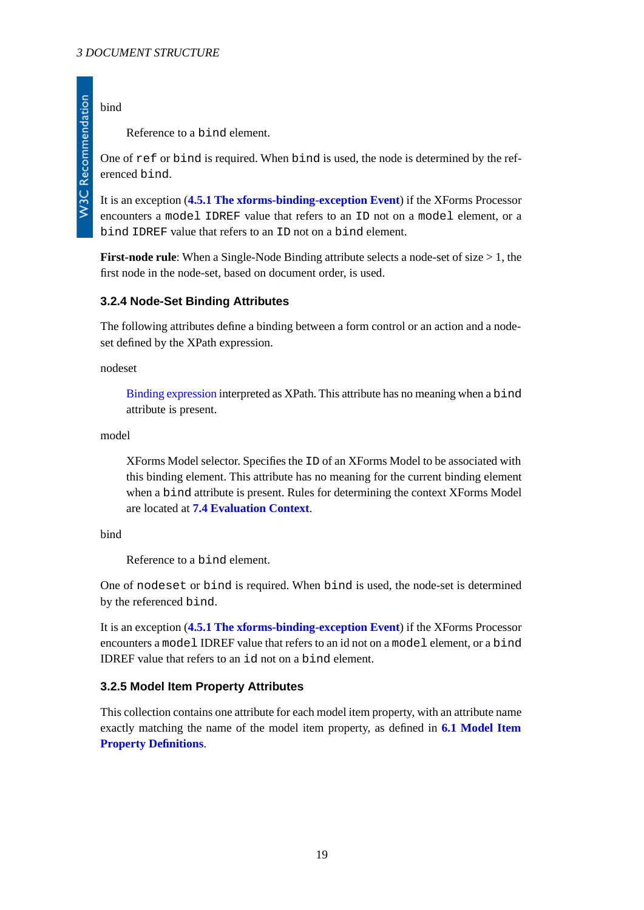## bind

**W3C Recommendation** 

Reference to a bind element.

One of ref or bind is required. When bind is used, the node is determined by the referenced bind.

It is an exception (**[4.5.1 The xforms-binding-exception Event](#page-40-3)**) if the XForms Processor encounters a model IDREF value that refers to an ID not on a model element, or a bind IDREF value that refers to an ID not on a bind element.

<span id="page-18-0"></span>**First-node rule**: When a Single-Node Binding attribute selects a node-set of size > 1, the first node in the node-set, based on document order, is used.

### **3.2.4 Node-Set Binding Attributes**

The following attributes define a binding between a form control or an action and a nodeset defined by the XPath expression.

nodeset

[Binding expression](#page-118-2) interpreted as XPath. This attribute has no meaning when a bind attribute is present.

model

XForms Model selector. Specifies the ID of an XForms Model to be associated with this binding element. This attribute has no meaning for the current binding element when a bind attribute is present. Rules for determining the context XForms Model are located at **[7.4 Evaluation Context](#page-56-2)**.

bind

Reference to a bind element.

One of nodeset or bind is required. When bind is used, the node-set is determined by the referenced bind.

<span id="page-18-1"></span>It is an exception (**[4.5.1 The xforms-binding-exception Event](#page-40-3)**) if the XForms Processor encounters a model IDREF value that refers to an id not on a model element, or a bind IDREF value that refers to an id not on a bind element.

#### **3.2.5 Model Item Property Attributes**

This collection contains one attribute for each model item property, with an attribute name exactly matching the name of the model item property, as defined in **[6.1 Model Item](#page-46-3) [Property Definitions](#page-46-3)**.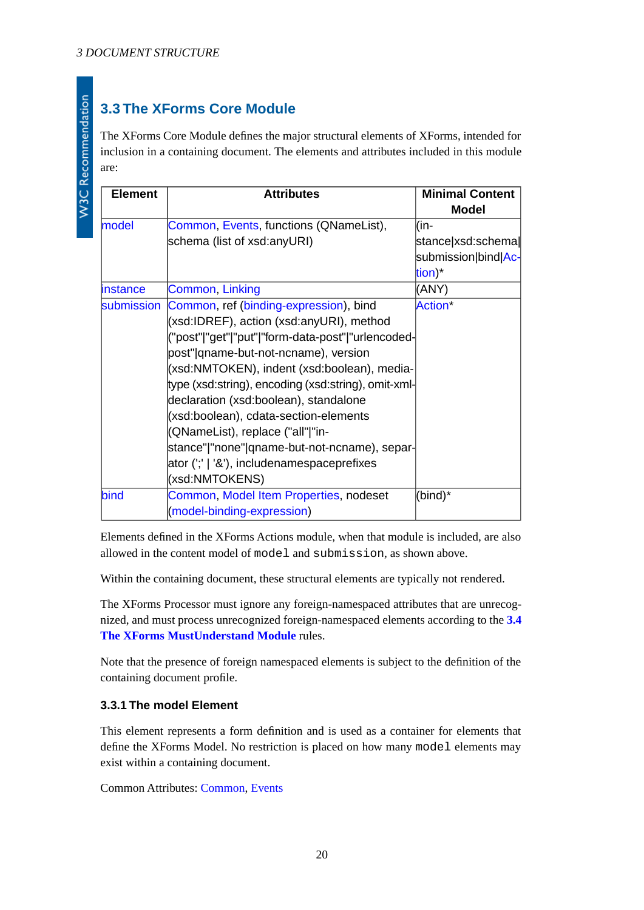# <span id="page-19-0"></span>**3.3 The XForms Core Module**

The XForms Core Module defines the major structural elements of XForms, intended for inclusion in a containing document. The elements and attributes included in this module are:

| <b>Element</b> | <b>Attributes</b>                                   | <b>Minimal Content</b><br><b>Model</b> |
|----------------|-----------------------------------------------------|----------------------------------------|
| model          | Common, Events, functions (QNameList),              | (in-                                   |
|                | schema (list of xsd:anyURI)                         | stance xsd:schema∥                     |
|                |                                                     | submission bind Ac-                    |
|                |                                                     | tion)*                                 |
| instance       | Common, Linking                                     | (ANY)                                  |
| submission     | Common, ref (binding-expression), bind              | Action*                                |
|                | (xsd:IDREF), action (xsd:anyURI), method            |                                        |
|                | ("post" "get" "put" "form-data-post" "urlencoded-   |                                        |
|                | post" qname-but-not-ncname), version                |                                        |
|                | (xsd:NMTOKEN), indent (xsd:boolean), media-         |                                        |
|                | type (xsd:string), encoding (xsd:string), omit-xml- |                                        |
|                | declaration (xsd:boolean), standalone               |                                        |
|                | (xsd:boolean), cdata-section-elements               |                                        |
|                | (QNameList), replace ("all" "in-                    |                                        |
|                | stance" "none" qname-but-not-ncname), separ-        |                                        |
|                | ator (';'   '&'), includenamespaceprefixes          |                                        |
|                | (xsd:NMTOKENS)                                      |                                        |
| bind           | Common, Model Item Properties, nodeset              | (bind)*                                |
|                | (model-binding-expression)                          |                                        |

Elements defined in the XForms Actions module, when that module is included, are also allowed in the content model of model and submission, as shown above.

Within the containing document, these structural elements are typically not rendered.

The XForms Processor must ignore any foreign-namespaced attributes that are unrecognized, and must process unrecognized foreign-namespaced elements according to the **[3.4](#page-24-0) [The XForms MustUnderstand Module](#page-24-0)** rules.

<span id="page-19-1"></span>Note that the presence of foreign namespaced elements is subject to the definition of the containing document profile.

## **3.3.1 The model Element**

This element represents a form definition and is used as a container for elements that define the XForms Model. No restriction is placed on how many model elements may exist within a containing document.

Common Attributes: [Common](#page-17-1), [Events](#page-100-1)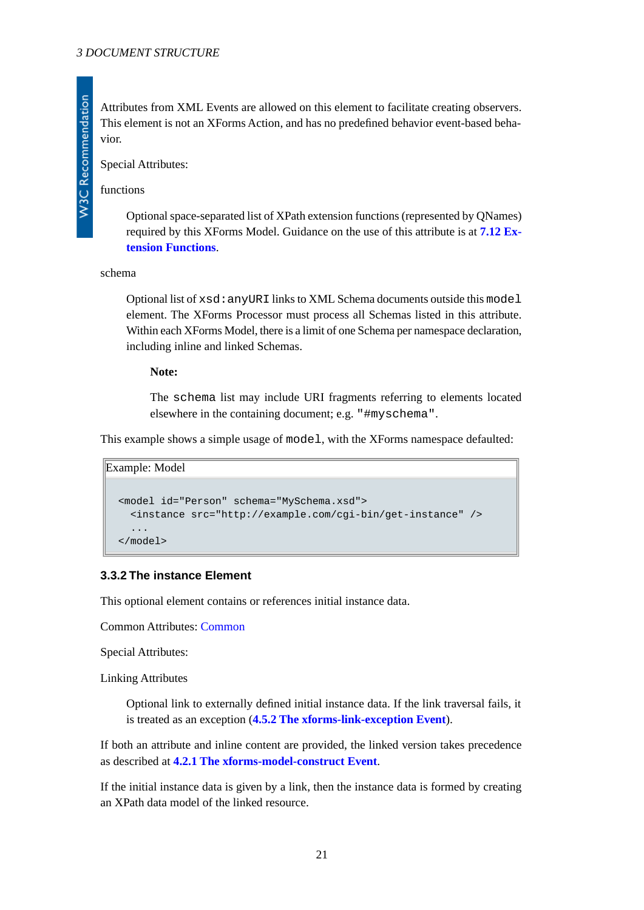Attributes from XML Events are allowed on this element to facilitate creating observers. This element is not an XForms Action, and has no predefined behavior event-based behavior.

Special Attributes:

functions

Optional space-separated list of XPath extension functions (represented by QNames) required by this XForms Model. Guidance on the use of this attribute is at **[7.12 Ex](#page-64-2)[tension Functions](#page-64-2)**.

#### schema

Optional list of xsd:anyURI links to XML Schema documents outside this model element. The XForms Processor must process all Schemas listed in this attribute. Within each XForms Model, there is a limit of one Schema per namespace declaration, including inline and linked Schemas.

#### **Note:**

The schema list may include URI fragments referring to elements located elsewhere in the containing document; e.g. "#myschema".

This example shows a simple usage of model, with the XForms namespace defaulted:

```
Example: Model
```

```
<model id="Person" schema="MySchema.xsd">
   <instance src="http://example.com/cgi-bin/get-instance" />
   ...
</model>
```
## **3.3.2 The instance Element**

This optional element contains or references initial instance data.

Common Attributes: [Common](#page-17-1)

Special Attributes:

Linking Attributes

Optional link to externally defined initial instance data. If the link traversal fails, it is treated as an exception (**[4.5.2 The xforms-link-exception Event](#page-41-0)**).

If both an attribute and inline content are provided, the linked version takes precedence as described at **[4.2.1 The xforms-model-construct Event](#page-27-1)**.

If the initial instance data is given by a link, then the instance data is formed by creating an XPath data model of the linked resource.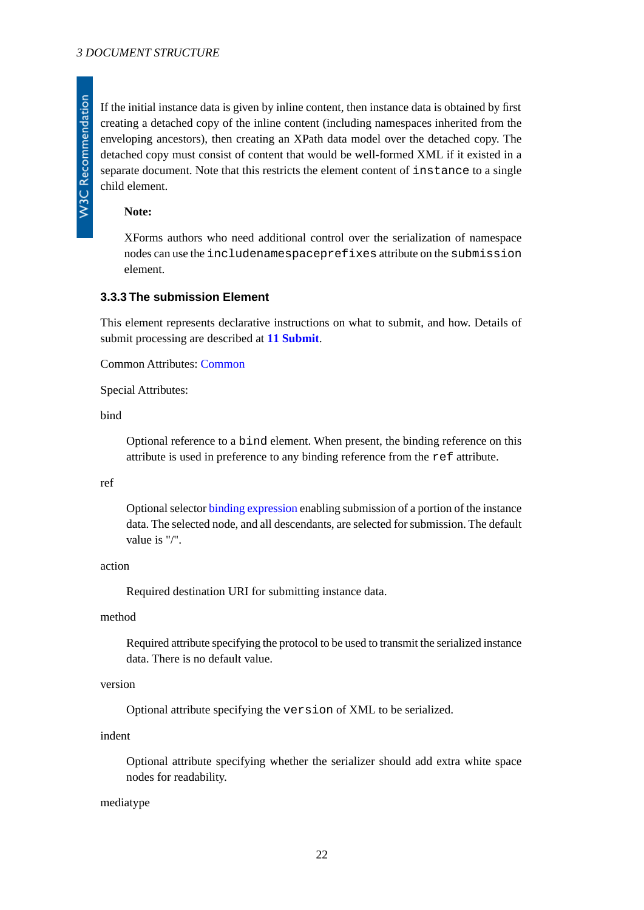If the initial instance data is given by inline content, then instance data is obtained by first creating a detached copy of the inline content (including namespaces inherited from the enveloping ancestors), then creating an XPath data model over the detached copy. The detached copy must consist of content that would be well-formed XML if it existed in a separate document. Note that this restricts the element content of instance to a single child element.

#### **Note:**

XForms authors who need additional control over the serialization of namespace nodes can use the includenamespaceprefixes attribute on the submission element.

#### <span id="page-21-0"></span>**3.3.3 The submission Element**

This element represents declarative instructions on what to submit, and how. Details of submit processing are described at **[11 Submit](#page-108-1)**.

Common Attributes: [Common](#page-17-1)

Special Attributes:

bind

Optional reference to a bind element. When present, the binding reference on this attribute is used in preference to any binding reference from the ref attribute.

#### ref

Optional selector [binding expression](#page-118-2) enabling submission of a portion of the instance data. The selected node, and all descendants, are selected for submission. The default value is "/".

### action

Required destination URI for submitting instance data.

#### method

Required attribute specifying the protocol to be used to transmit the serialized instance data. There is no default value.

### version

Optional attribute specifying the version of XML to be serialized.

#### indent

Optional attribute specifying whether the serializer should add extra white space nodes for readability.

#### mediatype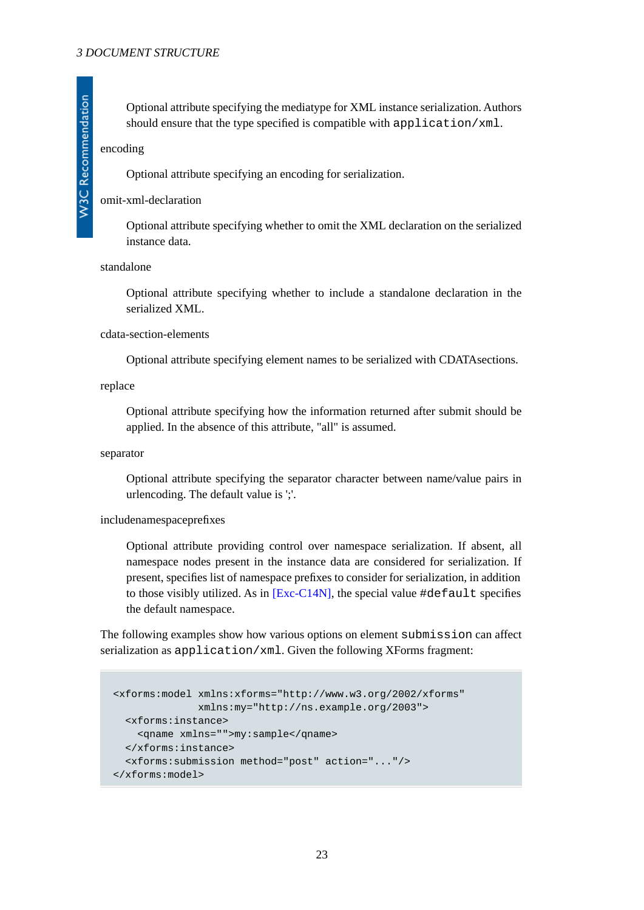Optional attribute specifying the mediatype for XML instance serialization. Authors should ensure that the type specified is compatible with application/xml.

encoding

Optional attribute specifying an encoding for serialization.

#### omit-xml-declaration

Optional attribute specifying whether to omit the XML declaration on the serialized instance data.

#### standalone

Optional attribute specifying whether to include a standalone declaration in the serialized XML.

#### cdata-section-elements

Optional attribute specifying element names to be serialized with CDATAsections.

#### replace

Optional attribute specifying how the information returned after submit should be applied. In the absence of this attribute, "all" is assumed.

#### separator

Optional attribute specifying the separator character between name/value pairs in urlencoding. The default value is ';'.

#### includenamespaceprefixes

Optional attribute providing control over namespace serialization. If absent, all namespace nodes present in the instance data are considered for serialization. If present, specifies list of namespace prefixes to consider for serialization, in addition to those visibly utilized. As in  $[Exc-C14N]$ , the special value  $\#default$  specifies the default namespace.

The following examples show how various options on element submission can affect serialization as application/xml. Given the following XForms fragment:

```
<xforms:model xmlns:xforms="http://www.w3.org/2002/xforms"
              xmlns:my="http://ns.example.org/2003">
  <xforms:instance>
     <qname xmlns="">my:sample</qname>
  </xforms:instance>
  <xforms:submission method="post" action="..."/>
</xforms:model>
```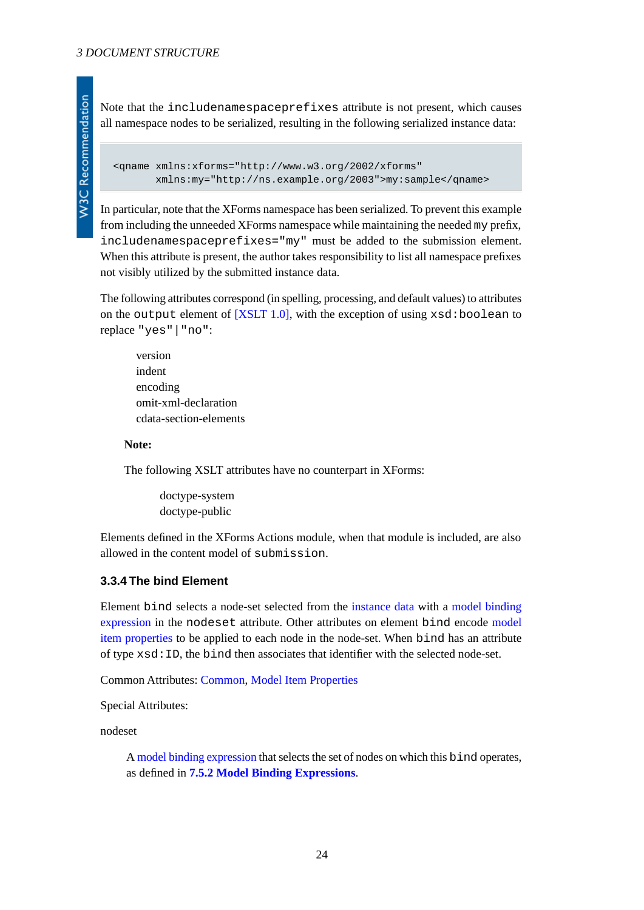**W3C Recommendation** 

Note that the includenamespaceprefixes attribute is not present, which causes all namespace nodes to be serialized, resulting in the following serialized instance data:

```
<qname xmlns:xforms="http://www.w3.org/2002/xforms"
       xmlns:my="http://ns.example.org/2003">my:sample</qname>
```
In particular, note that the XForms namespace has been serialized. To prevent this example from including the unneeded XForms namespace while maintaining the needed my prefix, includenamespaceprefixes="my" must be added to the submission element. When this attribute is present, the author takes responsibility to list all namespace prefixes not visibly utilized by the submitted instance data.

The following attributes correspond (in spelling, processing, and default values) to attributes on the output element of  $[XSLT 1.0]$ , with the exception of using  $xsd:boolean$  to replace "yes"|"no":

version indent encoding omit-xml-declaration cdata-section-elements

#### **Note:**

The following XSLT attributes have no counterpart in XForms:

doctype-system doctype-public

<span id="page-23-0"></span>Elements defined in the XForms Actions module, when that module is included, are also allowed in the content model of submission.

### **3.3.4 The bind Element**

Element bind selects a node-set selected from the [instance data](#page-119-4) with a [model binding](#page-118-5) [expression](#page-118-5) in the nodeset attribute. Other attributes on element bind encode [model](#page-119-5) [item properties](#page-119-5) to be applied to each node in the node-set. When bind has an attribute of type xsd:ID, the bind then associates that identifier with the selected node-set.

Common Attributes: [Common](#page-17-1), [Model Item Properties](#page-18-1)

Special Attributes:

nodeset

A [model binding expression](#page-118-5) that selects the set of nodes on which this bind operates, as defined in **[7.5.2 Model Binding Expressions](#page-58-1)**.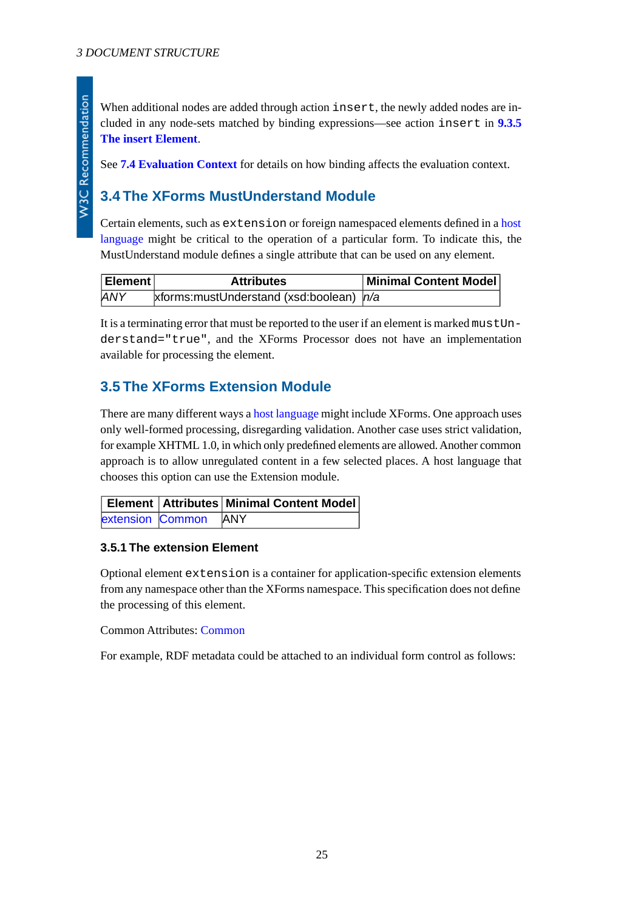When additional nodes are added through action insert, the newly added nodes are included in any node-sets matched by binding expressions—see action insert in **[9.3.5](#page-94-0) [The insert Element](#page-94-0)**.

<span id="page-24-0"></span>See **[7.4 Evaluation Context](#page-56-2)** for details on how binding affects the evaluation context.

## **3.4 The XForms MustUnderstand Module**

Certain elements, such as extension or foreign namespaced elements defined in a [host](#page-119-3) [language](#page-119-3) might be critical to the operation of a particular form. To indicate this, the MustUnderstand module defines a single attribute that can be used on any element.

| Element    | <b>Attributes</b>                            | Minimal Content Model |
|------------|----------------------------------------------|-----------------------|
| <b>ANY</b> | xforms: must Understand (xsd: boolean) $n/a$ |                       |

<span id="page-24-1"></span>It is a terminating error that must be reported to the user if an element is marked mustUnderstand="true", and the XForms Processor does not have an implementation available for processing the element.

## **3.5 The XForms Extension Module**

There are many different ways a [host language](#page-119-3) might include XForms. One approach uses only well-formed processing, disregarding validation. Another case uses strict validation, for example XHTML 1.0, in which only predefined elements are allowed. Another common approach is to allow unregulated content in a few selected places. A host language that chooses this option can use the Extension module.

<span id="page-24-2"></span>

|                      | <b>Element Attributes Minimal Content Model</b> |
|----------------------|-------------------------------------------------|
| extension Common ANY |                                                 |

## **3.5.1 The extension Element**

Optional element extension is a container for application-specific extension elements from any namespace other than the XForms namespace. This specification does not define the processing of this element.

Common Attributes: [Common](#page-17-1)

For example, RDF metadata could be attached to an individual form control as follows: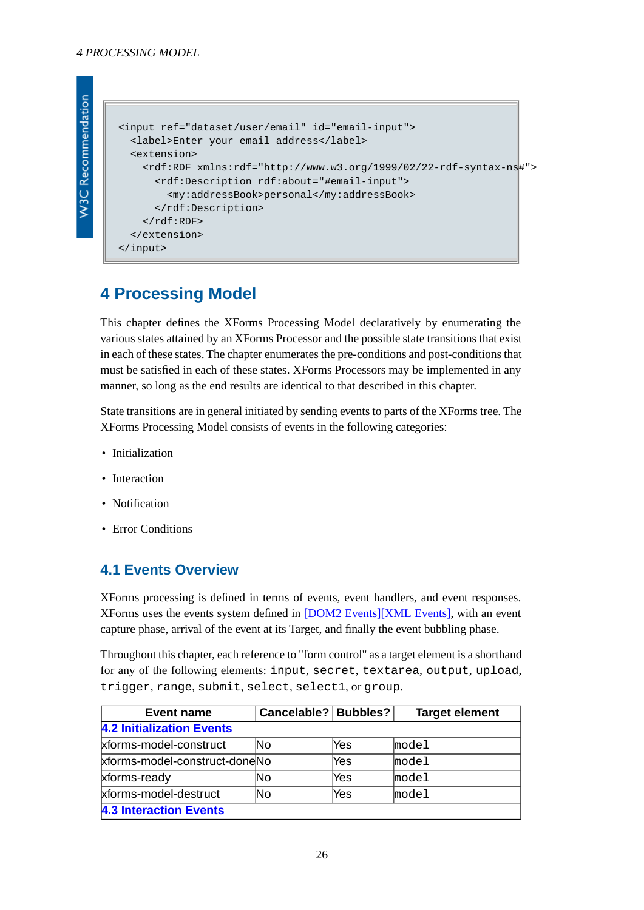```
W3C Recommendation
```

```
<input ref="dataset/user/email" id="email-input">
   <label>Enter your email address</label>
   <extension>
     <rdf:RDF xmlns:rdf="http://www.w3.org/1999/02/22-rdf-syntax-ns#">
       <rdf:Description rdf:about="#email-input">
         <my:addressBook>personal</my:addressBook>
       </rdf:Description>
    \langle /rdf:RDF>
   </extension>
</input>
```
# <span id="page-25-0"></span>**4 Processing Model**

This chapter defines the XForms Processing Model declaratively by enumerating the various states attained by an XForms Processor and the possible state transitions that exist in each of these states. The chapter enumerates the pre-conditions and post-conditions that must be satisfied in each of these states. XForms Processors may be implemented in any manner, so long as the end results are identical to that described in this chapter.

State transitions are in general initiated by sending events to parts of the XForms tree. The XForms Processing Model consists of events in the following categories:

- Initialization
- Interaction
- <span id="page-25-1"></span>• Notification
- Error Conditions

## **4.1 Events Overview**

XForms processing is defined in terms of events, event handlers, and event responses. XForms uses the events system defined in [\[DOM2 Events\]](#page-121-7)[\[XML Events\],](#page-120-5) with an event capture phase, arrival of the event at its Target, and finally the event bubbling phase.

Throughout this chapter, each reference to "form control" as a target element is a shorthand for any of the following elements: input, secret, textarea, output, upload, trigger, range, submit, select, select1, or group.

| <b>Event name</b>                | Cancelable?   Bubbles? |     | <b>Target element</b> |  |  |
|----------------------------------|------------------------|-----|-----------------------|--|--|
| <b>4.2 Initialization Events</b> |                        |     |                       |  |  |
| xforms-model-construct           | lNo                    | Yes | model                 |  |  |
| xforms-model-construct-doneNo    |                        | Yes | model                 |  |  |
| xforms-ready                     | lNo                    | Yes | model                 |  |  |
| xforms-model-destruct            | lNo                    | Yes | model                 |  |  |
| <b>4.3 Interaction Events</b>    |                        |     |                       |  |  |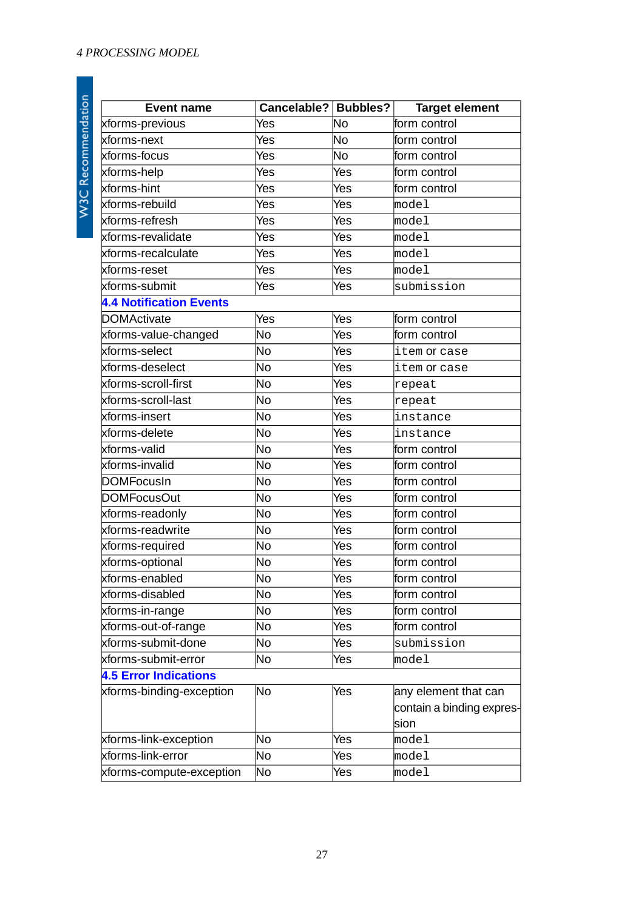| <b>Event name</b>              | Cancelable?   Bubbles?   |           | <b>Target element</b>     |
|--------------------------------|--------------------------|-----------|---------------------------|
| xforms-previous                | Yes                      | No        | form control              |
| xforms-next                    | Yes                      | <b>No</b> | form control              |
| xforms-focus                   | Yes                      | No        | form control              |
| xforms-help                    | Yes                      | Yes       | form control              |
| xforms-hint                    | Yes                      | Yes       | form control              |
| xforms-rebuild                 | Yes                      | Yes       | model                     |
| xforms-refresh                 | Yes                      | Yes       | model                     |
| xforms-revalidate              | Yes                      | Yes       | model                     |
| xforms-recalculate             | Yes                      | Yes       | model                     |
| kforms-reset                   | <b>Yes</b>               | Yes       | model                     |
| xforms-submit                  | Yes                      | Yes       | submission                |
| <b>4.4 Notification Events</b> |                          |           |                           |
| <b>DOMActivate</b>             | Yes                      | Yes       | form control              |
| xforms-value-changed           | No                       | Yes       | form control              |
| xforms-select                  | No                       | Yes       | item or case              |
| xforms-deselect                | No                       | Yes       | item or case              |
| xforms-scroll-first            | No                       | Yes       | repeat                    |
| xforms-scroll-last             | No                       | Yes       | repeat                    |
| xforms-insert                  | No                       | Yes       | instance                  |
| xforms-delete                  | No                       | Yes       | instance                  |
| xforms-valid                   | No                       | Yes       | form control              |
| xforms-invalid                 | No                       | Yes       | form control              |
| <b>DOMFocusIn</b>              | $\overline{\textsf{No}}$ | Yes       | form control              |
| <b>DOMFocusOut</b>             | No                       | Yes       | form control              |
| xforms-readonly                | No                       | Yes       | form control              |
| xforms-readwrite               | No                       | Yes       | form control              |
| xforms-required                | No                       | Yes       | form control              |
| xforms-optional                | No                       | Yes       | form control              |
| xforms-enabled                 | No                       | Yes       | form control              |
| xforms-disabled                | No                       | Yes       | form control              |
| xforms-in-range                | No                       | Yes       | form control              |
| xforms-out-of-range            | No                       | Yes       | form control              |
| xforms-submit-done             | No                       | Yes       | submission                |
| xforms-submit-error            | No                       | Yes       | model                     |
| <b>4.5 Error Indications</b>   |                          |           |                           |
| xforms-binding-exception       | No                       | Yes       | any element that can      |
|                                |                          |           | contain a binding expres- |
|                                |                          |           | sion                      |
| xforms-link-exception          | No                       | Yes       | model                     |
| xforms-link-error              | No                       | Yes       | model                     |
| xforms-compute-exception       | No                       | Yes       | model                     |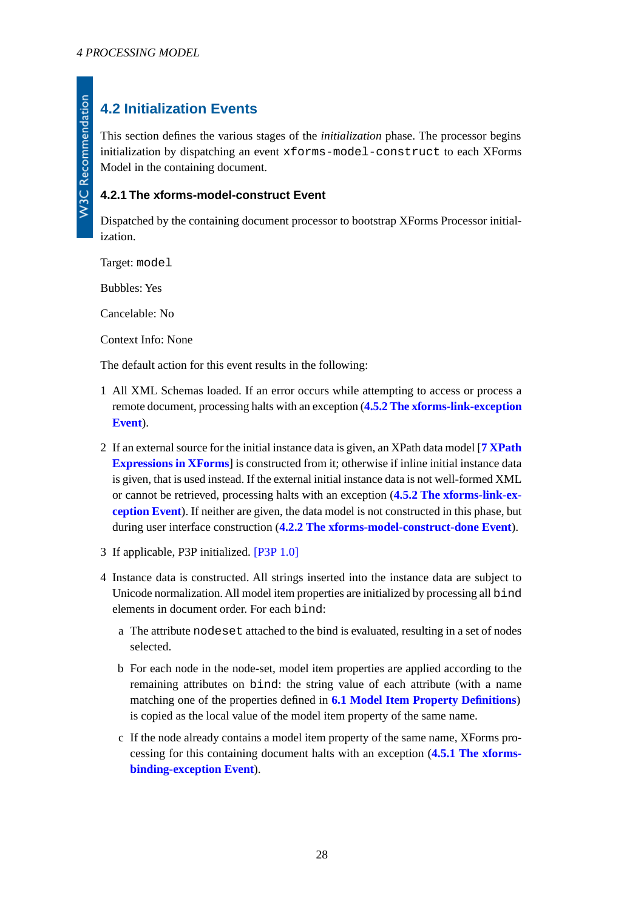# <span id="page-27-0"></span>**4.2 Initialization Events**

This section defines the various stages of the *initialization* phase. The processor begins initialization by dispatching an event xforms-model-construct to each XForms Model in the containing document.

## <span id="page-27-1"></span>**4.2.1 The xforms-model-construct Event**

Dispatched by the containing document processor to bootstrap XForms Processor initialization.

Target: model

Bubbles: Yes

Cancelable: No

Context Info: None

The default action for this event results in the following:

- 1 All XML Schemas loaded. If an error occurs while attempting to access or process a remote document, processing halts with an exception (**[4.5.2 The xforms-link-exception](#page-41-0) [Event](#page-41-0)**).
- 2 If an external source for the initial instance data is given, an XPath data model [**[7 XPath](#page-54-0) [Expressions in XForms](#page-54-0)**] is constructed from it; otherwise if inline initial instance data is given, that is used instead. If the external initial instance data is not well-formed XML or cannot be retrieved, processing halts with an exception (**[4.5.2 The xforms-link-ex](#page-41-0)[ception Event](#page-41-0)**). If neither are given, the data model is not constructed in this phase, but during user interface construction (**[4.2.2 The xforms-model-construct-done Event](#page-28-0)**).
- 3 If applicable, P3P initialized. [\[P3P 1.0\]](#page-122-4)
- 4 Instance data is constructed. All strings inserted into the instance data are subject to Unicode normalization. All model item properties are initialized by processing all bind elements in document order. For each bind:
	- a The attribute nodeset attached to the bind is evaluated, resulting in a set of nodes selected.
	- b For each node in the node-set, model item properties are applied according to the remaining attributes on bind: the string value of each attribute (with a name matching one of the properties defined in **[6.1 Model Item Property Definitions](#page-46-3)**) is copied as the local value of the model item property of the same name.
	- c If the node already contains a model item property of the same name, XForms processing for this containing document halts with an exception (**[4.5.1 The xforms](#page-40-3)[binding-exception Event](#page-40-3)**).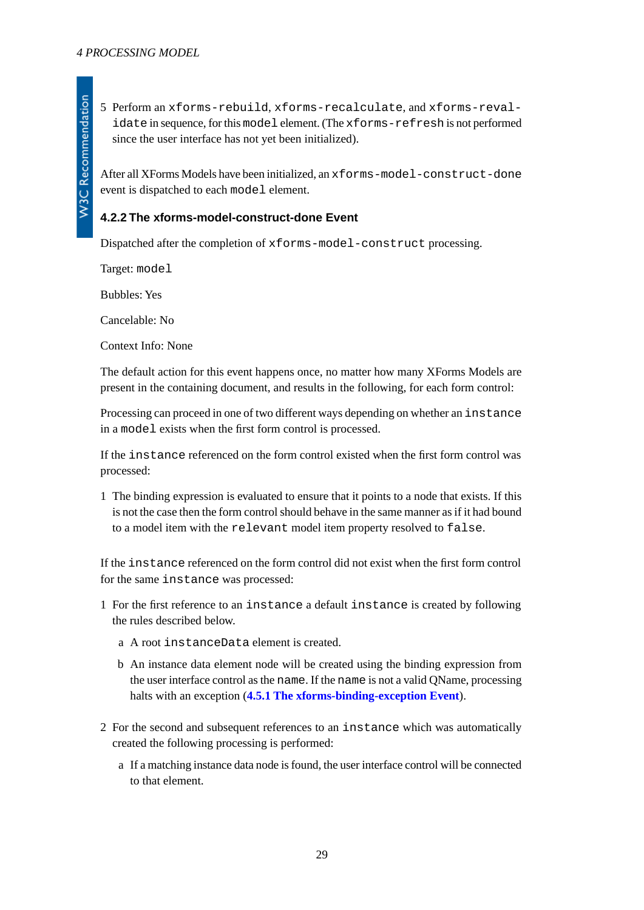After all XForms Models have been initialized, an xforms-model-construct-done event is dispatched to each model element.

## <span id="page-28-0"></span>**4.2.2 The xforms-model-construct-done Event**

Dispatched after the completion of xforms-model-construct processing.

Target: model

Bubbles: Yes

Cancelable: No

Context Info: None

The default action for this event happens once, no matter how many XForms Models are present in the containing document, and results in the following, for each form control:

Processing can proceed in one of two different ways depending on whether an instance in a model exists when the first form control is processed.

If the instance referenced on the form control existed when the first form control was processed:

1 The binding expression is evaluated to ensure that it points to a node that exists. If this is not the case then the form control should behave in the same manner as if it had bound to a model item with the relevant model item property resolved to false.

If the instance referenced on the form control did not exist when the first form control for the same instance was processed:

- 1 For the first reference to an instance a default instance is created by following the rules described below.
	- a A root instanceData element is created.
	- b An instance data element node will be created using the binding expression from the user interface control as the name. If the name is not a valid QName, processing halts with an exception (**[4.5.1 The xforms-binding-exception Event](#page-40-3)**).
- 2 For the second and subsequent references to an instance which was automatically created the following processing is performed:
	- a If a matching instance data node is found, the user interface control will be connected to that element.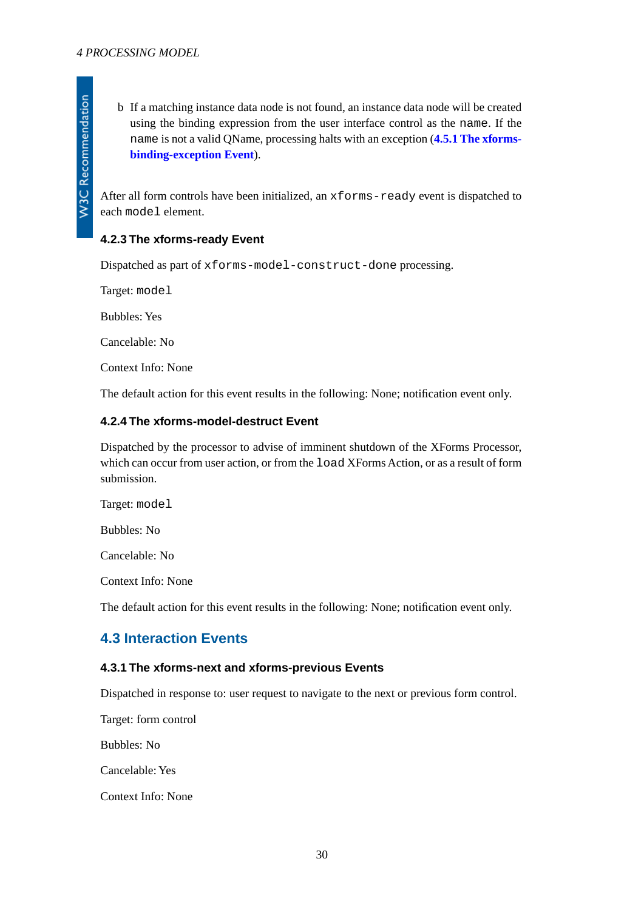W3C Recommendation

<span id="page-29-0"></span>After all form controls have been initialized, an xforms-ready event is dispatched to each model element.

## **4.2.3 The xforms-ready Event**

Dispatched as part of xforms-model-construct-done processing.

Target: model

Bubbles: Yes

Cancelable: No

<span id="page-29-1"></span>Context Info: None

The default action for this event results in the following: None; notification event only.

### **4.2.4 The xforms-model-destruct Event**

Dispatched by the processor to advise of imminent shutdown of the XForms Processor, which can occur from user action, or from the load XForms Action, or as a result of form submission.

Target: model

Bubbles: No

Cancelable: No

<span id="page-29-2"></span>Context Info: None

<span id="page-29-3"></span>The default action for this event results in the following: None; notification event only.

## **4.3 Interaction Events**

#### **4.3.1 The xforms-next and xforms-previous Events**

Dispatched in response to: user request to navigate to the next or previous form control.

Target: form control

Bubbles: No

Cancelable: Yes

Context Info: None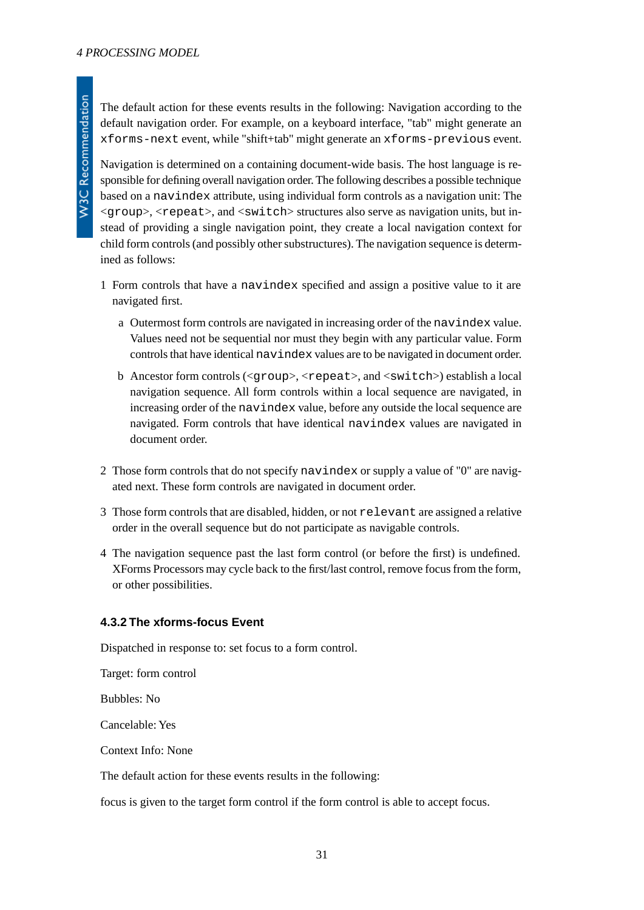The default action for these events results in the following: Navigation according to the default navigation order. For example, on a keyboard interface, "tab" might generate an xforms-next event, while "shift+tab" might generate an xforms-previous event.

Navigation is determined on a containing document-wide basis. The host language is responsible for defining overall navigation order. The following describes a possible technique based on a navindex attribute, using individual form controls as a navigation unit: The  $\langle \text{group}\rangle$ ,  $\langle \text{repeat}\rangle$ , and  $\langle \text{switch}\rangle$  structures also serve as navigation units, but instead of providing a single navigation point, they create a local navigation context for child form controls (and possibly other substructures). The navigation sequence is determined as follows:

- 1 Form controls that have a navindex specified and assign a positive value to it are navigated first.
	- a Outermost form controls are navigated in increasing order of the navindex value. Values need not be sequential nor must they begin with any particular value. Form controls that have identical navindex values are to be navigated in document order.
	- b Ancestor form controls (<group>, <repeat>, and <switch>) establish a local navigation sequence. All form controls within a local sequence are navigated, in increasing order of the navindex value, before any outside the local sequence are navigated. Form controls that have identical navindex values are navigated in document order.
- 2 Those form controls that do not specify navindex or supply a value of "0" are navigated next. These form controls are navigated in document order.
- 3 Those form controls that are disabled, hidden, or not relevant are assigned a relative order in the overall sequence but do not participate as navigable controls.
- <span id="page-30-0"></span>4 The navigation sequence past the last form control (or before the first) is undefined. XForms Processors may cycle back to the first/last control, remove focus from the form, or other possibilities.

#### **4.3.2 The xforms-focus Event**

Dispatched in response to: set focus to a form control.

Target: form control

Bubbles: No

Cancelable: Yes

Context Info: None

The default action for these events results in the following:

focus is given to the target form control if the form control is able to accept focus.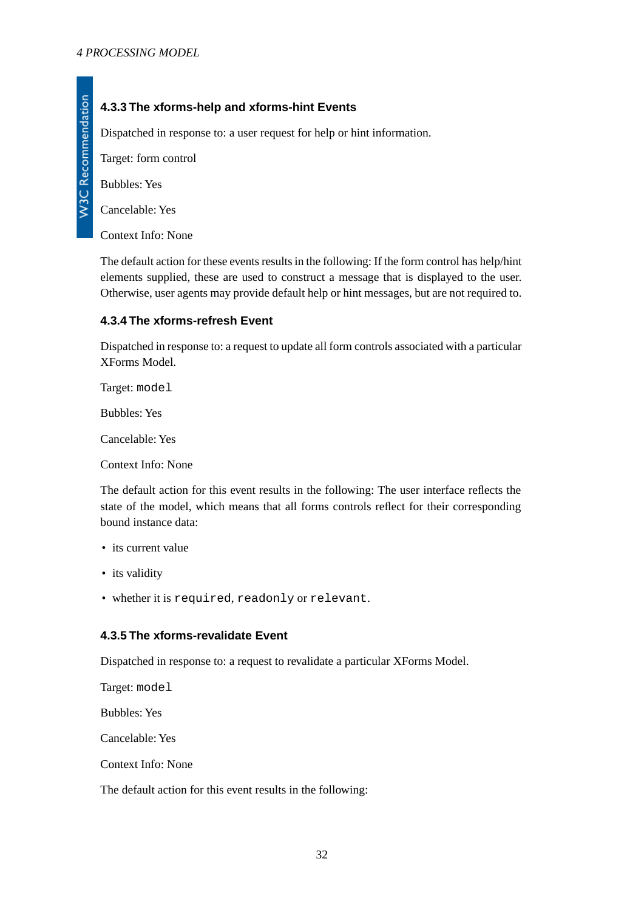## <span id="page-31-0"></span>**4.3.3 The xforms-help and xforms-hint Events**

Dispatched in response to: a user request for help or hint information.

Target: form control

Bubbles: Yes

Cancelable: Yes

Context Info: None

<span id="page-31-1"></span>The default action for these events results in the following: If the form control has help/hint elements supplied, these are used to construct a message that is displayed to the user. Otherwise, user agents may provide default help or hint messages, but are not required to.

## **4.3.4 The xforms-refresh Event**

Dispatched in response to: a request to update all form controls associated with a particular XForms Model.

Target: model

Bubbles: Yes

Cancelable: Yes

Context Info: None

The default action for this event results in the following: The user interface reflects the state of the model, which means that all forms controls reflect for their corresponding bound instance data:

- its current value
- <span id="page-31-2"></span>• its validity
- whether it is required, readonly or relevant.

## **4.3.5 The xforms-revalidate Event**

Dispatched in response to: a request to revalidate a particular XForms Model.

Target: model

Bubbles: Yes

Cancelable: Yes

Context Info: None

The default action for this event results in the following: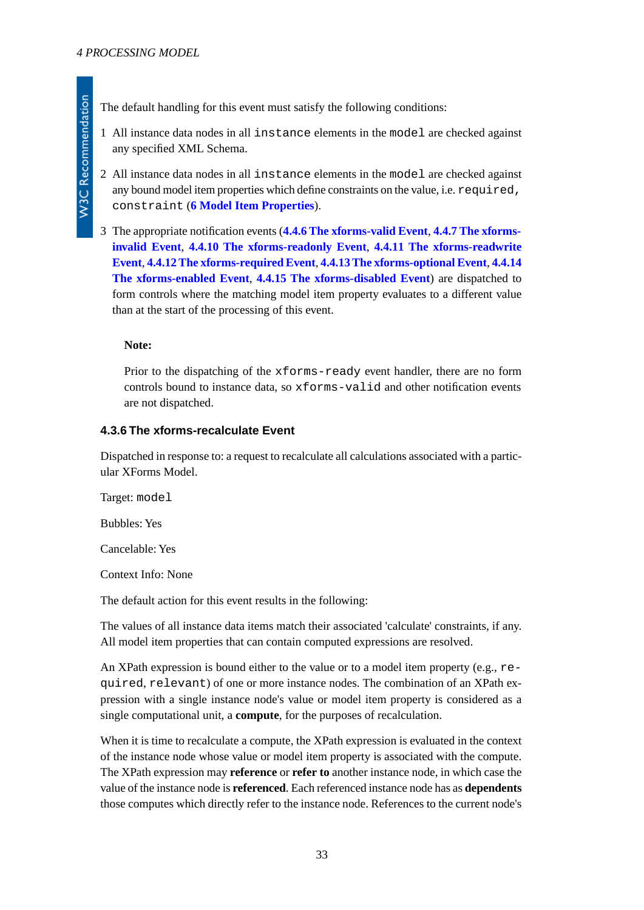- 1 All instance data nodes in all instance elements in the model are checked against any specified XML Schema.
- 2 All instance data nodes in all instance elements in the model are checked against any bound model item properties which define constraints on the value, i.e. required, constraint (**[6 Model Item Properties](#page-46-2)**).
- 3 The appropriate notification events (**[4.4.6 The xforms-valid Event](#page-36-0)**, **[4.4.7 The xforms](#page-36-1)[invalid Event](#page-36-1)**, **[4.4.10 The xforms-readonly Event](#page-37-1)**, **[4.4.11 The xforms-readwrite](#page-37-2) [Event](#page-37-2)**, **[4.4.12 The xforms-required Event](#page-38-0)**, **[4.4.13 The xforms-optional Event](#page-38-1)**, **[4.4.14](#page-38-2) [The xforms-enabled Event](#page-38-2)**, **[4.4.15 The xforms-disabled Event](#page-39-0)**) are dispatched to form controls where the matching model item property evaluates to a different value than at the start of the processing of this event.

### **Note:**

<span id="page-32-0"></span>Prior to the dispatching of the xforms-ready event handler, there are no form controls bound to instance data, so xforms-valid and other notification events are not dispatched.

### **4.3.6 The xforms-recalculate Event**

Dispatched in response to: a request to recalculate all calculations associated with a particular XForms Model.

Target: model

Bubbles: Yes

Cancelable: Yes

Context Info: None

The default action for this event results in the following:

The values of all instance data items match their associated 'calculate' constraints, if any. All model item properties that can contain computed expressions are resolved.

An XPath expression is bound either to the value or to a model item property (e.g., required, relevant) of one or more instance nodes. The combination of an XPath expression with a single instance node's value or model item property is considered as a single computational unit, a **compute**, for the purposes of recalculation.

When it is time to recalculate a compute, the XPath expression is evaluated in the context of the instance node whose value or model item property is associated with the compute. The XPath expression may **reference** or **refer to** another instance node, in which case the value of the instance node is **referenced**. Each referenced instance node has as **dependents** those computes which directly refer to the instance node. References to the current node's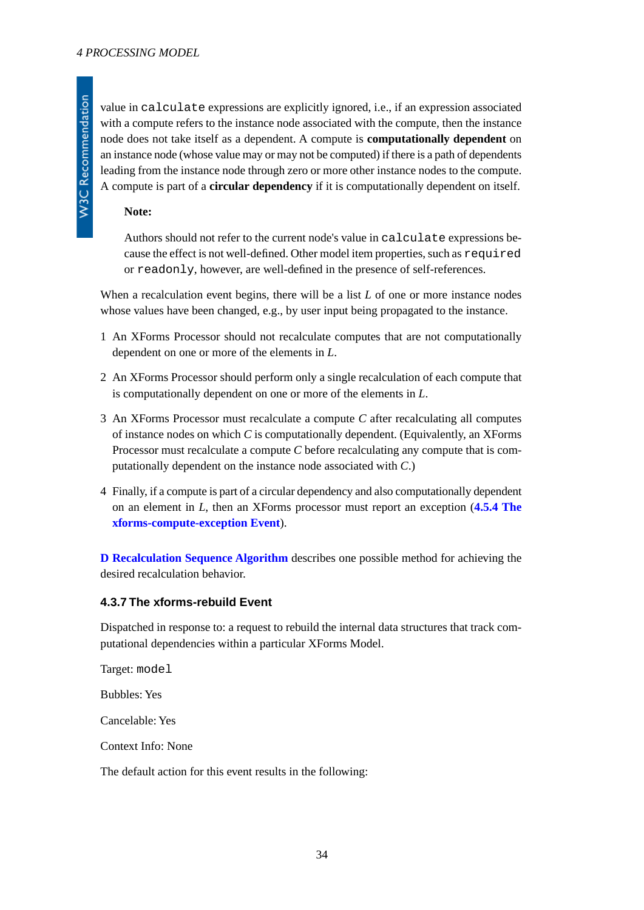value in calculate expressions are explicitly ignored, i.e., if an expression associated with a compute refers to the instance node associated with the compute, then the instance node does not take itself as a dependent. A compute is **computationally dependent** on an instance node (whose value may or may not be computed) if there is a path of dependents leading from the instance node through zero or more other instance nodes to the compute. A compute is part of a **circular dependency** if it is computationally dependent on itself.

#### **Note:**

Authors should not refer to the current node's value in calculate expressions because the effect is not well-defined. Other model item properties, such as required or readonly, however, are well-defined in the presence of self-references.

When a recalculation event begins, there will be a list *L* of one or more instance nodes whose values have been changed, e.g., by user input being propagated to the instance.

- 1 An XForms Processor should not recalculate computes that are not computationally dependent on one or more of the elements in *L*.
- 2 An XForms Processor should perform only a single recalculation of each compute that is computationally dependent on one or more of the elements in *L*.
- 3 An XForms Processor must recalculate a compute *C* after recalculating all computes of instance nodes on which *C* is computationally dependent. (Equivalently, an XForms Processor must recalculate a compute *C* before recalculating any compute that is computationally dependent on the instance node associated with *C*.)
- 4 Finally, if a compute is part of a circular dependency and also computationally dependent on an element in *L*, then an XForms processor must report an exception (**[4.5.4 The](#page-41-2) [xforms-compute-exception Event](#page-41-2)**).

<span id="page-33-0"></span>**[D Recalculation Sequence Algorithm](#page-123-0)** describes one possible method for achieving the desired recalculation behavior.

### **4.3.7 The xforms-rebuild Event**

Dispatched in response to: a request to rebuild the internal data structures that track computational dependencies within a particular XForms Model.

Target: model

Bubbles: Yes

Cancelable: Yes

Context Info: None

The default action for this event results in the following: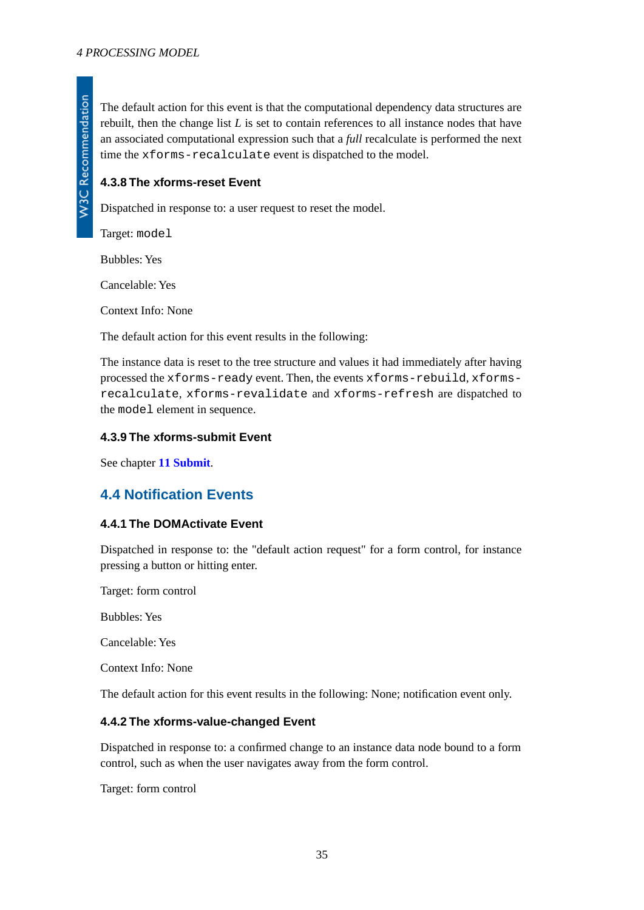The default action for this event is that the computational dependency data structures are rebuilt, then the change list *L* is set to contain references to all instance nodes that have an associated computational expression such that a *full* recalculate is performed the next time the xforms-recalculate event is dispatched to the model.

## <span id="page-34-0"></span>**4.3.8 The xforms-reset Event**

Dispatched in response to: a user request to reset the model.

Target: model

Bubbles: Yes

Cancelable: Yes

Context Info: None

The default action for this event results in the following:

<span id="page-34-1"></span>The instance data is reset to the tree structure and values it had immediately after having processed the xforms-ready event. Then, the events xforms-rebuild, xformsrecalculate, xforms-revalidate and xforms-refresh are dispatched to the model element in sequence.

### <span id="page-34-2"></span>**4.3.9 The xforms-submit Event**

<span id="page-34-3"></span>See chapter **[11 Submit](#page-108-1)**.

## **4.4 Notification Events**

#### **4.4.1 The DOMActivate Event**

Dispatched in response to: the "default action request" for a form control, for instance pressing a button or hitting enter.

Target: form control

Bubbles: Yes

<span id="page-34-4"></span>Cancelable: Yes

Context Info: None

The default action for this event results in the following: None; notification event only.

#### **4.4.2 The xforms-value-changed Event**

Dispatched in response to: a confirmed change to an instance data node bound to a form control, such as when the user navigates away from the form control.

Target: form control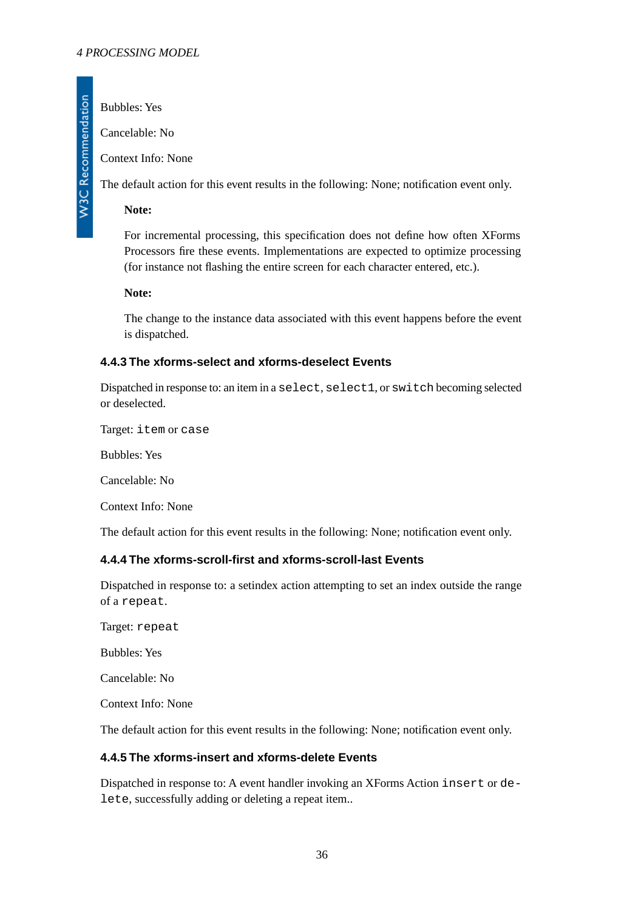Bubbles: Yes

**W3C Recommendation** 

Cancelable: No

Context Info: None

The default action for this event results in the following: None; notification event only.

**Note:**

For incremental processing, this specification does not define how often XForms Processors fire these events. Implementations are expected to optimize processing (for instance not flashing the entire screen for each character entered, etc.).

**Note:**

<span id="page-35-0"></span>The change to the instance data associated with this event happens before the event is dispatched.

## **4.4.3 The xforms-select and xforms-deselect Events**

Dispatched in response to: an item in a select, select1, or switch becoming selected or deselected.

Target: item or case

Bubbles: Yes

Cancelable: No

<span id="page-35-1"></span>Context Info: None

The default action for this event results in the following: None; notification event only.

## **4.4.4 The xforms-scroll-first and xforms-scroll-last Events**

Dispatched in response to: a setindex action attempting to set an index outside the range of a repeat.

Target: repeat

Bubbles: Yes

<span id="page-35-2"></span>Cancelable: No

Context Info: None

The default action for this event results in the following: None; notification event only.

## **4.4.5 The xforms-insert and xforms-delete Events**

Dispatched in response to: A event handler invoking an XForms Action insert or delete, successfully adding or deleting a repeat item..

36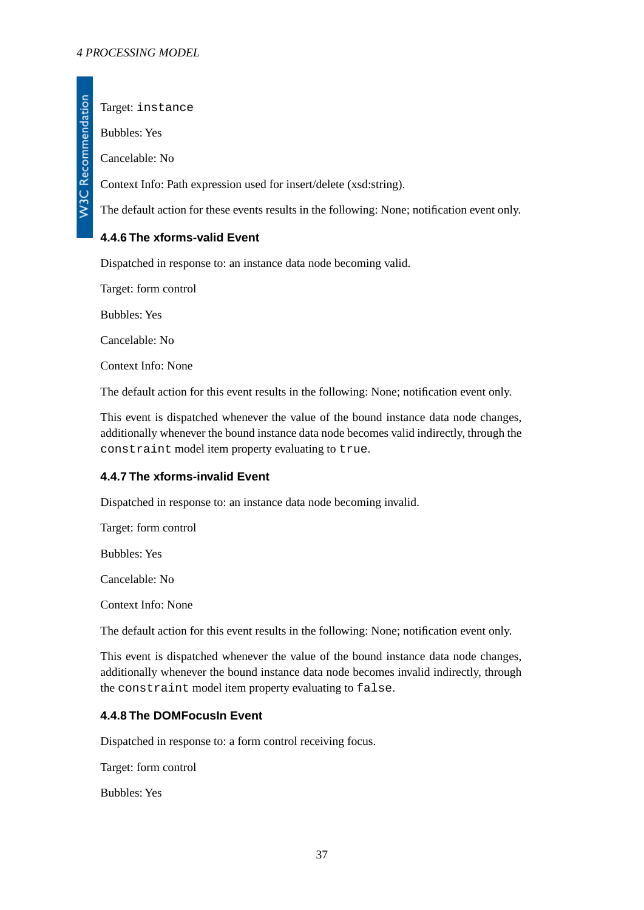W3C Recommendation

Target: instance

Bubbles: Yes

Cancelable: No

Context Info: Path expression used for insert/delete (xsd:string).

The default action for these events results in the following: None; notification event only.

## **4.4.6 The xforms-valid Event**

Dispatched in response to: an instance data node becoming valid.

Target: form control

Bubbles: Yes

Cancelable: No

Context Info: None

The default action for this event results in the following: None; notification event only.

This event is dispatched whenever the value of the bound instance data node changes, additionally whenever the bound instance data node becomes valid indirectly, through the constraint model item property evaluating to true.

### **4.4.7 The xforms-invalid Event**

Dispatched in response to: an instance data node becoming invalid.

Target: form control

Bubbles: Yes

Cancelable: No

Context Info: None

The default action for this event results in the following: None; notification event only.

This event is dispatched whenever the value of the bound instance data node changes, additionally whenever the bound instance data node becomes invalid indirectly, through the constraint model item property evaluating to false.

### **4.4.8 The DOMFocusIn Event**

Dispatched in response to: a form control receiving focus.

Target: form control

Bubbles: Yes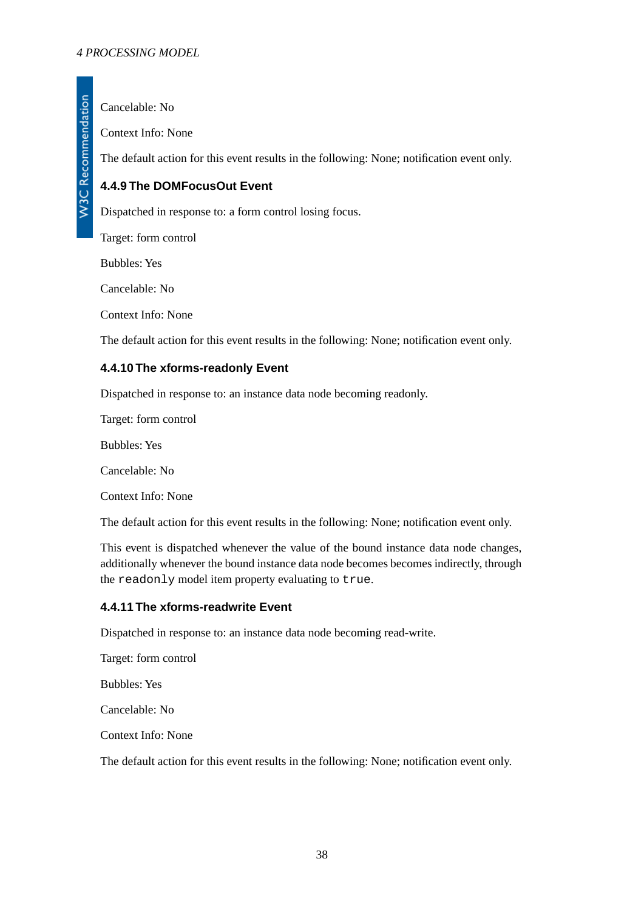Cancelable: No

Context Info: None

The default action for this event results in the following: None; notification event only.

## **4.4.9 The DOMFocusOut Event**

Dispatched in response to: a form control losing focus.

Target: form control

Bubbles: Yes

Cancelable: No

Context Info: None

The default action for this event results in the following: None; notification event only.

### **4.4.10 The xforms-readonly Event**

Dispatched in response to: an instance data node becoming readonly.

Target: form control

Bubbles: Yes

Cancelable: No

Context Info: None

The default action for this event results in the following: None; notification event only.

This event is dispatched whenever the value of the bound instance data node changes, additionally whenever the bound instance data node becomes becomes indirectly, through the readonly model item property evaluating to true.

#### **4.4.11 The xforms-readwrite Event**

Dispatched in response to: an instance data node becoming read-write.

Target: form control

Bubbles: Yes

Cancelable: No

Context Info: None

The default action for this event results in the following: None; notification event only.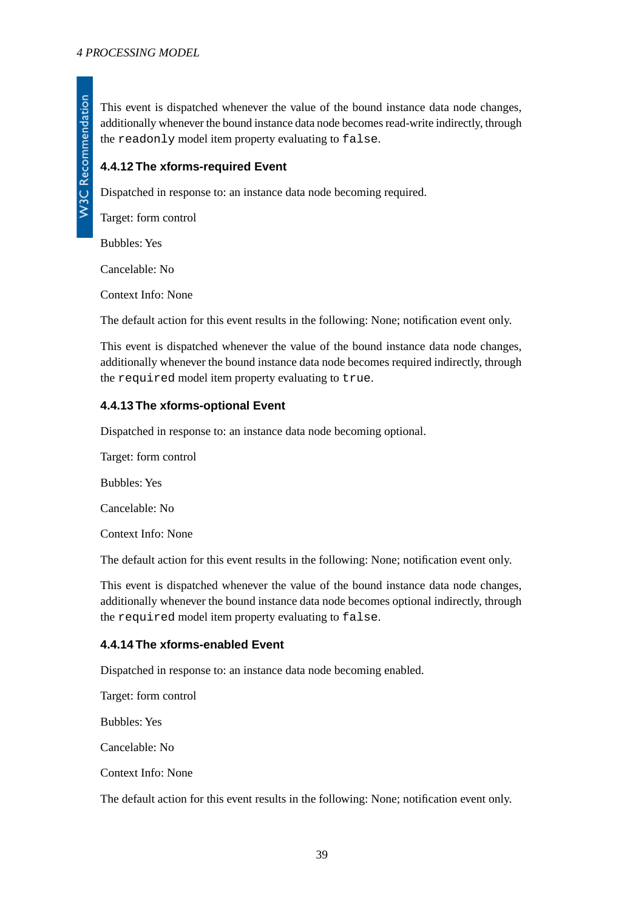This event is dispatched whenever the value of the bound instance data node changes, additionally whenever the bound instance data node becomes read-write indirectly, through the readonly model item property evaluating to false.

### **4.4.12 The xforms-required Event**

Dispatched in response to: an instance data node becoming required.

Target: form control

Bubbles: Yes

Cancelable: No

Context Info: None

The default action for this event results in the following: None; notification event only.

This event is dispatched whenever the value of the bound instance data node changes, additionally whenever the bound instance data node becomes required indirectly, through the required model item property evaluating to true.

### **4.4.13 The xforms-optional Event**

Dispatched in response to: an instance data node becoming optional.

Target: form control Bubbles: Yes Cancelable: No Context Info: None

The default action for this event results in the following: None; notification event only.

This event is dispatched whenever the value of the bound instance data node changes, additionally whenever the bound instance data node becomes optional indirectly, through the required model item property evaluating to false.

### **4.4.14 The xforms-enabled Event**

Dispatched in response to: an instance data node becoming enabled.

Target: form control

Bubbles: Yes

Cancelable: No

Context Info: None

The default action for this event results in the following: None; notification event only.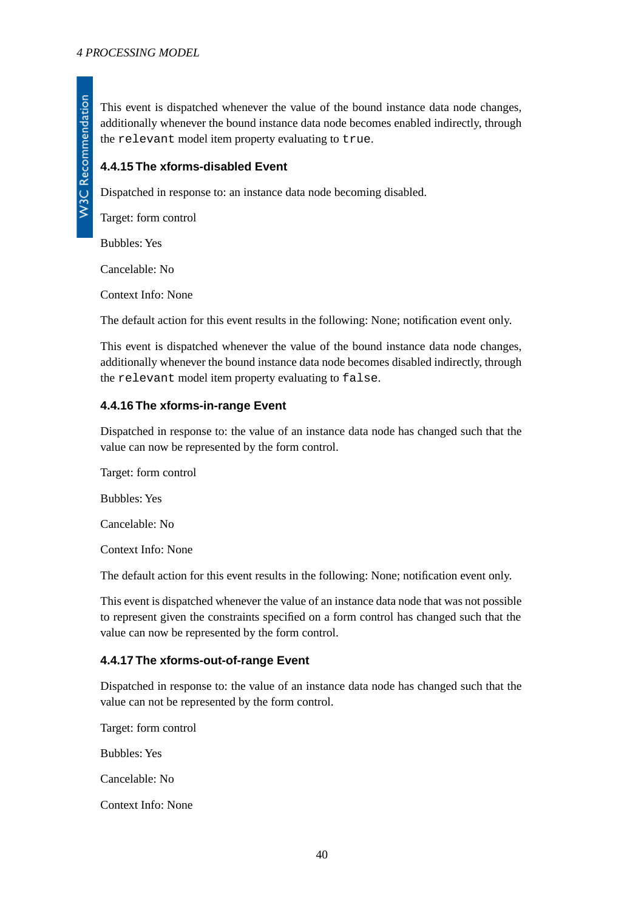This event is dispatched whenever the value of the bound instance data node changes, additionally whenever the bound instance data node becomes enabled indirectly, through the relevant model item property evaluating to true.

### **4.4.15 The xforms-disabled Event**

Dispatched in response to: an instance data node becoming disabled.

Target: form control

Bubbles: Yes

Cancelable: No

Context Info: None

The default action for this event results in the following: None; notification event only.

This event is dispatched whenever the value of the bound instance data node changes, additionally whenever the bound instance data node becomes disabled indirectly, through the relevant model item property evaluating to false.

### **4.4.16 The xforms-in-range Event**

Dispatched in response to: the value of an instance data node has changed such that the value can now be represented by the form control.

Target: form control Bubbles: Yes Cancelable: No Context Info: None The default action for this event results in the following: None; notification event only.

This event is dispatched whenever the value of an instance data node that was not possible to represent given the constraints specified on a form control has changed such that the value can now be represented by the form control.

### **4.4.17 The xforms-out-of-range Event**

Dispatched in response to: the value of an instance data node has changed such that the value can not be represented by the form control.

Target: form control Bubbles: Yes Cancelable: No Context Info: None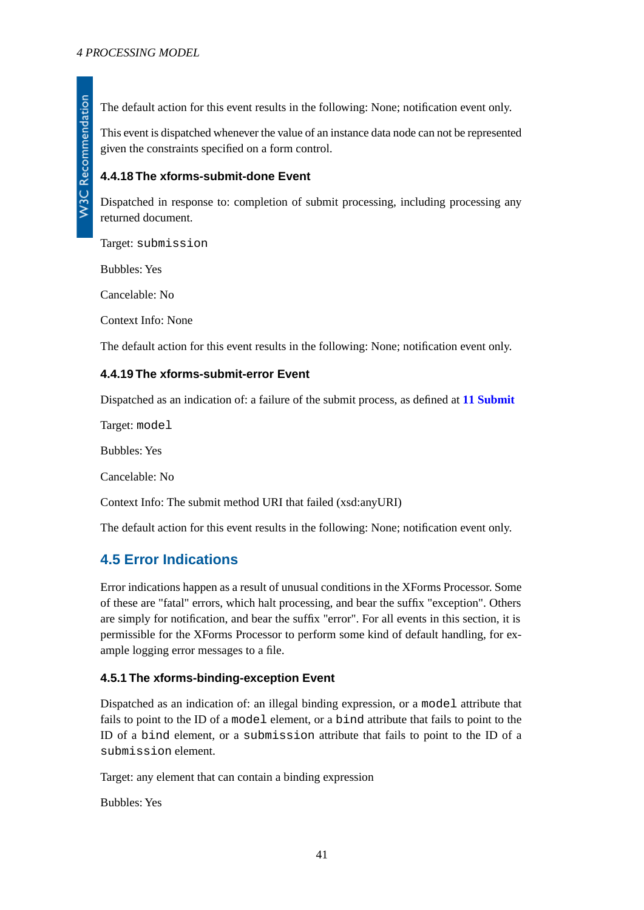The default action for this event results in the following: None; notification event only.

This event is dispatched whenever the value of an instance data node can not be represented given the constraints specified on a form control.

### **4.4.18 The xforms-submit-done Event**

Dispatched in response to: completion of submit processing, including processing any returned document.

Target: submission

Bubbles: Yes

Cancelable: No

Context Info: None

The default action for this event results in the following: None; notification event only.

### **4.4.19 The xforms-submit-error Event**

Dispatched as an indication of: a failure of the submit process, as defined at **[11 Submit](#page-108-0)**

Target: model

Bubbles: Yes

Cancelable: No

Context Info: The submit method URI that failed (xsd:anyURI)

The default action for this event results in the following: None; notification event only.

### **4.5 Error Indications**

<span id="page-40-0"></span>Error indications happen as a result of unusual conditions in the XForms Processor. Some of these are "fatal" errors, which halt processing, and bear the suffix "exception". Others are simply for notification, and bear the suffix "error". For all events in this section, it is permissible for the XForms Processor to perform some kind of default handling, for example logging error messages to a file.

### **4.5.1 The xforms-binding-exception Event**

Dispatched as an indication of: an illegal binding expression, or a model attribute that fails to point to the ID of a model element, or a bind attribute that fails to point to the ID of a bind element, or a submission attribute that fails to point to the ID of a submission element.

Target: any element that can contain a binding expression

Bubbles: Yes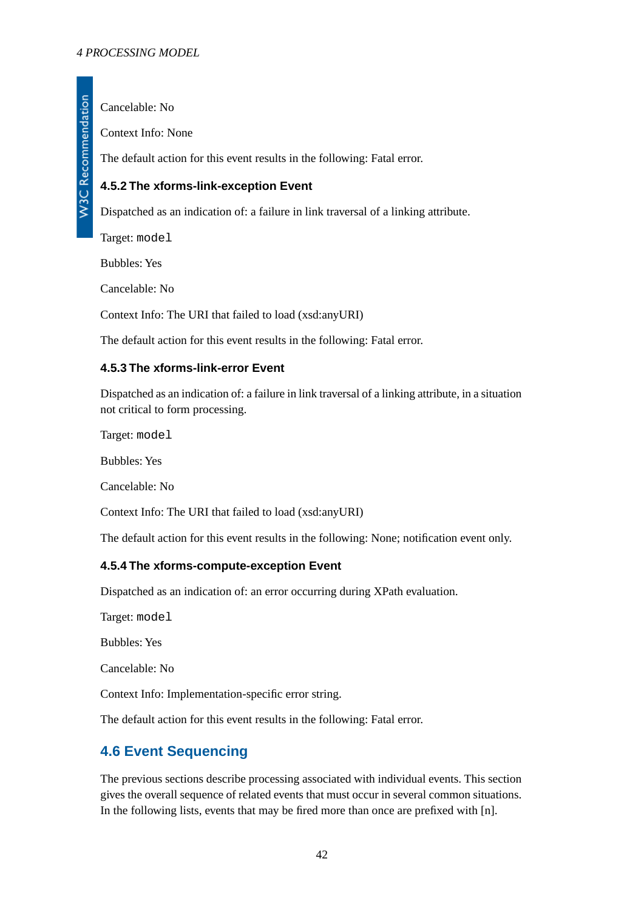Cancelable: No

Context Info: None

The default action for this event results in the following: Fatal error.

## **4.5.2 The xforms-link-exception Event**

Dispatched as an indication of: a failure in link traversal of a linking attribute.

Target: model

Bubbles: Yes

Cancelable: No

Context Info: The URI that failed to load (xsd:anyURI)

The default action for this event results in the following: Fatal error.

### **4.5.3 The xforms-link-error Event**

Dispatched as an indication of: a failure in link traversal of a linking attribute, in a situation not critical to form processing.

Target: model

Bubbles: Yes

Cancelable: No

<span id="page-41-0"></span>Context Info: The URI that failed to load (xsd:anyURI)

The default action for this event results in the following: None; notification event only.

### **4.5.4 The xforms-compute-exception Event**

Dispatched as an indication of: an error occurring during XPath evaluation.

Target: model

Bubbles: Yes

Cancelable: No

Context Info: Implementation-specific error string.

The default action for this event results in the following: Fatal error.

# **4.6 Event Sequencing**

The previous sections describe processing associated with individual events. This section gives the overall sequence of related events that must occur in several common situations. In the following lists, events that may be fired more than once are prefixed with [n].

W3C Recommendation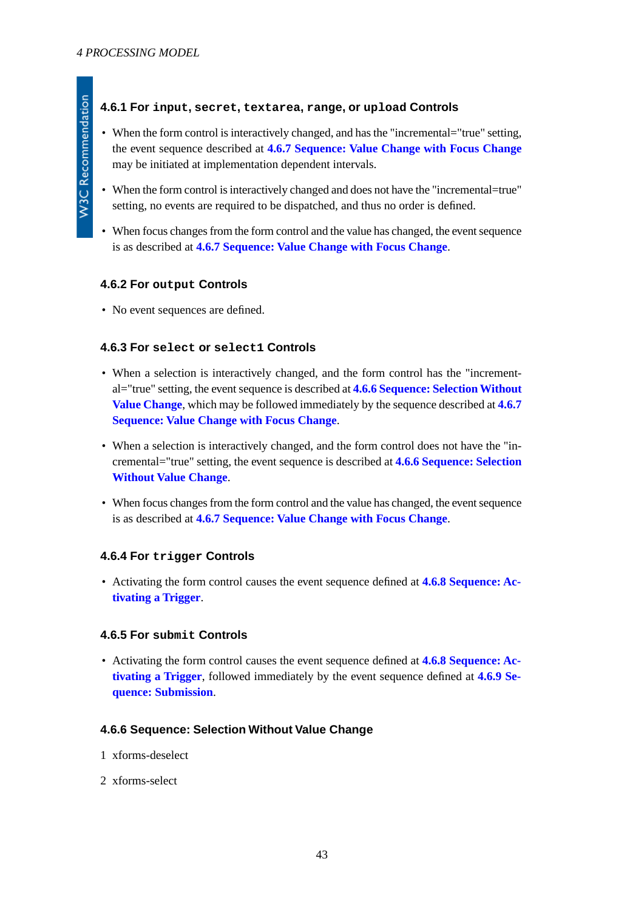### **4.6.1 For input, secret, textarea, range, or upload Controls**

- When the form control is interactively changed, and has the "incremental="true" setting, the event sequence described at **[4.6.7 Sequence: Value Change with Focus Change](#page-43-0)** may be initiated at implementation dependent intervals.
- When the form control is interactively changed and does not have the "incremental=true" setting, no events are required to be dispatched, and thus no order is defined.
- When focus changes from the form control and the value has changed, the event sequence is as described at **[4.6.7 Sequence: Value Change with Focus Change](#page-43-0)**.

### **4.6.2 For output Controls**

• No event sequences are defined.

### **4.6.3 For select or select1 Controls**

- When a selection is interactively changed, and the form control has the "incremental="true" setting, the event sequence is described at **[4.6.6 Sequence: Selection Without](#page-42-0) [Value Change](#page-42-0)**, which may be followed immediately by the sequence described at **[4.6.7](#page-43-0) [Sequence: Value Change with Focus Change](#page-43-0)**.
- When a selection is interactively changed, and the form control does not have the "incremental="true" setting, the event sequence is described at **[4.6.6 Sequence: Selection](#page-42-0) [Without Value Change](#page-42-0)**.
- When focus changes from the form control and the value has changed, the event sequence is as described at **[4.6.7 Sequence: Value Change with Focus Change](#page-43-0)**.

### **4.6.4 For trigger Controls**

• Activating the form control causes the event sequence defined at **[4.6.8 Sequence: Ac](#page-43-1)[tivating a Trigger](#page-43-1)**.

### **4.6.5 For submit Controls**

<span id="page-42-0"></span>• Activating the form control causes the event sequence defined at **[4.6.8 Sequence: Ac](#page-43-1)[tivating a Trigger](#page-43-1)**, followed immediately by the event sequence defined at **[4.6.9 Se](#page-43-2)[quence: Submission](#page-43-2)**.

#### **4.6.6 Sequence: Selection Without Value Change**

- 1 xforms-deselect
- 2 xforms-select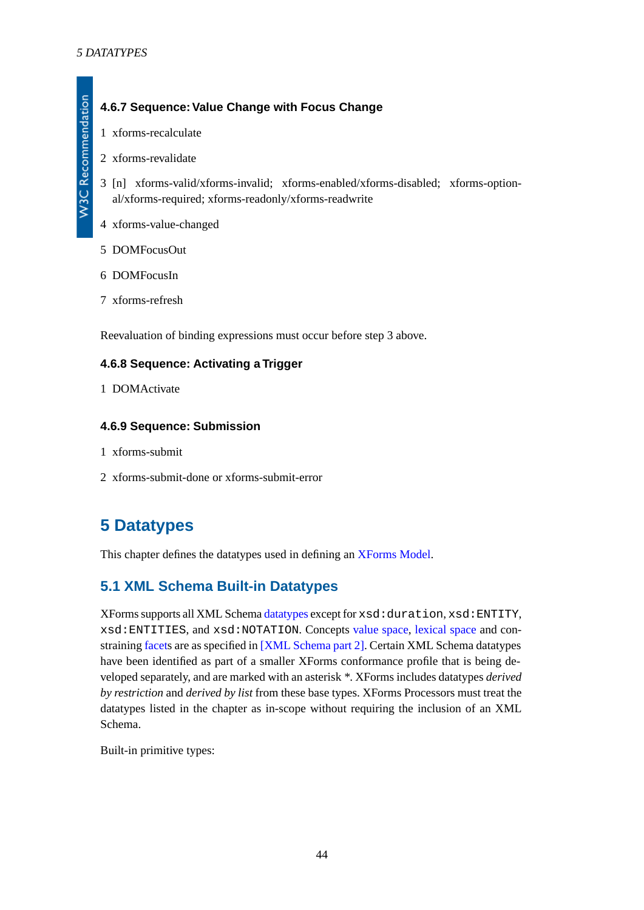W3C Recommendation

# <span id="page-43-0"></span>**4.6.7 Sequence:Value Change with Focus Change**

- 1 xforms-recalculate
- 2 xforms-revalidate
- 3 [n] xforms-valid/xforms-invalid; xforms-enabled/xforms-disabled; xforms-optional/xforms-required; xforms-readonly/xforms-readwrite
- 4 xforms-value-changed
- 5 DOMFocusOut
- 6 DOMFocusIn
- 7 xforms-refresh

<span id="page-43-1"></span>Reevaluation of binding expressions must occur before step 3 above.

### **4.6.8 Sequence: Activating a Trigger**

<span id="page-43-2"></span>1 DOMActivate

### **4.6.9 Sequence: Submission**

- 1 xforms-submit
- <span id="page-43-3"></span>2 xforms-submit-done or xforms-submit-error

# **5 Datatypes**

This chapter defines the datatypes used in defining an [XForms Model](#page-119-0).

# **5.1 XML Schema Built-in Datatypes**

XForms supports all XML Schema [datatypes](#page-118-0) except for xsd:duration, xsd:ENTITY, xsd:ENTITIES, and xsd:NOTATION. Concepts [value space,](#page-119-1) [lexical space](#page-119-2) and constraining [facets](#page-118-1) are as specified in [\[XML Schema part 2\].](#page-121-0) Certain XML Schema datatypes have been identified as part of a smaller XForms conformance profile that is being developed separately, and are marked with an asterisk *\**. XForms includes datatypes *derived by restriction* and *derived by list* from these base types. XForms Processors must treat the datatypes listed in the chapter as in-scope without requiring the inclusion of an XML Schema.

Built-in primitive types: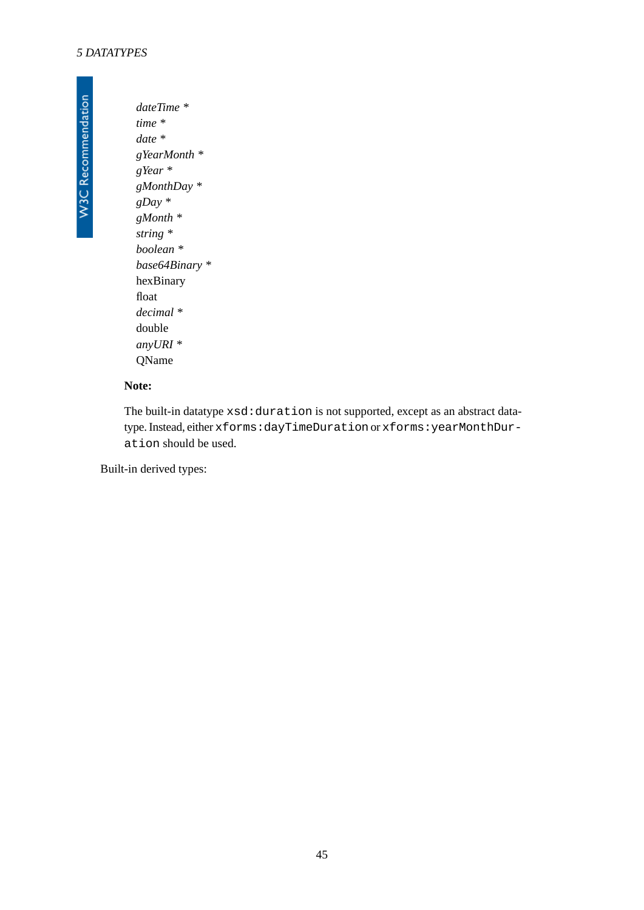*dateTime \* time \* date \* gYearMonth \* gYear \* gMonthDay \* gDay \* gMonth \* string \* boolean \* base64Binary \** hexBinary float *decimal \** double *anyURI \** QName

### **Note:**

The built-in datatype xsd:duration is not supported, except as an abstract datatype. Instead, either xforms:dayTimeDuration or xforms:yearMonthDuration should be used.

Built-in derived types: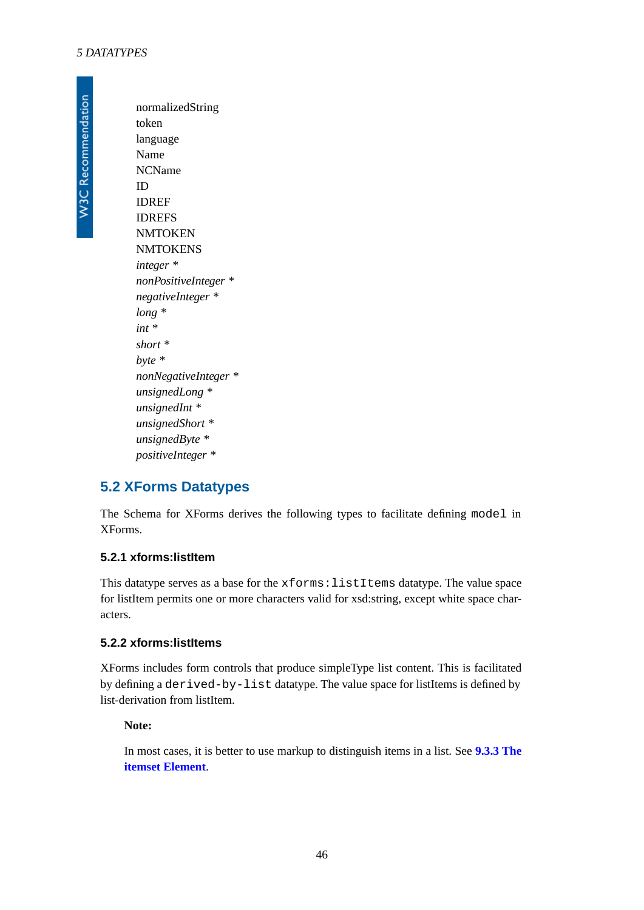normalizedString token language Name NCName ID IDREF IDREFS **NMTOKEN NMTOKENS** *integer \* nonPositiveInteger \* negativeInteger \* long \* int \* short \* byte \* nonNegativeInteger \* unsignedLong \* unsignedInt \* unsignedShort \* unsignedByte \* positiveInteger \**

# **5.2 XForms Datatypes**

The Schema for XForms derives the following types to facilitate defining model in XForms.

### **5.2.1 xforms:listItem**

This datatype serves as a base for the xforms:listItems datatype. The value space for listItem permits one or more characters valid for xsd:string, except white space characters.

### **5.2.2 xforms:listItems**

XForms includes form controls that produce simpleType list content. This is facilitated by defining a derived-by-list datatype. The value space for listItems is defined by list-derivation from listItem.

#### **Note:**

In most cases, it is better to use markup to distinguish items in a list. See **[9.3.3 The](#page-92-0) [itemset Element](#page-92-0)**.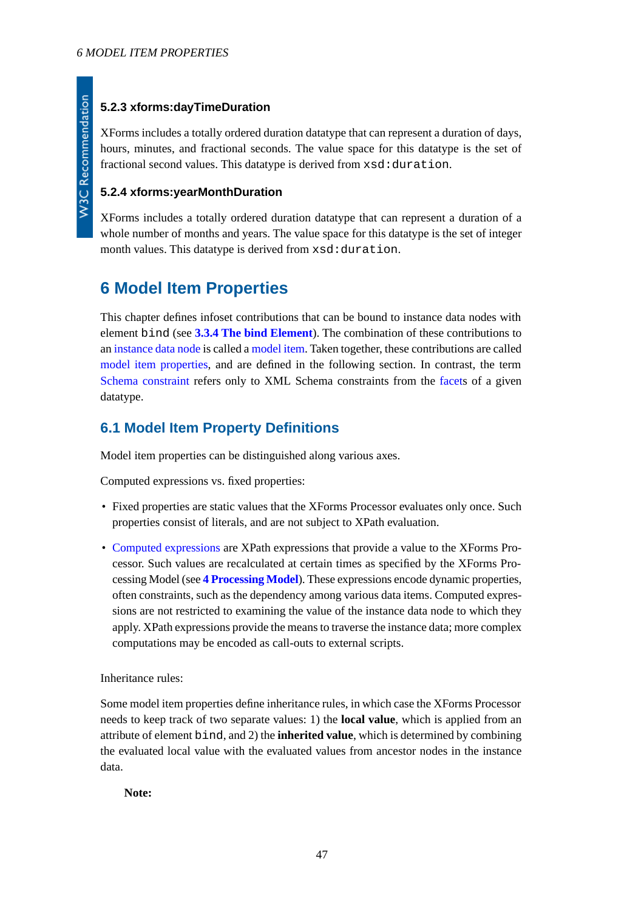## **5.2.3 xforms:dayTimeDuration**

XForms includes a totally ordered duration datatype that can represent a duration of days, hours, minutes, and fractional seconds. The value space for this datatype is the set of fractional second values. This datatype is derived from  $xsd:duration$ .

## **5.2.4 xforms:yearMonthDuration**

XForms includes a totally ordered duration datatype that can represent a duration of a whole number of months and years. The value space for this datatype is the set of integer month values. This datatype is derived from xsd:duration.

# <span id="page-46-0"></span>**6 Model Item Properties**

This chapter defines infoset contributions that can be bound to instance data nodes with element bind (see **[3.3.4 The bind Element](#page-23-0)**). The combination of these contributions to an [instance data node](#page-119-3) is called a [model item.](#page-119-4) Taken together, these contributions are called [model item properties](#page-119-5), and are defined in the following section. In contrast, the term [Schema constraint](#page-119-6) refers only to XML Schema constraints from the [facets](#page-118-1) of a given datatype.

# **6.1 Model Item Property Definitions**

Model item properties can be distinguished along various axes.

Computed expressions vs. fixed properties:

- Fixed properties are static values that the XForms Processor evaluates only once. Such properties consist of literals, and are not subject to XPath evaluation.
- [Computed expressions](#page-118-2) are XPath expressions that provide a value to the XForms Processor. Such values are recalculated at certain times as specified by the XForms Processing Model (see **[4 Processing Model](#page-25-0)**). These expressions encode dynamic properties, often constraints, such as the dependency among various data items. Computed expressions are not restricted to examining the value of the instance data node to which they apply. XPath expressions provide the means to traverse the instance data; more complex computations may be encoded as call-outs to external scripts.

Inheritance rules:

Some model item properties define inheritance rules, in which case the XForms Processor needs to keep track of two separate values: 1) the **local value**, which is applied from an attribute of element bind, and 2) the **inherited value**, which is determined by combining the evaluated local value with the evaluated values from ancestor nodes in the instance data.

**Note:**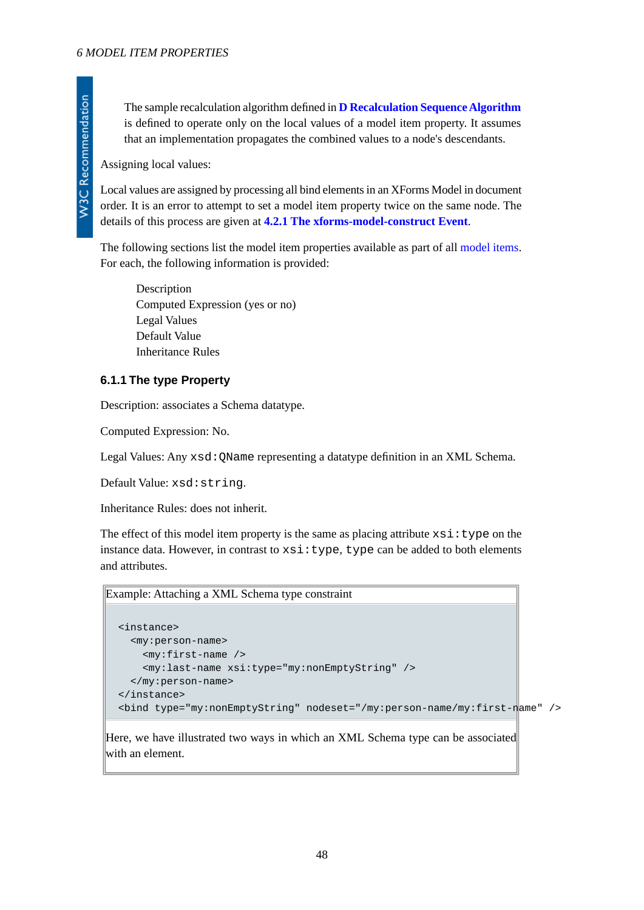The sample recalculation algorithm defined in **[D Recalculation Sequence Algorithm](#page-123-0)** is defined to operate only on the local values of a model item property. It assumes that an implementation propagates the combined values to a node's descendants.

Assigning local values:

Local values are assigned by processing all bind elements in an XForms Model in document order. It is an error to attempt to set a model item property twice on the same node. The details of this process are given at **[4.2.1 The xforms-model-construct Event](#page-27-0)**.

The following sections list the model item properties available as part of all [model items.](#page-119-4) For each, the following information is provided:

Description Computed Expression (yes or no) Legal Values Default Value Inheritance Rules

### **6.1.1 The type Property**

Description: associates a Schema datatype.

Computed Expression: No.

Legal Values: Any xsd:QName representing a datatype definition in an XML Schema.

Default Value: xsd:string.

Inheritance Rules: does not inherit.

The effect of this model item property is the same as placing attribute  $xsi:type$  on the instance data. However, in contrast to  $xsi:type$ , type can be added to both elements and attributes.

Example: Attaching a XML Schema type constraint

```
<instance>
  <my:person-name>
     <my:first-name />
     <my:last-name xsi:type="my:nonEmptyString" />
  </my:person-name>
</instance>
<bind type="my:nonEmptyString" nodeset="/my:person-name/my:first-name" />
```
Here, we have illustrated two ways in which an XML Schema type can be associated with an element.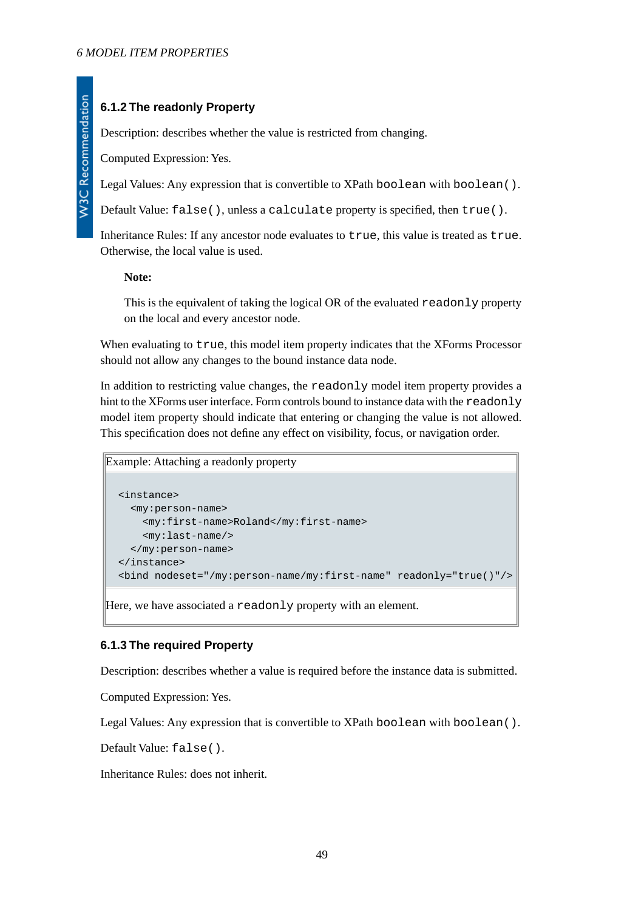# **6.1.2 The readonly Property**

Description: describes whether the value is restricted from changing.

Computed Expression: Yes.

Legal Values: Any expression that is convertible to XPath boolean with boolean ().

Default Value: false(), unless a calculate property is specified, then true().

Inheritance Rules: If any ancestor node evaluates to true, this value is treated as true. Otherwise, the local value is used.

**Note:**

This is the equivalent of taking the logical OR of the evaluated readonly property on the local and every ancestor node.

When evaluating to true, this model item property indicates that the XForms Processor should not allow any changes to the bound instance data node.

In addition to restricting value changes, the readonly model item property provides a hint to the XForms user interface. Form controls bound to instance data with the readonly model item property should indicate that entering or changing the value is not allowed. This specification does not define any effect on visibility, focus, or navigation order.

Example: Attaching a readonly property

```
<instance>
   <my:person-name>
     <my:first-name>Roland</my:first-name>
     <my:last-name/>
   </my:person-name>
</instance>
<bind nodeset="/my:person-name/my:first-name" readonly="true()"/>
```
Here, we have associated a readonly property with an element.

### **6.1.3 The required Property**

Description: describes whether a value is required before the instance data is submitted.

Computed Expression: Yes.

Legal Values: Any expression that is convertible to XPath boolean with boolean ().

Default Value: false().

Inheritance Rules: does not inherit.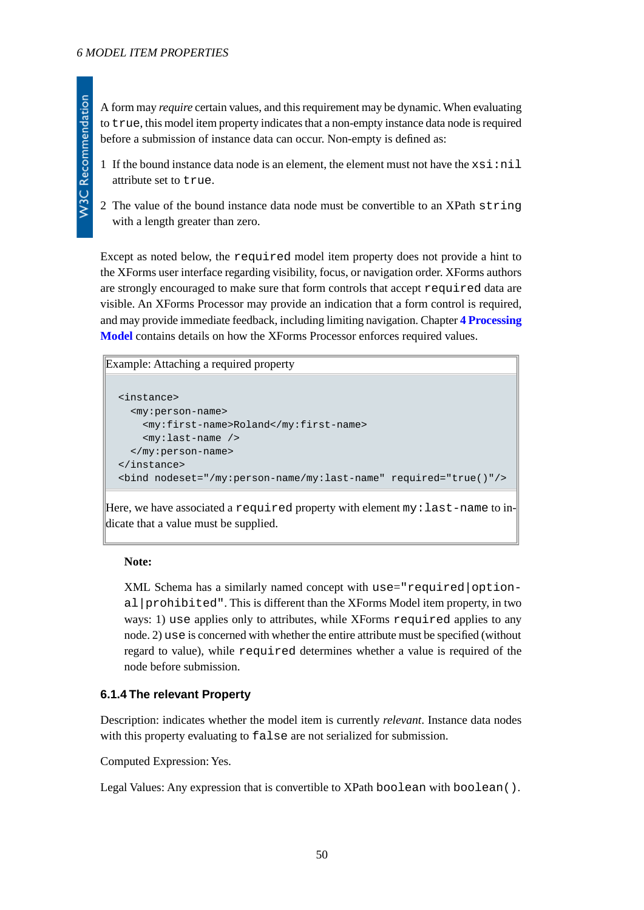- 1 If the bound instance data node is an element, the element must not have the  $x \sin \theta$  in  $1$ attribute set to true.
- 2 The value of the bound instance data node must be convertible to an XPath string with a length greater than zero.

Except as noted below, the required model item property does not provide a hint to the XForms user interface regarding visibility, focus, or navigation order. XForms authors are strongly encouraged to make sure that form controls that accept required data are visible. An XForms Processor may provide an indication that a form control is required, and may provide immediate feedback, including limiting navigation. Chapter **[4 Processing](#page-25-0) [Model](#page-25-0)** contains details on how the XForms Processor enforces required values.

```
Example: Attaching a required property
```

```
<instance>
  <my:person-name>
     <my:first-name>Roland</my:first-name>
     <my:last-name />
   </my:person-name>
</instance>
<bind nodeset="/my:person-name/my:last-name" required="true()"/>
```
Here, we have associated a required property with element my:last-name to indicate that a value must be supplied.

#### **Note:**

XML Schema has a similarly named concept with use="required|optional|prohibited". This is different than the XForms Model item property, in two ways: 1) use applies only to attributes, while XForms required applies to any node. 2) use is concerned with whether the entire attribute must be specified (without regard to value), while required determines whether a value is required of the node before submission.

### **6.1.4 The relevant Property**

Description: indicates whether the model item is currently *relevant*. Instance data nodes with this property evaluating to false are not serialized for submission.

Computed Expression: Yes.

Legal Values: Any expression that is convertible to XPath boolean with boolean ().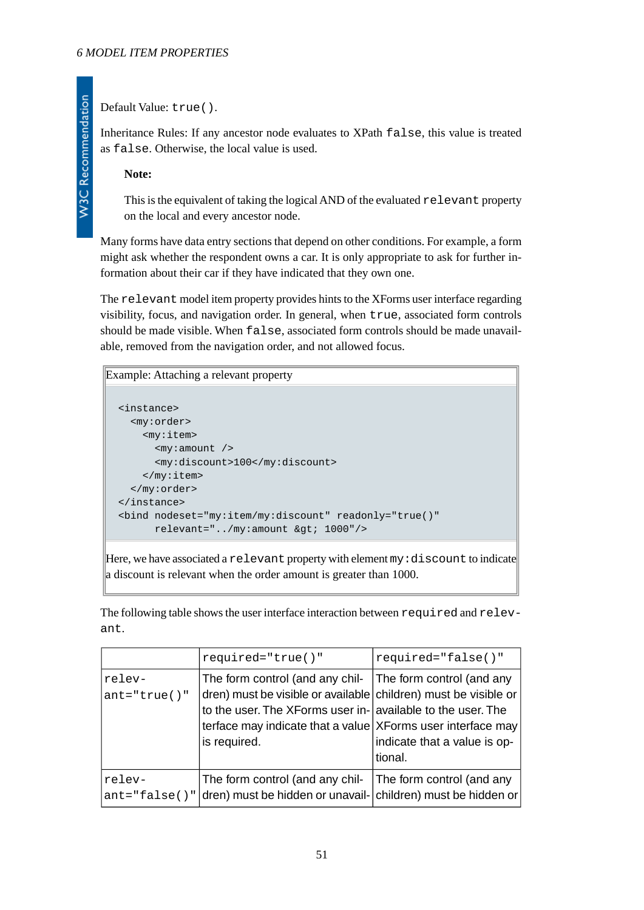### Default Value: true().

Inheritance Rules: If any ancestor node evaluates to XPath false, this value is treated as false. Otherwise, the local value is used.

**Note:**

This is the equivalent of taking the logical AND of the evaluated relevant property on the local and every ancestor node.

Many forms have data entry sections that depend on other conditions. For example, a form might ask whether the respondent owns a car. It is only appropriate to ask for further information about their car if they have indicated that they own one.

The relevant model item property provides hints to the XForms user interface regarding visibility, focus, and navigation order. In general, when true, associated form controls should be made visible. When false, associated form controls should be made unavailable, removed from the navigation order, and not allowed focus.

## Example: Attaching a relevant property <instance> <my:order> <my:item> <my:amount /> <my:discount>100</my:discount> </my:item> </my:order> </instance> <bind nodeset="my:item/my:discount" readonly="true()" relevant="../my:amount > 1000"/>

Here, we have associated a relevant property with element  $my \cdot$  discount to indicate a discount is relevant when the order amount is greater than 1000.

The following table shows the user interface interaction between required and relevant.

|                            | $required="true()$ "                                                                                                                                                                                                                                                       | required="false()"                      |
|----------------------------|----------------------------------------------------------------------------------------------------------------------------------------------------------------------------------------------------------------------------------------------------------------------------|-----------------------------------------|
| relev-<br>$ant='true()$    | The form control (and any chil- The form control (and any<br>dren) must be visible or available children) must be visible or<br>to the user. The XForms user in- available to the user. The<br>terface may indicate that a value XForms user interface may<br>is required. | indicate that a value is op-<br>tional. |
| relev-<br>$ant='false()$ " | The form control (and any chil-<br>dren) must be hidden or unavail- children) must be hidden or                                                                                                                                                                            | The form control (and any               |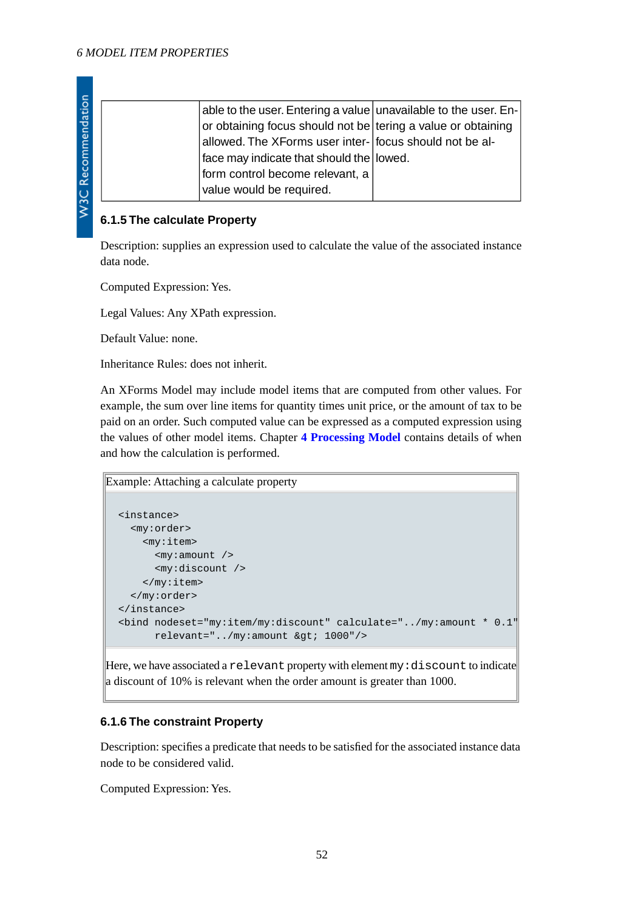| able to the user. Entering a value unavailable to the user. En- |
|-----------------------------------------------------------------|
| or obtaining focus should not be tering a value or obtaining    |
| allowed. The XForms user inter- focus should not be al-         |
| face may indicate that should the lowed.                        |
| form control become relevant, a                                 |
| value would be required.                                        |

### **6.1.5 The calculate Property**

Description: supplies an expression used to calculate the value of the associated instance data node.

Computed Expression: Yes.

Legal Values: Any XPath expression.

Default Value: none.

Inheritance Rules: does not inherit.

An XForms Model may include model items that are computed from other values. For example, the sum over line items for quantity times unit price, or the amount of tax to be paid on an order. Such computed value can be expressed as a computed expression using the values of other model items. Chapter **[4 Processing Model](#page-25-0)** contains details of when and how the calculation is performed.

```
Example: Attaching a calculate property
  <instance>
     <my:order>
       <my:item>
          <my:amount />
          <my:discount />
        </my:item>
```

```
 </my:order>
</instance>
<bind nodeset="my:item/my:discount" calculate="../my:amount * 0.1"
      relevant="../my:amount > 1000"/>
```
Here, we have associated a relevant property with element my: discount to indicate a discount of 10% is relevant when the order amount is greater than 1000.

### **6.1.6 The constraint Property**

Description: specifies a predicate that needs to be satisfied for the associated instance data node to be considered valid.

Computed Expression: Yes.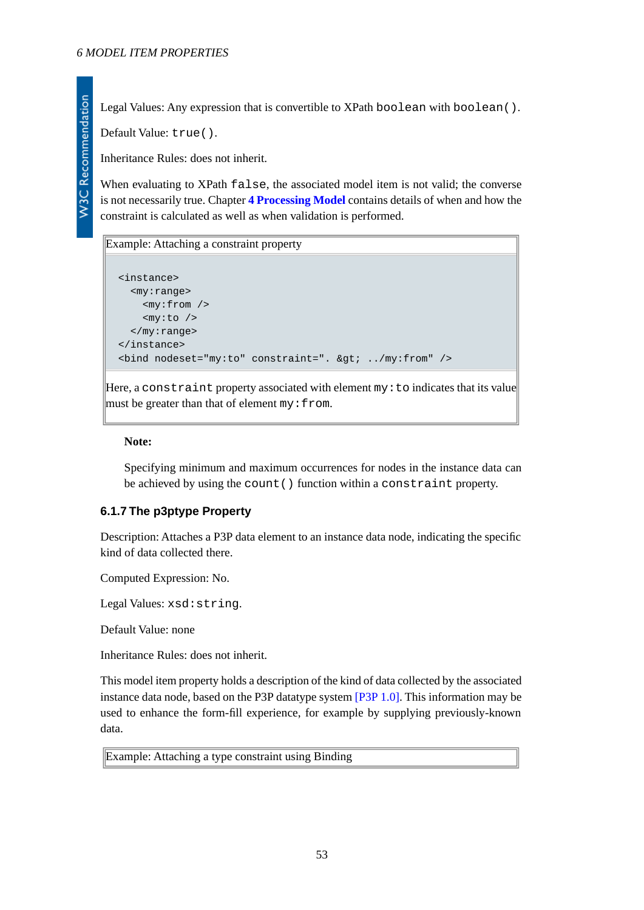W3C Recommendation

Legal Values: Any expression that is convertible to XPath boolean with boolean ().

Default Value: true().

Inheritance Rules: does not inherit.

When evaluating to XPath false, the associated model item is not valid; the converse is not necessarily true. Chapter **[4 Processing Model](#page-25-0)** contains details of when and how the constraint is calculated as well as when validation is performed.

#### Example: Attaching a constraint property

```
<instance>
   <my:range>
     <my:from />
     <my:to />
   </my:range>
</instance>
\phi -bind nodeset="my:to" constraint=". \phiqt; ../my:from" />
```
Here, a constraint property associated with element my:to indicates that its value must be greater than that of element  $my:from$ .

#### **Note:**

Specifying minimum and maximum occurrences for nodes in the instance data can be achieved by using the count() function within a constraint property.

### **6.1.7 The p3ptype Property**

Description: Attaches a P3P data element to an instance data node, indicating the specific kind of data collected there.

Computed Expression: No.

Legal Values: xsd:string.

Default Value: none

Inheritance Rules: does not inherit.

This model item property holds a description of the kind of data collected by the associated instance data node, based on the P3P datatype system [\[P3P 1.0\]](#page-122-0). This information may be used to enhance the form-fill experience, for example by supplying previously-known data.

Example: Attaching a type constraint using Binding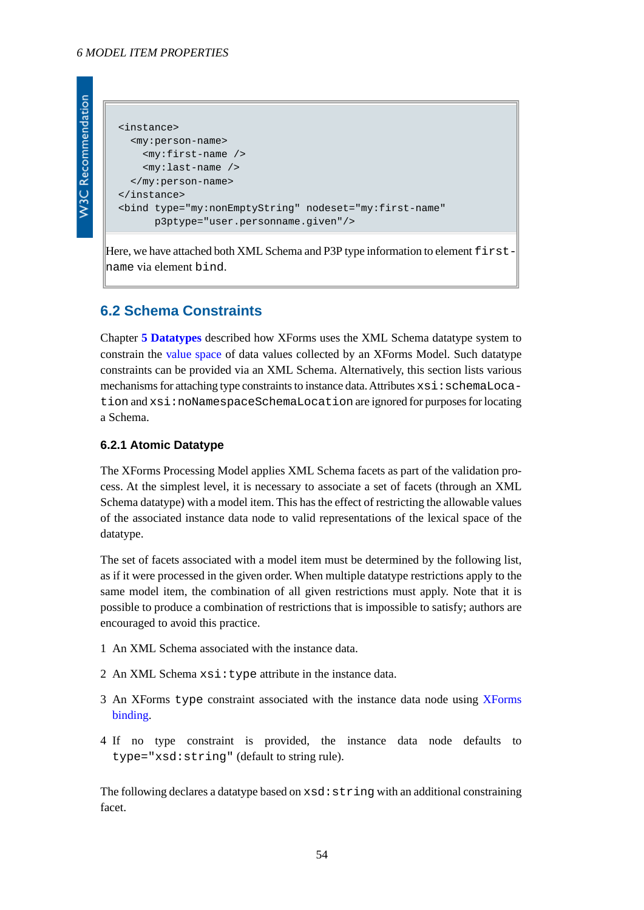```
W3C Recommendation
```

```
<instance>
   <my:person-name>
     <my:first-name />
     <my:last-name />
   </my:person-name>
</instance>
<bind type="my:nonEmptyString" nodeset="my:first-name"
       p3ptype="user.personname.given"/>
```
Here, we have attached both XML Schema and P3P type information to element  $first$ name via element bind.

# **6.2 Schema Constraints**

Chapter **[5 Datatypes](#page-43-3)** described how XForms uses the XML Schema datatype system to constrain the [value space](#page-119-1) of data values collected by an XForms Model. Such datatype constraints can be provided via an XML Schema. Alternatively, this section lists various mechanisms for attaching type constraints to instance data. Attributes  $xsi:$ schemaLocation and xsi:noNamespaceSchemaLocation are ignored for purposes for locating a Schema.

### **6.2.1 Atomic Datatype**

The XForms Processing Model applies XML Schema facets as part of the validation process. At the simplest level, it is necessary to associate a set of facets (through an XML Schema datatype) with a model item. This has the effect of restricting the allowable values of the associated instance data node to valid representations of the lexical space of the datatype.

The set of facets associated with a model item must be determined by the following list, as if it were processed in the given order. When multiple datatype restrictions apply to the same model item, the combination of all given restrictions must apply. Note that it is possible to produce a combination of restrictions that is impossible to satisfy; authors are encouraged to avoid this practice.

- 1 An XML Schema associated with the instance data.
- 2 An XML Schema xsi: type attribute in the instance data.
- 3 An XForms type constraint associated with the instance data node using [XForms](#page-118-3) [binding.](#page-118-3)
- 4 If no type constraint is provided, the instance data node defaults to type="xsd:string" (default to string rule).

The following declares a datatype based on  $xsd:string$  with an additional constraining facet.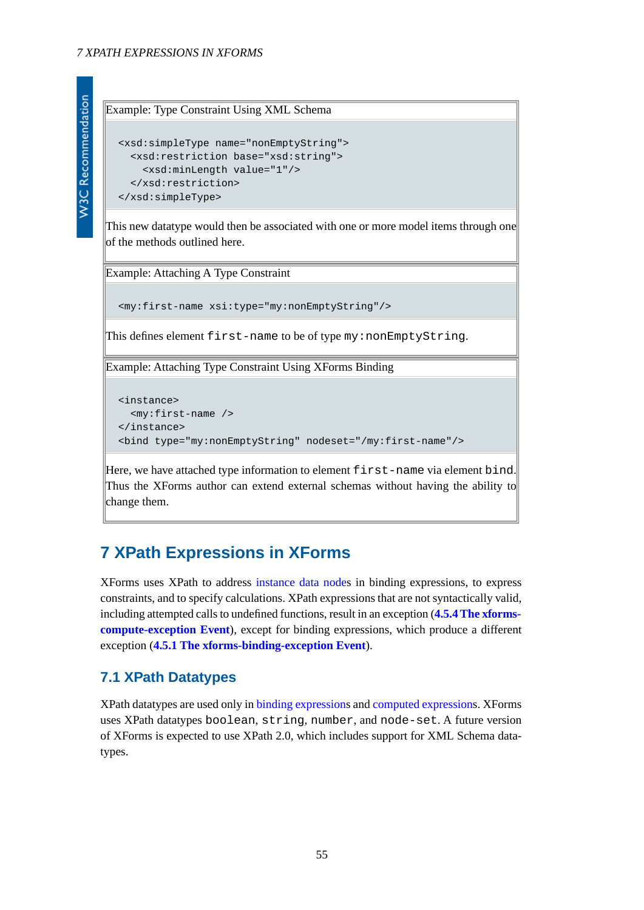### Example: Type Constraint Using XML Schema

```
<xsd:simpleType name="nonEmptyString">
  <xsd:restriction base="xsd:string">
     <xsd:minLength value="1"/>
   </xsd:restriction>
</xsd:simpleType>
```
This new datatype would then be associated with one or more model items through one of the methods outlined here.

Example: Attaching A Type Constraint

```
<my:first-name xsi:type="my:nonEmptyString"/>
```
This defines element first-name to be of type my:nonEmptyString.

Example: Attaching Type Constraint Using XForms Binding

```
<instance>
   <my:first-name />
</instance>
<bind type="my:nonEmptyString" nodeset="/my:first-name"/>
```
Here, we have attached type information to element first-name via element bind. Thus the XForms author can extend external schemas without having the ability to change them.

# **7 XPath Expressions in XForms**

XForms uses XPath to address [instance data node](#page-119-3)s in binding expressions, to express constraints, and to specify calculations. XPath expressions that are not syntactically valid, including attempted calls to undefined functions, result in an exception (**[4.5.4 The xforms](#page-41-0)[compute-exception Event](#page-41-0)**), except for binding expressions, which produce a different exception (**[4.5.1 The xforms-binding-exception Event](#page-40-0)**).

# **7.1 XPath Datatypes**

XPath datatypes are used only in [binding expressions](#page-118-4) and [computed expression](#page-118-2)s. XForms uses XPath datatypes boolean, string, number, and node-set. A future version of XForms is expected to use XPath 2.0, which includes support for XML Schema datatypes.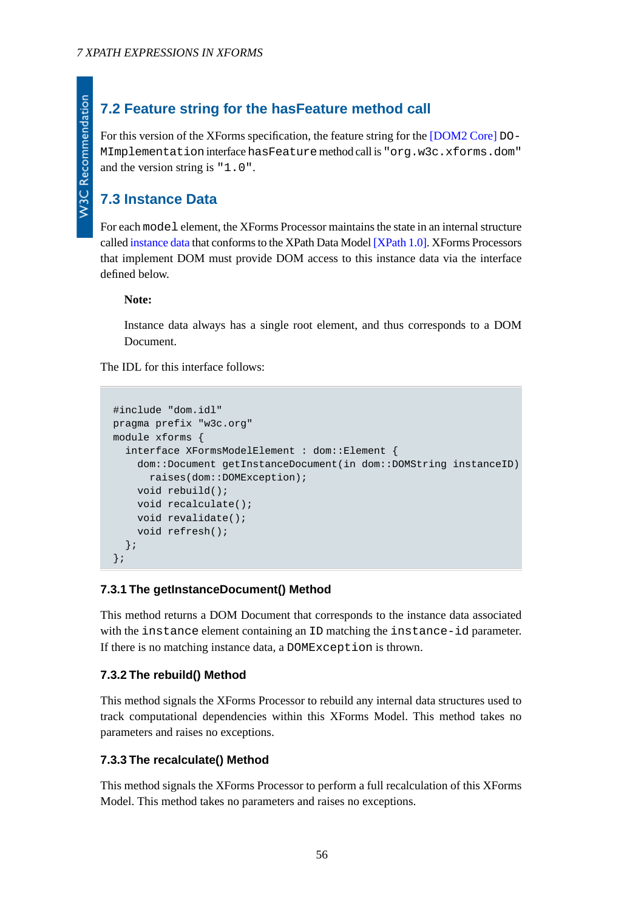# **7.2 Feature string for the hasFeature method call**

For this version of the XForms specification, the feature string for the [\[DOM2 Core\]](#page-121-1) DO-MImplementation interface hasFeature method call is "org.w3c.xforms.dom" and the version string is "1.0".

# **7.3 Instance Data**

For each model element, the XForms Processor maintains the state in an internal structure called [instance data](#page-119-7) that conforms to the XPath Data Model [\[XPath 1.0\].](#page-121-2) XForms Processors that implement DOM must provide DOM access to this instance data via the interface defined below.

### **Note:**

Instance data always has a single root element, and thus corresponds to a DOM Document.

The IDL for this interface follows:

```
#include "dom.idl"
pragma prefix "w3c.org"
module xforms {
   interface XFormsModelElement : dom::Element {
     dom::Document getInstanceDocument(in dom::DOMString instanceID)
       raises(dom::DOMException);
     void rebuild();
     void recalculate();
     void revalidate();
     void refresh();
   };
};
```
### **7.3.1 The getInstanceDocument() Method**

This method returns a DOM Document that corresponds to the instance data associated with the instance element containing an ID matching the instance-id parameter. If there is no matching instance data, a DOMException is thrown.

### **7.3.2 The rebuild() Method**

This method signals the XForms Processor to rebuild any internal data structures used to track computational dependencies within this XForms Model. This method takes no parameters and raises no exceptions.

#### **7.3.3 The recalculate() Method**

This method signals the XForms Processor to perform a full recalculation of this XForms Model. This method takes no parameters and raises no exceptions.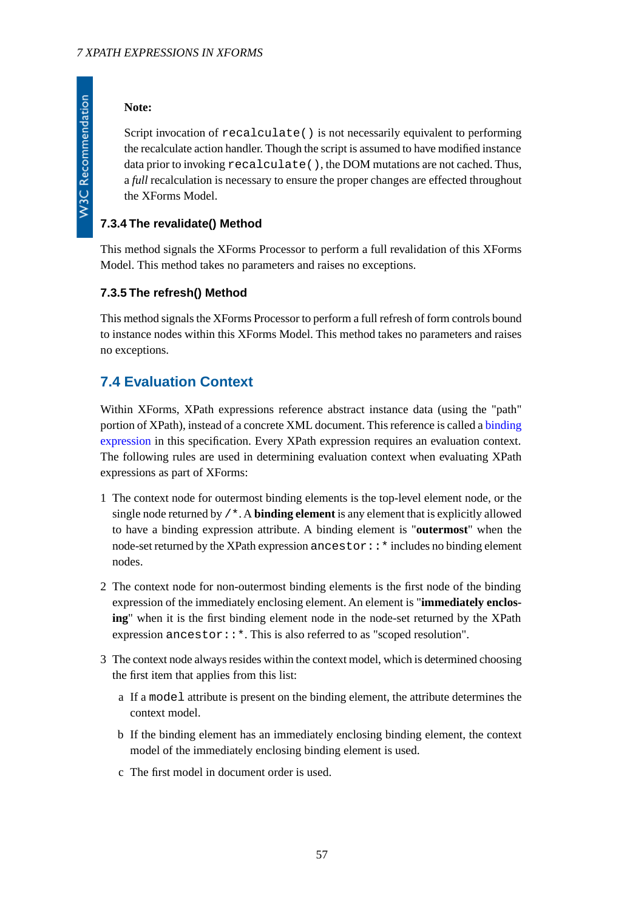### **Note:**

Script invocation of recalculate() is not necessarily equivalent to performing the recalculate action handler. Though the script is assumed to have modified instance data prior to invoking recalculate(), the DOM mutations are not cached. Thus, a *full* recalculation is necessary to ensure the proper changes are effected throughout the XForms Model.

## **7.3.4 The revalidate() Method**

This method signals the XForms Processor to perform a full revalidation of this XForms Model. This method takes no parameters and raises no exceptions.

### **7.3.5 The refresh() Method**

This method signals the XForms Processor to perform a full refresh of form controls bound to instance nodes within this XForms Model. This method takes no parameters and raises no exceptions.

# **7.4 Evaluation Context**

Within XForms, XPath expressions reference abstract instance data (using the "path" portion of XPath), instead of a concrete XML document. This reference is called a [binding](#page-118-4) [expression](#page-118-4) in this specification. Every XPath expression requires an evaluation context. The following rules are used in determining evaluation context when evaluating XPath expressions as part of XForms:

- 1 The context node for outermost binding elements is the top-level element node, or the single node returned by /\*. A **binding element** is any element that is explicitly allowed to have a binding expression attribute. A binding element is "**outermost**" when the node-set returned by the XPath expression ancestor::\* includes no binding element nodes.
- 2 The context node for non-outermost binding elements is the first node of the binding expression of the immediately enclosing element. An element is "**immediately enclosing**" when it is the first binding element node in the node-set returned by the XPath expression ancestor::\*. This is also referred to as "scoped resolution".
- 3 The context node always resides within the context model, which is determined choosing the first item that applies from this list:
	- a If a model attribute is present on the binding element, the attribute determines the context model.
	- b If the binding element has an immediately enclosing binding element, the context model of the immediately enclosing binding element is used.
	- c The first model in document order is used.

**W3C Recommendation**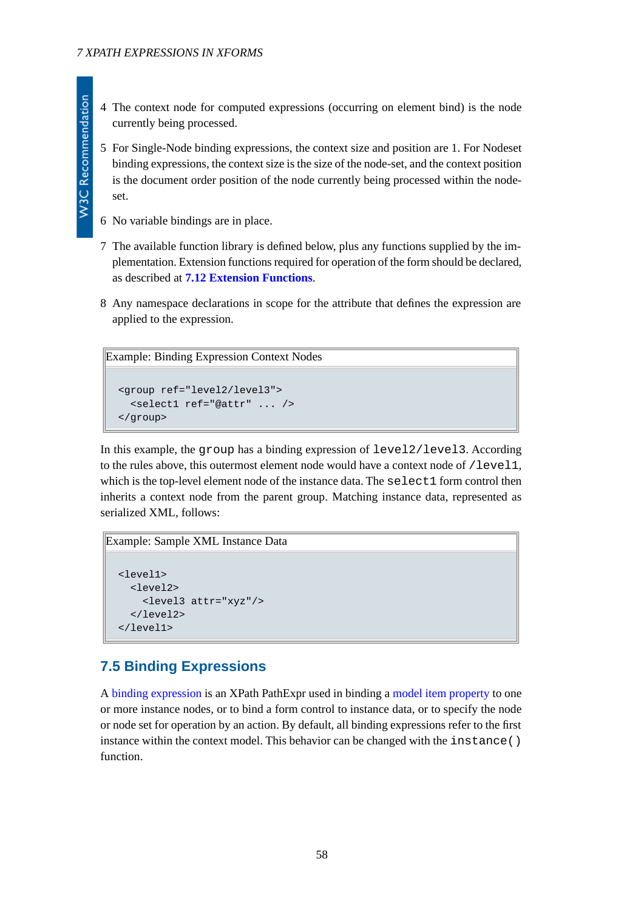- 4 The context node for computed expressions (occurring on element bind) is the node currently being processed.
- 5 For Single-Node binding expressions, the context size and position are 1. For Nodeset binding expressions, the context size is the size of the node-set, and the context position is the document order position of the node currently being processed within the nodeset.
- 6 No variable bindings are in place.
- 7 The available function library is defined below, plus any functions supplied by the implementation. Extension functions required for operation of the form should be declared, as described at **[7.12 Extension Functions](#page-64-0)**.
- 8 Any namespace declarations in scope for the attribute that defines the expression are applied to the expression.

```
Example: Binding Expression Context Nodes
```

```
<group ref="level2/level3">
   <select1 ref="@attr" ... />
</group>
```
In this example, the group has a binding expression of level2/level3. According to the rules above, this outermost element node would have a context node of /level1, which is the top-level element node of the instance data. The select 1 form control then inherits a context node from the parent group. Matching instance data, represented as serialized XML, follows:

```
Example: Sample XML Instance Data
```

```
<level1>
  <sub>level</sub></sub>
      <level3 attr="xyz"/>
   </level2>
</level1>
```
# **7.5 Binding Expressions**

A [binding expression](#page-118-4) is an XPath PathExpr used in binding a [model item property](#page-119-5) to one or more instance nodes, or to bind a form control to instance data, or to specify the node or node set for operation by an action. By default, all binding expressions refer to the first instance within the context model. This behavior can be changed with the instance() function.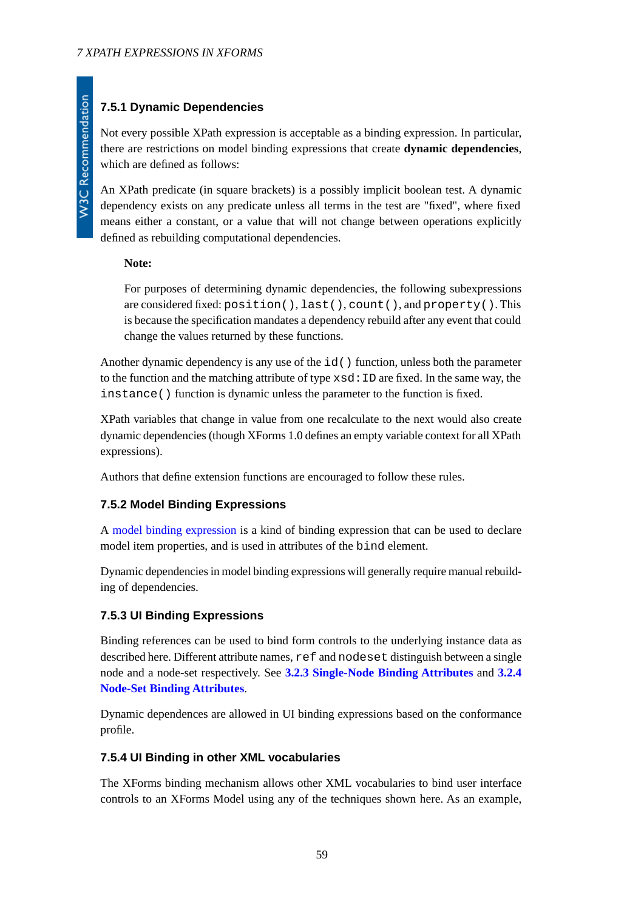# **7.5.1 Dynamic Dependencies**

Not every possible XPath expression is acceptable as a binding expression. In particular, there are restrictions on model binding expressions that create **dynamic dependencies**, which are defined as follows:

An XPath predicate (in square brackets) is a possibly implicit boolean test. A dynamic dependency exists on any predicate unless all terms in the test are "fixed", where fixed means either a constant, or a value that will not change between operations explicitly defined as rebuilding computational dependencies.

### **Note:**

For purposes of determining dynamic dependencies, the following subexpressions are considered fixed: position(), last(), count(), and property(). This is because the specification mandates a dependency rebuild after any event that could change the values returned by these functions.

Another dynamic dependency is any use of the  $id()$  function, unless both the parameter to the function and the matching attribute of type  $x \text{sd}: \text{ID}$  are fixed. In the same way, the instance() function is dynamic unless the parameter to the function is fixed.

XPath variables that change in value from one recalculate to the next would also create dynamic dependencies (though XForms 1.0 defines an empty variable context for all XPath expressions).

Authors that define extension functions are encouraged to follow these rules.

### **7.5.2 Model Binding Expressions**

A [model binding expression](#page-118-5) is a kind of binding expression that can be used to declare model item properties, and is used in attributes of the bind element.

Dynamic dependencies in model binding expressions will generally require manual rebuilding of dependencies.

### **7.5.3 UI Binding Expressions**

Binding references can be used to bind form controls to the underlying instance data as described here. Different attribute names, ref and nodeset distinguish between a single node and a node-set respectively. See **[3.2.3 Single-Node Binding Attributes](#page-17-0)** and **[3.2.4](#page-18-0) [Node-Set Binding Attributes](#page-18-0)**.

Dynamic dependences are allowed in UI binding expressions based on the conformance profile.

### **7.5.4 UI Binding in other XML vocabularies**

The XForms binding mechanism allows other XML vocabularies to bind user interface controls to an XForms Model using any of the techniques shown here. As an example,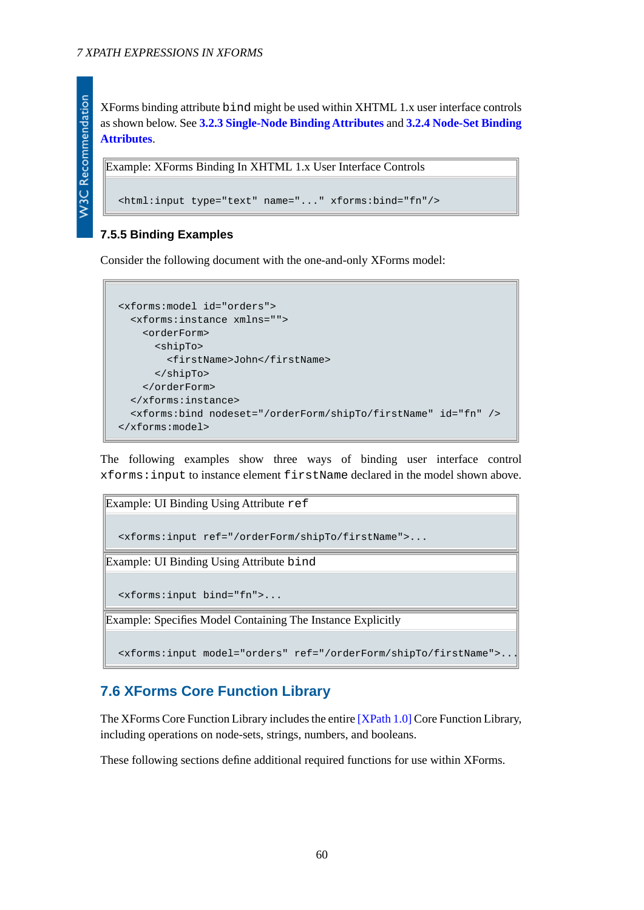XForms binding attribute bind might be used within XHTML 1.x user interface controls as shown below. See **[3.2.3 Single-Node Binding Attributes](#page-17-0)** and **[3.2.4 Node-Set Binding](#page-18-0) [Attributes](#page-18-0)**.

```
Example: XForms Binding In XHTML 1.x User Interface Controls
  <html:input type="text" name="..." xforms:bind="fn"/>
```
### **7.5.5 Binding Examples**

Consider the following document with the one-and-only XForms model:

```
<xforms:model id="orders">
   <xforms:instance xmlns="">
     <orderForm>
       <shipTo>
         <firstName>John</firstName>
       </shipTo>
     </orderForm>
  </xforms:instance>
   <xforms:bind nodeset="/orderForm/shipTo/firstName" id="fn" />
</xforms:model>
```
The following examples show three ways of binding user interface control xforms:input to instance element firstName declared in the model shown above.



# **7.6 XForms Core Function Library**

The XForms Core Function Library includes the entire [\[XPath 1.0\]](#page-121-2) Core Function Library, including operations on node-sets, strings, numbers, and booleans.

These following sections define additional required functions for use within XForms.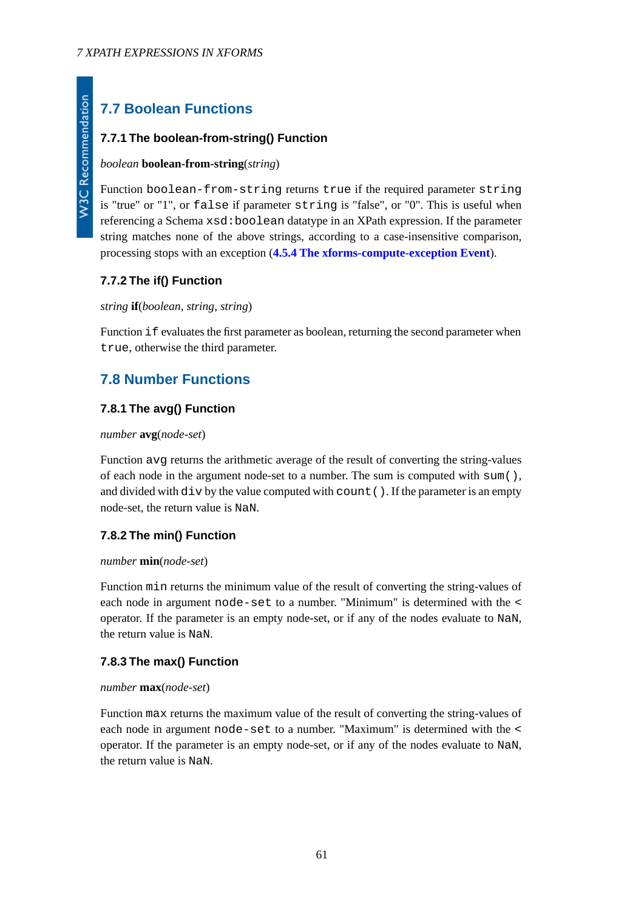# **7.7 Boolean Functions**

## **7.7.1 The boolean-from-string() Function**

### *boolean* **boolean-from-string**(*string*)

Function boolean-from-string returns true if the required parameter string is "true" or "1", or false if parameter string is "false", or "0". This is useful when referencing a Schema xsd:boolean datatype in an XPath expression. If the parameter string matches none of the above strings, according to a case-insensitive comparison, processing stops with an exception (**[4.5.4 The xforms-compute-exception Event](#page-41-0)**).

## **7.7.2 The if() Function**

### *string* **if**(*boolean*, *string*, *string*)

Function if evaluates the first parameter as boolean, returning the second parameter when true, otherwise the third parameter.

# **7.8 Number Functions**

## **7.8.1 The avg() Function**

### *number* **avg**(*node-set*)

Function avg returns the arithmetic average of the result of converting the string-values of each node in the argument node-set to a number. The sum is computed with  $\text{sum}(\cdot)$ , and divided with  $div$  by the value computed with count (). If the parameter is an empty node-set, the return value is NaN.

### **7.8.2 The min() Function**

### *number* **min**(*node-set*)

Function min returns the minimum value of the result of converting the string-values of each node in argument node-set to a number. "Minimum" is determined with the < operator. If the parameter is an empty node-set, or if any of the nodes evaluate to NaN, the return value is NaN.

### **7.8.3 The max() Function**

### *number* **max**(*node-set*)

Function max returns the maximum value of the result of converting the string-values of each node in argument node-set to a number. "Maximum" is determined with the < operator. If the parameter is an empty node-set, or if any of the nodes evaluate to NaN, the return value is NaN.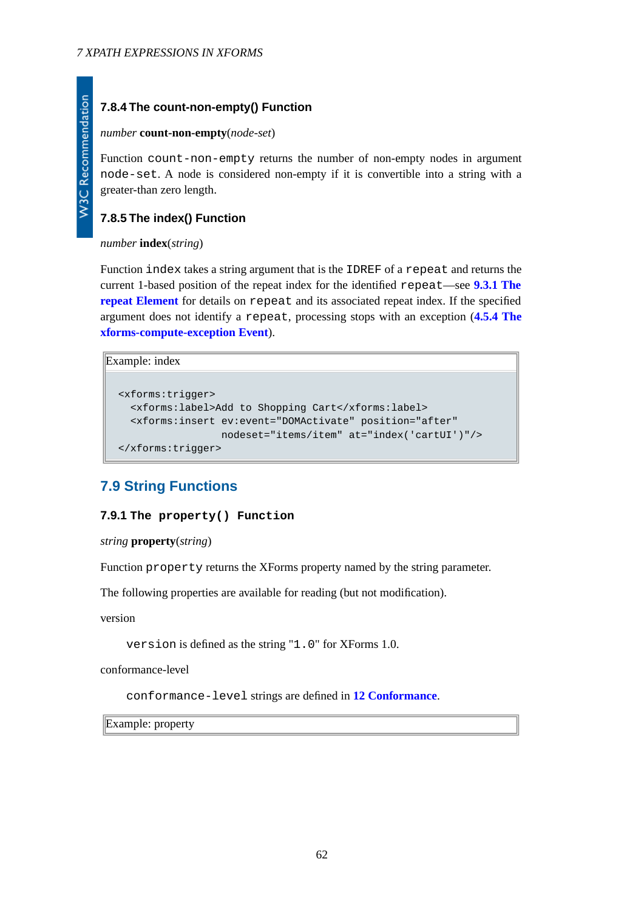## **7.8.4 The count-non-empty() Function**

#### *number* **count-non-empty**(*node-set*)

Function count-non-empty returns the number of non-empty nodes in argument node-set. A node is considered non-empty if it is convertible into a string with a greater-than zero length.

### **7.8.5 The index() Function**

### *number* **index**(*string*)

Function index takes a string argument that is the IDREF of a repeat and returns the current 1-based position of the repeat index for the identified repeat—see **[9.3.1 The](#page-89-0) [repeat Element](#page-89-0)** for details on repeat and its associated repeat index. If the specified argument does not identify a repeat, processing stops with an exception (**[4.5.4 The](#page-41-0) [xforms-compute-exception Event](#page-41-0)**).

```
Example: index
```

```
<xforms:trigger>
   <xforms:label>Add to Shopping Cart</xforms:label>
   <xforms:insert ev:event="DOMActivate" position="after"
                  nodeset="items/item" at="index('cartUI')"/>
</xforms:trigger>
```
# **7.9 String Functions**

### **7.9.1 The property() Function**

*string* **property**(*string*)

Function property returns the XForms property named by the string parameter.

The following properties are available for reading (but not modification).

version

version is defined as the string "1.0" for XForms 1.0.

conformance-level

conformance-level strings are defined in **[12 Conformance](#page-116-0)**.

Example: property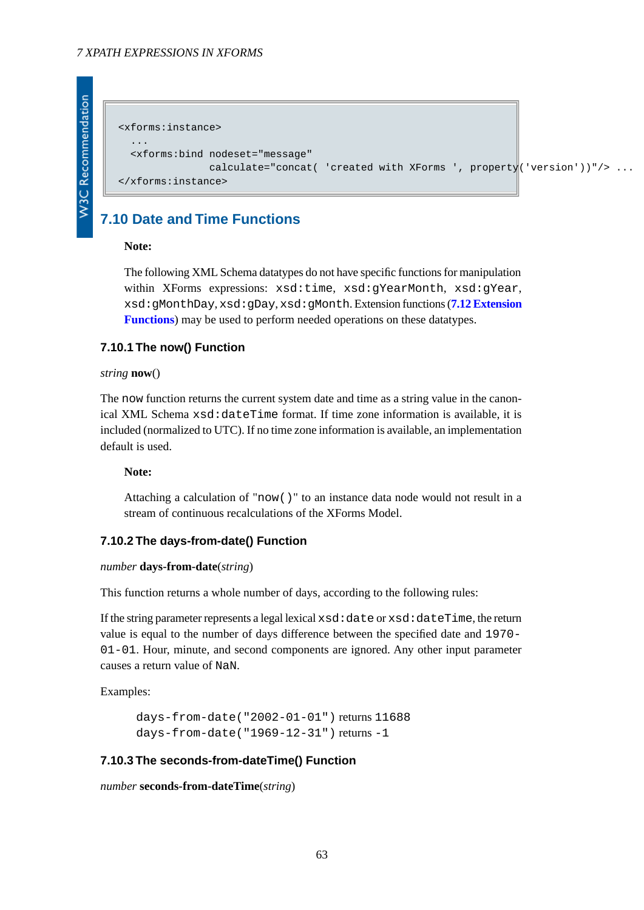```
<xforms:instance>
 ...
   <xforms:bind nodeset="message"
               calculate="concat( 'created with XForms ', property('version'))"/> ...
</xforms:instance>
```
# **7.10 Date and Time Functions**

#### **Note:**

The following XML Schema datatypes do not have specific functions for manipulation within XForms expressions: xsd:time, xsd:gYearMonth, xsd:gYear, xsd:gMonthDay, xsd:gDay, xsd:gMonth. Extension functions (**[7.12 Extension](#page-64-0) [Functions](#page-64-0)**) may be used to perform needed operations on these datatypes.

### **7.10.1 The now() Function**

#### *string* **now**()

The now function returns the current system date and time as a string value in the canonical XML Schema xsd:dateTime format. If time zone information is available, it is included (normalized to UTC). If no time zone information is available, an implementation default is used.

#### **Note:**

Attaching a calculation of "now()" to an instance data node would not result in a stream of continuous recalculations of the XForms Model.

### **7.10.2 The days-from-date() Function**

#### *number* **days-from-date**(*string*)

This function returns a whole number of days, according to the following rules:

If the string parameter represents a legal lexical  $xsd:date$  or  $xsd:date$  at  $etum$ value is equal to the number of days difference between the specified date and 1970- 01-01. Hour, minute, and second components are ignored. Any other input parameter causes a return value of NaN.

Examples:

```
days-from-date("2002-01-01") returns 11688
days-from-date("1969-12-31") returns -1
```
#### **7.10.3 The seconds-from-dateTime() Function**

```
number seconds-from-dateTime(string)
```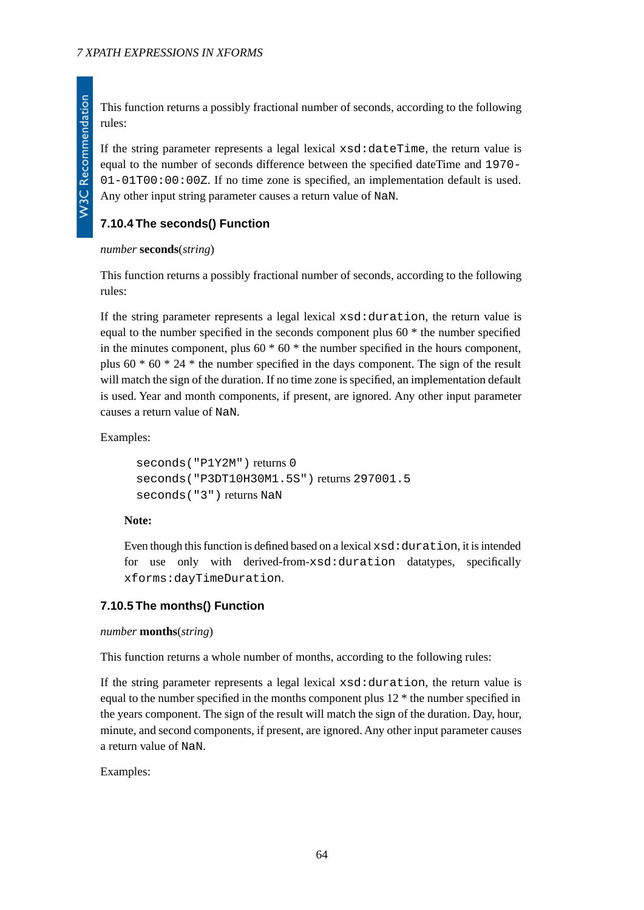This function returns a possibly fractional number of seconds, according to the following rules:

If the string parameter represents a legal lexical xsd:dateTime, the return value is equal to the number of seconds difference between the specified dateTime and 1970- 01-01T00:00:00Z. If no time zone is specified, an implementation default is used. Any other input string parameter causes a return value of NaN.

# **7.10.4 The seconds() Function**

### *number* **seconds**(*string*)

This function returns a possibly fractional number of seconds, according to the following rules:

If the string parameter represents a legal lexical xsd:duration, the return value is equal to the number specified in the seconds component plus 60 \* the number specified in the minutes component, plus  $60 * 60 *$  the number specified in the hours component, plus  $60 * 60 * 24 *$  the number specified in the days component. The sign of the result will match the sign of the duration. If no time zone is specified, an implementation default is used. Year and month components, if present, are ignored. Any other input parameter causes a return value of NaN.

Examples:

```
seconds("P1Y2M") returns 0
seconds("P3DT10H30M1.5S") returns 297001.5
seconds("3") returns NaN
```
### **Note:**

Even though this function is defined based on a lexical  $xsd: duration, it is intended$ for use only with derived-from-xsd:duration datatypes, specifically xforms:dayTimeDuration.

### **7.10.5 The months() Function**

### *number* **months**(*string*)

This function returns a whole number of months, according to the following rules:

If the string parameter represents a legal lexical xsd:duration, the return value is equal to the number specified in the months component plus 12 \* the number specified in the years component. The sign of the result will match the sign of the duration. Day, hour, minute, and second components, if present, are ignored. Any other input parameter causes a return value of NaN.

Examples: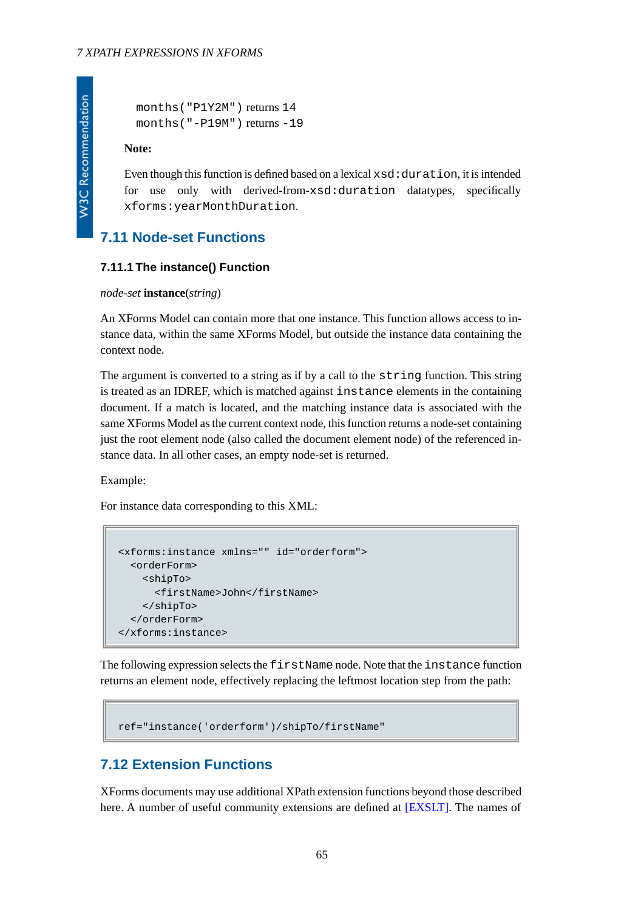```
months("P1Y2M") returns 14
months("-P19M") returns -19
```
#### **Note:**

Even though this function is defined based on a lexical xsd:duration, it is intended for use only with derived-from-xsd:duration datatypes, specifically xforms:yearMonthDuration.

## **7.11 Node-set Functions**

### **7.11.1 The instance() Function**

#### *node-set* **instance**(*string*)

An XForms Model can contain more that one instance. This function allows access to instance data, within the same XForms Model, but outside the instance data containing the context node.

The argument is converted to a string as if by a call to the string function. This string is treated as an IDREF, which is matched against instance elements in the containing document. If a match is located, and the matching instance data is associated with the same XForms Model as the current context node, this function returns a node-set containing just the root element node (also called the document element node) of the referenced instance data. In all other cases, an empty node-set is returned.

Example:

For instance data corresponding to this XML:

```
<xforms:instance xmlns="" id="orderform">
   <orderForm>
     <shipTo>
       <firstName>John</firstName>
     </shipTo>
   </orderForm>
</xforms:instance>
```
<span id="page-64-0"></span>The following expression selects the firstName node. Note that the instance function returns an element node, effectively replacing the leftmost location step from the path:

```
ref="instance('orderform')/shipTo/firstName"
```
# **7.12 Extension Functions**

XForms documents may use additional XPath extension functions beyond those described here. A number of useful community extensions are defined at [\[EXSLT\]](#page-122-1). The names of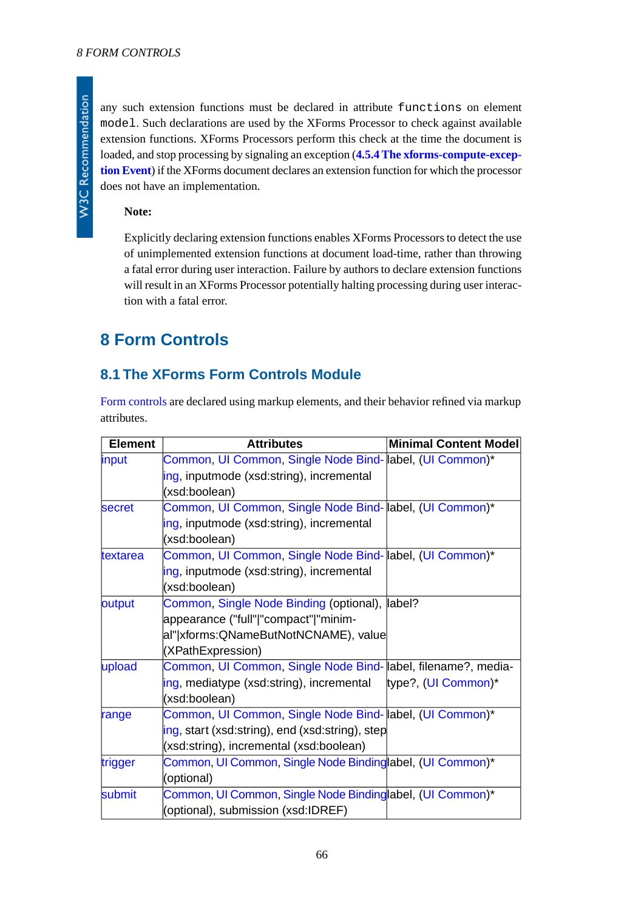any such extension functions must be declared in attribute functions on element model. Such declarations are used by the XForms Processor to check against available extension functions. XForms Processors perform this check at the time the document is loaded, and stop processing by signaling an exception (**[4.5.4 The xforms-compute-excep](#page-41-0)[tion Event](#page-41-0)**) if the XForms document declares an extension function for which the processor does not have an implementation.

### **Note:**

Explicitly declaring extension functions enables XForms Processors to detect the use of unimplemented extension functions at document load-time, rather than throwing a fatal error during user interaction. Failure by authors to declare extension functions will result in an XForms Processor potentially halting processing during user interaction with a fatal error.

# **8 Form Controls**

## **8.1 The XForms Form Controls Module**

[Form controls](#page-119-8) are declared using markup elements, and their behavior refined via markup attributes.

| <b>Element</b> | <b>Attributes</b>                                            | <b>Minimal Content Model</b> |
|----------------|--------------------------------------------------------------|------------------------------|
| input          | Common, UI Common, Single Node Bind- abel, (UI Common)*      |                              |
|                | ing, inputmode (xsd:string), incremental                     |                              |
|                | (xsd:boolean)                                                |                              |
| <b>secret</b>  | Common, UI Common, Single Node Bind- abel, (UI Common)*      |                              |
|                | ing, inputmode (xsd:string), incremental                     |                              |
|                | (xsd:boolean)                                                |                              |
| textarea       | Common, UI Common, Single Node Bind- abel, (UI Common)*      |                              |
|                | ing, inputmode (xsd:string), incremental                     |                              |
|                | (xsd:boolean)                                                |                              |
| output         | Common, Single Node Binding (optional),                      | label?                       |
|                | appearance ("full" "compact" "minim-                         |                              |
|                | al" xforms:QNameButNotNCNAME), value                         |                              |
|                | (XPathExpression)                                            |                              |
| upload         | Common, UI Common, Single Node Bind- abel, filename?, media- |                              |
|                | ing, mediatype (xsd:string), incremental                     | type?, (UI Common)*          |
|                | (xsd:boolean)                                                |                              |
| range          | Common, UI Common, Single Node Bind- abel, (UI Common)*      |                              |
|                | ing, start (xsd:string), end (xsd:string), step              |                              |
|                | (xsd:string), incremental (xsd:boolean)                      |                              |
| trigger        | Common, UI Common, Single Node Bindinglabel, (UI Common)*    |                              |
|                | (optional)                                                   |                              |
| submit         | Common, UI Common, Single Node Bindinglabel, (UI Common)*    |                              |
|                | (optional), submission (xsd:IDREF)                           |                              |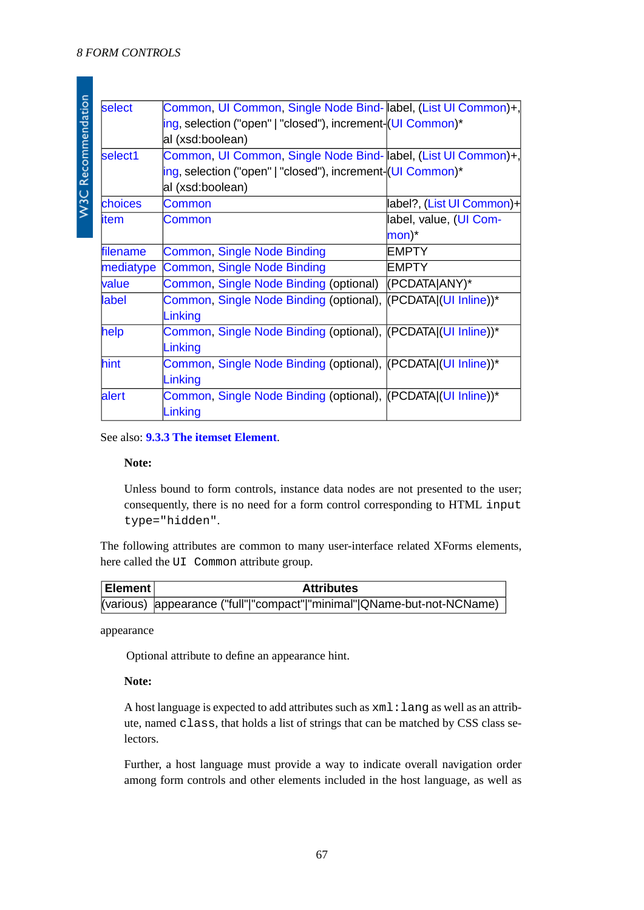W3C Recommendation

| select         | Common, UI Common, Single Node Bind- abel, (List UI Common)+, |                           |
|----------------|---------------------------------------------------------------|---------------------------|
|                | ing, selection ("open"   "closed"), increment- (UI Common)*   |                           |
|                | al (xsd:boolean)                                              |                           |
| select1        | Common, UI Common, Single Node Bind- abel, (List UI Common)+, |                           |
|                | ing, selection ("open"   "closed"), increment- (UI Common)*   |                           |
|                | al (xsd:boolean)                                              |                           |
| <b>choices</b> | Common                                                        | label?, (List UI Common)+ |
| litem          | Common                                                        | label, value, (UI Com-    |
|                |                                                               | $\mathsf{mon})^*$         |
| filename       | Common, Single Node Binding                                   | <b>EMPTY</b>              |
| mediatype      | <b>Common, Single Node Binding</b>                            | <b>EMPTY</b>              |
| value          | Common, Single Node Binding (optional)                        | (PCDATA)ANY)*             |
| label          | Common, Single Node Binding (optional), (PCDATA)(UI Inline))* |                           |
|                | Linking                                                       |                           |
| help           | Common, Single Node Binding (optional), (PCDATA)(UI Inline))* |                           |
|                | Linking                                                       |                           |
| hint           | Common, Single Node Binding (optional), (PCDATA)(UI Inline))* |                           |
|                | Linking                                                       |                           |
| alert          | Common, Single Node Binding (optional), (PCDATA)(UI Inline))* |                           |
|                | Linking                                                       |                           |
|                |                                                               |                           |

See also: **[9.3.3 The itemset Element](#page-92-0)**.

#### **Note:**

Unless bound to form controls, instance data nodes are not presented to the user; consequently, there is no need for a form control corresponding to HTML input type="hidden".

<span id="page-66-0"></span>The following attributes are common to many user-interface related XForms elements, here called the UI Common attribute group.

| Element | <b>Attributes</b>                                                      |
|---------|------------------------------------------------------------------------|
|         | (various) appearance ("full" "compact" "minimal" QName-but-not-NCName) |

appearance

Optional attribute to define an appearance hint.

### **Note:**

A host language is expected to add attributes such as xml:lang as well as an attribute, named class, that holds a list of strings that can be matched by CSS class selectors.

Further, a host language must provide a way to indicate overall navigation order among form controls and other elements included in the host language, as well as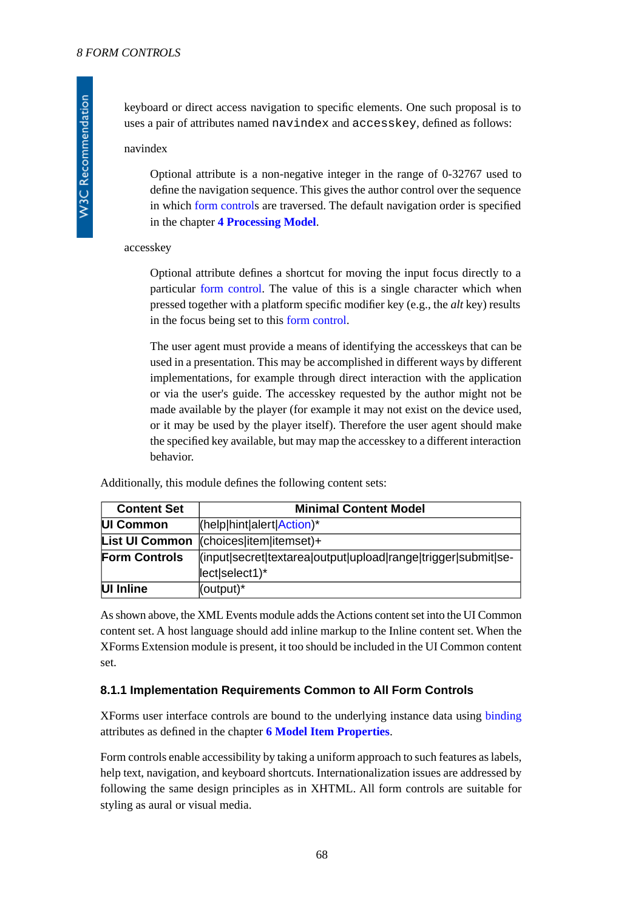keyboard or direct access navigation to specific elements. One such proposal is to uses a pair of attributes named navindex and accesskey, defined as follows:

#### navindex

Optional attribute is a non-negative integer in the range of 0-32767 used to define the navigation sequence. This gives the author control over the sequence in which [form control](#page-119-8)s are traversed. The default navigation order is specified in the chapter **[4 Processing Model](#page-25-0)**.

#### accesskey

Optional attribute defines a shortcut for moving the input focus directly to a particular [form control](#page-119-8). The value of this is a single character which when pressed together with a platform specific modifier key (e.g., the *alt* key) results in the focus being set to this [form control](#page-119-8).

The user agent must provide a means of identifying the accesskeys that can be used in a presentation. This may be accomplished in different ways by different implementations, for example through direct interaction with the application or via the user's guide. The accesskey requested by the author might not be made available by the player (for example it may not exist on the device used, or it may be used by the player itself). Therefore the user agent should make the specified key available, but may map the accesskey to a different interaction behavior.

<span id="page-67-1"></span><span id="page-67-0"></span>Additionally, this module defines the following content sets:

<span id="page-67-2"></span>

| <b>Content Set</b>    | <b>Minimal Content Model</b>                                  |  |
|-----------------------|---------------------------------------------------------------|--|
| UI Common             | $\vert$ (help $\vert$ hint $\vert$ alert $\vert$ Action)*     |  |
| <b>List UI Common</b> | $ $ (choices $ $ item $ $ itemset $ $ +                       |  |
| <b>Form Controls</b>  | (input secret textarea output upload range trigger submit se- |  |
|                       | lect select1)*                                                |  |
| UI Inline             | (output)*                                                     |  |

As shown above, the XML Events module adds the Actions content set into the UI Common content set. A host language should add inline markup to the Inline content set. When the XForms Extension module is present, it too should be included in the UI Common content set.

#### **8.1.1 Implementation Requirements Common to All Form Controls**

XForms user interface controls are bound to the underlying instance data using [binding](#page-118-3) attributes as defined in the chapter **[6 Model Item Properties](#page-46-0)**.

Form controls enable accessibility by taking a uniform approach to such features as labels, help text, navigation, and keyboard shortcuts. Internationalization issues are addressed by following the same design principles as in XHTML. All form controls are suitable for styling as aural or visual media.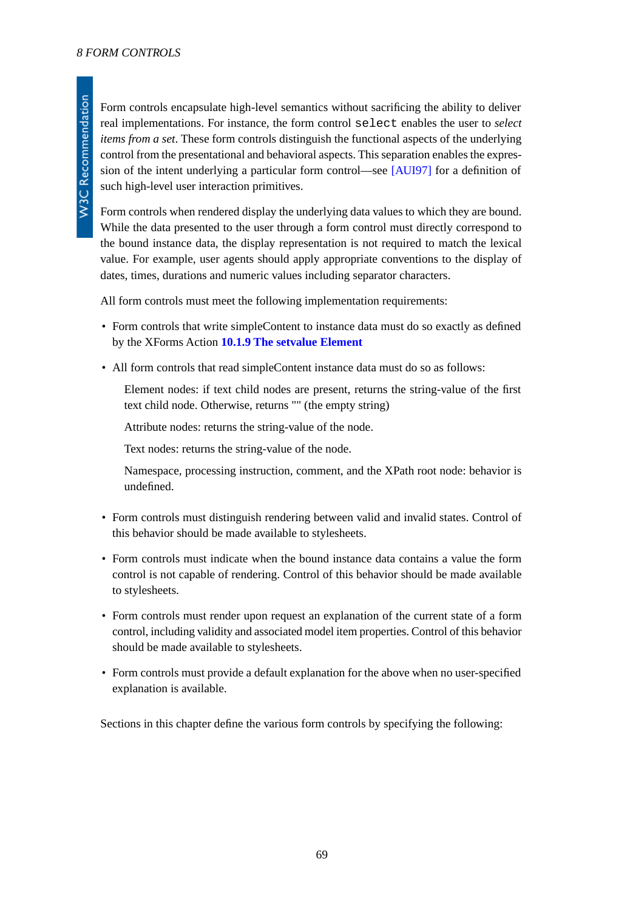Form controls encapsulate high-level semantics without sacrificing the ability to deliver real implementations. For instance, the form control select enables the user to *select items from a set*. These form controls distinguish the functional aspects of the underlying control from the presentational and behavioral aspects. This separation enables the expression of the intent underlying a particular form control—see [\[AUI97\]](#page-121-3) for a definition of such high-level user interaction primitives.

Form controls when rendered display the underlying data values to which they are bound. While the data presented to the user through a form control must directly correspond to the bound instance data, the display representation is not required to match the lexical value. For example, user agents should apply appropriate conventions to the display of dates, times, durations and numeric values including separator characters.

All form controls must meet the following implementation requirements:

- Form controls that write simpleContent to instance data must do so exactly as defined by the XForms Action **[10.1.9 The setvalue Element](#page-105-0)**
- All form controls that read simpleContent instance data must do so as follows:

Element nodes: if text child nodes are present, returns the string-value of the first text child node. Otherwise, returns "" (the empty string)

Attribute nodes: returns the string-value of the node.

Text nodes: returns the string-value of the node.

Namespace, processing instruction, comment, and the XPath root node: behavior is undefined.

- Form controls must distinguish rendering between valid and invalid states. Control of this behavior should be made available to stylesheets.
- Form controls must indicate when the bound instance data contains a value the form control is not capable of rendering. Control of this behavior should be made available to stylesheets.
- Form controls must render upon request an explanation of the current state of a form control, including validity and associated model item properties. Control of this behavior should be made available to stylesheets.
- Form controls must provide a default explanation for the above when no user-specified explanation is available.

Sections in this chapter define the various form controls by specifying the following: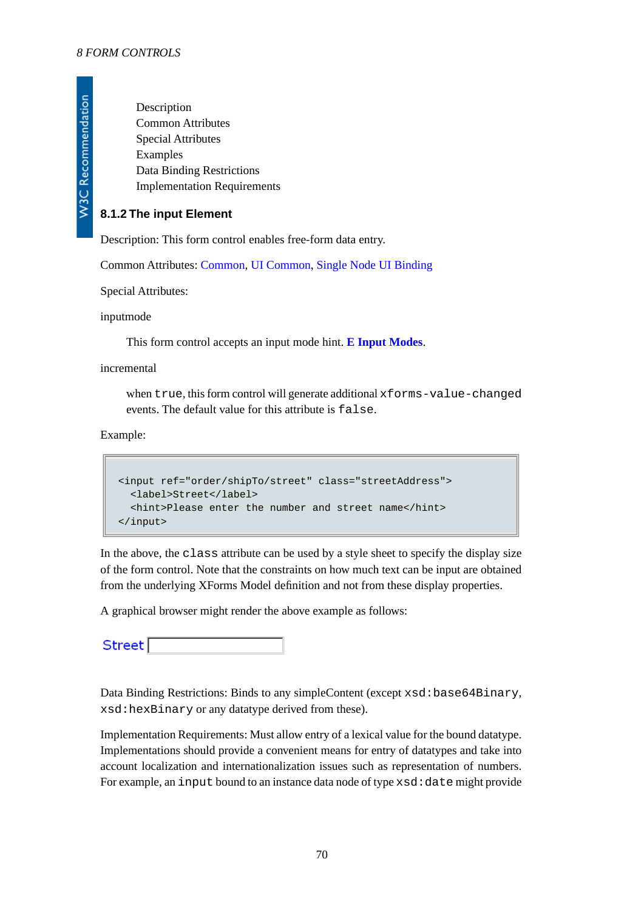W3C Recommendation

Description Common Attributes Special Attributes Examples Data Binding Restrictions Implementation Requirements

### <span id="page-69-0"></span>**8.1.2 The input Element**

Description: This form control enables free-form data entry.

Common Attributes: [Common](#page-17-1), [UI Common](#page-66-0), [Single Node UI Binding](#page-17-0)

Special Attributes:

inputmode

This form control accepts an input mode hint. **[E Input Modes](#page-127-0)**.

#### incremental

when true, this form control will generate additional xforms-value-changed events. The default value for this attribute is false.

Example:

```
<input ref="order/shipTo/street" class="streetAddress">
   <label>Street</label>
   <hint>Please enter the number and street name</hint>
</input>
```
In the above, the class attribute can be used by a style sheet to specify the display size of the form control. Note that the constraints on how much text can be input are obtained from the underlying XForms Model definition and not from these display properties.

A graphical browser might render the above example as follows:

Street<sup>[</sup>

Data Binding Restrictions: Binds to any simpleContent (except xsd:base64Binary, xsd:hexBinary or any datatype derived from these).

Implementation Requirements: Must allow entry of a lexical value for the bound datatype. Implementations should provide a convenient means for entry of datatypes and take into account localization and internationalization issues such as representation of numbers. For example, an input bound to an instance data node of type  $xsd:date$  might provide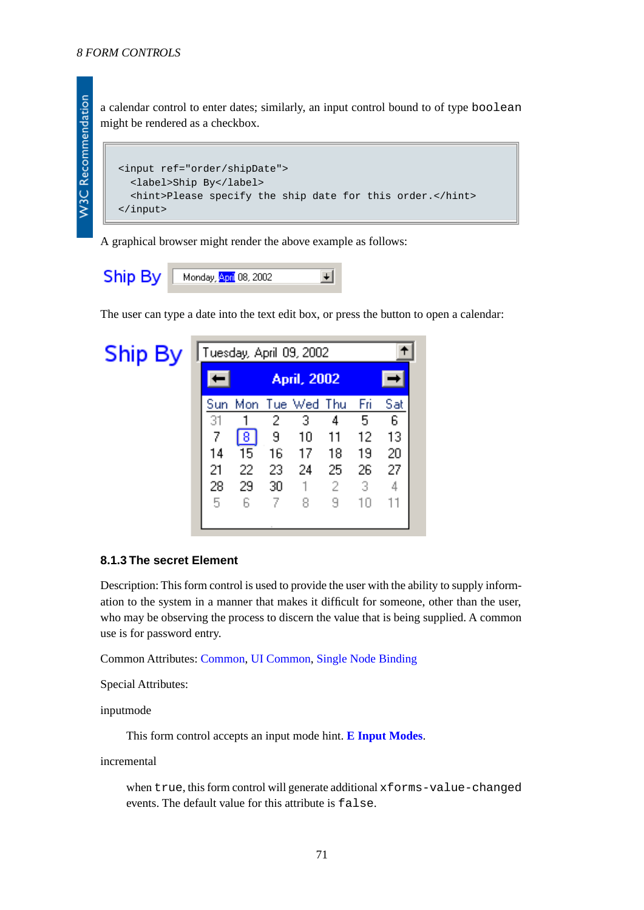**W3C Recommendation** 

a calendar control to enter dates; similarly, an input control bound to of type boolean might be rendered as a checkbox.

```
<input ref="order/shipDate">
   <label>Ship By</label>
   <hint>Please specify the ship date for this order.</hint>
</input>
```
A graphical browser might render the above example as follows:



The user can type a date into the text edit box, or press the button to open a calendar:

**Ship By** Tuesday, April 09, 2002  $\ddotmark$ **April, 2002** Sun Mon Tue Wed Thu Fri Sat  $\overline{2}$ 3 5 31  $\mathbf{1}$ 4 6 7 छ 9  $10$  $12$ 13  $11$ 15 14 16  $17$ 18 19 20 22 26 21 23 25 24 27 28 29 30  $\mathbb{1}$ 2 з 4 5 7 8 9 6  $10$  $11$ 

#### <span id="page-70-0"></span>**8.1.3 The secret Element**

Description: This form control is used to provide the user with the ability to supply information to the system in a manner that makes it difficult for someone, other than the user, who may be observing the process to discern the value that is being supplied. A common use is for password entry.

Common Attributes: [Common](#page-17-1), [UI Common](#page-66-0), [Single Node Binding](#page-17-0)

Special Attributes:

inputmode

This form control accepts an input mode hint. **[E Input Modes](#page-127-0)**.

incremental

when true, this form control will generate additional xforms-value-changed events. The default value for this attribute is false.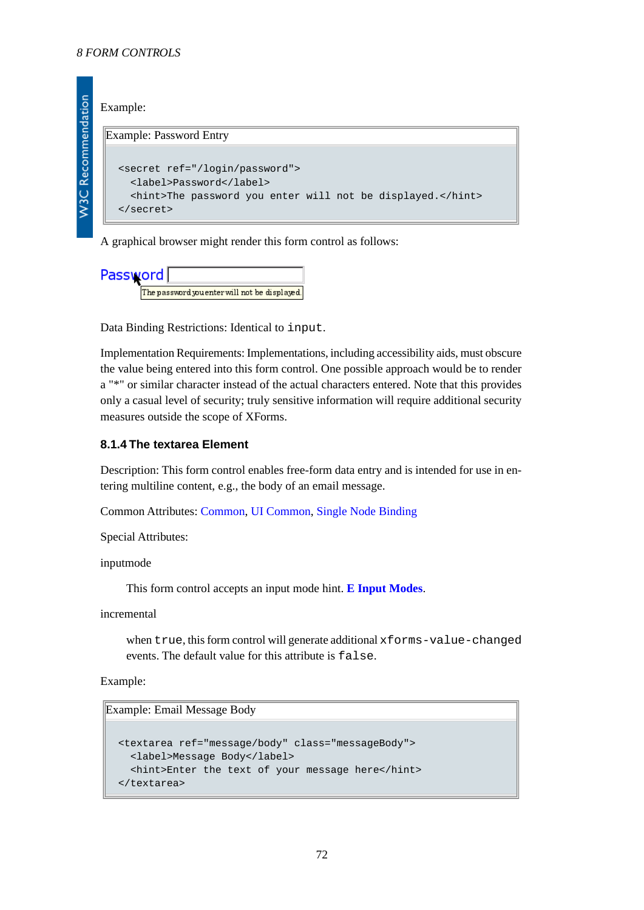### Example:

W3C Recommendation

#### Example: Password Entry

```
<secret ref="/login/password">
   <label>Password</label>
   <hint>The password you enter will not be displayed.</hint>
</secret>
```
A graphical browser might render this form control as follows:

```
Password
          The password you enter will not be displayed.
```
Data Binding Restrictions: Identical to input.

Implementation Requirements: Implementations, including accessibility aids, must obscure the value being entered into this form control. One possible approach would be to render a "\*" or similar character instead of the actual characters entered. Note that this provides only a casual level of security; truly sensitive information will require additional security measures outside the scope of XForms.

### <span id="page-71-0"></span>**8.1.4 The textarea Element**

Description: This form control enables free-form data entry and is intended for use in entering multiline content, e.g., the body of an email message.

Common Attributes: [Common](#page-17-1), [UI Common](#page-66-0), [Single Node Binding](#page-17-0)

Special Attributes:

inputmode

This form control accepts an input mode hint. **[E Input Modes](#page-127-0)**.

incremental

when true, this form control will generate additional xforms-value-changed events. The default value for this attribute is false.

Example:

Example: Email Message Body

```
<textarea ref="message/body" class="messageBody">
   <label>Message Body</label>
   <hint>Enter the text of your message here</hint>
</textarea>
```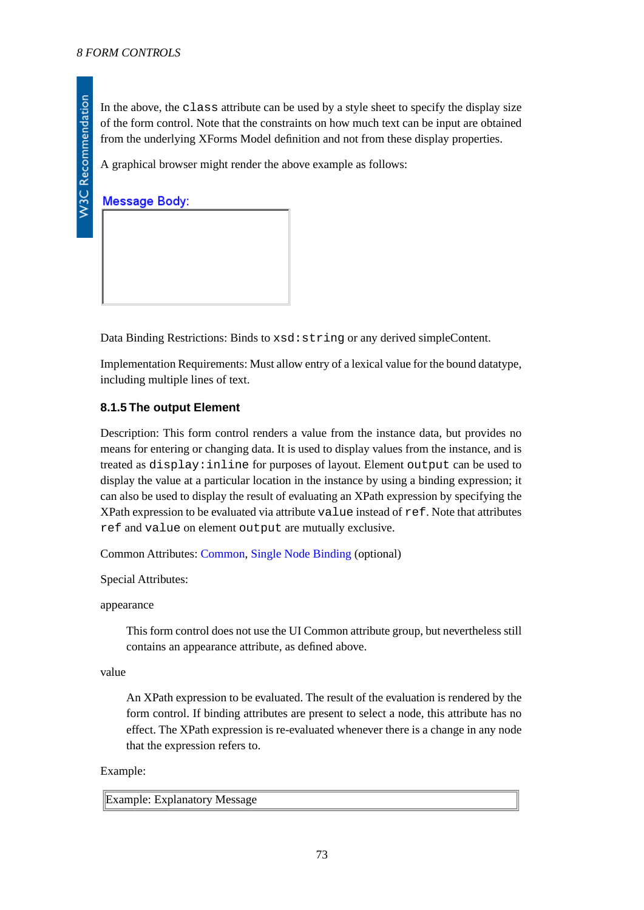In the above, the class attribute can be used by a style sheet to specify the display size of the form control. Note that the constraints on how much text can be input are obtained from the underlying XForms Model definition and not from these display properties.

A graphical browser might render the above example as follows:

**Message Body:** 

Data Binding Restrictions: Binds to  $xsd:string$  or any derived simpleContent.

Implementation Requirements: Must allow entry of a lexical value for the bound datatype, including multiple lines of text.

# **8.1.5 The output Element**

Description: This form control renders a value from the instance data, but provides no means for entering or changing data. It is used to display values from the instance, and is treated as display:inline for purposes of layout. Element output can be used to display the value at a particular location in the instance by using a binding expression; it can also be used to display the result of evaluating an XPath expression by specifying the XPath expression to be evaluated via attribute value instead of ref. Note that attributes ref and value on element output are mutually exclusive.

Common Attributes: [Common](#page-17-0), [Single Node Binding](#page-17-1) (optional)

Special Attributes:

appearance

This form control does not use the UI Common attribute group, but nevertheless still contains an appearance attribute, as defined above.

value

An XPath expression to be evaluated. The result of the evaluation is rendered by the form control. If binding attributes are present to select a node, this attribute has no effect. The XPath expression is re-evaluated whenever there is a change in any node that the expression refers to.

#### Example:

Example: Explanatory Message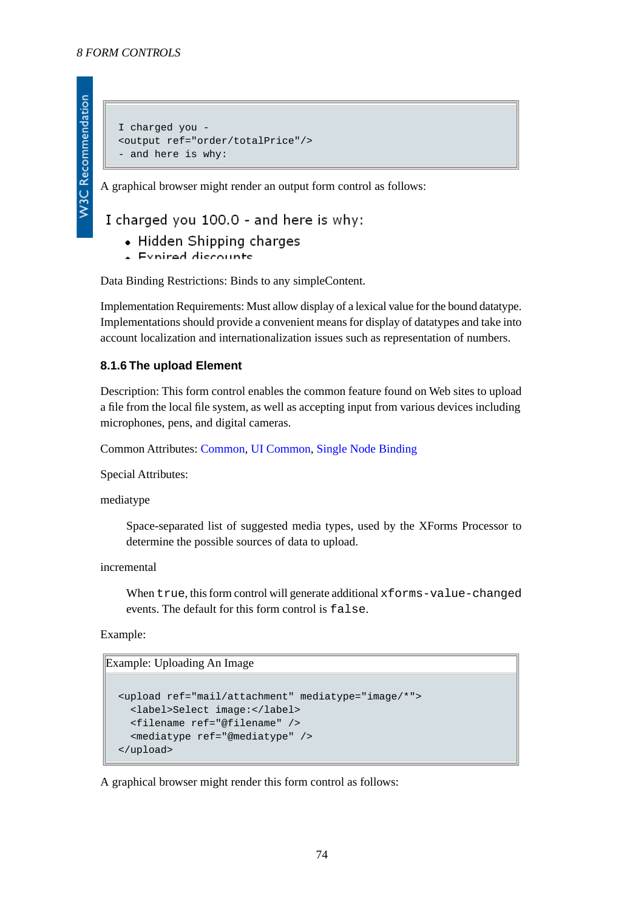```
I charged you -
<output ref="order/totalPrice"/>
- and here is why:
```
A graphical browser might render an output form control as follows:

# I charged you 100.0 - and here is why:

- Hidden Shipping charges
- Evnirad discounts

Data Binding Restrictions: Binds to any simpleContent.

Implementation Requirements: Must allow display of a lexical value for the bound datatype. Implementations should provide a convenient means for display of datatypes and take into account localization and internationalization issues such as representation of numbers.

# **8.1.6 The upload Element**

Description: This form control enables the common feature found on Web sites to upload a file from the local file system, as well as accepting input from various devices including microphones, pens, and digital cameras.

Common Attributes: [Common](#page-17-0), [UI Common](#page-66-0), [Single Node Binding](#page-17-1)

Special Attributes:

mediatype

Space-separated list of suggested media types, used by the XForms Processor to determine the possible sources of data to upload.

incremental

When true, this form control will generate additional xforms-value-changed events. The default for this form control is false.

Example:

Example: Uploading An Image

```
<upload ref="mail/attachment" mediatype="image/*">
   <label>Select image:</label>
   <filename ref="@filename" />
   <mediatype ref="@mediatype" />
</upload>
```
A graphical browser might render this form control as follows: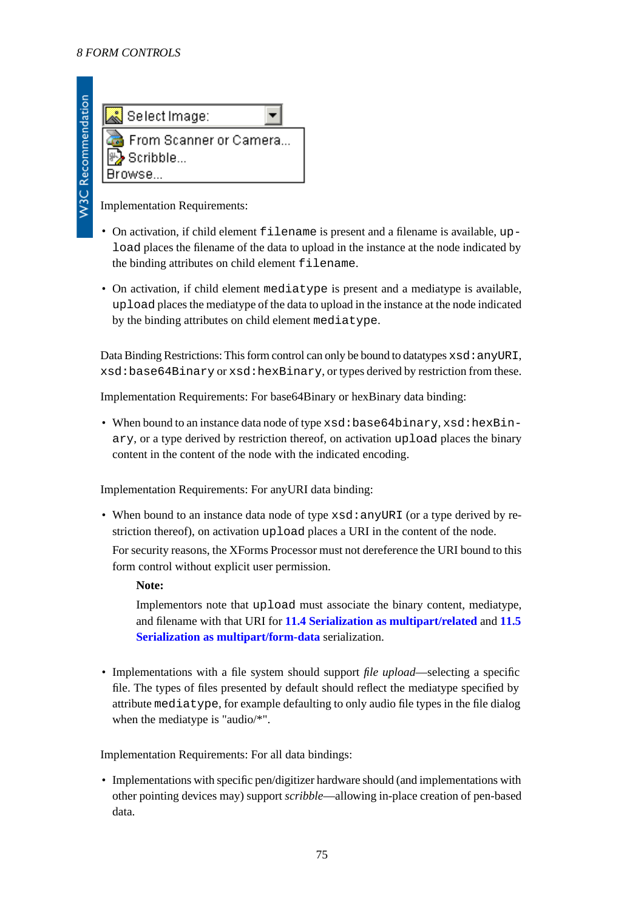

Implementation Requirements:

- On activation, if child element filename is present and a filename is available, upload places the filename of the data to upload in the instance at the node indicated by the binding attributes on child element filename.
- On activation, if child element mediatype is present and a mediatype is available, upload places the mediatype of the data to upload in the instance at the node indicated by the binding attributes on child element mediatype.

Data Binding Restrictions: This form control can only be bound to datatypes  $x \text{ s}d$ : anyURI, xsd:base64Binary or xsd:hexBinary, or types derived by restriction from these.

Implementation Requirements: For base64Binary or hexBinary data binding:

• When bound to an instance data node of type xsd:base64binary, xsd:hexBinary, or a type derived by restriction thereof, on activation upload places the binary content in the content of the node with the indicated encoding.

Implementation Requirements: For anyURI data binding:

• When bound to an instance data node of type  $xsd$ : any URI (or a type derived by restriction thereof), on activation upload places a URI in the content of the node.

For security reasons, the XForms Processor must not dereference the URI bound to this form control without explicit user permission.

**Note:**

Implementors note that upload must associate the binary content, mediatype, and filename with that URI for **[11.4 Serialization as multipart/related](#page-112-0)** and **[11.5](#page-113-0) [Serialization as multipart/form-data](#page-113-0)** serialization.

• Implementations with a file system should support *file upload*—selecting a specific file. The types of files presented by default should reflect the mediatype specified by attribute mediatype, for example defaulting to only audio file types in the file dialog when the mediatype is "audio/\*".

Implementation Requirements: For all data bindings:

• Implementations with specific pen/digitizer hardware should (and implementations with other pointing devices may) support *scribble*—allowing in-place creation of pen-based data.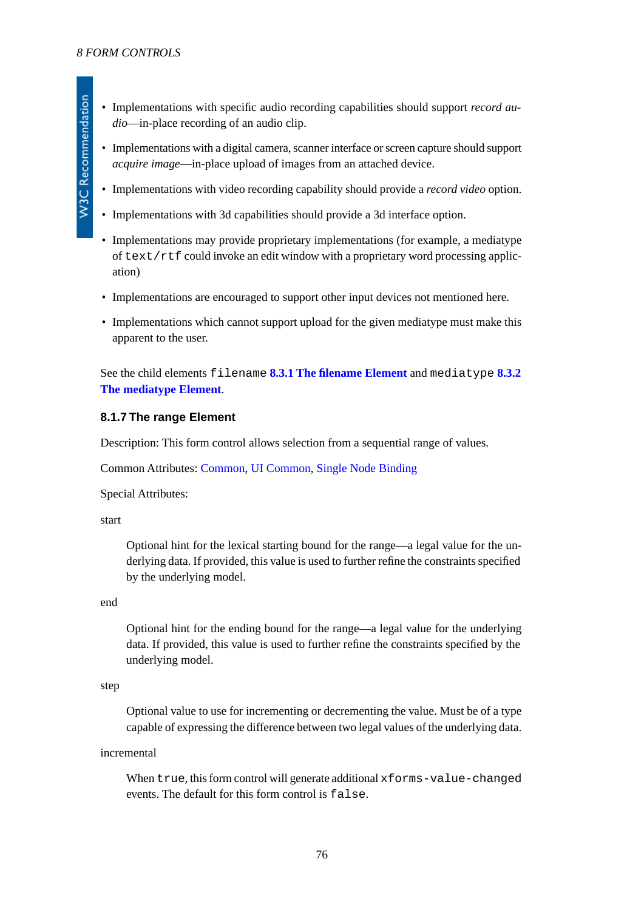- Implementations with specific audio recording capabilities should support *record audio*—in-place recording of an audio clip.
- Implementations with a digital camera, scanner interface or screen capture should support *acquire image*—in-place upload of images from an attached device.
- Implementations with video recording capability should provide a *record video* option.
- Implementations with 3d capabilities should provide a 3d interface option.
- Implementations may provide proprietary implementations (for example, a mediatype of  $text /rtf$  could invoke an edit window with a proprietary word processing application)
- Implementations are encouraged to support other input devices not mentioned here.
- Implementations which cannot support upload for the given mediatype must make this apparent to the user.

See the child elements filename **[8.3.1 The filename Element](#page-83-0)** and mediatype **[8.3.2](#page-83-1) [The mediatype Element](#page-83-1)**.

#### **8.1.7 The range Element**

Description: This form control allows selection from a sequential range of values.

Common Attributes: [Common](#page-17-0), [UI Common](#page-66-0), [Single Node Binding](#page-17-1)

Special Attributes:

start

Optional hint for the lexical starting bound for the range—a legal value for the underlying data. If provided, this value is used to further refine the constraints specified by the underlying model.

end

Optional hint for the ending bound for the range—a legal value for the underlying data. If provided, this value is used to further refine the constraints specified by the underlying model.

step

Optional value to use for incrementing or decrementing the value. Must be of a type capable of expressing the difference between two legal values of the underlying data.

incremental

When true, this form control will generate additional xforms-value-changed events. The default for this form control is false.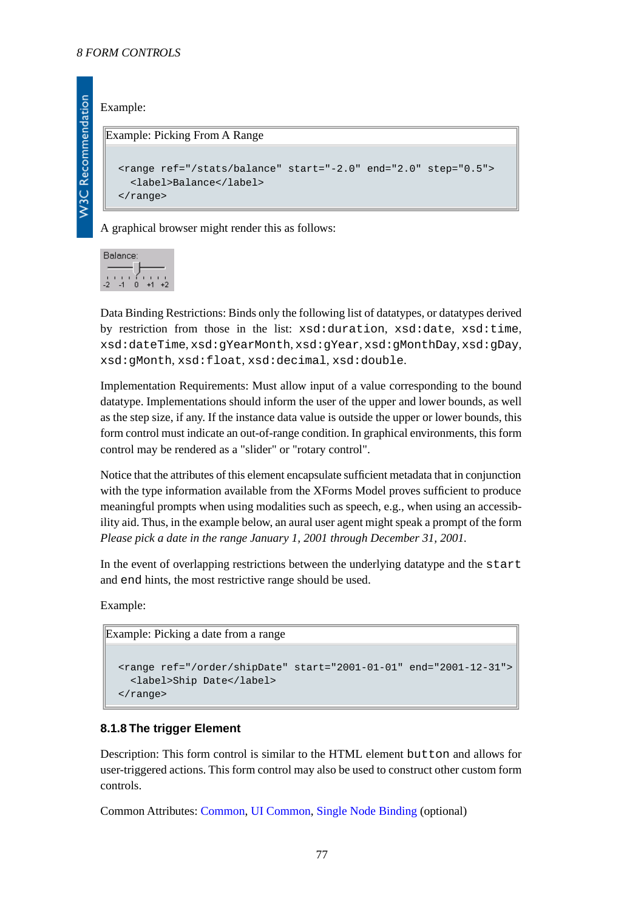#### Example:

#### Example: Picking From A Range

```
<range ref="/stats/balance" start="-2.0" end="2.0" step="0.5">
   <label>Balance</label>
</range>
```
A graphical browser might render this as follows:

Balance:  $\frac{1}{2}$   $\frac{1}{4}$   $\frac{1}{6}$   $\frac{1}{4}$ 

Data Binding Restrictions: Binds only the following list of datatypes, or datatypes derived by restriction from those in the list: xsd:duration, xsd:date, xsd:time, xsd:dateTime, xsd:gYearMonth, xsd:gYear, xsd:gMonthDay, xsd:gDay, xsd:gMonth, xsd:float, xsd:decimal, xsd:double.

Implementation Requirements: Must allow input of a value corresponding to the bound datatype. Implementations should inform the user of the upper and lower bounds, as well as the step size, if any. If the instance data value is outside the upper or lower bounds, this form control must indicate an out-of-range condition. In graphical environments, this form control may be rendered as a "slider" or "rotary control".

Notice that the attributes of this element encapsulate sufficient metadata that in conjunction with the type information available from the XForms Model proves sufficient to produce meaningful prompts when using modalities such as speech, e.g., when using an accessibility aid. Thus, in the example below, an aural user agent might speak a prompt of the form *Please pick a date in the range January 1, 2001 through December 31, 2001.*

In the event of overlapping restrictions between the underlying datatype and the start and end hints, the most restrictive range should be used.

Example:

```
Example: Picking a date from a range
```

```
<range ref="/order/shipDate" start="2001-01-01" end="2001-12-31">
   <label>Ship Date</label>
</range>
```
#### **8.1.8 The trigger Element**

Description: This form control is similar to the HTML element button and allows for user-triggered actions. This form control may also be used to construct other custom form controls.

Common Attributes: [Common](#page-17-0), [UI Common](#page-66-0), [Single Node Binding](#page-17-1) (optional)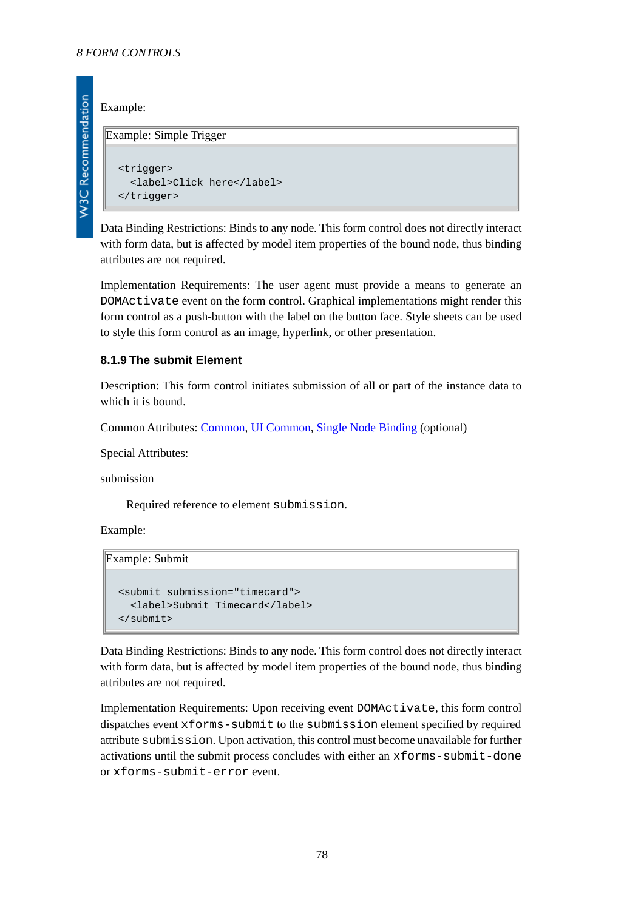#### Example:

**W3C Recommendation** 

#### Example: Simple Trigger

```
<trigger>
   <label>Click here</label>
</trigger>
```
Data Binding Restrictions: Binds to any node. This form control does not directly interact with form data, but is affected by model item properties of the bound node, thus binding attributes are not required.

Implementation Requirements: The user agent must provide a means to generate an DOMActivate event on the form control. Graphical implementations might render this form control as a push-button with the label on the button face. Style sheets can be used to style this form control as an image, hyperlink, or other presentation.

# **8.1.9 The submit Element**

Description: This form control initiates submission of all or part of the instance data to which it is bound.

Common Attributes: [Common](#page-17-0), [UI Common](#page-66-0), [Single Node Binding](#page-17-1) (optional)

Special Attributes:

submission

Required reference to element submission.

Example:

Example: Submit

```
<submit submission="timecard">
   <label>Submit Timecard</label>
</submit>
```
Data Binding Restrictions: Binds to any node. This form control does not directly interact with form data, but is affected by model item properties of the bound node, thus binding attributes are not required.

Implementation Requirements: Upon receiving event DOMActivate, this form control dispatches event xforms-submit to the submission element specified by required attribute submission. Upon activation, this control must become unavailable for further activations until the submit process concludes with either an xforms-submit-done or xforms-submit-error event.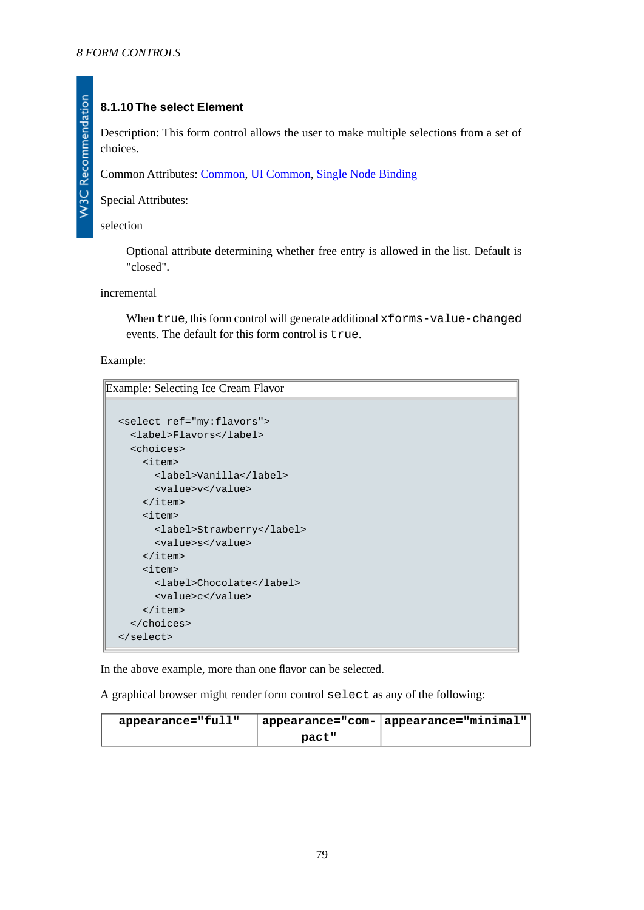# **8.1.10 The select Element**

Description: This form control allows the user to make multiple selections from a set of choices.

Common Attributes: [Common](#page-17-0), [UI Common](#page-66-0), [Single Node Binding](#page-17-1)

Special Attributes:

selection

Optional attribute determining whether free entry is allowed in the list. Default is "closed".

incremental

When true, this form control will generate additional xforms-value-changed events. The default for this form control is true.

Example:

Example: Selecting Ice Cream Flavor

```
<select ref="my:flavors">
  <label>Flavors</label>
   <choices>
     <item>
       <label>Vanilla</label>
       <value>v</value>
     </item>
     <item>
       <label>Strawberry</label>
       <value>s</value>
     </item>
     <item>
       <label>Chocolate</label>
       <value>c</value>
     </item>
   </choices>
</select>
```
In the above example, more than one flavor can be selected.

A graphical browser might render form control select as any of the following:

| appearance="full" |       | $\top$ appearance="com-   appearance="minimal", |
|-------------------|-------|-------------------------------------------------|
|                   | pact" |                                                 |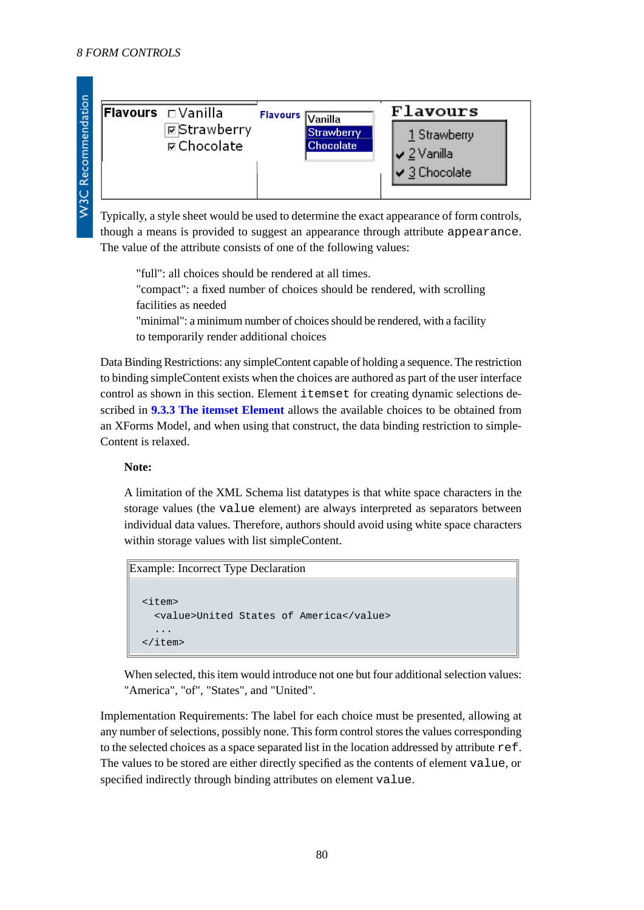| <b> Flavours</b> □ Vanilla<br><b>E</b> Strawberry<br><b>ø</b> Chocolate | <b>Flavours</b> $\overline{\mathsf{V}\mathsf{an}}$ illa<br>Strawherrv<br><b>Chocolate</b> | <b>Flavours</b><br>1 Strawberry<br>$\sqrt{2}$ Vanilla<br>$\vee$ 3 Chocolate |  |
|-------------------------------------------------------------------------|-------------------------------------------------------------------------------------------|-----------------------------------------------------------------------------|--|
|-------------------------------------------------------------------------|-------------------------------------------------------------------------------------------|-----------------------------------------------------------------------------|--|

Typically, a style sheet would be used to determine the exact appearance of form controls, though a means is provided to suggest an appearance through attribute appearance. The value of the attribute consists of one of the following values:

"full": all choices should be rendered at all times. "compact": a fixed number of choices should be rendered, with scrolling facilities as needed "minimal": a minimum number of choices should be rendered, with a facility

to temporarily render additional choices

Data Binding Restrictions: any simpleContent capable of holding a sequence. The restriction to binding simpleContent exists when the choices are authored as part of the user interface control as shown in this section. Element itemset for creating dynamic selections described in **[9.3.3 The itemset Element](#page-92-0)** allows the available choices to be obtained from an XForms Model, and when using that construct, the data binding restriction to simple-Content is relaxed.

# **Note:**

A limitation of the XML Schema list datatypes is that white space characters in the storage values (the value element) are always interpreted as separators between individual data values. Therefore, authors should avoid using white space characters within storage values with list simpleContent.

```
Example: Incorrect Type Declaration
  \leq i+cm <value>United States of America</value>
      ...
  </item>
```
When selected, this item would introduce not one but four additional selection values: "America", "of", "States", and "United".

Implementation Requirements: The label for each choice must be presented, allowing at any number of selections, possibly none. This form control stores the values corresponding to the selected choices as a space separated list in the location addressed by attribute ref. The values to be stored are either directly specified as the contents of element value, or specified indirectly through binding attributes on element value.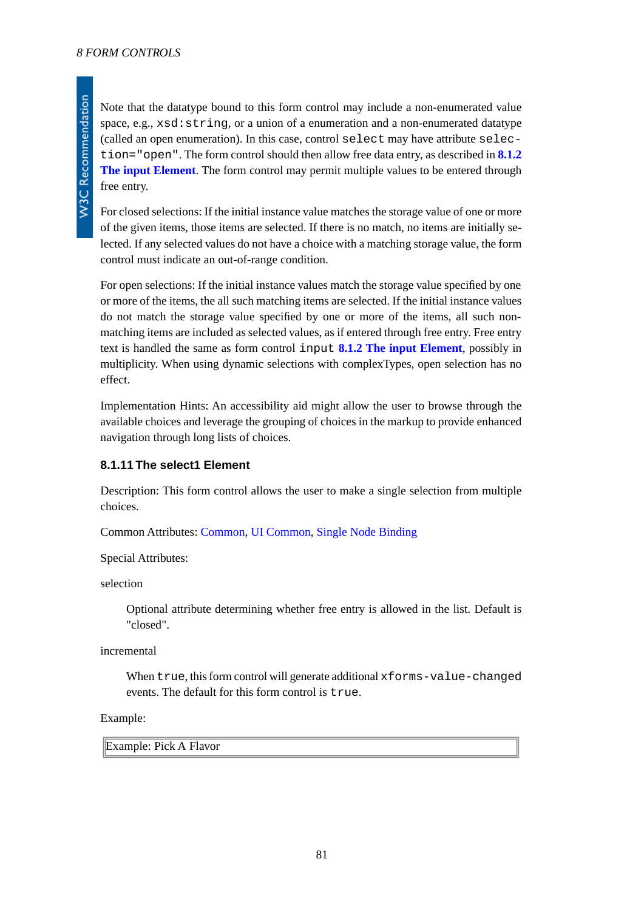Note that the datatype bound to this form control may include a non-enumerated value space, e.g., xsd:string, or a union of a enumeration and a non-enumerated datatype (called an open enumeration). In this case, control select may have attribute selection="open". The form control should then allow free data entry, as described in **[8.1.2](#page-69-0) [The input Element](#page-69-0)**. The form control may permit multiple values to be entered through free entry.

For closed selections: If the initial instance value matches the storage value of one or more of the given items, those items are selected. If there is no match, no items are initially selected. If any selected values do not have a choice with a matching storage value, the form control must indicate an out-of-range condition.

For open selections: If the initial instance values match the storage value specified by one or more of the items, the all such matching items are selected. If the initial instance values do not match the storage value specified by one or more of the items, all such nonmatching items are included as selected values, as if entered through free entry. Free entry text is handled the same as form control input **[8.1.2 The input Element](#page-69-0)**, possibly in multiplicity. When using dynamic selections with complexTypes, open selection has no effect.

Implementation Hints: An accessibility aid might allow the user to browse through the available choices and leverage the grouping of choices in the markup to provide enhanced navigation through long lists of choices.

# **8.1.11 The select1 Element**

Description: This form control allows the user to make a single selection from multiple choices.

Common Attributes: [Common](#page-17-0), [UI Common](#page-66-0), [Single Node Binding](#page-17-1)

Special Attributes:

selection

Optional attribute determining whether free entry is allowed in the list. Default is "closed".

incremental

When true, this form control will generate additional xforms-value-changed events. The default for this form control is true.

#### Example:

Example: Pick A Flavor

**W3C Recommendation**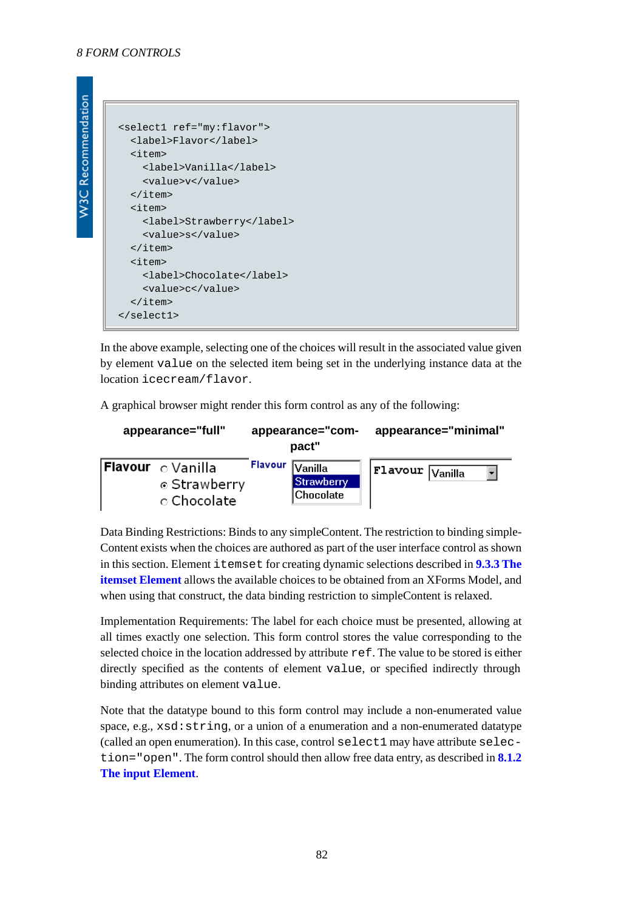**W3C Recommendation** 

```
<select1 ref="my:flavor">
   <label>Flavor</label>
   <item>
     <label>Vanilla</label>
     <value>v</value>
   </item>
   <item>
     <label>Strawberry</label>
     <value>s</value>
   </item>
   <item>
     <label>Chocolate</label>
     <value>c</value>
   </item>
</select1>
```
In the above example, selecting one of the choices will result in the associated value given by element value on the selected item being set in the underlying instance data at the location icecream/flavor.

A graphical browser might render this form control as any of the following:

| appearance="full"                                             |         | appearance="com-<br>pact"                  | appearance="minimal"           |
|---------------------------------------------------------------|---------|--------------------------------------------|--------------------------------|
| <b>Flavour</b> $\circ$ Vanilla<br>⊙ Strawberry<br>⊙ Chocolate | Flavour | Vanilla<br><b>Strawberry</b><br> Chocolate | $ $ Flavour $ V_{\rm anilla} $ |

Data Binding Restrictions: Binds to any simpleContent. The restriction to binding simple-Content exists when the choices are authored as part of the user interface control as shown in this section. Element itemset for creating dynamic selections described in **[9.3.3 The](#page-92-0) [itemset Element](#page-92-0)** allows the available choices to be obtained from an XForms Model, and when using that construct, the data binding restriction to simpleContent is relaxed.

Implementation Requirements: The label for each choice must be presented, allowing at all times exactly one selection. This form control stores the value corresponding to the selected choice in the location addressed by attribute ref. The value to be stored is either directly specified as the contents of element value, or specified indirectly through binding attributes on element value.

Note that the datatype bound to this form control may include a non-enumerated value space, e.g.,  $xsd:string$ , or a union of a enumeration and a non-enumerated datatype (called an open enumeration). In this case, control select1 may have attribute selection="open". The form control should then allow free data entry, as described in **[8.1.2](#page-69-0) [The input Element](#page-69-0)**.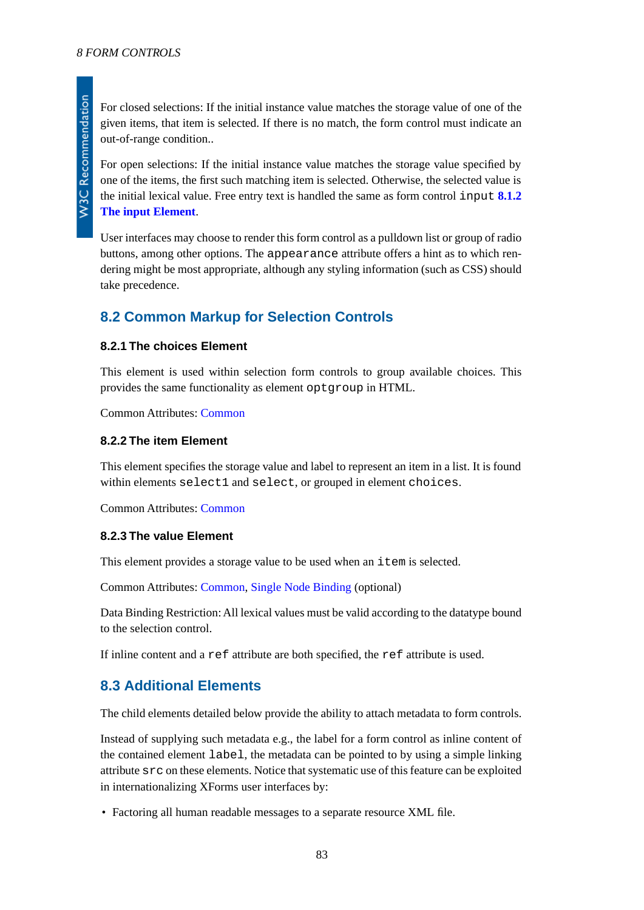**W3C Recommendation** 

For closed selections: If the initial instance value matches the storage value of one of the given items, that item is selected. If there is no match, the form control must indicate an out-of-range condition..

For open selections: If the initial instance value matches the storage value specified by one of the items, the first such matching item is selected. Otherwise, the selected value is the initial lexical value. Free entry text is handled the same as form control input **[8.1.2](#page-69-0) [The input Element](#page-69-0)**.

User interfaces may choose to render this form control as a pulldown list or group of radio buttons, among other options. The appearance attribute offers a hint as to which rendering might be most appropriate, although any styling information (such as CSS) should take precedence.

# **8.2 Common Markup for Selection Controls**

#### **8.2.1 The choices Element**

This element is used within selection form controls to group available choices. This provides the same functionality as element optgroup in HTML.

Common Attributes: [Common](#page-17-0)

#### **8.2.2 The item Element**

<span id="page-82-0"></span>This element specifies the storage value and label to represent an item in a list. It is found within elements select1 and select, or grouped in element choices.

Common Attributes: [Common](#page-17-0)

#### **8.2.3 The value Element**

This element provides a storage value to be used when an item is selected.

Common Attributes: [Common](#page-17-0), [Single Node Binding](#page-17-1) (optional)

Data Binding Restriction: All lexical values must be valid according to the datatype bound to the selection control.

If inline content and a ref attribute are both specified, the ref attribute is used.

# **8.3 Additional Elements**

The child elements detailed below provide the ability to attach metadata to form controls.

Instead of supplying such metadata e.g., the label for a form control as inline content of the contained element label, the metadata can be pointed to by using a simple linking attribute src on these elements. Notice that systematic use of this feature can be exploited in internationalizing XForms user interfaces by:

• Factoring all human readable messages to a separate resource XML file.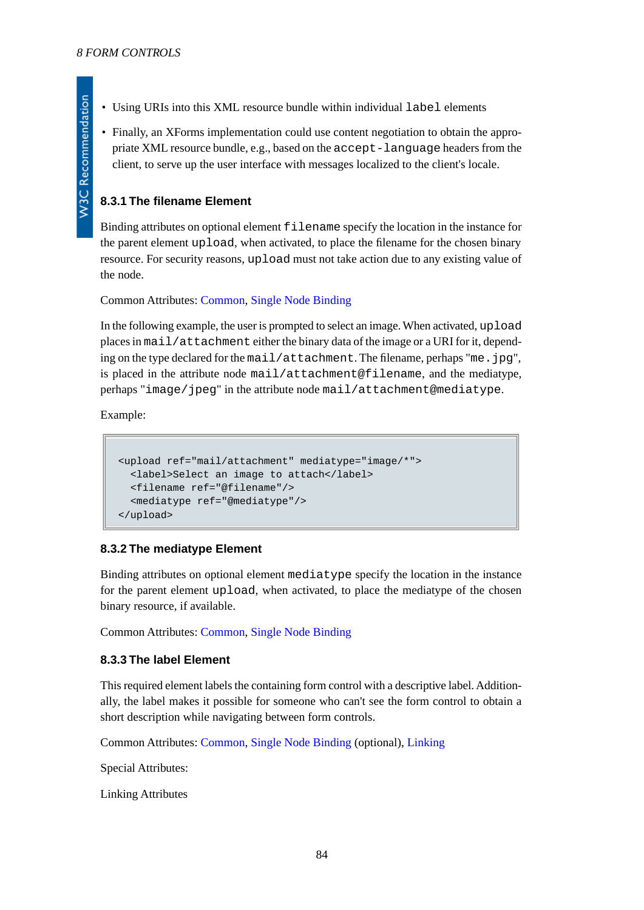- Using URIs into this XML resource bundle within individual label elements
- Finally, an XForms implementation could use content negotiation to obtain the appropriate XML resource bundle, e.g., based on the accept-language headers from the client, to serve up the user interface with messages localized to the client's locale.

# <span id="page-83-0"></span>**8.3.1 The filename Element**

Binding attributes on optional element filename specify the location in the instance for the parent element upload, when activated, to place the filename for the chosen binary resource. For security reasons, upload must not take action due to any existing value of the node.

Common Attributes: [Common](#page-17-0), [Single Node Binding](#page-17-1)

In the following example, the user is prompted to select an image. When activated, upload places in mail/attachment either the binary data of the image or a URI for it, depending on the type declared for the mail/attachment. The filename, perhaps "me.jpg", is placed in the attribute node mail/attachment@filename, and the mediatype, perhaps "image/jpeg" in the attribute node mail/attachment@mediatype.

Example:

```
<upload ref="mail/attachment" mediatype="image/*">
   <label>Select an image to attach</label>
   <filename ref="@filename"/>
   <mediatype ref="@mediatype"/>
</upload>
```
#### **8.3.2 The mediatype Element**

Binding attributes on optional element mediatype specify the location in the instance for the parent element upload, when activated, to place the mediatype of the chosen binary resource, if available.

Common Attributes: [Common](#page-17-0), [Single Node Binding](#page-17-1)

#### **8.3.3 The label Element**

This required element labels the containing form control with a descriptive label. Additionally, the label makes it possible for someone who can't see the form control to obtain a short description while navigating between form controls.

Common Attributes: [Common](#page-17-0), [Single Node Binding](#page-17-1) (optional), [Linking](#page-17-2)

Special Attributes:

Linking Attributes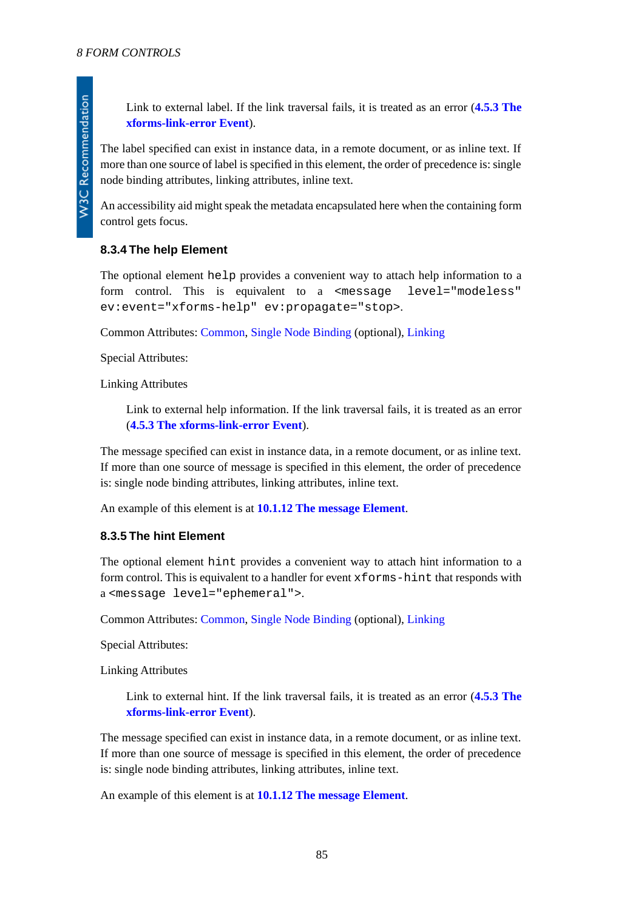Link to external label. If the link traversal fails, it is treated as an error (**[4.5.3 The](#page-41-0) [xforms-link-error Event](#page-41-0)**).

The label specified can exist in instance data, in a remote document, or as inline text. If more than one source of label is specified in this element, the order of precedence is: single node binding attributes, linking attributes, inline text.

An accessibility aid might speak the metadata encapsulated here when the containing form control gets focus.

# **8.3.4 The help Element**

The optional element help provides a convenient way to attach help information to a form control. This is equivalent to a <message level="modeless" ev:event="xforms-help" ev:propagate="stop>.

Common Attributes: [Common](#page-17-0), [Single Node Binding](#page-17-1) (optional), [Linking](#page-17-2)

Special Attributes:

Linking Attributes

Link to external help information. If the link traversal fails, it is treated as an error (**[4.5.3 The xforms-link-error Event](#page-41-0)**).

The message specified can exist in instance data, in a remote document, or as inline text. If more than one source of message is specified in this element, the order of precedence is: single node binding attributes, linking attributes, inline text.

An example of this element is at **[10.1.12 The message Element](#page-107-0)**.

#### **8.3.5 The hint Element**

The optional element hint provides a convenient way to attach hint information to a form control. This is equivalent to a handler for event  $x$  forms-hint that responds with a <message level="ephemeral">.

Common Attributes: [Common](#page-17-0), [Single Node Binding](#page-17-1) (optional), [Linking](#page-17-2)

Special Attributes:

Linking Attributes

Link to external hint. If the link traversal fails, it is treated as an error (**[4.5.3 The](#page-41-0) [xforms-link-error Event](#page-41-0)**).

The message specified can exist in instance data, in a remote document, or as inline text. If more than one source of message is specified in this element, the order of precedence is: single node binding attributes, linking attributes, inline text.

An example of this element is at **[10.1.12 The message Element](#page-107-0)**.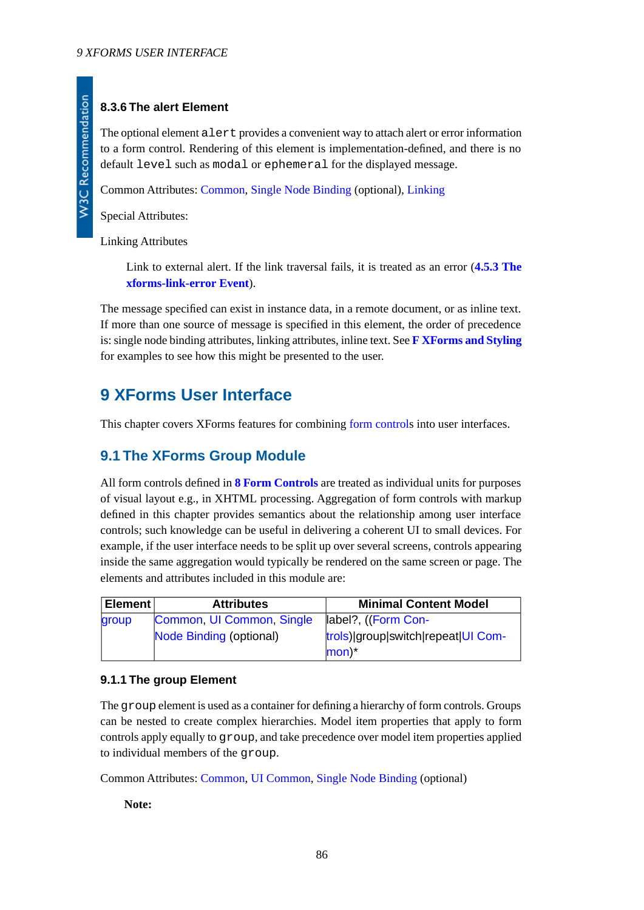# **8.3.6 The alert Element**

The optional element alert provides a convenient way to attach alert or error information to a form control. Rendering of this element is implementation-defined, and there is no default level such as modal or ephemeral for the displayed message.

Common Attributes: [Common](#page-17-0), [Single Node Binding](#page-17-1) (optional), [Linking](#page-17-2)

Special Attributes:

Linking Attributes

Link to external alert. If the link traversal fails, it is treated as an error (**[4.5.3 The](#page-41-0) [xforms-link-error Event](#page-41-0)**).

The message specified can exist in instance data, in a remote document, or as inline text. If more than one source of message is specified in this element, the order of precedence is: single node binding attributes, linking attributes, inline text. See **[F XForms and Styling](#page-132-0)** for examples to see how this might be presented to the user.

# **9 XForms User Interface**

This chapter covers XForms features for combining [form control](#page-119-0)s into user interfaces.

# **9.1 The XForms Group Module**

All form controls defined in **[8 Form Controls](#page-65-0)** are treated as individual units for purposes of visual layout e.g., in XHTML processing. Aggregation of form controls with markup defined in this chapter provides semantics about the relationship among user interface controls; such knowledge can be useful in delivering a coherent UI to small devices. For example, if the user interface needs to be split up over several screens, controls appearing inside the same aggregation would typically be rendered on the same screen or page. The elements and attributes included in this module are:

<span id="page-85-0"></span>

| Element | <b>Attributes</b>         | <b>Minimal Content Model</b>                              |
|---------|---------------------------|-----------------------------------------------------------|
| group   | Common, UI Common, Single | label?, ((Form Con-                                       |
|         | Node Binding (optional)   | trols) group switch repeat UI Com-<br>$ mon$ <sup>*</sup> |

# **9.1.1 The group Element**

The group element is used as a container for defining a hierarchy of form controls. Groups can be nested to create complex hierarchies. Model item properties that apply to form controls apply equally to group, and take precedence over model item properties applied to individual members of the group.

Common Attributes: [Common](#page-17-0), [UI Common](#page-66-0), [Single Node Binding](#page-17-1) (optional)

**Note:**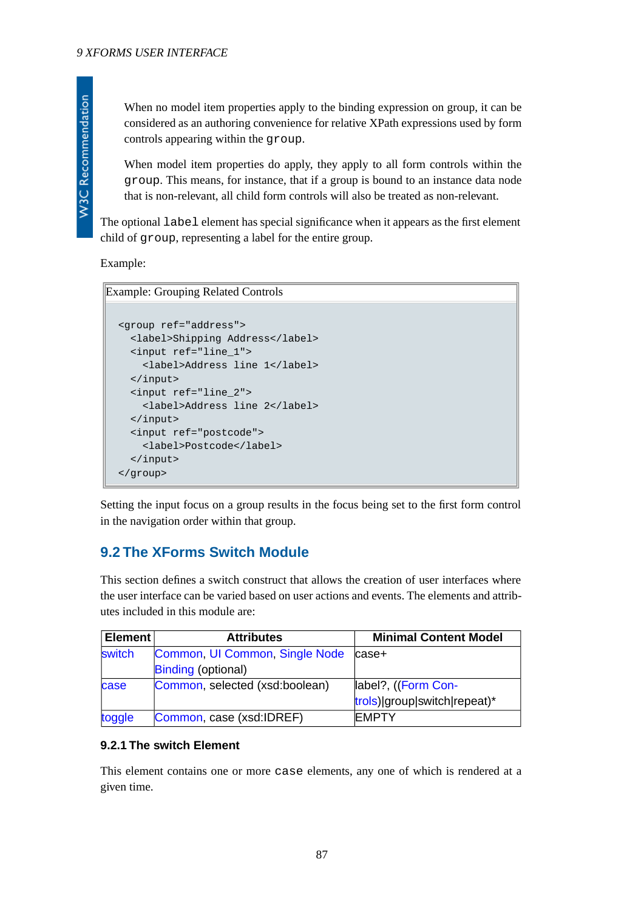When no model item properties apply to the binding expression on group, it can be considered as an authoring convenience for relative XPath expressions used by form controls appearing within the group.

When model item properties do apply, they apply to all form controls within the group. This means, for instance, that if a group is bound to an instance data node that is non-relevant, all child form controls will also be treated as non-relevant.

The optional label element has special significance when it appears as the first element child of group, representing a label for the entire group.

Example:

Example: Grouping Related Controls

```
<group ref="address">
   <label>Shipping Address</label>
   <input ref="line_1">
     <label>Address line 1</label>
   </input>
   <input ref="line_2">
     <label>Address line 2</label>
   </input>
   <input ref="postcode">
     <label>Postcode</label>
   </input>
</group>
```
Setting the input focus on a group results in the focus being set to the first form control in the navigation order within that group.

# **9.2 The XForms Switch Module**

This section defines a switch construct that allows the creation of user interfaces where the user interface can be varied based on user actions and events. The elements and attributes included in this module are:

<span id="page-86-0"></span>

| <b>Element</b> | <b>Attributes</b>              | <b>Minimal Content Model</b> |
|----------------|--------------------------------|------------------------------|
| switch         | Common, UI Common, Single Node | case+                        |
|                | <b>Binding (optional)</b>      |                              |
| case           | Common, selected (xsd:boolean) | label?, ((Form Con-          |
|                |                                | trols) group switch repeat)* |
| toggle         | Common, case (xsd:IDREF)       | <b>IEMPTY</b>                |

# **9.2.1 The switch Element**

This element contains one or more case elements, any one of which is rendered at a given time.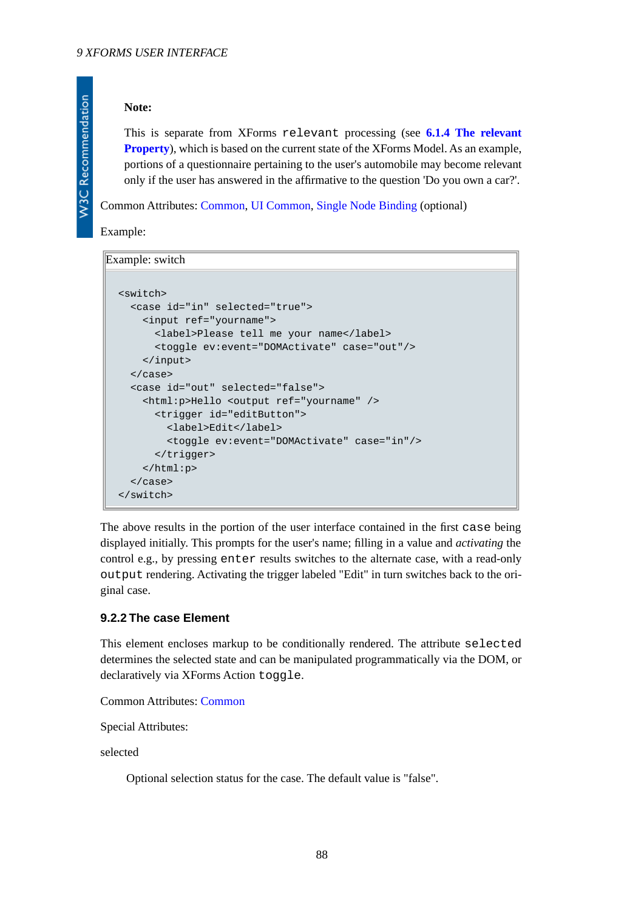#### **Note:**

This is separate from XForms relevant processing (see **[6.1.4 The relevant](#page-49-0) [Property](#page-49-0)**), which is based on the current state of the XForms Model. As an example, portions of a questionnaire pertaining to the user's automobile may become relevant only if the user has answered in the affirmative to the question 'Do you own a car?'.

Common Attributes: [Common](#page-17-0), [UI Common](#page-66-0), [Single Node Binding](#page-17-1) (optional)

Example:

**W3C Recommendation** 

#### Example: switch

```
<switch>
   <case id="in" selected="true">
     <input ref="yourname">
       <label>Please tell me your name</label>
       <toggle ev:event="DOMActivate" case="out"/>
     </input>
   </case>
   <case id="out" selected="false">
     <html:p>Hello <output ref="yourname" />
       <trigger id="editButton">
         <label>Edit</label>
         <toggle ev:event="DOMActivate" case="in"/>
       </trigger>
     </html:p>
   </case>
</switch>
```
<span id="page-87-0"></span>The above results in the portion of the user interface contained in the first case being displayed initially. This prompts for the user's name; filling in a value and *activating* the control e.g., by pressing enter results switches to the alternate case, with a read-only output rendering. Activating the trigger labeled "Edit" in turn switches back to the original case.

# **9.2.2 The case Element**

This element encloses markup to be conditionally rendered. The attribute selected determines the selected state and can be manipulated programmatically via the DOM, or declaratively via XForms Action toggle.

Common Attributes: [Common](#page-17-0)

Special Attributes:

selected

Optional selection status for the case. The default value is "false".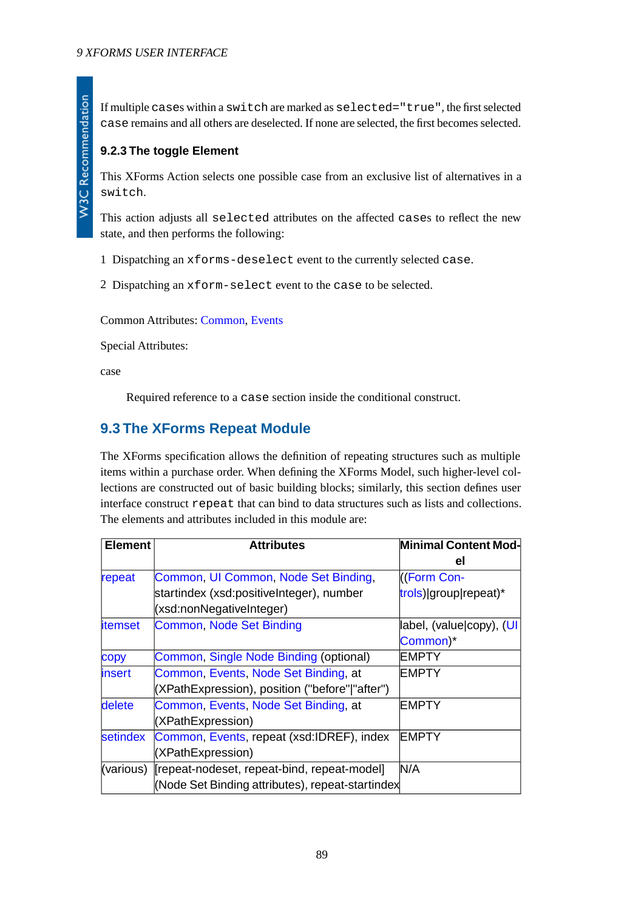If multiple cases within a switch are marked as selected="true", the first selected case remains and all others are deselected. If none are selected, the first becomes selected.

# <span id="page-88-0"></span>**9.2.3 The toggle Element**

This XForms Action selects one possible case from an exclusive list of alternatives in a switch.

This action adjusts all selected attributes on the affected cases to reflect the new state, and then performs the following:

- 1 Dispatching an xforms-deselect event to the currently selected case.
- 2 Dispatching an xform-select event to the case to be selected.

Common Attributes: [Common](#page-17-0), [Events](#page-100-0)

Special Attributes:

case

Required reference to a case section inside the conditional construct.

# **9.3 The XForms Repeat Module**

The XForms specification allows the definition of repeating structures such as multiple items within a purchase order. When defining the XForms Model, such higher-level collections are constructed out of basic building blocks; similarly, this section defines user interface construct repeat that can bind to data structures such as lists and collections. The elements and attributes included in this module are:

| <b>Element</b> | <b>Attributes</b>                                | Minimal Content Mod-     |  |
|----------------|--------------------------------------------------|--------------------------|--|
|                |                                                  | el                       |  |
| repeat         | Common, UI Common, Node Set Binding,             | ((Form Con-              |  |
|                | startindex (xsd:positiveInteger), number         | trols) group repeat)*    |  |
|                | (xsd:nonNegativeInteger)                         |                          |  |
| <i>itemset</i> | Common, Node Set Binding                         | label, (value copy), (UI |  |
|                |                                                  | Common)*                 |  |
| copy           | Common, Single Node Binding (optional)           | IEMPTY                   |  |
| insert         | Common, Events, Node Set Binding, at             | <b>IEMPTY</b>            |  |
|                | (XPathExpression), position ("before" "after")   |                          |  |
| delete         | Common, Events, Node Set Binding, at             | IEMPTY                   |  |
|                | (XPathExpression)                                |                          |  |
| setindex       | Common, Events, repeat (xsd:IDREF), index        | <b>EMPTY</b>             |  |
|                | (XPathExpression)                                |                          |  |
| (various)      | [repeat-nodeset, repeat-bind, repeat-model]      | N/A                      |  |
|                | (Node Set Binding attributes), repeat-startindex |                          |  |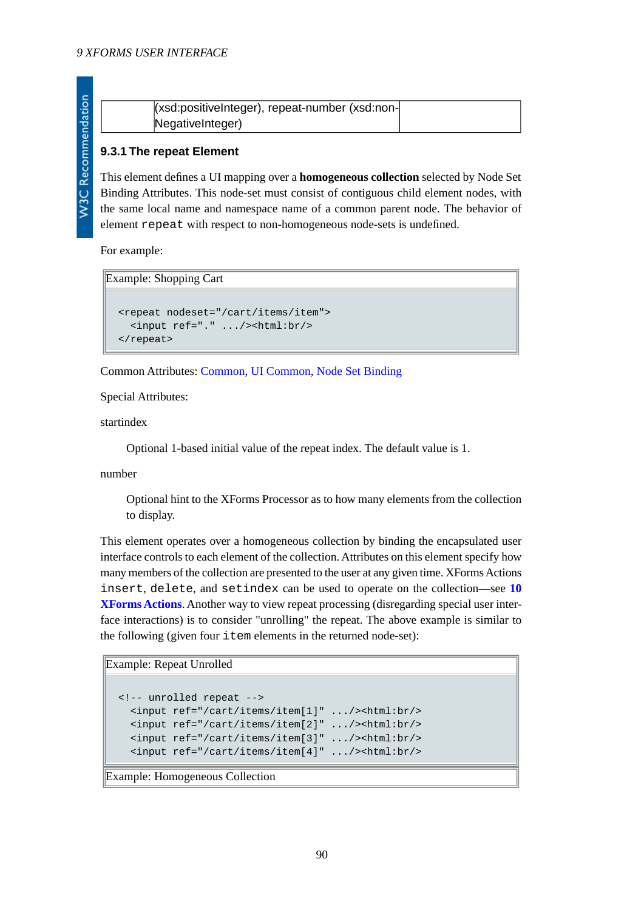| (xsd:positiveInteger), repeat-number (xsd:non- |  |
|------------------------------------------------|--|
| NegativeInteger)                               |  |

# <span id="page-89-1"></span><span id="page-89-0"></span>**9.3.1 The repeat Element**

This element defines a UI mapping over a **homogeneous collection** selected by Node Set Binding Attributes. This node-set must consist of contiguous child element nodes, with the same local name and namespace name of a common parent node. The behavior of element repeat with respect to non-homogeneous node-sets is undefined.

For example:

Example: Shopping Cart

```
<repeat nodeset="/cart/items/item">
  <input ref="." .../><html:br/>
</repeat>
```
Common Attributes: [Common](#page-17-0), [UI Common](#page-66-0), [Node Set Binding](#page-18-0)

Special Attributes:

startindex

Optional 1-based initial value of the repeat index. The default value is 1.

number

Optional hint to the XForms Processor as to how many elements from the collection to display.

This element operates over a homogeneous collection by binding the encapsulated user interface controls to each element of the collection. Attributes on this element specify how many members of the collection are presented to the user at any given time. XForms Actions insert, delete, and setindex can be used to operate on the collection—see **[10](#page-99-0) [XForms Actions](#page-99-0)**. Another way to view repeat processing (disregarding special user interface interactions) is to consider "unrolling" the repeat. The above example is similar to the following (given four item elements in the returned node-set):

```
Example: Repeat Unrolled
```

```
<!-- unrolled repeat -->
   <input ref="/cart/items/item[1]" .../><html:br/>
   <input ref="/cart/items/item[2]" .../><html:br/>
   <input ref="/cart/items/item[3]" .../><html:br/>
   <input ref="/cart/items/item[4]" .../><html:br/>
```
Example: Homogeneous Collection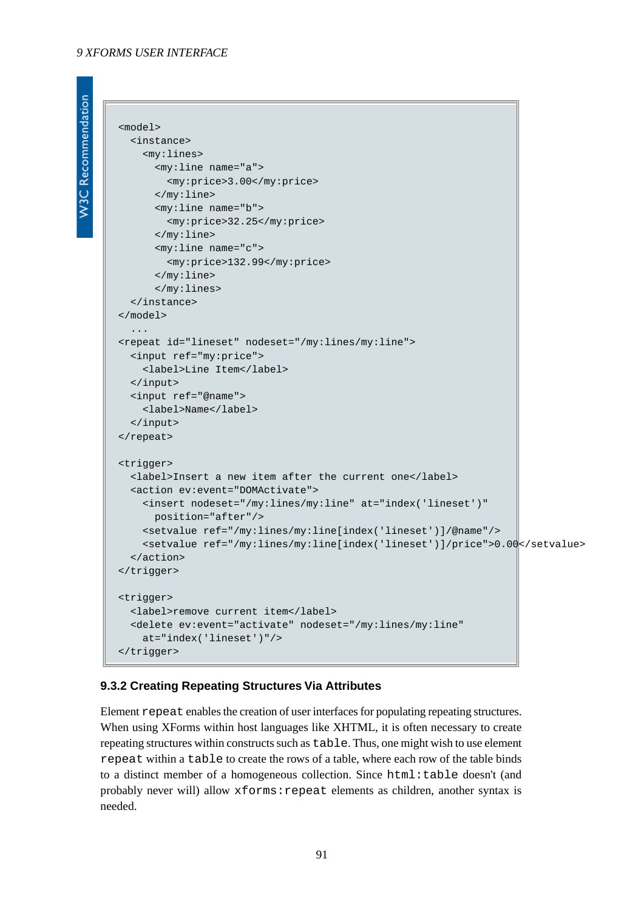#### *9 XFORMS USER INTERFACE*

```
W3C Recommendation
```

```
<model>
  <instance>
    <my:lines>
       <my:line name="a">
         <my:price>3.00</my:price>
       </my:line>
       <my:line name="b">
         <my:price>32.25</my:price>
       </my:line>
       <my:line name="c">
         <my:price>132.99</my:price>
       </my:line>
       </my:lines>
   </instance>
</model>
   ...
<repeat id="lineset" nodeset="/my:lines/my:line">
  <input ref="my:price">
     <label>Line Item</label>
  </input>
  <input ref="@name">
     <label>Name</label>
   </input>
</repeat>
<trigger>
  <label>Insert a new item after the current one</label>
   <action ev:event="DOMActivate">
     <insert nodeset="/my:lines/my:line" at="index('lineset')"
      position="after"/>
     <setvalue ref="/my:lines/my:line[index('lineset')]/@name"/>
     <setvalue ref="/my:lines/my:line[index('lineset')]/price">0.00</setvalue>
   </action> 
</trigger>
<trigger>
  <label>remove current item</label>
   <delete ev:event="activate" nodeset="/my:lines/my:line"
    at="index('lineset')"/>
</trigger>
```
#### **9.3.2 Creating Repeating Structures Via Attributes**

Element repeat enables the creation of user interfaces for populating repeating structures. When using XForms within host languages like XHTML, it is often necessary to create repeating structures within constructs such as table. Thus, one might wish to use element repeat within a table to create the rows of a table, where each row of the table binds to a distinct member of a homogeneous collection. Since html:table doesn't (and probably never will) allow xforms:repeat elements as children, another syntax is needed.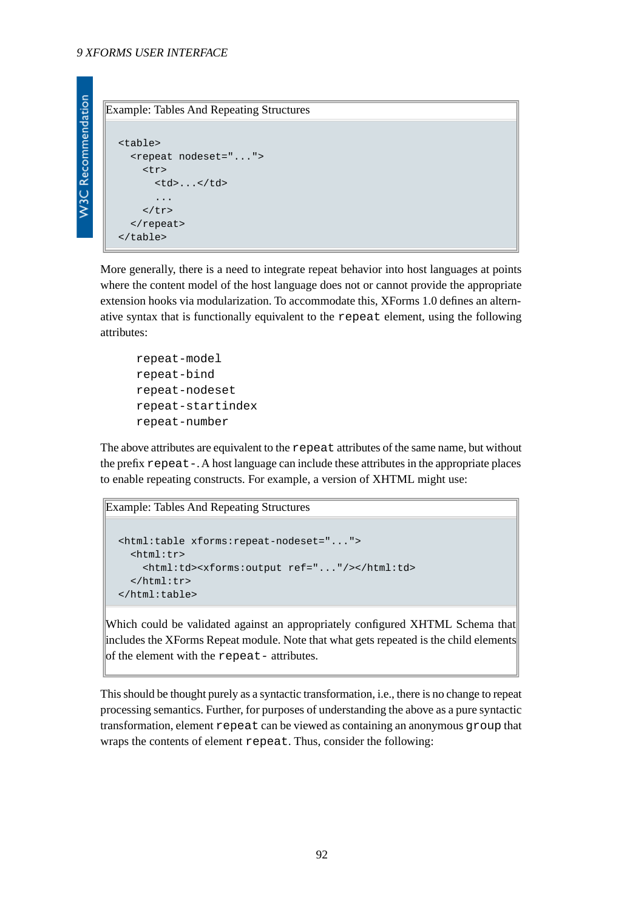**W3C Recommendation** 

Example: Tables And Repeating Structures

```
<table>
   <repeat nodeset="...">
     <tr>
        <td>...</td>
        ...
    \langle/tr>
   </repeat>
</table>
```
More generally, there is a need to integrate repeat behavior into host languages at points where the content model of the host language does not or cannot provide the appropriate extension hooks via modularization. To accommodate this, XForms 1.0 defines an alternative syntax that is functionally equivalent to the repeat element, using the following attributes:

```
repeat-model
repeat-bind
repeat-nodeset
repeat-startindex
repeat-number
```
The above attributes are equivalent to the repeat attributes of the same name, but without the prefix repeat-. A host language can include these attributes in the appropriate places to enable repeating constructs. For example, a version of XHTML might use:

```
Example: Tables And Repeating Structures
```

```
<html:table xforms:repeat-nodeset="...">
   <html:tr>
     <html:td><xforms:output ref="..."/></html:td>
   </html:tr>
</html:table>
```
Which could be validated against an appropriately configured XHTML Schema that includes the XForms Repeat module. Note that what gets repeated is the child elements of the element with the repeat- attributes.

This should be thought purely as a syntactic transformation, i.e., there is no change to repeat processing semantics. Further, for purposes of understanding the above as a pure syntactic transformation, element repeat can be viewed as containing an anonymous group that wraps the contents of element repeat. Thus, consider the following: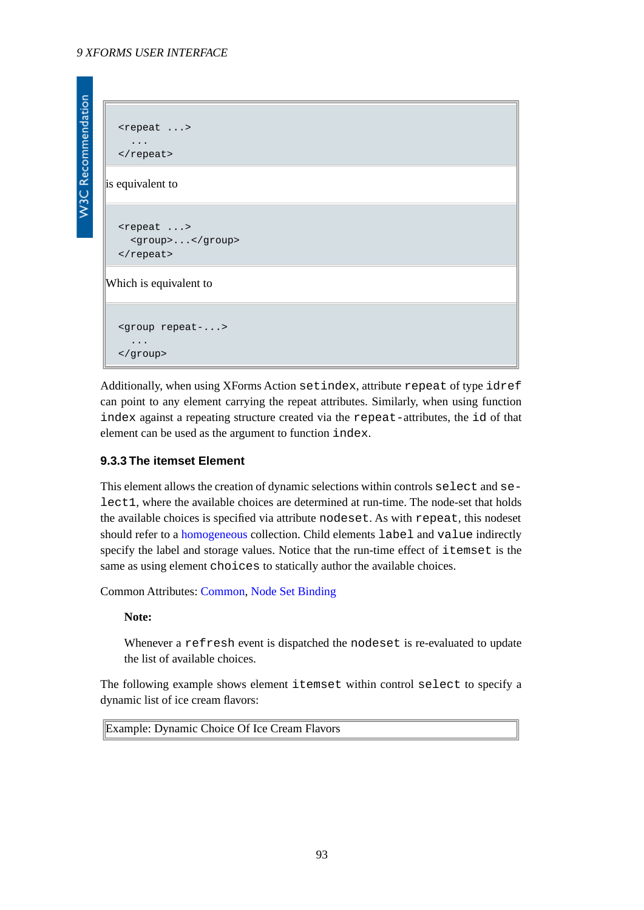<span id="page-92-0"></span>Additionally, when using XForms Action setindex, attribute repeat of type idref can point to any element carrying the repeat attributes. Similarly, when using function index against a repeating structure created via the repeat-attributes, the id of that element can be used as the argument to function index.

# **9.3.3 The itemset Element**

This element allows the creation of dynamic selections within controls select and select1, where the available choices are determined at run-time. The node-set that holds the available choices is specified via attribute nodeset. As with repeat, this nodeset should refer to a [homogeneous](#page-89-1) collection. Child elements label and value indirectly specify the label and storage values. Notice that the run-time effect of itemset is the same as using element choices to statically author the available choices.

Common Attributes: [Common](#page-17-0), [Node Set Binding](#page-18-0)

# **Note:**

Whenever a refresh event is dispatched the nodeset is re-evaluated to update the list of available choices.

The following example shows element itemset within control select to specify a dynamic list of ice cream flavors:

Example: Dynamic Choice Of Ice Cream Flavors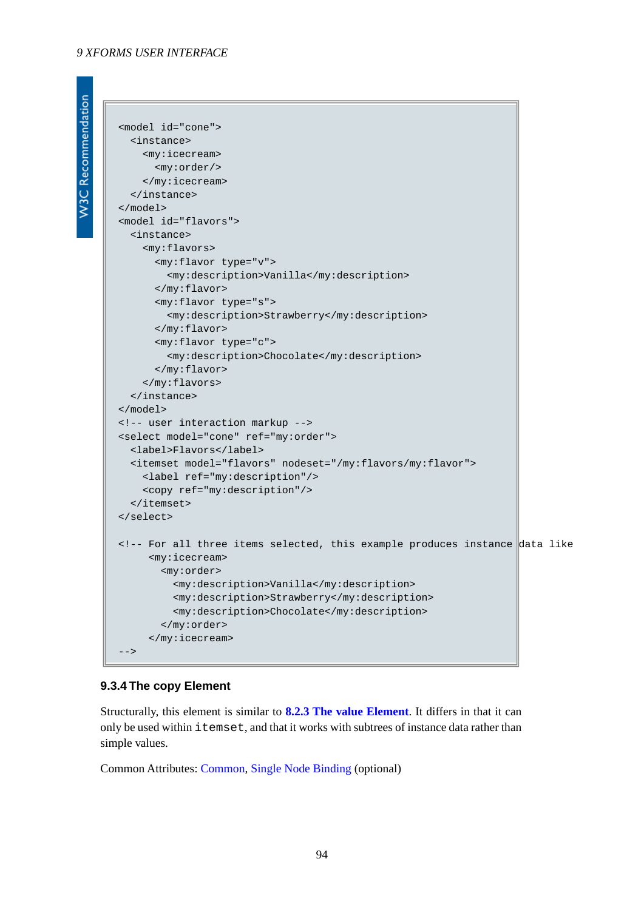#### *9 XFORMS USER INTERFACE*

**W3C Recommendation** 

```
<model id="cone">
  <instance>
    <my:icecream>
      <my:order/>
     </my:icecream>
   </instance>
</model>
<model id="flavors">
   <instance>
     <my:flavors>
       <my:flavor type="v">
         <my:description>Vanilla</my:description>
       </my:flavor>
       <my:flavor type="s">
         <my:description>Strawberry</my:description>
       </my:flavor>
       <my:flavor type="c">
         <my:description>Chocolate</my:description>
       </my:flavor>
     </my:flavors>
   </instance>
</model>
<!-- user interaction markup -->
<select model="cone" ref="my:order">
  <label>Flavors</label>
  <itemset model="flavors" nodeset="/my:flavors/my:flavor">
     <label ref="my:description"/>
     <copy ref="my:description"/>
   </itemset>
</select>
<!-- For all three items selected, this example produces instance data like
      <my:icecream>
        <my:order>
          <my:description>Vanilla</my:description>
          <my:description>Strawberry</my:description>
          <my:description>Chocolate</my:description> 
        </my:order>
      </my:icecream>
--
```
# <span id="page-93-0"></span>**9.3.4 The copy Element**

Structurally, this element is similar to **[8.2.3 The value Element](#page-82-0)**. It differs in that it can only be used within itemset, and that it works with subtrees of instance data rather than simple values.

Common Attributes: [Common](#page-17-0), [Single Node Binding](#page-17-1) (optional)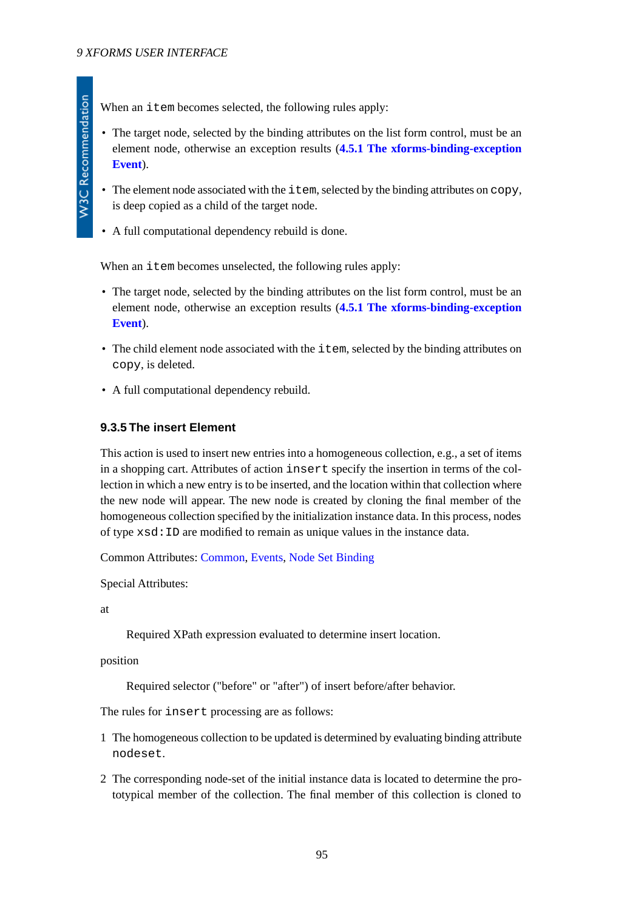When an item becomes selected, the following rules apply:

- The target node, selected by the binding attributes on the list form control, must be an element node, otherwise an exception results (**[4.5.1 The xforms-binding-exception](#page-40-0) [Event](#page-40-0)**).
- The element node associated with the item, selected by the binding attributes on copy, is deep copied as a child of the target node.
- A full computational dependency rebuild is done.

When an item becomes unselected, the following rules apply:

- The target node, selected by the binding attributes on the list form control, must be an element node, otherwise an exception results (**[4.5.1 The xforms-binding-exception](#page-40-0) [Event](#page-40-0)**).
- The child element node associated with the item, selected by the binding attributes on copy, is deleted.
- <span id="page-94-0"></span>• A full computational dependency rebuild.

# **9.3.5 The insert Element**

This action is used to insert new entries into a homogeneous collection, e.g., a set of items in a shopping cart. Attributes of action insert specify the insertion in terms of the collection in which a new entry is to be inserted, and the location within that collection where the new node will appear. The new node is created by cloning the final member of the homogeneous collection specified by the initialization instance data. In this process, nodes of type xsd:ID are modified to remain as unique values in the instance data.

Common Attributes: [Common](#page-17-0), [Events,](#page-100-0) [Node Set Binding](#page-18-0)

Special Attributes:

at

Required XPath expression evaluated to determine insert location.

position

Required selector ("before" or "after") of insert before/after behavior.

The rules for insert processing are as follows:

- 1 The homogeneous collection to be updated is determined by evaluating binding attribute nodeset.
- 2 The corresponding node-set of the initial instance data is located to determine the prototypical member of the collection. The final member of this collection is cloned to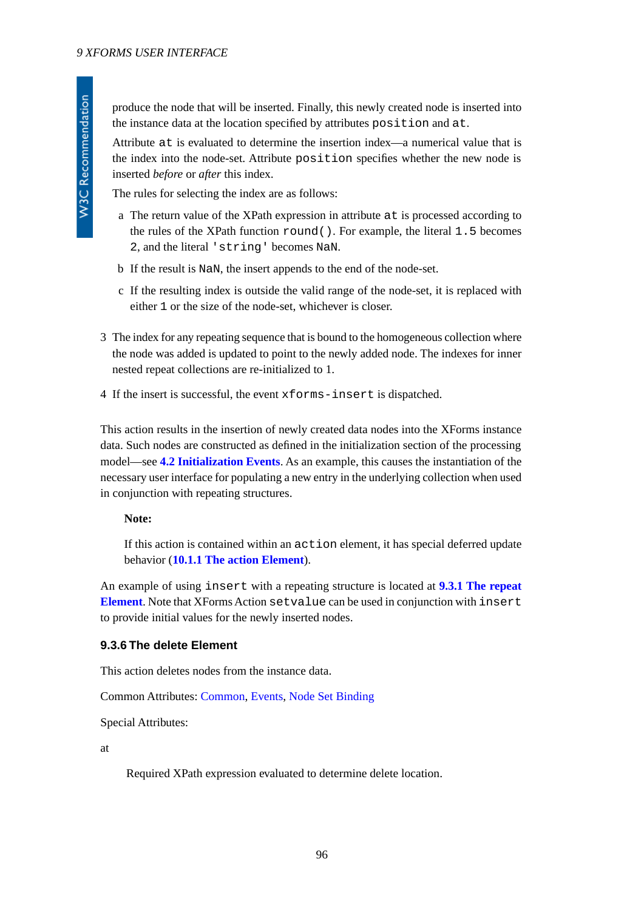produce the node that will be inserted. Finally, this newly created node is inserted into the instance data at the location specified by attributes position and at.

Attribute at is evaluated to determine the insertion index—a numerical value that is the index into the node-set. Attribute position specifies whether the new node is inserted *before* or *after* this index.

The rules for selecting the index are as follows:

- a The return value of the XPath expression in attribute at is processed according to the rules of the XPath function round(). For example, the literal 1.5 becomes 2, and the literal 'string' becomes NaN.
- b If the result is NaN, the insert appends to the end of the node-set.
- c If the resulting index is outside the valid range of the node-set, it is replaced with either 1 or the size of the node-set, whichever is closer.
- 3 The index for any repeating sequence that is bound to the homogeneous collection where the node was added is updated to point to the newly added node. The indexes for inner nested repeat collections are re-initialized to 1.
- 4 If the insert is successful, the event xforms-insert is dispatched.

This action results in the insertion of newly created data nodes into the XForms instance data. Such nodes are constructed as defined in the initialization section of the processing model—see **[4.2 Initialization Events](#page-27-0)**. As an example, this causes the instantiation of the necessary user interface for populating a new entry in the underlying collection when used in conjunction with repeating structures.

#### **Note:**

If this action is contained within an action element, it has special deferred update behavior (**[10.1.1 The action Element](#page-100-1)**).

<span id="page-95-0"></span>An example of using insert with a repeating structure is located at **[9.3.1 The repeat](#page-89-0) [Element](#page-89-0)**. Note that XForms Action setvalue can be used in conjunction with insert to provide initial values for the newly inserted nodes.

# **9.3.6 The delete Element**

This action deletes nodes from the instance data.

Common Attributes: [Common](#page-17-0), [Events,](#page-100-0) [Node Set Binding](#page-18-0)

Special Attributes:

at

Required XPath expression evaluated to determine delete location.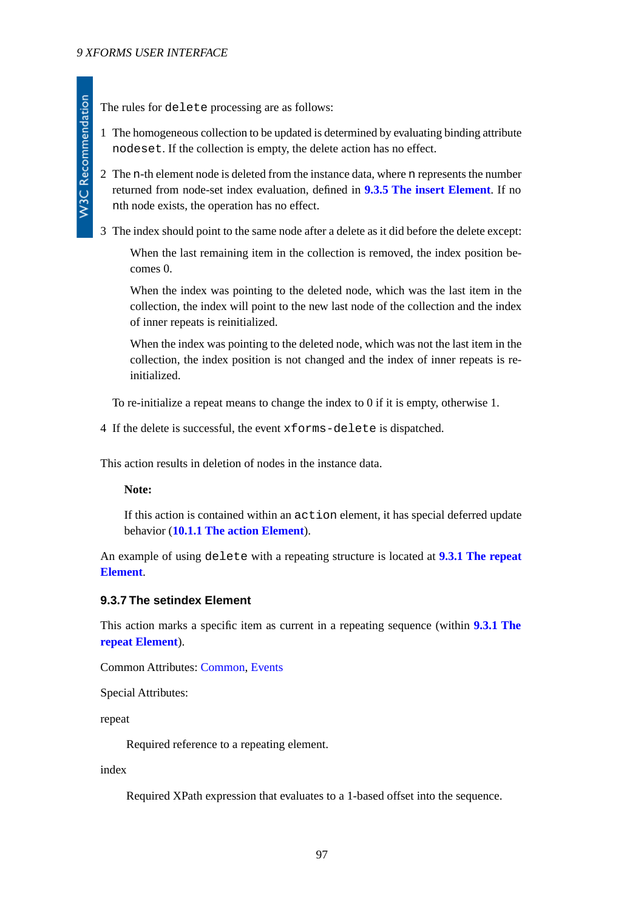**W3C Recommendation** 

1 The homogeneous collection to be updated is determined by evaluating binding attribute nodeset. If the collection is empty, the delete action has no effect.

2 The n-th element node is deleted from the instance data, where n represents the number returned from node-set index evaluation, defined in **[9.3.5 The insert Element](#page-94-0)**. If no nth node exists, the operation has no effect.

3 The index should point to the same node after a delete as it did before the delete except:

When the last remaining item in the collection is removed, the index position becomes 0.

When the index was pointing to the deleted node, which was the last item in the collection, the index will point to the new last node of the collection and the index of inner repeats is reinitialized.

When the index was pointing to the deleted node, which was not the last item in the collection, the index position is not changed and the index of inner repeats is reinitialized.

To re-initialize a repeat means to change the index to 0 if it is empty, otherwise 1.

4 If the delete is successful, the event xforms-delete is dispatched.

This action results in deletion of nodes in the instance data.

# **Note:**

If this action is contained within an action element, it has special deferred update behavior (**[10.1.1 The action Element](#page-100-1)**).

<span id="page-96-0"></span>An example of using delete with a repeating structure is located at **[9.3.1 The repeat](#page-89-0) [Element](#page-89-0)**.

# **9.3.7 The setindex Element**

This action marks a specific item as current in a repeating sequence (within **[9.3.1 The](#page-89-0) [repeat Element](#page-89-0)**).

Common Attributes: [Common](#page-17-0), [Events](#page-100-0)

Special Attributes:

repeat

Required reference to a repeating element.

index

Required XPath expression that evaluates to a 1-based offset into the sequence.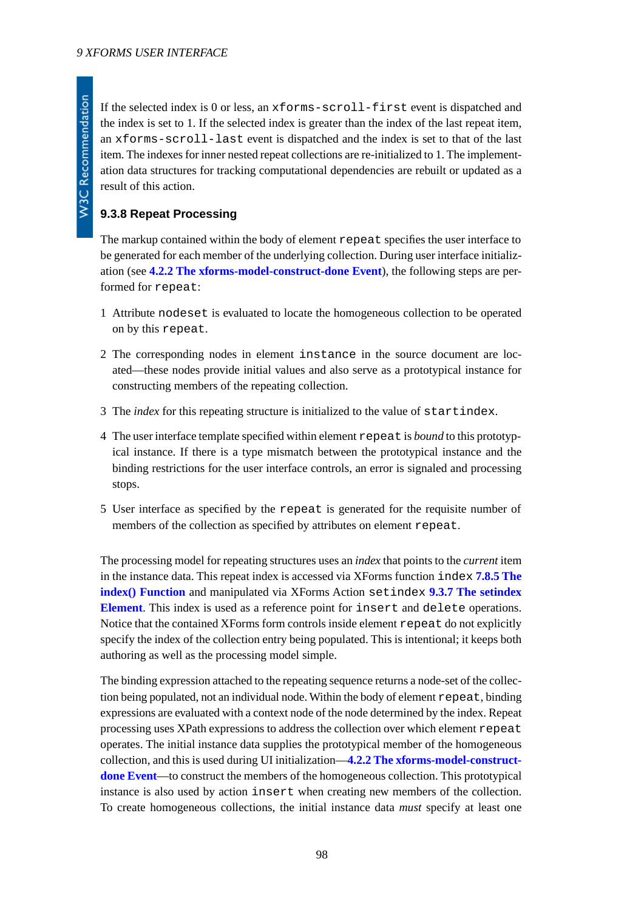**W3C Recommendation** 

If the selected index is 0 or less, an xforms-scroll-first event is dispatched and the index is set to 1. If the selected index is greater than the index of the last repeat item, an xforms-scroll-last event is dispatched and the index is set to that of the last item. The indexes for inner nested repeat collections are re-initialized to 1. The implementation data structures for tracking computational dependencies are rebuilt or updated as a result of this action.

# **9.3.8 Repeat Processing**

The markup contained within the body of element repeat specifies the user interface to be generated for each member of the underlying collection. During user interface initialization (see **[4.2.2 The xforms-model-construct-done Event](#page-28-0)**), the following steps are performed for repeat:

- 1 Attribute nodeset is evaluated to locate the homogeneous collection to be operated on by this repeat.
- 2 The corresponding nodes in element instance in the source document are located—these nodes provide initial values and also serve as a prototypical instance for constructing members of the repeating collection.
- 3 The *index* for this repeating structure is initialized to the value of startindex.
- 4 The user interface template specified within element repeat is *bound* to this prototypical instance. If there is a type mismatch between the prototypical instance and the binding restrictions for the user interface controls, an error is signaled and processing stops.
- 5 User interface as specified by the repeat is generated for the requisite number of members of the collection as specified by attributes on element repeat.

The processing model for repeating structures uses an *index* that points to the *current* item in the instance data. This repeat index is accessed via XForms function index **[7.8.5 The](#page-61-0) [index\(\) Function](#page-61-0)** and manipulated via XForms Action setindex **[9.3.7 The setindex](#page-96-0) [Element](#page-96-0)**. This index is used as a reference point for insert and delete operations. Notice that the contained XForms form controls inside element repeat do not explicitly specify the index of the collection entry being populated. This is intentional; it keeps both authoring as well as the processing model simple.

The binding expression attached to the repeating sequence returns a node-set of the collection being populated, not an individual node. Within the body of element repeat, binding expressions are evaluated with a context node of the node determined by the index. Repeat processing uses XPath expressions to address the collection over which element repeat operates. The initial instance data supplies the prototypical member of the homogeneous collection, and this is used during UI initialization—**[4.2.2 The xforms-model-construct](#page-28-0)[done Event](#page-28-0)**—to construct the members of the homogeneous collection. This prototypical instance is also used by action insert when creating new members of the collection. To create homogeneous collections, the initial instance data *must* specify at least one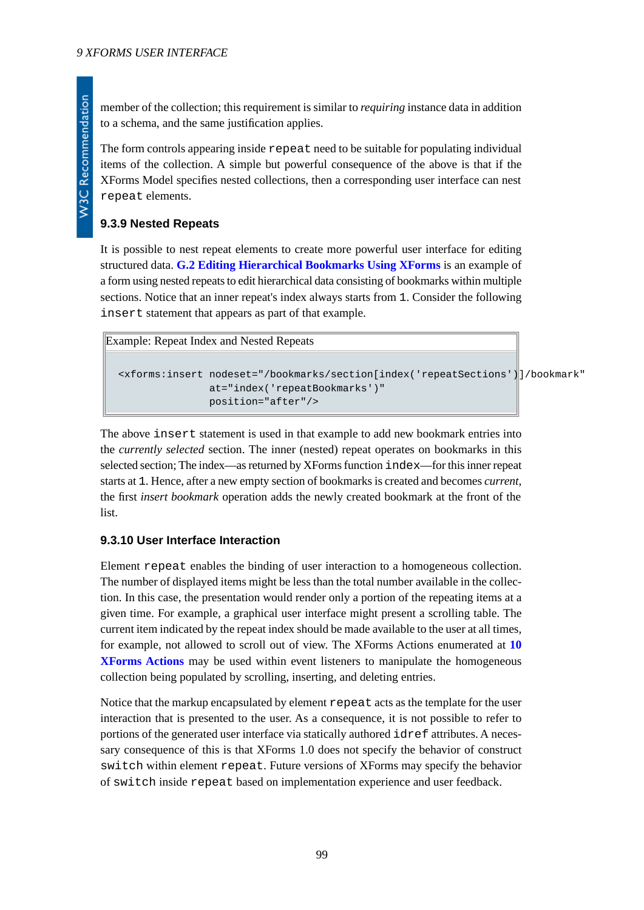member of the collection; this requirement is similar to *requiring* instance data in addition to a schema, and the same justification applies.

The form controls appearing inside repeat need to be suitable for populating individual items of the collection. A simple but powerful consequence of the above is that if the XForms Model specifies nested collections, then a corresponding user interface can nest repeat elements.

# **9.3.9 Nested Repeats**

It is possible to nest repeat elements to create more powerful user interface for editing structured data. **[G.2 Editing Hierarchical Bookmarks Using XForms](#page-137-0)** is an example of a form using nested repeats to edit hierarchical data consisting of bookmarks within multiple sections. Notice that an inner repeat's index always starts from 1. Consider the following insert statement that appears as part of that example.

Example: Repeat Index and Nested Repeats

```
<xforms:insert nodeset="/bookmarks/section[index('repeatSections')]/bookmark"
                at="index('repeatBookmarks')"
                position="after"/>
```
The above insert statement is used in that example to add new bookmark entries into the *currently selected* section. The inner (nested) repeat operates on bookmarks in this selected section; The index—as returned by XForms function index—for this inner repeat starts at 1. Hence, after a new empty section of bookmarks is created and becomes *current*, the first *insert bookmark* operation adds the newly created bookmark at the front of the list.

# **9.3.10 User Interface Interaction**

Element repeat enables the binding of user interaction to a homogeneous collection. The number of displayed items might be less than the total number available in the collection. In this case, the presentation would render only a portion of the repeating items at a given time. For example, a graphical user interface might present a scrolling table. The current item indicated by the repeat index should be made available to the user at all times, for example, not allowed to scroll out of view. The XForms Actions enumerated at **[10](#page-99-0) [XForms Actions](#page-99-0)** may be used within event listeners to manipulate the homogeneous collection being populated by scrolling, inserting, and deleting entries.

Notice that the markup encapsulated by element repeat acts as the template for the user interaction that is presented to the user. As a consequence, it is not possible to refer to portions of the generated user interface via statically authored idref attributes. A necessary consequence of this is that XForms 1.0 does not specify the behavior of construct switch within element repeat. Future versions of XForms may specify the behavior of switch inside repeat based on implementation experience and user feedback.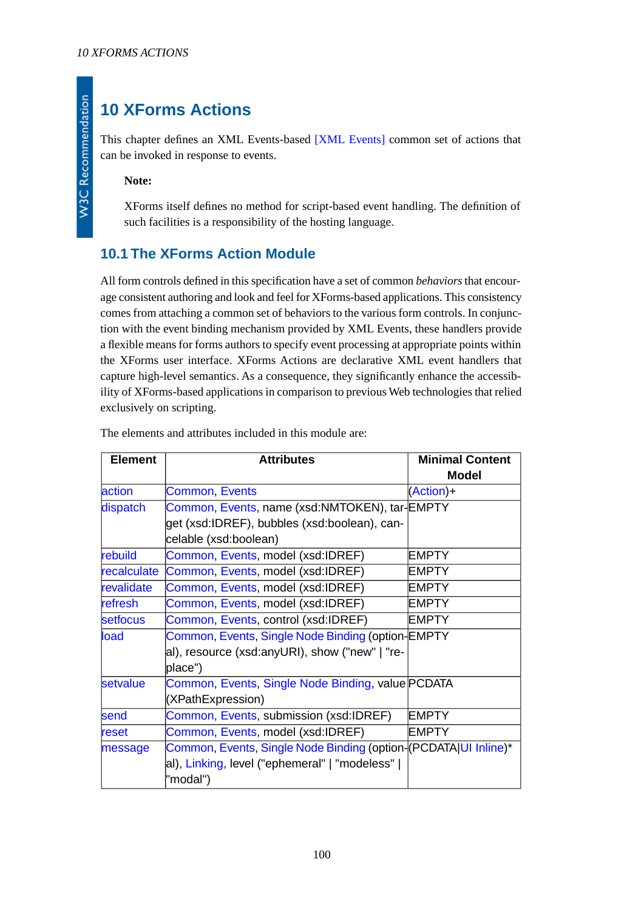# <span id="page-99-0"></span>**10 XForms Actions**

This chapter defines an XML Events-based [\[XML Events\]](#page-120-0) common set of actions that can be invoked in response to events.

**Note:**

**W3C Recommendation** 

XForms itself defines no method for script-based event handling. The definition of such facilities is a responsibility of the hosting language.

# **10.1 The XForms Action Module**

All form controls defined in this specification have a set of common *behaviors* that encourage consistent authoring and look and feel for XForms-based applications. This consistency comes from attaching a common set of behaviors to the various form controls. In conjunction with the event binding mechanism provided by XML Events, these handlers provide a flexible means for forms authors to specify event processing at appropriate points within the XForms user interface. XForms Actions are declarative XML event handlers that capture high-level semantics. As a consequence, they significantly enhance the accessibility of XForms-based applications in comparison to previous Web technologies that relied exclusively on scripting.

| <b>Element</b><br><b>Attributes</b> |                                                                 | <b>Minimal Content</b> |  |
|-------------------------------------|-----------------------------------------------------------------|------------------------|--|
|                                     |                                                                 | <b>Model</b>           |  |
| action                              | <b>Common, Events</b>                                           | $(Action) +$           |  |
| dispatch                            | Common, Events, name (xsd:NMTOKEN), tar-EMPTY                   |                        |  |
|                                     | get (xsd:IDREF), bubbles (xsd:boolean), can-                    |                        |  |
|                                     | celable (xsd:boolean)                                           |                        |  |
| rebuild                             | Common, Events, model (xsd:IDREF)                               | <b>EMPTY</b>           |  |
|                                     | recalculate Common, Events, model (xsd:IDREF)                   | <b>EMPTY</b>           |  |
| revalidate                          | Common, Events, model (xsd:IDREF)                               | <b>EMPTY</b>           |  |
| refresh                             | Common, Events, model (xsd:IDREF)                               | <b>EMPTY</b>           |  |
| setfocus                            | Common, Events, control (xsd:IDREF)                             | <b>EMPTY</b>           |  |
| load                                | Common, Events, Single Node Binding (option-EMPTY               |                        |  |
|                                     | al), resource (xsd:anyURI), show ("new"   "re-                  |                        |  |
|                                     | place")                                                         |                        |  |
| setvalue                            | Common, Events, Single Node Binding, value PCDATA               |                        |  |
|                                     | (XPathExpression)                                               |                        |  |
| send                                | Common, Events, submission (xsd:IDREF)                          | <b>EMPTY</b>           |  |
| reset                               | Common, Events, model (xsd:IDREF)                               | <b>EMPTY</b>           |  |
| message                             | Common, Events, Single Node Binding (option-(PCDATA UI Inline)* |                        |  |
|                                     | al), Linking, level ("ephemeral"   "modeless"                   |                        |  |
|                                     | "modal")                                                        |                        |  |

The elements and attributes included in this module are: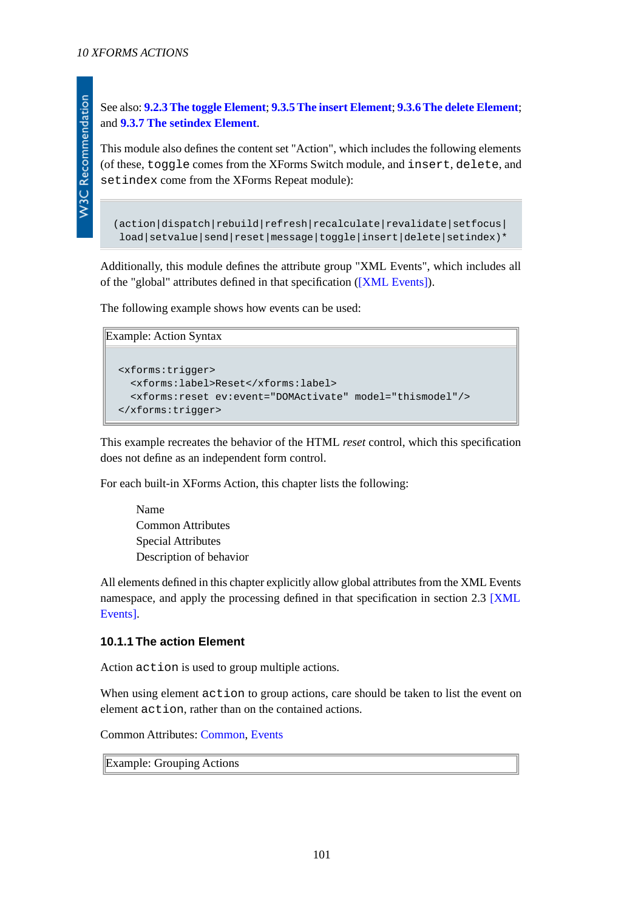W3C Recommendation

<span id="page-100-0"></span>This module also defines the content set "Action", which includes the following elements (of these, toggle comes from the XForms Switch module, and insert, delete, and setindex come from the XForms Repeat module):

```
(\text{action}|{\text{dispatch}}|\text{rebuild}|{\text{refresh}}|\text{recalculate}|{\text{revadidate}}|\text{setfocus}| load|setvalue|send|reset|message|toggle|insert|delete|setindex)*
```
Additionally, this module defines the attribute group "XML Events", which includes all of the "global" attributes defined in that specification [\(\[XML Events\]\)](#page-120-0).

The following example shows how events can be used:

```
Example: Action Syntax
  <xforms:trigger>
     <xforms:label>Reset</xforms:label>
     <xforms:reset ev:event="DOMActivate" model="thismodel"/>
  </xforms:trigger>
```
This example recreates the behavior of the HTML *reset* control, which this specification does not define as an independent form control.

For each built-in XForms Action, this chapter lists the following:

Name Common Attributes Special Attributes Description of behavior

<span id="page-100-1"></span>All elements defined in this chapter explicitly allow global attributes from the XML Events namespace, and apply the processing defined in that specification in section 2.3 [\[XML](#page-120-0) [Events\]](#page-120-0).

#### **10.1.1 The action Element**

Action action is used to group multiple actions.

When using element action to group actions, care should be taken to list the event on element action, rather than on the contained actions.

Common Attributes: [Common](#page-17-0), [Events](#page-100-0)

Example: Grouping Actions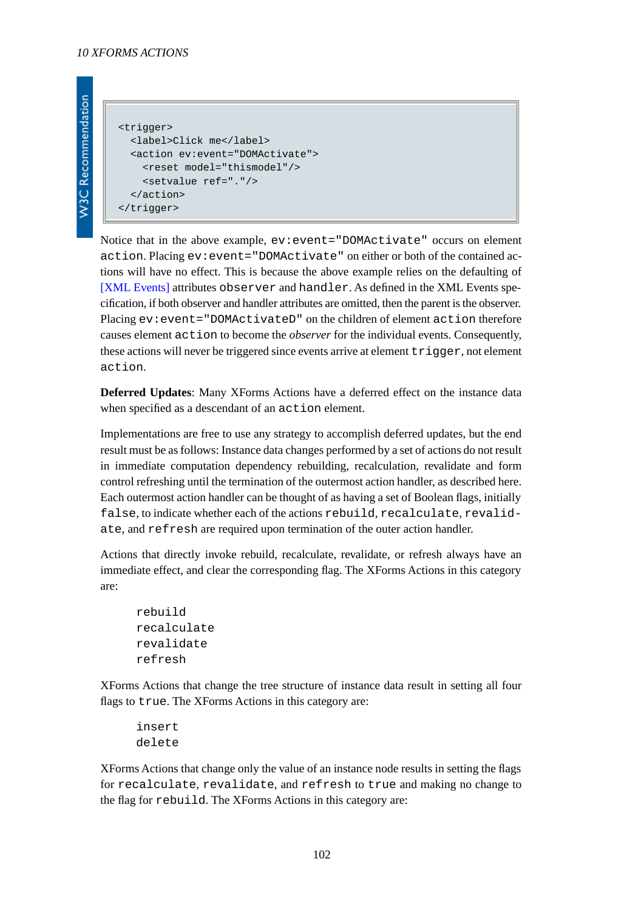```
W3C Recommendation
```

```
<trigger>
   <label>Click me</label>
   <action ev:event="DOMActivate">
     <reset model="thismodel"/>
     <setvalue ref="."/>
   </action>
</trigger>
```
Notice that in the above example,  $ev: event = "DOMActive" occurs on element$ action. Placing ev:event="DOMActivate" on either or both of the contained actions will have no effect. This is because the above example relies on the defaulting of [\[XML Events\]](#page-120-0) attributes observer and handler. As defined in the XML Events specification, if both observer and handler attributes are omitted, then the parent is the observer. Placing ev: event="DOMActivateD" on the children of element action therefore causes element action to become the *observer* for the individual events. Consequently, these actions will never be triggered since events arrive at element  $triqgen$ , not element action.

**Deferred Updates**: Many XForms Actions have a deferred effect on the instance data when specified as a descendant of an action element.

Implementations are free to use any strategy to accomplish deferred updates, but the end result must be as follows: Instance data changes performed by a set of actions do not result in immediate computation dependency rebuilding, recalculation, revalidate and form control refreshing until the termination of the outermost action handler, as described here. Each outermost action handler can be thought of as having a set of Boolean flags, initially false, to indicate whether each of the actions rebuild, recalculate, revalidate, and refresh are required upon termination of the outer action handler.

Actions that directly invoke rebuild, recalculate, revalidate, or refresh always have an immediate effect, and clear the corresponding flag. The XForms Actions in this category are:

```
rebuild
recalculate
revalidate
refresh
```
XForms Actions that change the tree structure of instance data result in setting all four flags to true. The XForms Actions in this category are:

```
insert
delete
```
XForms Actions that change only the value of an instance node results in setting the flags for recalculate, revalidate, and refresh to true and making no change to the flag for rebuild. The XForms Actions in this category are: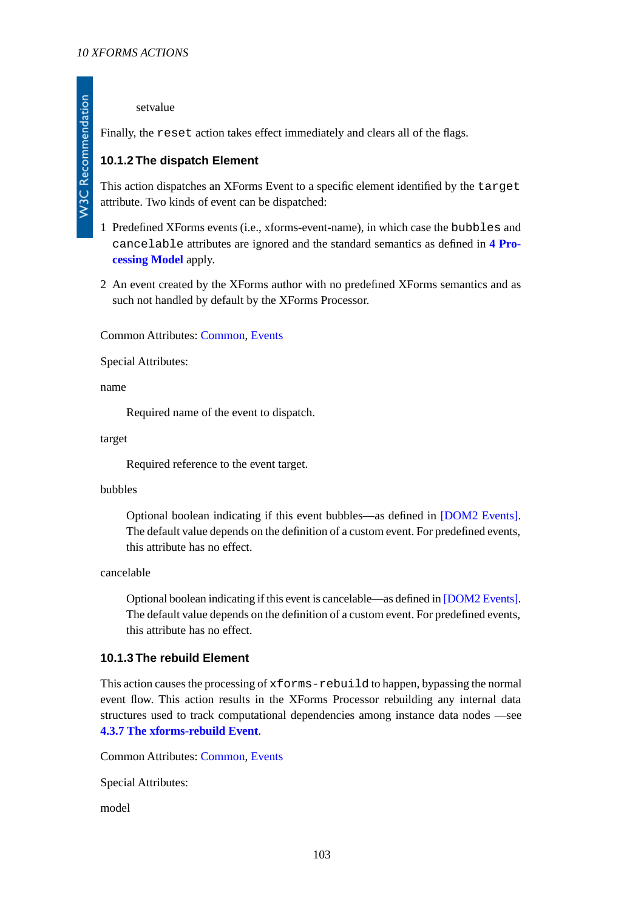#### setvalue

<span id="page-102-0"></span>Finally, the reset action takes effect immediately and clears all of the flags.

# **10.1.2 The dispatch Element**

This action dispatches an XForms Event to a specific element identified by the target attribute. Two kinds of event can be dispatched:

- 1 Predefined XForms events (i.e., xforms-event-name), in which case the bubbles and cancelable attributes are ignored and the standard semantics as defined in **[4 Pro](#page-25-0)[cessing Model](#page-25-0)** apply.
- 2 An event created by the XForms author with no predefined XForms semantics and as such not handled by default by the XForms Processor.

Common Attributes: [Common](#page-17-0), [Events](#page-100-0)

Special Attributes:

name

Required name of the event to dispatch.

target

Required reference to the event target.

#### bubbles

Optional boolean indicating if this event bubbles—as defined in [\[DOM2 Events\]](#page-121-0). The default value depends on the definition of a custom event. For predefined events, this attribute has no effect.

cancelable

Optional boolean indicating if this event is cancelable—as defined in [\[DOM2 Events\]](#page-121-0). The default value depends on the definition of a custom event. For predefined events, this attribute has no effect.

# **10.1.3 The rebuild Element**

This action causes the processing of xforms-rebuild to happen, bypassing the normal event flow. This action results in the XForms Processor rebuilding any internal data structures used to track computational dependencies among instance data nodes —see **[4.3.7 The xforms-rebuild Event](#page-33-0)**.

Common Attributes: [Common](#page-17-0), [Events](#page-100-0)

Special Attributes:

model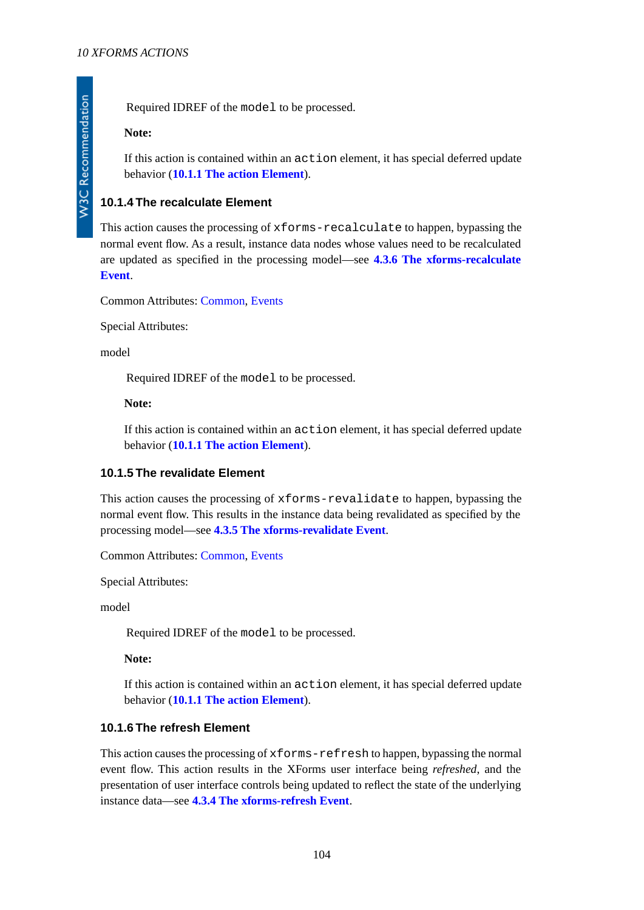#### **Note:**

If this action is contained within an action element, it has special deferred update behavior (**[10.1.1 The action Element](#page-100-1)**).

# <span id="page-103-1"></span>**10.1.4 The recalculate Element**

This action causes the processing of xforms-recalculate to happen, bypassing the normal event flow. As a result, instance data nodes whose values need to be recalculated are updated as specified in the processing model—see **[4.3.6 The xforms-recalculate](#page-32-0) [Event](#page-32-0)**.

Common Attributes: [Common](#page-17-0), [Events](#page-100-0)

Special Attributes:

model

Required IDREF of the model to be processed.

#### **Note:**

<span id="page-103-2"></span>If this action is contained within an action element, it has special deferred update behavior (**[10.1.1 The action Element](#page-100-1)**).

# **10.1.5 The revalidate Element**

This action causes the processing of xforms-revalidate to happen, bypassing the normal event flow. This results in the instance data being revalidated as specified by the processing model—see **[4.3.5 The xforms-revalidate Event](#page-31-0)**.

Common Attributes: [Common](#page-17-0), [Events](#page-100-0)

Special Attributes:

model

Required IDREF of the model to be processed.

<span id="page-103-0"></span>**Note:**

If this action is contained within an action element, it has special deferred update behavior (**[10.1.1 The action Element](#page-100-1)**).

#### **10.1.6 The refresh Element**

This action causes the processing of xforms-refresh to happen, bypassing the normal event flow. This action results in the XForms user interface being *refreshed*, and the presentation of user interface controls being updated to reflect the state of the underlying instance data—see **[4.3.4 The xforms-refresh Event](#page-31-1)**.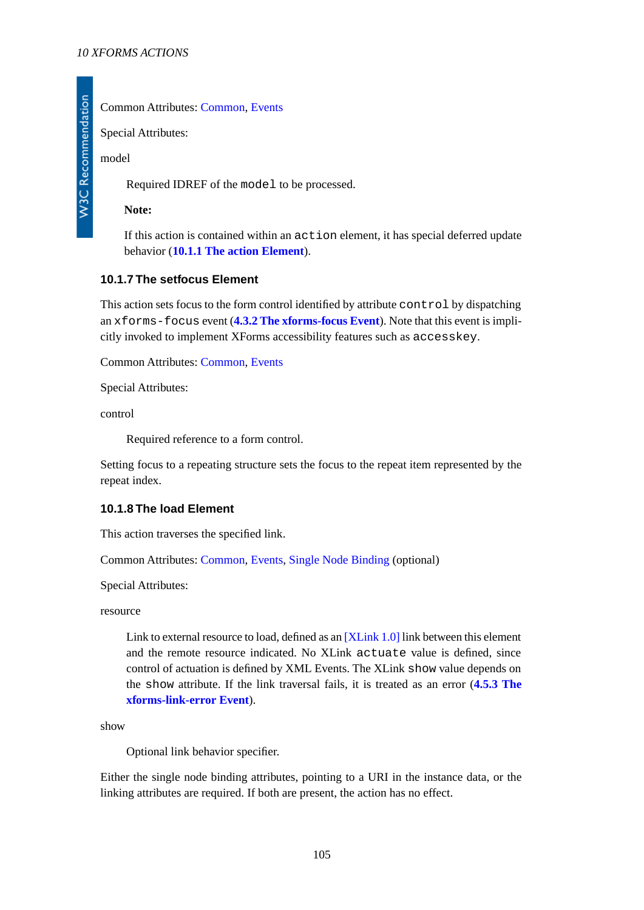# Common Attributes: [Common](#page-17-0), [Events](#page-100-0)

Special Attributes:

model

Required IDREF of the model to be processed.

**Note:**

If this action is contained within an action element, it has special deferred update behavior (**[10.1.1 The action Element](#page-100-1)**).

# <span id="page-104-0"></span>**10.1.7 The setfocus Element**

This action sets focus to the form control identified by attribute control by dispatching an xforms-focus event (**[4.3.2 The xforms-focus Event](#page-30-0)**). Note that this event is implicitly invoked to implement XForms accessibility features such as accesskey.

Common Attributes: [Common](#page-17-0), [Events](#page-100-0)

Special Attributes:

control

Required reference to a form control.

<span id="page-104-1"></span>Setting focus to a repeating structure sets the focus to the repeat item represented by the repeat index.

# **10.1.8 The load Element**

This action traverses the specified link.

Common Attributes: [Common](#page-17-0), [Events,](#page-100-0) [Single Node Binding](#page-17-1) (optional)

Special Attributes:

resource

Link to external resource to load, defined as an [\[XLink 1.0\]](#page-122-0) link between this element and the remote resource indicated. No XLink actuate value is defined, since control of actuation is defined by XML Events. The XLink show value depends on the show attribute. If the link traversal fails, it is treated as an error (**[4.5.3 The](#page-41-0) [xforms-link-error Event](#page-41-0)**).

show

Optional link behavior specifier.

Either the single node binding attributes, pointing to a URI in the instance data, or the linking attributes are required. If both are present, the action has no effect.

105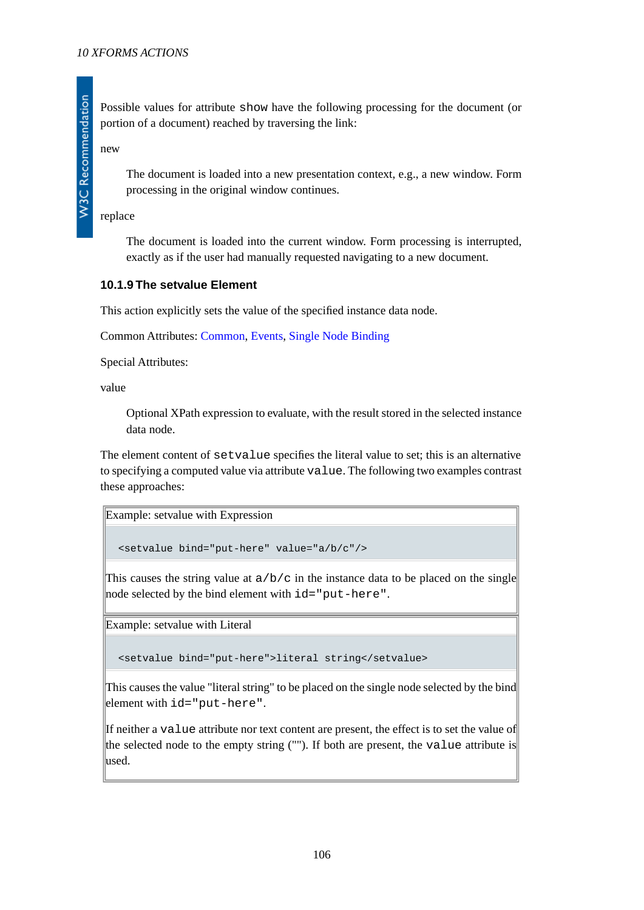Possible values for attribute show have the following processing for the document (or portion of a document) reached by traversing the link:

new

**W3C Recommendation** 

The document is loaded into a new presentation context, e.g., a new window. Form processing in the original window continues.

replace

The document is loaded into the current window. Form processing is interrupted, exactly as if the user had manually requested navigating to a new document.

#### <span id="page-105-0"></span>**10.1.9 The setvalue Element**

This action explicitly sets the value of the specified instance data node.

Common Attributes: [Common](#page-17-0), [Events,](#page-100-0) [Single Node Binding](#page-17-1)

Special Attributes:

value

Optional XPath expression to evaluate, with the result stored in the selected instance data node.

The element content of setvalue specifies the literal value to set; this is an alternative to specifying a computed value via attribute value. The following two examples contrast these approaches:

```
Example: setvalue with Expression
```
<setvalue bind="put-here" value="a/b/c"/>

This causes the string value at  $a/b/c$  in the instance data to be placed on the single node selected by the bind element with id="put-here".

Example: setvalue with Literal

<setvalue bind="put-here">literal string</setvalue>

This causes the value "literal string" to be placed on the single node selected by the bind element with id="put-here".

If neither a value attribute nor text content are present, the effect is to set the value of the selected node to the empty string (""). If both are present, the value attribute is used.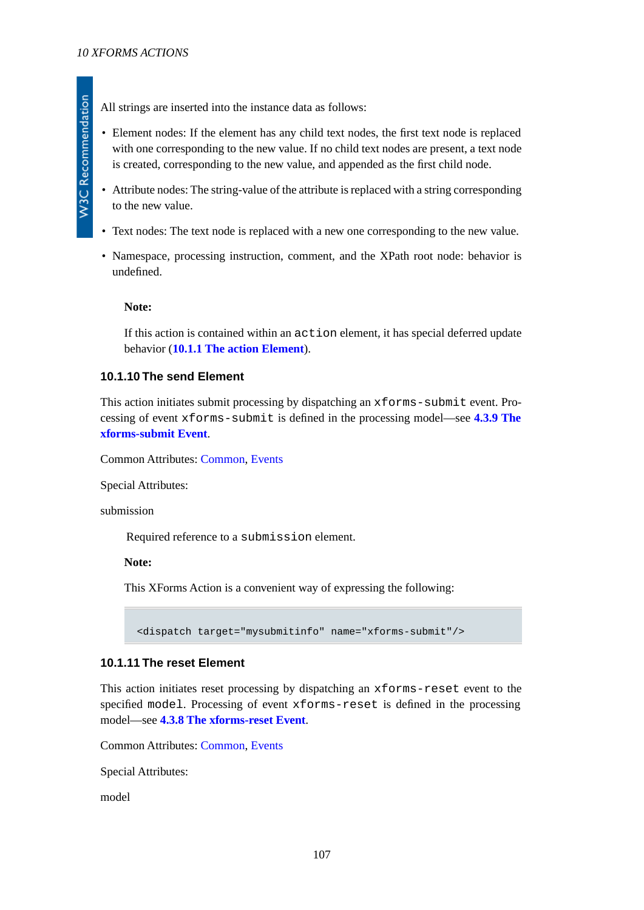All strings are inserted into the instance data as follows:

- Element nodes: If the element has any child text nodes, the first text node is replaced with one corresponding to the new value. If no child text nodes are present, a text node is created, corresponding to the new value, and appended as the first child node.
- Attribute nodes: The string-value of the attribute is replaced with a string corresponding to the new value.
- Text nodes: The text node is replaced with a new one corresponding to the new value.
- Namespace, processing instruction, comment, and the XPath root node: behavior is undefined.

#### **Note:**

<span id="page-106-0"></span>If this action is contained within an action element, it has special deferred update behavior (**[10.1.1 The action Element](#page-100-1)**).

# **10.1.10 The send Element**

This action initiates submit processing by dispatching an xforms-submit event. Processing of event xforms-submit is defined in the processing model—see **[4.3.9 The](#page-34-0) [xforms-submit Event](#page-34-0)**.

Common Attributes: [Common](#page-17-0), [Events](#page-100-0)

Special Attributes:

submission

Required reference to a submission element.

**Note:**

<span id="page-106-1"></span>This XForms Action is a convenient way of expressing the following:

<dispatch target="mysubmitinfo" name="xforms-submit"/>

# **10.1.11 The reset Element**

This action initiates reset processing by dispatching an xforms-reset event to the specified model. Processing of event xforms-reset is defined in the processing model—see **[4.3.8 The xforms-reset Event](#page-34-1)**.

Common Attributes: [Common](#page-17-0), [Events](#page-100-0)

Special Attributes:

model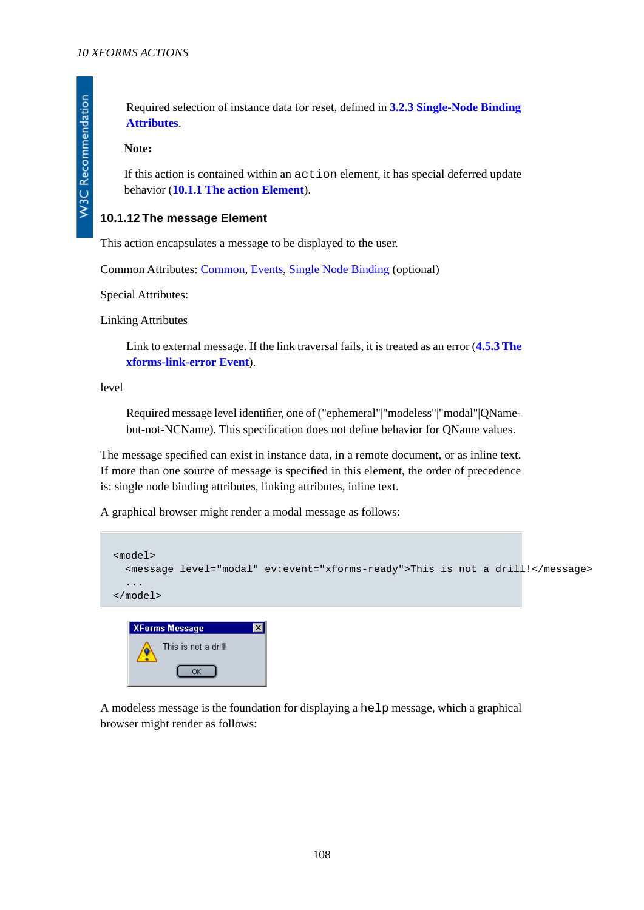Required selection of instance data for reset, defined in **[3.2.3 Single-Node Binding](#page-17-1) [Attributes](#page-17-1)**.

#### **Note:**

**W3C Recommendation** 

If this action is contained within an action element, it has special deferred update behavior (**[10.1.1 The action Element](#page-100-1)**).

#### <span id="page-107-0"></span>**10.1.12 The message Element**

This action encapsulates a message to be displayed to the user.

Common Attributes: [Common](#page-17-0), [Events,](#page-100-0) [Single Node Binding](#page-17-1) (optional)

Special Attributes:

Linking Attributes

Link to external message. If the link traversal fails, it is treated as an error (**[4.5.3 The](#page-41-0) [xforms-link-error Event](#page-41-0)**).

level

Required message level identifier, one of ("ephemeral"|"modeless"|"modal"|QNamebut-not-NCName). This specification does not define behavior for QName values.

The message specified can exist in instance data, in a remote document, or as inline text. If more than one source of message is specified in this element, the order of precedence is: single node binding attributes, linking attributes, inline text.

A graphical browser might render a modal message as follows:

 $OK$ 

```
<model>
   <message level="modal" ev:event="xforms-ready">This is not a drill!</message>
   ...
</model>
   XForms Message
                             \overline{\mathbf{z}}This is not a drill!
```
A modeless message is the foundation for displaying a help message, which a graphical browser might render as follows: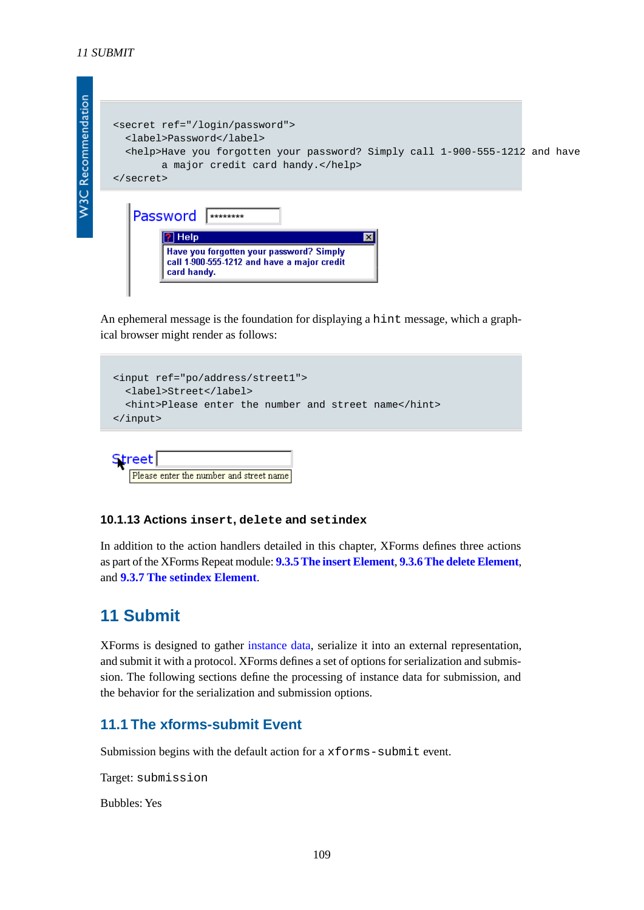

An ephemeral message is the foundation for displaying a hint message, which a graphical browser might render as follows:

```
<input ref="po/address/street1">
  <label>Street</label>
   <hint>Please enter the number and street name</hint>
</input>
```
# Please enter the number and street name

#### **10.1.13 Actions insert, delete and setindex**

<span id="page-108-0"></span>In addition to the action handlers detailed in this chapter, XForms defines three actions as part of the XForms Repeat module: **[9.3.5 The insert Element](#page-94-0)**, **[9.3.6 The delete Element](#page-95-0)**, and **[9.3.7 The setindex Element](#page-96-0)**.

## **11 Submit**

**Street** 

XForms is designed to gather [instance data](#page-119-0), serialize it into an external representation, and submit it with a protocol. XForms defines a set of options for serialization and submission. The following sections define the processing of instance data for submission, and the behavior for the serialization and submission options.

### **11.1 The xforms-submit Event**

Submission begins with the default action for a xforms-submit event.

Target: submission

Bubbles: Yes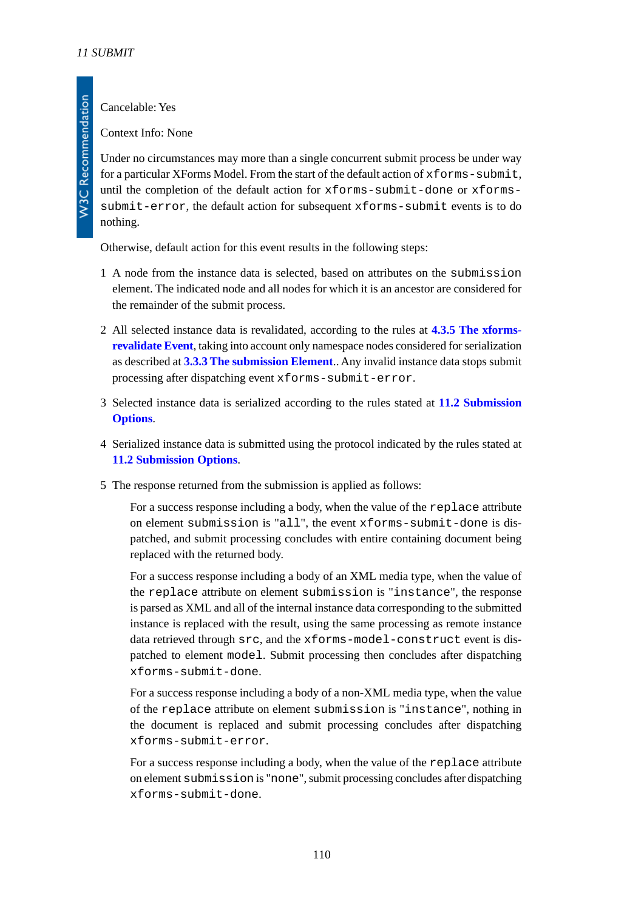Cancelable: Yes

Context Info: None

Under no circumstances may more than a single concurrent submit process be under way for a particular XForms Model. From the start of the default action of xforms-submit, until the completion of the default action for xforms-submit-done or xformssubmit-error, the default action for subsequent xforms-submit events is to do nothing.

Otherwise, default action for this event results in the following steps:

- 1 A node from the instance data is selected, based on attributes on the submission element. The indicated node and all nodes for which it is an ancestor are considered for the remainder of the submit process.
- 2 All selected instance data is revalidated, according to the rules at **[4.3.5 The xforms](#page-31-0)[revalidate Event](#page-31-0)**, taking into account only namespace nodes considered for serialization as described at **[3.3.3 The submission Element](#page-21-0)**.. Any invalid instance data stops submit processing after dispatching event xforms-submit-error.
- 3 Selected instance data is serialized according to the rules stated at **[11.2 Submission](#page-110-0) [Options](#page-110-0)**.
- 4 Serialized instance data is submitted using the protocol indicated by the rules stated at **[11.2 Submission Options](#page-110-0)**.
- 5 The response returned from the submission is applied as follows:

For a success response including a body, when the value of the replace attribute on element submission is "all", the event xforms-submit-done is dispatched, and submit processing concludes with entire containing document being replaced with the returned body.

For a success response including a body of an XML media type, when the value of the replace attribute on element submission is "instance", the response is parsed as XML and all of the internal instance data corresponding to the submitted instance is replaced with the result, using the same processing as remote instance data retrieved through src, and the xforms-model-construct event is dispatched to element model. Submit processing then concludes after dispatching xforms-submit-done.

For a success response including a body of a non-XML media type, when the value of the replace attribute on element submission is "instance", nothing in the document is replaced and submit processing concludes after dispatching xforms-submit-error.

For a success response including a body, when the value of the replace attribute on element submission is "none", submit processing concludes after dispatching xforms-submit-done.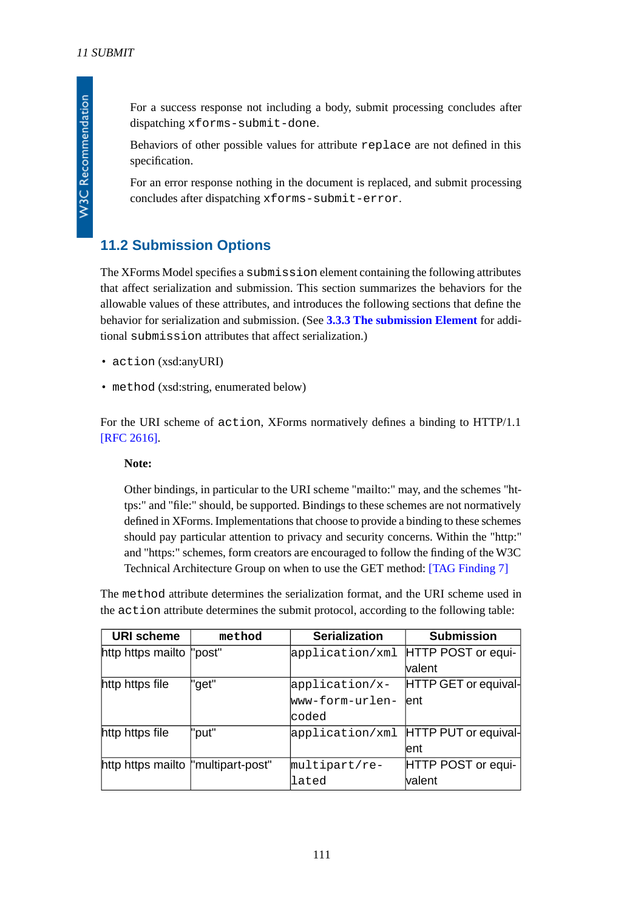**W3C Recommendation** 

For a success response not including a body, submit processing concludes after dispatching xforms-submit-done.

Behaviors of other possible values for attribute replace are not defined in this specification.

For an error response nothing in the document is replaced, and submit processing concludes after dispatching xforms-submit-error.

### <span id="page-110-0"></span>**11.2 Submission Options**

The XForms Model specifies a submission element containing the following attributes that affect serialization and submission. This section summarizes the behaviors for the allowable values of these attributes, and introduces the following sections that define the behavior for serialization and submission. (See **[3.3.3 The submission Element](#page-21-0)** for additional submission attributes that affect serialization.)

- action (xsd:anyURI)
- method (xsd:string, enumerated below)

For the URI scheme of action, XForms normatively defines a binding to HTTP/1.1 [\[RFC 2616\].](#page-120-0)

#### **Note:**

Other bindings, in particular to the URI scheme "mailto:" may, and the schemes "https:" and "file:" should, be supported. Bindings to these schemes are not normatively defined in XForms. Implementations that choose to provide a binding to these schemes should pay particular attention to privacy and security concerns. Within the "http:" and "https:" schemes, form creators are encouraged to follow the finding of the W3C Technical Architecture Group on when to use the GET method: [\[TAG Finding 7\]](#page-122-0)

The method attribute determines the serialization format, and the URI scheme used in the action attribute determines the submit protocol, according to the following table:

| <b>URI scheme</b>                   | method | <b>Serialization</b>               | <b>Submission</b>                    |
|-------------------------------------|--------|------------------------------------|--------------------------------------|
| http https mailto "post"            |        | application/xml HTTP POST or equi- |                                      |
|                                     |        |                                    | valent                               |
| http https file                     | l"get" | application/x-                     | HTTP GET or equival-                 |
|                                     |        | www-form-urlen-                    | lent                                 |
|                                     |        | lcoded                             |                                      |
| http https file                     | "put"  |                                    | application/xml HTTP PUT or equival- |
|                                     |        |                                    | lent                                 |
| http https mailto  "multipart-post" |        | multipart/re-                      | HTTP POST or equi-                   |
|                                     |        | lated                              | valent                               |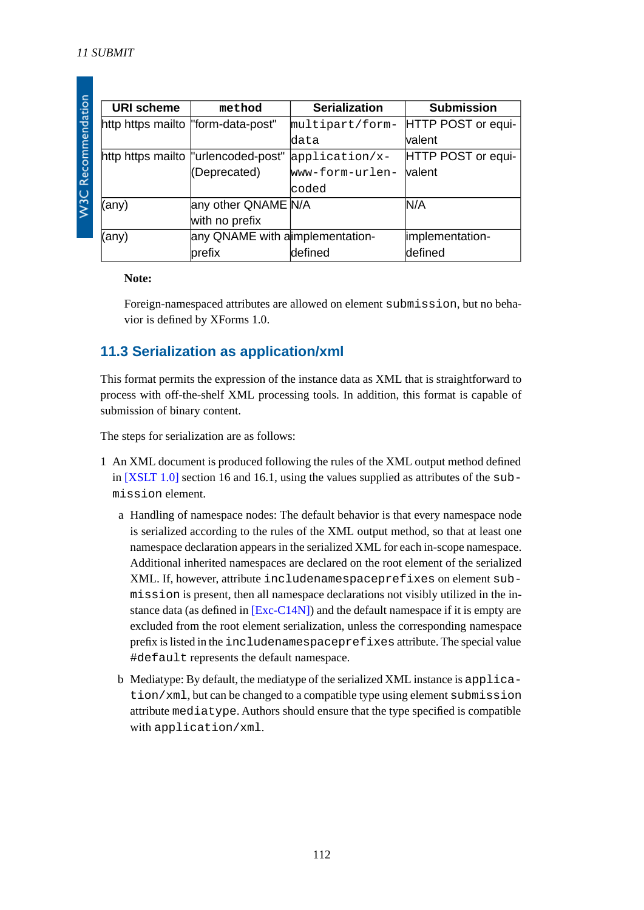| I |
|---|
|   |
|   |
|   |
|   |
|   |
|   |
| Í |
|   |
|   |
|   |
|   |
|   |
|   |
|   |
|   |
|   |
|   |
|   |
|   |
|   |
|   |
|   |
| j |
|   |
|   |
| r |
|   |
|   |
|   |
|   |
|   |
|   |
|   |
|   |
|   |
|   |
|   |
|   |

| <b>URI scheme</b>                   | method                               | <b>Serialization</b> | <b>Submission</b>  |
|-------------------------------------|--------------------------------------|----------------------|--------------------|
| http https mailto  "form-data-post" |                                      | multipart/form-      | HTTP POST or equi- |
|                                     |                                      | ldata                | lvalent            |
|                                     | http https mailto  "urlencoded-post" | application/x-       | HTTP POST or equi- |
|                                     | (Deprecated)                         | www-form-urlen-      | <b>valent</b>      |
|                                     |                                      | lcoded               |                    |
| (any)                               | any other QNAME N/A                  |                      | N/A                |
|                                     | with no prefix                       |                      |                    |
| (any)                               | any QNAME with a implementation-     |                      | implementation-    |
|                                     | prefix                               | defined              | defined            |

#### **Note:**

<span id="page-111-0"></span>Foreign-namespaced attributes are allowed on element submission, but no behavior is defined by XForms 1.0.

### **11.3 Serialization as application/xml**

This format permits the expression of the instance data as XML that is straightforward to process with off-the-shelf XML processing tools. In addition, this format is capable of submission of binary content.

The steps for serialization are as follows:

- 1 An XML document is produced following the rules of the XML output method defined in [\[XSLT 1.0\]](#page-121-0) section 16 and 16.1, using the values supplied as attributes of the submission element.
	- a Handling of namespace nodes: The default behavior is that every namespace node is serialized according to the rules of the XML output method, so that at least one namespace declaration appears in the serialized XML for each in-scope namespace. Additional inherited namespaces are declared on the root element of the serialized XML. If, however, attribute includenamespaceprefixes on element submission is present, then all namespace declarations not visibly utilized in the instance data (as defined in [\[Exc-C14N\]\)](#page-120-1) and the default namespace if it is empty are excluded from the root element serialization, unless the corresponding namespace prefix is listed in the includenamespaceprefixes attribute. The special value #default represents the default namespace.
	- b Mediatype: By default, the mediatype of the serialized XML instance is application/xml, but can be changed to a compatible type using element submission attribute mediatype. Authors should ensure that the type specified is compatible with application/xml.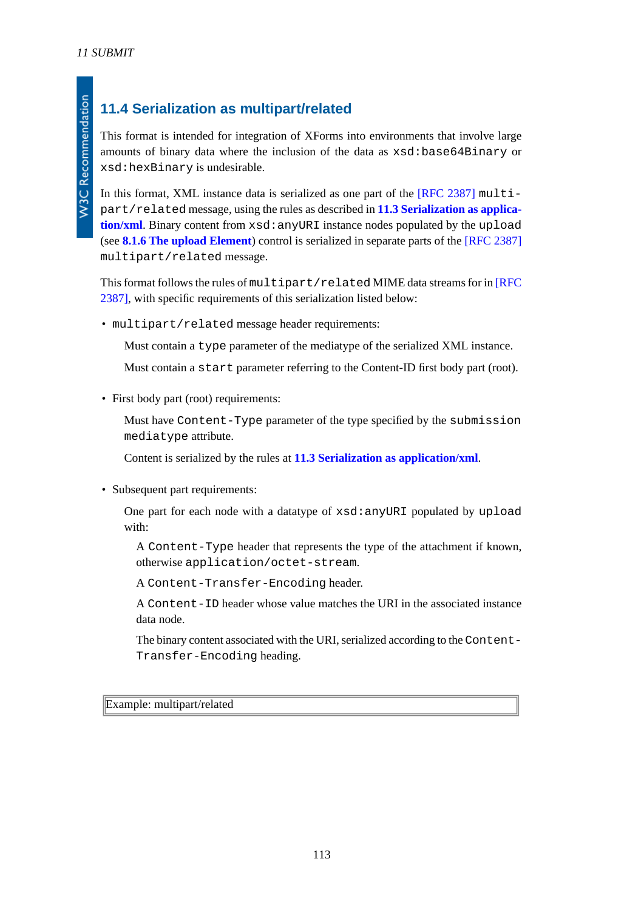## **11.4 Serialization as multipart/related**

This format is intended for integration of XForms into environments that involve large amounts of binary data where the inclusion of the data as xsd:base64Binary or xsd:hexBinary is undesirable.

In this format, XML instance data is serialized as one part of the [\[RFC 2387\]](#page-120-2) multipart/related message, using the rules as described in **[11.3 Serialization as applica](#page-111-0)**[tion/xml](#page-111-0). Binary content from xsd: anyURI instance nodes populated by the upload (see **[8.1.6 The upload Element](#page-73-0)**) control is serialized in separate parts of the [\[RFC 2387\]](#page-120-2) multipart/related message.

This format follows the rules of multipart/related MIME data streams for in [\[RFC](#page-120-2) [2387\]](#page-120-2), with specific requirements of this serialization listed below:

• multipart/related message header requirements:

Must contain a type parameter of the mediatype of the serialized XML instance.

Must contain a start parameter referring to the Content-ID first body part (root).

• First body part (root) requirements:

Must have Content-Type parameter of the type specified by the submission mediatype attribute.

Content is serialized by the rules at **[11.3 Serialization as application/xml](#page-111-0)**.

• Subsequent part requirements:

One part for each node with a datatype of xsd:anyURI populated by upload with:

A Content-Type header that represents the type of the attachment if known, otherwise application/octet-stream.

A Content-Transfer-Encoding header.

A Content-ID header whose value matches the URI in the associated instance data node.

The binary content associated with the URI, serialized according to the Content-Transfer-Encoding heading.

Example: multipart/related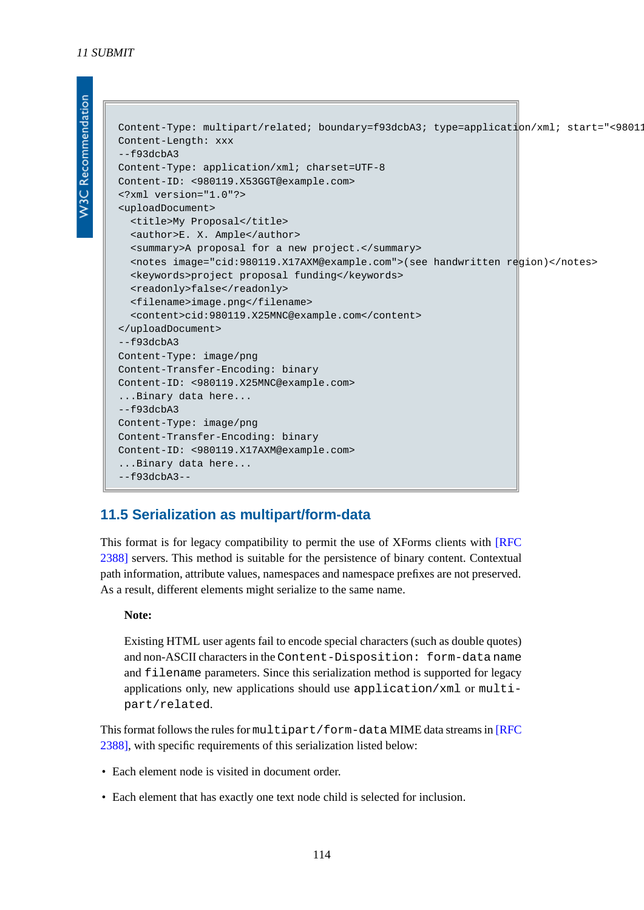**W3C Recommendation** 

```
Content-Type: multipart/related; boundary=f93dcbA3; type=application/xml; start="<98011
Content-Length: xxx
--f93dcbA3Content-Type: application/xml; charset=UTF-8
Content-ID: <980119.X53GGT@example.com>
<?xml version="1.0"?>
<uploadDocument>
   <title>My Proposal</title>
   <author>E. X. Ample</author>
   <summary>A proposal for a new project.</summary>
   <notes image="cid:980119.X17AXM@example.com">(see handwritten region)</notes>
   <keywords>project proposal funding</keywords>
   <readonly>false</readonly>
   <filename>image.png</filename>
   <content>cid:980119.X25MNC@example.com</content>
</uploadDocument>
--f93dcbA3
Content-Type: image/png
Content-Transfer-Encoding: binary
Content-ID: <980119.X25MNC@example.com>
...Binary data here...
--f93dcbA3Content-Type: image/png
Content-Transfer-Encoding: binary
Content-ID: <980119.X17AXM@example.com>
...Binary data here...
--f93dcbA3--
```
### **11.5 Serialization as multipart/form-data**

This format is for legacy compatibility to permit the use of XForms clients with [\[RFC](#page-120-3) [2388\]](#page-120-3) servers. This method is suitable for the persistence of binary content. Contextual path information, attribute values, namespaces and namespace prefixes are not preserved. As a result, different elements might serialize to the same name.

#### **Note:**

Existing HTML user agents fail to encode special characters (such as double quotes) and non-ASCII characters in the Content-Disposition: form-data name and filename parameters. Since this serialization method is supported for legacy applications only, new applications should use application/xml or multipart/related.

This format follows the rules for multipart/form-data MIME data streams in [\[RFC](#page-120-3) [2388\]](#page-120-3), with specific requirements of this serialization listed below:

- Each element node is visited in document order.
- Each element that has exactly one text node child is selected for inclusion.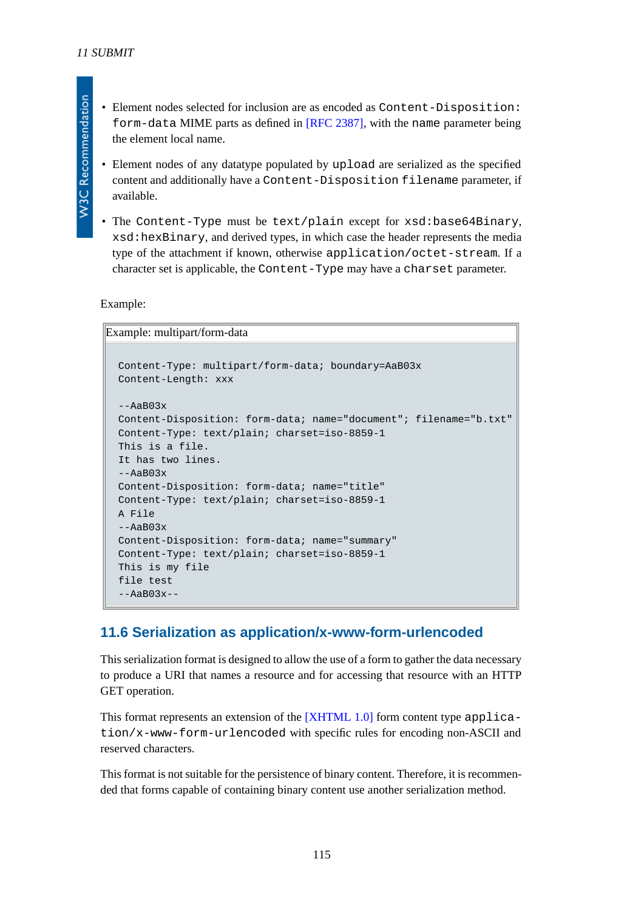- Element nodes selected for inclusion are as encoded as Content-Disposition: form-data MIME parts as defined in [\[RFC 2387\]](#page-120-2), with the name parameter being the element local name.
- Element nodes of any datatype populated by upload are serialized as the specified content and additionally have a Content-Disposition filename parameter, if available.
- The Content-Type must be text/plain except for xsd:base64Binary, xsd:hexBinary, and derived types, in which case the header represents the media type of the attachment if known, otherwise application/octet-stream. If a character set is applicable, the Content-Type may have a charset parameter.

Example:

Example: multipart/form-data

```
Content-Type: multipart/form-data; boundary=AaB03x
Content-Length: xxx
-AAB03xContent-Disposition: form-data; name="document"; filename="b.txt"
Content-Type: text/plain; charset=iso-8859-1
This is a file.
It has two lines.
-AaB03xContent-Disposition: form-data; name="title"
Content-Type: text/plain; charset=iso-8859-1
A File
--AaB03x
Content-Disposition: form-data; name="summary"
Content-Type: text/plain; charset=iso-8859-1
This is my file
file test
--AaB03x--
```
### **11.6 Serialization as application/x-www-form-urlencoded**

This serialization format is designed to allow the use of a form to gather the data necessary to produce a URI that names a resource and for accessing that resource with an HTTP GET operation.

This format represents an extension of the [\[XHTML 1.0\]](#page-122-1) form content type application/x-www-form-urlencoded with specific rules for encoding non-ASCII and reserved characters.

This format is not suitable for the persistence of binary content. Therefore, it is recommended that forms capable of containing binary content use another serialization method.

**W3C Recommendation**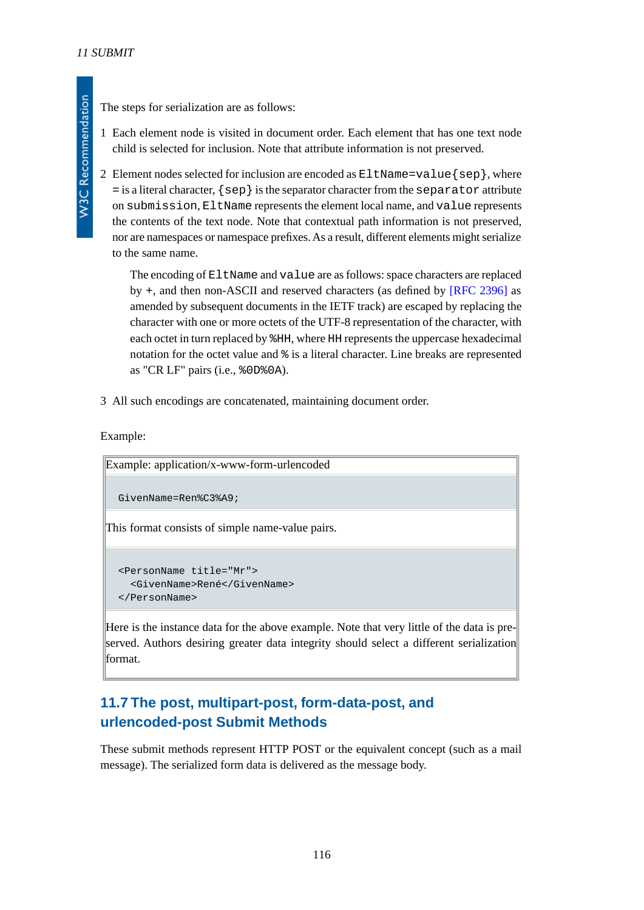The steps for serialization are as follows:

1 Each element node is visited in document order. Each element that has one text node child is selected for inclusion. Note that attribute information is not preserved.

2 Element nodes selected for inclusion are encoded as  $E1tName = value \{sep\}$ , where  $=$  is a literal character,  $\{sep\}$  is the separator character from the separator attribute on submission, EltName represents the element local name, and value represents the contents of the text node. Note that contextual path information is not preserved, nor are namespaces or namespace prefixes. As a result, different elements might serialize to the same name.

The encoding of EltName and value are as follows: space characters are replaced by +, and then non-ASCII and reserved characters (as defined by [\[RFC 2396\]](#page-120-4) as amended by subsequent documents in the IETF track) are escaped by replacing the character with one or more octets of the UTF-8 representation of the character, with each octet in turn replaced by %HH, where HH represents the uppercase hexadecimal notation for the octet value and % is a literal character. Line breaks are represented as "CR LF" pairs (i.e., %0D%0A).

3 All such encodings are concatenated, maintaining document order.

Example:

Example: application/x-www-form-urlencoded GivenName=Ren%C3%A9;

This format consists of simple name-value pairs.

```
<PersonName title="Mr">
   <GivenName>René</GivenName>
</PersonName>
```
Here is the instance data for the above example. Note that very little of the data is preserved. Authors desiring greater data integrity should select a different serialization format.

## **11.7 The post, multipart-post, form-data-post, and urlencoded-post Submit Methods**

These submit methods represent HTTP POST or the equivalent concept (such as a mail message). The serialized form data is delivered as the message body.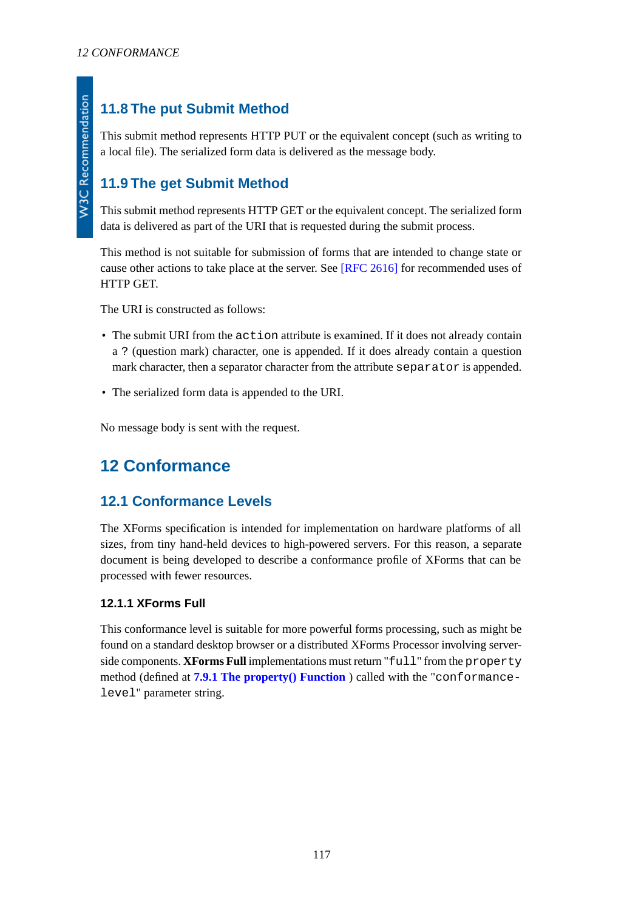## **11.8 The put Submit Method**

This submit method represents HTTP PUT or the equivalent concept (such as writing to a local file). The serialized form data is delivered as the message body.

## **11.9 The get Submit Method**

This submit method represents HTTP GET or the equivalent concept. The serialized form data is delivered as part of the URI that is requested during the submit process.

This method is not suitable for submission of forms that are intended to change state or cause other actions to take place at the server. See [\[RFC 2616\]](#page-120-0) for recommended uses of HTTP GET.

The URI is constructed as follows:

- The submit URI from the action attribute is examined. If it does not already contain a ? (question mark) character, one is appended. If it does already contain a question mark character, then a separator character from the attribute separator is appended.
- The serialized form data is appended to the URI.

No message body is sent with the request.

## **12 Conformance**

### **12.1 Conformance Levels**

The XForms specification is intended for implementation on hardware platforms of all sizes, from tiny hand-held devices to high-powered servers. For this reason, a separate document is being developed to describe a conformance profile of XForms that can be processed with fewer resources.

### **12.1.1 XForms Full**

This conformance level is suitable for more powerful forms processing, such as might be found on a standard desktop browser or a distributed XForms Processor involving serverside components. **XForms Full** implementations must return "full" from the property method (defined at **[7.9.1 The property\(\) Function](#page-61-0)** ) called with the "conformancelevel" parameter string.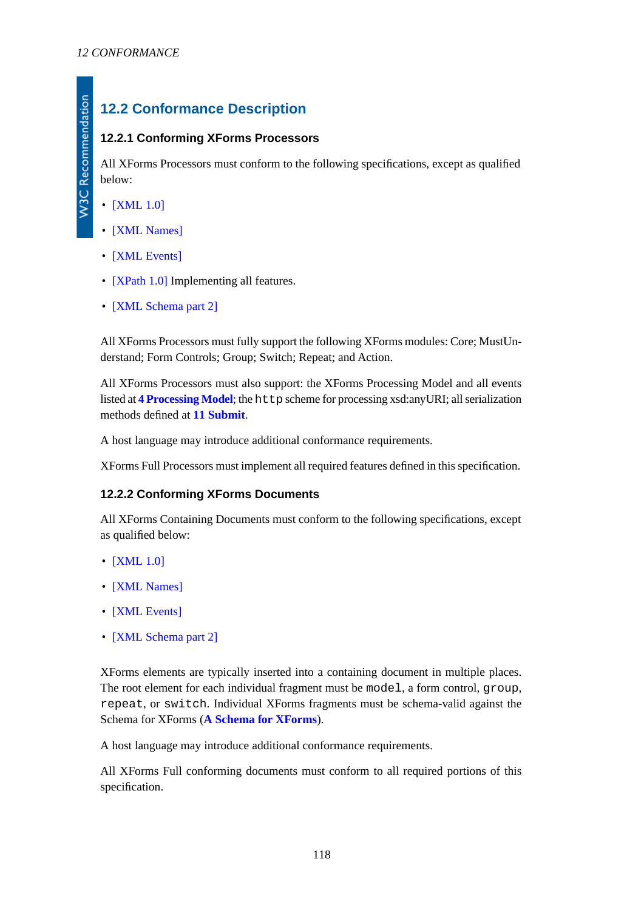## **12.2 Conformance Description**

### **12.2.1 Conforming XForms Processors**

All XForms Processors must conform to the following specifications, except as qualified below:

- [\[XML 1.0\]](#page-121-1)
- [\[XML Names\]](#page-121-2)
- **[\[XML Events\]](#page-120-5)**
- **[\[XPath 1.0\]](#page-121-3)** Implementing all features.
- [\[XML Schema part 2\]](#page-121-4)

All XForms Processors must fully support the following XForms modules: Core; MustUnderstand; Form Controls; Group; Switch; Repeat; and Action.

All XForms Processors must also support: the XForms Processing Model and all events listed at **[4 Processing Model](#page-25-0)**; the http scheme for processing xsd:anyURI; all serialization methods defined at **[11 Submit](#page-108-0)**.

A host language may introduce additional conformance requirements.

XForms Full Processors must implement all required features defined in this specification.

### **12.2.2 Conforming XForms Documents**

All XForms Containing Documents must conform to the following specifications, except as qualified below:

- **[\[XML 1.0\]](#page-121-1)**
- [\[XML Names\]](#page-121-2)
- [\[XML Events\]](#page-120-5)
- [\[XML Schema part 2\]](#page-121-4)

XForms elements are typically inserted into a containing document in multiple places. The root element for each individual fragment must be model, a form control, group, repeat, or switch. Individual XForms fragments must be schema-valid against the Schema for XForms (**[A Schema for XForms](#page-120-6)**).

A host language may introduce additional conformance requirements.

All XForms Full conforming documents must conform to all required portions of this specification.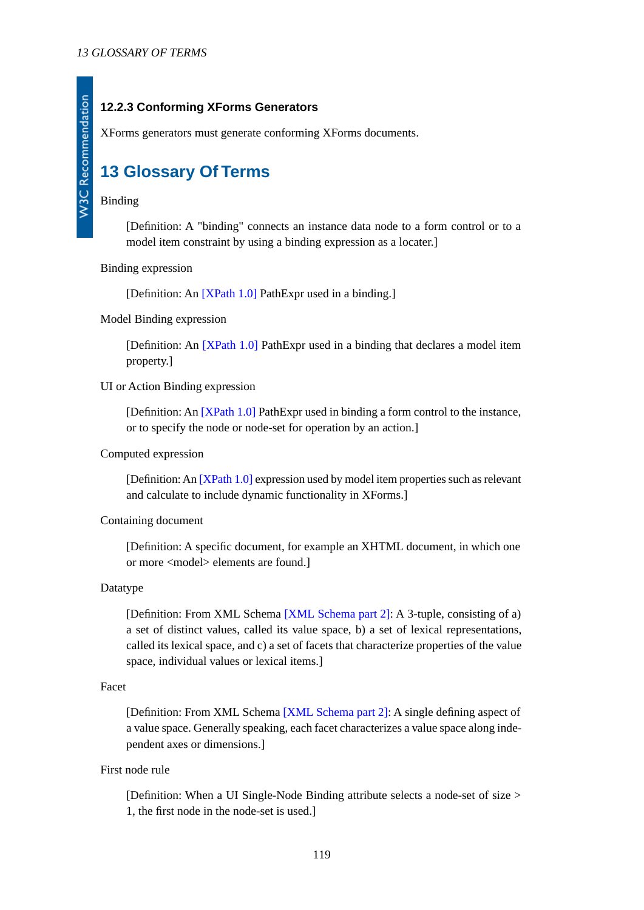### **12.2.3 Conforming XForms Generators**

XForms generators must generate conforming XForms documents.

## **13 Glossary Of Terms**

#### Binding

[Definition: A "binding" connects an instance data node to a form control or to a model item constraint by using a binding expression as a locater.]

Binding expression

[Definition: An [\[XPath 1.0\]](#page-121-3) PathExpr used in a binding.]

Model Binding expression

[Definition: An [\[XPath 1.0\]](#page-121-3) PathExpr used in a binding that declares a model item property.]

#### UI or Action Binding expression

[Definition: An [\[XPath 1.0\]](#page-121-3) PathExpr used in binding a form control to the instance, or to specify the node or node-set for operation by an action.]

#### Computed expression

[Definition: An [\[XPath 1.0\]](#page-121-3) expression used by model item properties such as relevant and calculate to include dynamic functionality in XForms.]

#### Containing document

[Definition: A specific document, for example an XHTML document, in which one or more <model> elements are found.]

#### Datatype

[Definition: From XML Schema [\[XML Schema part 2\]:](#page-121-4) A 3-tuple, consisting of a) a set of distinct values, called its value space, b) a set of lexical representations, called its lexical space, and c) a set of facets that characterize properties of the value space, individual values or lexical items.]

#### Facet

[Definition: From XML Schema [\[XML Schema part 2\]:](#page-121-4) A single defining aspect of a value space. Generally speaking, each facet characterizes a value space along independent axes or dimensions.]

#### First node rule

[Definition: When a UI Single-Node Binding attribute selects a node-set of size > 1, the first node in the node-set is used.]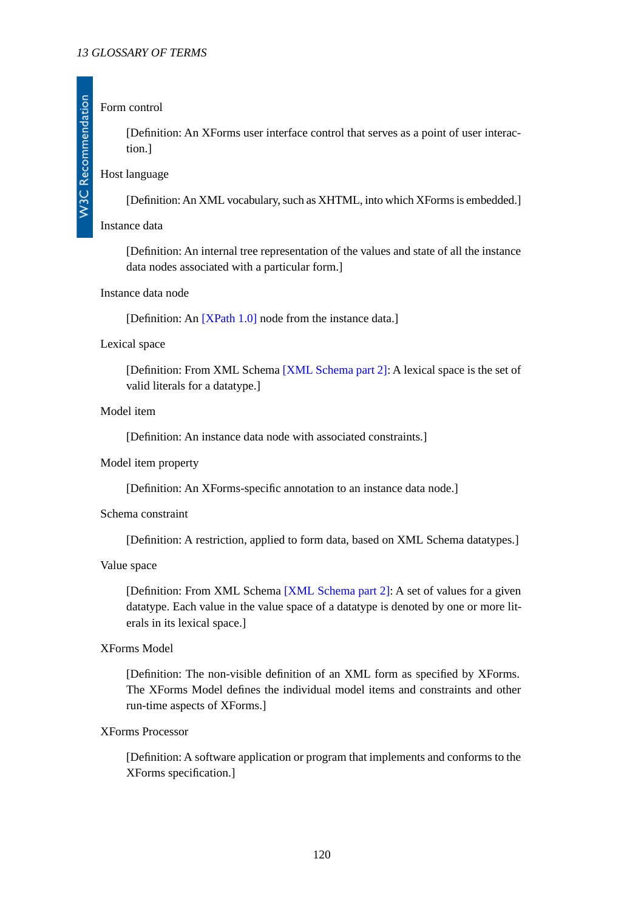#### Form control

[Definition: An XForms user interface control that serves as a point of user interaction.]

### Host language

[Definition: An XML vocabulary, such as XHTML, into which XForms is embedded.]

#### <span id="page-119-0"></span>Instance data

[Definition: An internal tree representation of the values and state of all the instance data nodes associated with a particular form.]

#### Instance data node

[Definition: An [\[XPath 1.0\]](#page-121-3) node from the instance data.]

#### Lexical space

[Definition: From XML Schema [\[XML Schema part 2\]](#page-121-4): A lexical space is the set of valid literals for a datatype.]

#### Model item

[Definition: An instance data node with associated constraints.]

#### Model item property

[Definition: An XForms-specific annotation to an instance data node.]

#### Schema constraint

[Definition: A restriction, applied to form data, based on XML Schema datatypes.]

#### Value space

[Definition: From XML Schema [\[XML Schema part 2\]](#page-121-4): A set of values for a given datatype. Each value in the value space of a datatype is denoted by one or more literals in its lexical space.]

#### XForms Model

[Definition: The non-visible definition of an XML form as specified by XForms. The XForms Model defines the individual model items and constraints and other run-time aspects of XForms.]

#### XForms Processor

[Definition: A software application or program that implements and conforms to the XForms specification.]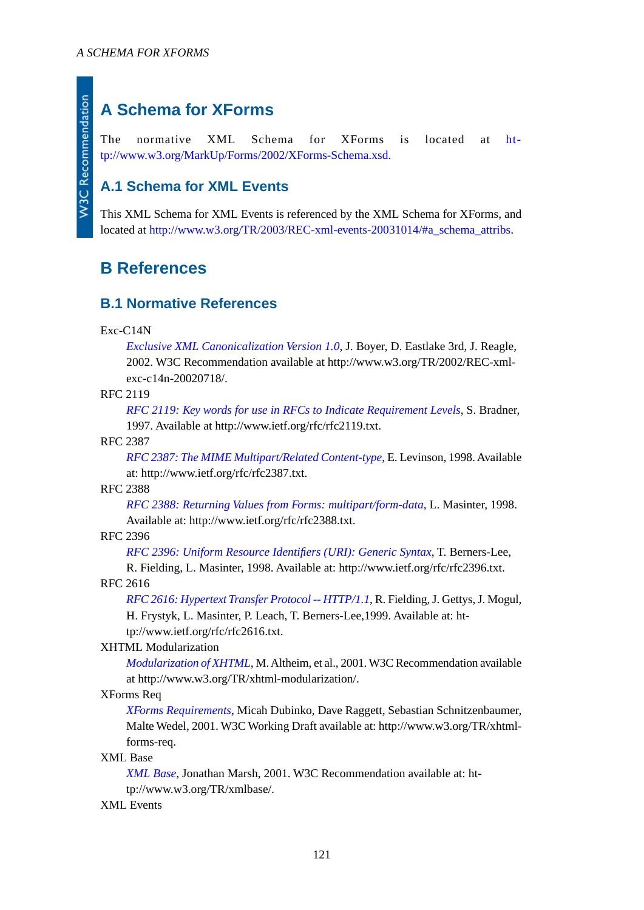## <span id="page-120-6"></span>**A Schema for XForms**

The normative XML Schema for XForms is located at [ht](http://www.w3.org/MarkUp/Forms/2002/XForms-Schema.xsd)[tp://www.w3.org/MarkUp/Forms/2002/XForms-Schema.xsd.](http://www.w3.org/MarkUp/Forms/2002/XForms-Schema.xsd)

## **A.1 Schema for XML Events**

This XML Schema for XML Events is referenced by the XML Schema for XForms, and located at [http://www.w3.org/TR/2003/REC-xml-events-20031014/#a\\_schema\\_attribs](http://www.w3.org/TR/2003/REC-xml-events-20031014/#a_schema_attribs).

## **B References**

### <span id="page-120-1"></span>**B.1 Normative References**

#### Exc-C14N

**W3C Recommendation** 

*[Exclusive XML Canonicalization Version 1.0](http://www.w3.org/TR/2002/REC-xml-exc-c14n-20020718/)*, J. Boyer, D. Eastlake 3rd, J. Reagle, 2002. W3C Recommendation available at http://www.w3.org/TR/2002/REC-xmlexc-c14n-20020718/.

#### <span id="page-120-2"></span>RFC 2119

*[RFC 2119: Key words for use in RFCs to Indicate Requirement Levels](http://www.ietf.org/rfc/rfc2119.txt)*, S. Bradner, 1997. Available at http://www.ietf.org/rfc/rfc2119.txt.

#### <span id="page-120-3"></span>RFC 2387

*[RFC 2387: The MIME Multipart/Related Content-type](http://www.ietf.org/rfc/rfc2387.txt)*, E. Levinson, 1998. Available at: http://www.ietf.org/rfc/rfc2387.txt.

<span id="page-120-4"></span>RFC 2388

*[RFC 2388: Returning Values from Forms: multipart/form-data](http://www.ietf.org/rfc/rfc2388.txt)*, L. Masinter, 1998. Available at: http://www.ietf.org/rfc/rfc2388.txt.

#### <span id="page-120-0"></span>RFC 2396

*[RFC 2396: Uniform Resource Identifiers \(URI\): Generic Syntax](http://www.ietf.org/rfc/rfc2396.txt)*, T. Berners-Lee,

R. Fielding, L. Masinter, 1998. Available at: http://www.ietf.org/rfc/rfc2396.txt. RFC 2616

*[RFC 2616: Hypertext Transfer Protocol -- HTTP/1.1](http://www.ietf.org/rfc/rfc2616.txt)*, R. Fielding, J. Gettys, J. Mogul, H. Frystyk, L. Masinter, P. Leach, T. Berners-Lee,1999. Available at: http://www.ietf.org/rfc/rfc2616.txt.

#### XHTML Modularization

*[Modularization of XHTML](http://www.w3.org/TR/xhtml-modularization/)*, M. Altheim, et al., 2001. W3C Recommendation available at http://www.w3.org/TR/xhtml-modularization/.

#### <span id="page-120-5"></span>XForms Req

*[XForms Requirements](http://www.w3.org/TR/xhtml-forms-req)*, Micah Dubinko, Dave Raggett, Sebastian Schnitzenbaumer, Malte Wedel, 2001. W3C Working Draft available at: http://www.w3.org/TR/xhtmlforms-req.

#### XML Base

*[XML Base](http://www.w3.org/TR/xmlbase/)*, Jonathan Marsh, 2001. W3C Recommendation available at: http://www.w3.org/TR/xmlbase/.

#### XML Events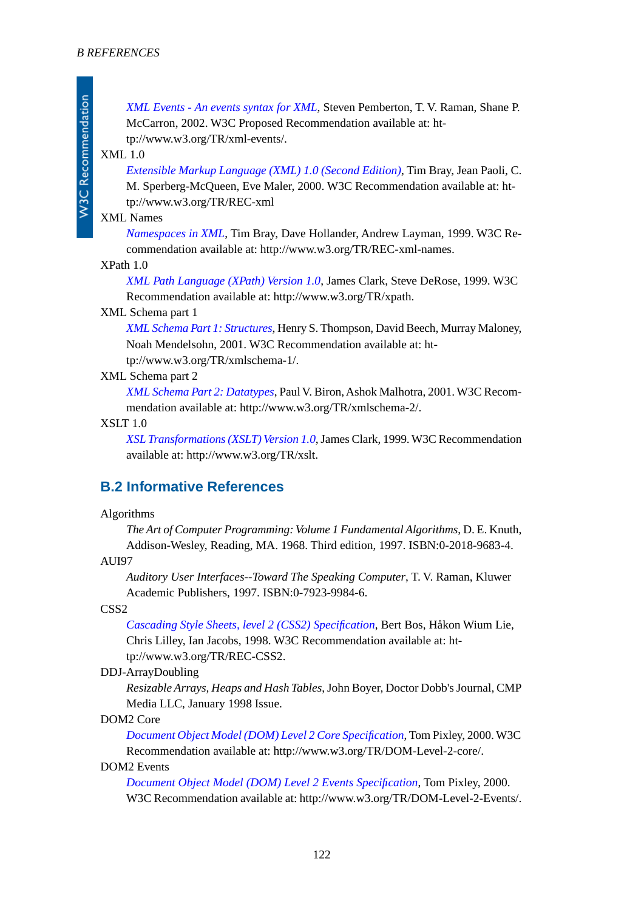*[XML Events - An events syntax for XML](http://www.w3.org/TR/xml-events/)*, Steven Pemberton, T. V. Raman, Shane P. McCarron, 2002. W3C Proposed Recommendation available at: http://www.w3.org/TR/xml-events/.

#### <span id="page-121-1"></span>XML 1.0

**W3C Recommendation** 

*[Extensible Markup Language \(XML\) 1.0 \(Second Edition\)](http://www.w3.org/TR/REC-xml)*, Tim Bray, Jean Paoli, C. M. Sperberg-McQueen, Eve Maler, 2000. W3C Recommendation available at: http://www.w3.org/TR/REC-xml

#### <span id="page-121-3"></span><span id="page-121-2"></span>XML Names

*[Namespaces in XML](http://www.w3.org/TR/REC-xml-names/)*, Tim Bray, Dave Hollander, Andrew Layman, 1999. W3C Recommendation available at: http://www.w3.org/TR/REC-xml-names.

#### XPath 1.0

*[XML Path Language \(XPath\) Version 1.0](http://www.w3.org/TR/xpath)*, James Clark, Steve DeRose, 1999. W3C Recommendation available at: http://www.w3.org/TR/xpath.

#### <span id="page-121-4"></span>XML Schema part 1

*[XML Schema Part 1: Structures](http://www.w3.org/TR/xmlschema-1/)*, Henry S. Thompson, David Beech, Murray Maloney, Noah Mendelsohn, 2001. W3C Recommendation available at: ht-

tp://www.w3.org/TR/xmlschema-1/.

#### <span id="page-121-0"></span>XML Schema part 2

*[XML Schema Part 2: Datatypes](http://www.w3.org/TR/xmlschema-2/)*, Paul V. Biron, Ashok Malhotra, 2001. W3C Recommendation available at: http://www.w3.org/TR/xmlschema-2/.

#### XSLT 1.0

*[XSL Transformations \(XSLT\) Version 1.0](http://www.w3.org/TR/xslt)*, James Clark, 1999. W3C Recommendation available at: http://www.w3.org/TR/xslt.

### <span id="page-121-5"></span>**B.2 Informative References**

#### Algorithms

*The Art of Computer Programming: Volume 1 Fundamental Algorithms*, D. E. Knuth, Addison-Wesley, Reading, MA. 1968. Third edition, 1997. ISBN:0-2018-9683-4.

#### AUI97

*Auditory User Interfaces--Toward The Speaking Computer*, T. V. Raman, Kluwer Academic Publishers, 1997. ISBN:0-7923-9984-6.

#### <span id="page-121-6"></span>CSS2

*[Cascading Style Sheets, level 2 \(CSS2\) Specification](http://www.w3.org/TR/REC-CSS2/)*, Bert Bos, Håkon Wium Lie, Chris Lilley, Ian Jacobs, 1998. W3C Recommendation available at: http://www.w3.org/TR/REC-CSS2.

#### DDJ-ArrayDoubling

*Resizable Arrays, Heaps and Hash Tables*, John Boyer, Doctor Dobb's Journal, CMP Media LLC, January 1998 Issue.

#### DOM2 Core

*[Document Object Model \(DOM\) Level 2 Core Specification](http://www.w3.org/TR/DOM-Level-2-core/)*, Tom Pixley, 2000. W3C Recommendation available at: http://www.w3.org/TR/DOM-Level-2-core/.

#### DOM2 Events

*[Document Object Model \(DOM\) Level 2 Events Specification](http://www.w3.org/TR/DOM-Level-2-Events/)*, Tom Pixley, 2000. W3C Recommendation available at: http://www.w3.org/TR/DOM-Level-2-Events/.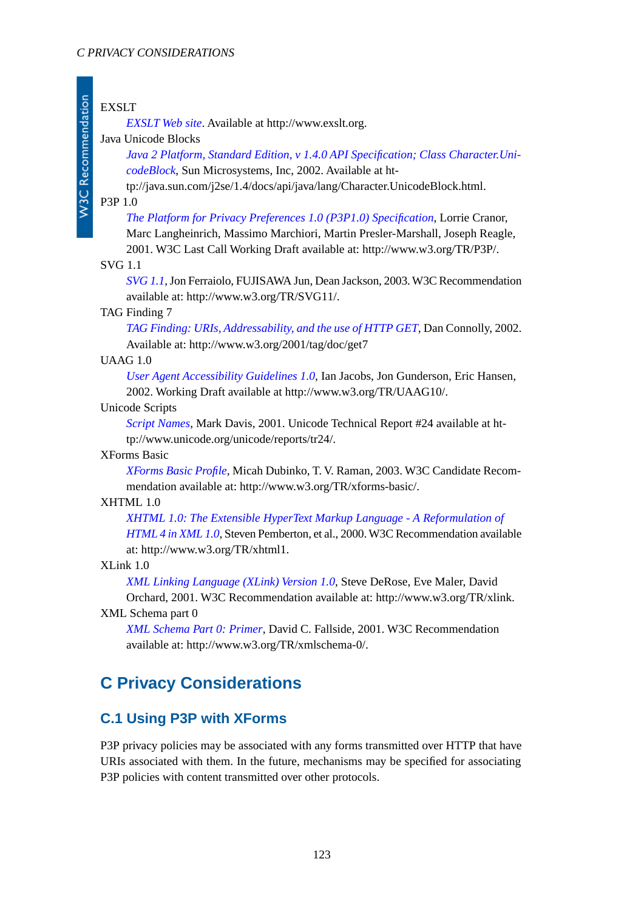#### EXSLT

*[EXSLT Web site](http://www.exslt.org/)*. Available at http://www.exslt.org.

#### <span id="page-122-5"></span>Java Unicode Blocks

*[Java 2 Platform, Standard Edition, v 1.4.0 API Specification; Class Character.Uni](http://java.sun.com/j2se/1.4/docs/api/java/lang/Character.UnicodeBlock.html)[codeBlock](http://java.sun.com/j2se/1.4/docs/api/java/lang/Character.UnicodeBlock.html)*, Sun Microsystems, Inc, 2002. Available at ht-

tp://java.sun.com/j2se/1.4/docs/api/java/lang/Character.UnicodeBlock.html.

#### <span id="page-122-2"></span>P3P 1.0

**W3C Recommendation** 

*[The Platform for Privacy Preferences 1.0 \(P3P1.0\) Specification](http://www.w3.org/TR/P3P/)*, Lorrie Cranor,

Marc Langheinrich, Massimo Marchiori, Martin Presler-Marshall, Joseph Reagle, 2001. W3C Last Call Working Draft available at: http://www.w3.org/TR/P3P/.

#### <span id="page-122-6"></span><span id="page-122-0"></span>SVG 1.1

*[SVG 1.1](http://www.w3.org/TR/SVG11/)*, Jon Ferraiolo, FUJISAWA Jun, Dean Jackson, 2003. W3C Recommendation available at: http://www.w3.org/TR/SVG11/.

#### <span id="page-122-3"></span>TAG Finding 7

*[TAG Finding: URIs, Addressability, and the use of HTTP GET](http://www.w3.org/2001/tag/doc/get7)*, Dan Connolly, 2002. Available at: http://www.w3.org/2001/tag/doc/get7

#### <span id="page-122-4"></span>UAAG 1.0

*[User Agent Accessibility Guidelines 1.0](http://www.w3.org/TR/UAAG10/)*, Ian Jacobs, Jon Gunderson, Eric Hansen, 2002. Working Draft available at http://www.w3.org/TR/UAAG10/.

#### Unicode Scripts

*[Script Names](http://www.unicode.org/unicode/reports/tr24/)*, Mark Davis, 2001. Unicode Technical Report #24 available at http://www.unicode.org/unicode/reports/tr24/.

#### <span id="page-122-1"></span>XForms Basic

*[XForms Basic Profile](http://www.w3.org/TR/xforms-basic/)*, Micah Dubinko, T. V. Raman, 2003. W3C Candidate Recommendation available at: http://www.w3.org/TR/xforms-basic/.

#### XHTML 1.0

*[XHTML 1.0: The Extensible HyperText Markup Language - A Reformulation of](http://www.w3.org/TR/xhtml1/) [HTML 4 in XML 1.0](http://www.w3.org/TR/xhtml1/)*, Steven Pemberton, et al., 2000. W3C Recommendation available at: http://www.w3.org/TR/xhtml1.

#### XLink 1.0

*[XML Linking Language \(XLink\) Version 1.0](http://www.w3.org/TR/xlink/)*, Steve DeRose, Eve Maler, David Orchard, 2001. W3C Recommendation available at: http://www.w3.org/TR/xlink.

#### XML Schema part 0

*[XML Schema Part 0: Primer](http://www.w3.org/TR/xmlschema-0/)*, David C. Fallside, 2001. W3C Recommendation available at: http://www.w3.org/TR/xmlschema-0/.

## **C Privacy Considerations**

### **C.1 Using P3P with XForms**

P3P privacy policies may be associated with any forms transmitted over HTTP that have URIs associated with them. In the future, mechanisms may be specified for associating P3P policies with content transmitted over other protocols.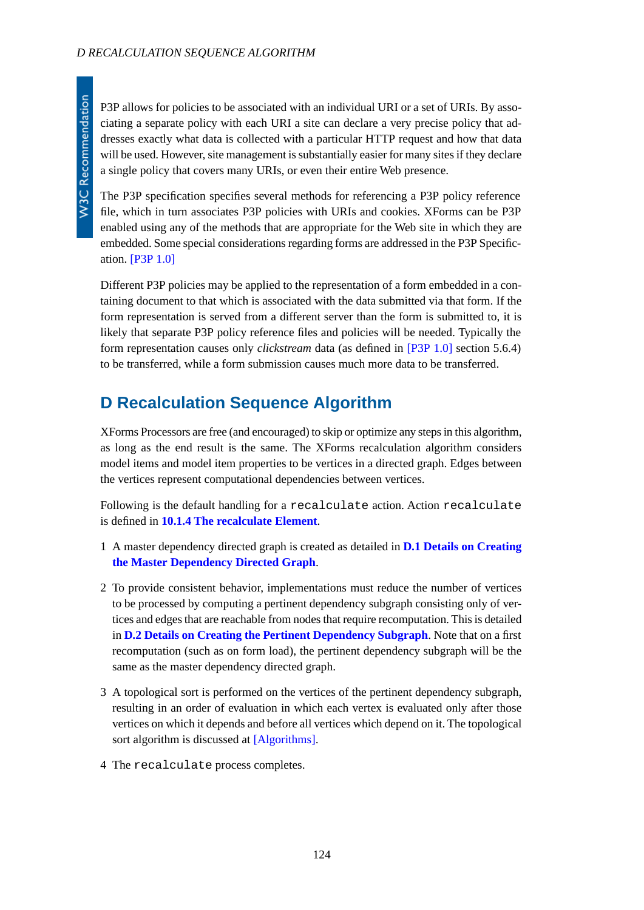P3P allows for policies to be associated with an individual URI or a set of URIs. By associating a separate policy with each URI a site can declare a very precise policy that addresses exactly what data is collected with a particular HTTP request and how that data will be used. However, site management is substantially easier for many sites if they declare a single policy that covers many URIs, or even their entire Web presence.

The P3P specification specifies several methods for referencing a P3P policy reference file, which in turn associates P3P policies with URIs and cookies. XForms can be P3P enabled using any of the methods that are appropriate for the Web site in which they are embedded. Some special considerations regarding forms are addressed in the P3P Specification. [\[P3P 1.0\]](#page-122-2)

Different P3P policies may be applied to the representation of a form embedded in a containing document to that which is associated with the data submitted via that form. If the form representation is served from a different server than the form is submitted to, it is likely that separate P3P policy reference files and policies will be needed. Typically the form representation causes only *clickstream* data (as defined in [\[P3P 1.0\]](#page-122-2) section 5.6.4) to be transferred, while a form submission causes much more data to be transferred.

## **D Recalculation Sequence Algorithm**

XForms Processors are free (and encouraged) to skip or optimize any steps in this algorithm, as long as the end result is the same. The XForms recalculation algorithm considers model items and model item properties to be vertices in a directed graph. Edges between the vertices represent computational dependencies between vertices.

Following is the default handling for a recalculate action. Action recalculate is defined in **[10.1.4 The recalculate Element](#page-103-0)**.

- 1 A master dependency directed graph is created as detailed in **[D.1 Details on Creating](#page-124-0) [the Master Dependency Directed Graph](#page-124-0)**.
- 2 To provide consistent behavior, implementations must reduce the number of vertices to be processed by computing a pertinent dependency subgraph consisting only of vertices and edges that are reachable from nodes that require recomputation. This is detailed in **[D.2 Details on Creating the Pertinent Dependency Subgraph](#page-124-1)**. Note that on a first recomputation (such as on form load), the pertinent dependency subgraph will be the same as the master dependency directed graph.
- 3 A topological sort is performed on the vertices of the pertinent dependency subgraph, resulting in an order of evaluation in which each vertex is evaluated only after those vertices on which it depends and before all vertices which depend on it. The topological sort algorithm is discussed at [\[Algorithms\].](#page-121-5)
- 4 The recalculate process completes.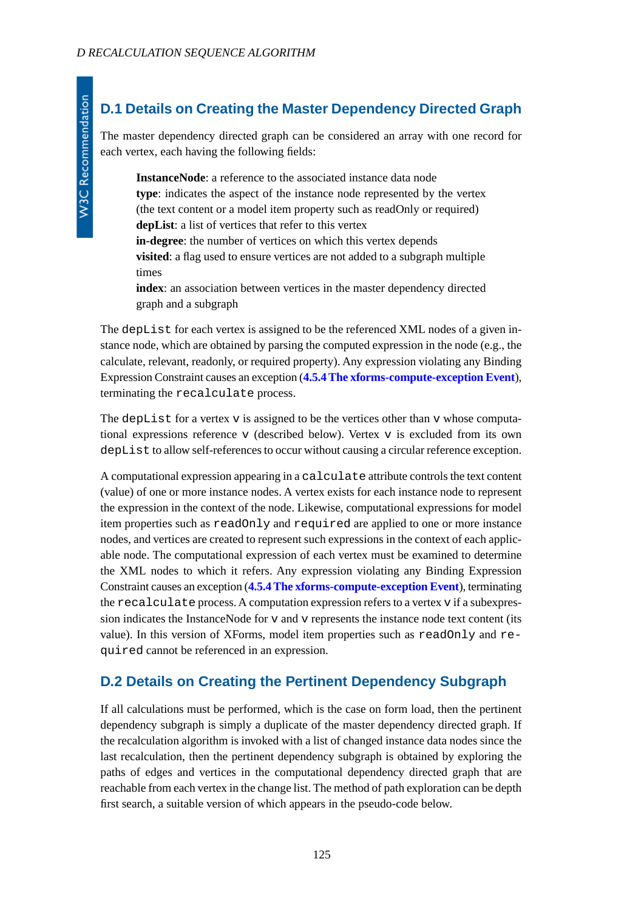## <span id="page-124-0"></span>**D.1 Details on Creating the Master Dependency Directed Graph**

The master dependency directed graph can be considered an array with one record for each vertex, each having the following fields:

**InstanceNode**: a reference to the associated instance data node **type**: indicates the aspect of the instance node represented by the vertex (the text content or a model item property such as readOnly or required) **depList**: a list of vertices that refer to this vertex **in-degree**: the number of vertices on which this vertex depends **visited**: a flag used to ensure vertices are not added to a subgraph multiple times **index**: an association between vertices in the master dependency directed

graph and a subgraph

The depList for each vertex is assigned to be the referenced XML nodes of a given instance node, which are obtained by parsing the computed expression in the node (e.g., the calculate, relevant, readonly, or required property). Any expression violating any Binding Expression Constraint causes an exception (**[4.5.4 The xforms-compute-exception Event](#page-41-0)**), terminating the recalculate process.

The depList for a vertex v is assigned to be the vertices other than v whose computational expressions reference v (described below). Vertex v is excluded from its own depList to allow self-references to occur without causing a circular reference exception.

A computational expression appearing in a calculate attribute controls the text content (value) of one or more instance nodes. A vertex exists for each instance node to represent the expression in the context of the node. Likewise, computational expressions for model item properties such as readOnly and required are applied to one or more instance nodes, and vertices are created to represent such expressions in the context of each applicable node. The computational expression of each vertex must be examined to determine the XML nodes to which it refers. Any expression violating any Binding Expression Constraint causes an exception (**[4.5.4 The xforms-compute-exception Event](#page-41-0)**), terminating the recalculate process. A computation expression refers to a vertex v if a subexpression indicates the InstanceNode for v and v represents the instance node text content (its value). In this version of XForms, model item properties such as readOnly and required cannot be referenced in an expression.

### <span id="page-124-1"></span>**D.2 Details on Creating the Pertinent Dependency Subgraph**

If all calculations must be performed, which is the case on form load, then the pertinent dependency subgraph is simply a duplicate of the master dependency directed graph. If the recalculation algorithm is invoked with a list of changed instance data nodes since the last recalculation, then the pertinent dependency subgraph is obtained by exploring the paths of edges and vertices in the computational dependency directed graph that are reachable from each vertex in the change list. The method of path exploration can be depth first search, a suitable version of which appears in the pseudo-code below.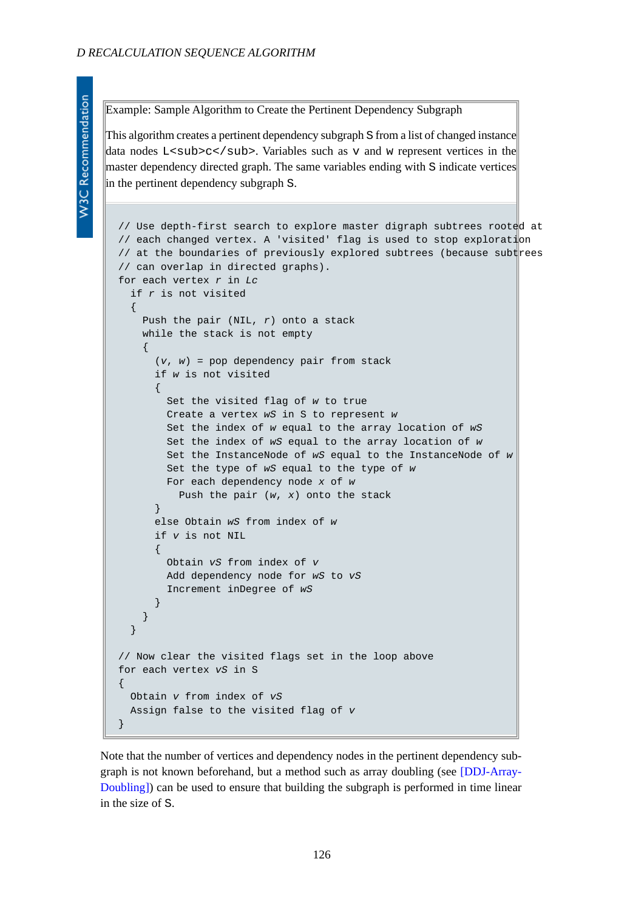Example: Sample Algorithm to Create the Pertinent Dependency Subgraph

This algorithm creates a pertinent dependency subgraph S from a list of changed instance data nodes L<sub>c</sub>. Variables such as v and w represent vertices in the master dependency directed graph. The same variables ending with S indicate vertices in the pertinent dependency subgraph S.

```
// Use depth-first search to explore master digraph subtrees rooted at
// each changed vertex. A 'visited' flag is used to stop exploration
// at the boundaries of previously explored subtrees (because subtrees
// can overlap in directed graphs).
for each vertex r in Lc
  if r is not visited
\{ Push the pair (NIL, r) onto a stack
     while the stack is not empty
\left\{\begin{array}{ccc} \end{array}\right\} (v, w) = pop dependency pair from stack
       if w is not visited
\left\{ \begin{array}{c} \end{array} \right. Set the visited flag of w to true
         Create a vertex wS in S to represent w
         Set the index of w equal to the array location of wS
         Set the index of wS equal to the array location of w
          Set the InstanceNode of wS equal to the InstanceNode of w
         Set the type of wS equal to the type of w
         For each dependency node x of w
            Push the pair (w, x) onto the stack
       }
       else Obtain wS from index of w
       if v is not NIL
\left\{ \begin{array}{c} \end{array} \right. Obtain vS from index of v
          Add dependency node for wS to vS
          Increment inDegree of wS
       }
     }
   }
// Now clear the visited flags set in the loop above
for each vertex vS in S
{
   Obtain v from index of vS
   Assign false to the visited flag of v
}
```
Note that the number of vertices and dependency nodes in the pertinent dependency subgraph is not known beforehand, but a method such as array doubling (see [\[DDJ-Array-](#page-121-6)[Doubling\]](#page-121-6)) can be used to ensure that building the subgraph is performed in time linear in the size of S.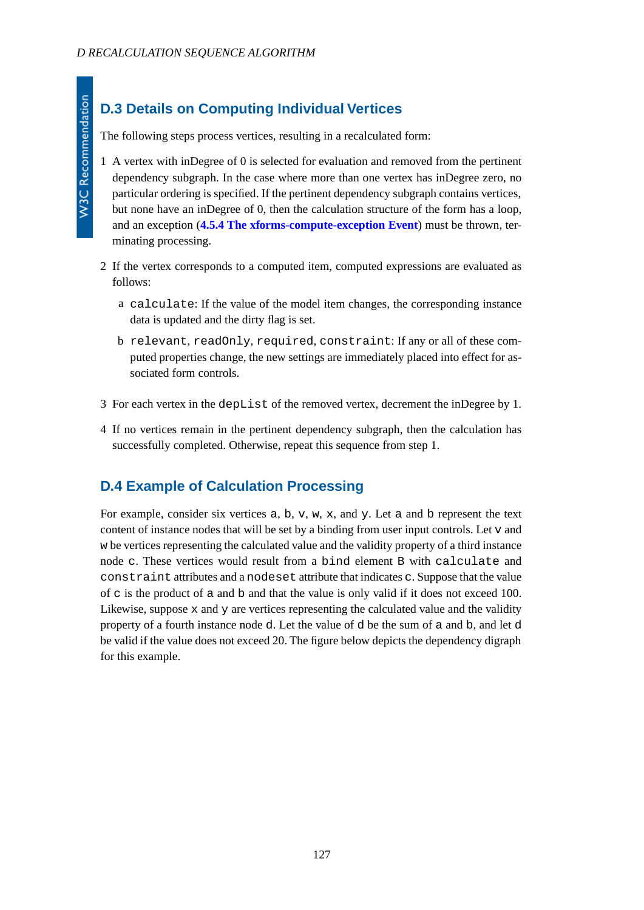## **D.3 Details on Computing Individual Vertices**

The following steps process vertices, resulting in a recalculated form:

- 1 A vertex with inDegree of 0 is selected for evaluation and removed from the pertinent dependency subgraph. In the case where more than one vertex has inDegree zero, no particular ordering is specified. If the pertinent dependency subgraph contains vertices, but none have an inDegree of 0, then the calculation structure of the form has a loop, and an exception (**[4.5.4 The xforms-compute-exception Event](#page-41-0)**) must be thrown, terminating processing.
- 2 If the vertex corresponds to a computed item, computed expressions are evaluated as follows:
	- a calculate: If the value of the model item changes, the corresponding instance data is updated and the dirty flag is set.
	- b relevant, readOnly, required, constraint: If any or all of these computed properties change, the new settings are immediately placed into effect for associated form controls.
- 3 For each vertex in the depList of the removed vertex, decrement the inDegree by 1.
- 4 If no vertices remain in the pertinent dependency subgraph, then the calculation has successfully completed. Otherwise, repeat this sequence from step 1.

### **D.4 Example of Calculation Processing**

For example, consider six vertices a, b, v, w, x, and y. Let a and b represent the text content of instance nodes that will be set by a binding from user input controls. Let v and w be vertices representing the calculated value and the validity property of a third instance node c. These vertices would result from a bind element B with calculate and constraint attributes and a nodeset attribute that indicates c. Suppose that the value of c is the product of a and b and that the value is only valid if it does not exceed 100. Likewise, suppose x and y are vertices representing the calculated value and the validity property of a fourth instance node d. Let the value of d be the sum of a and b, and let d be valid if the value does not exceed 20. The figure below depicts the dependency digraph for this example.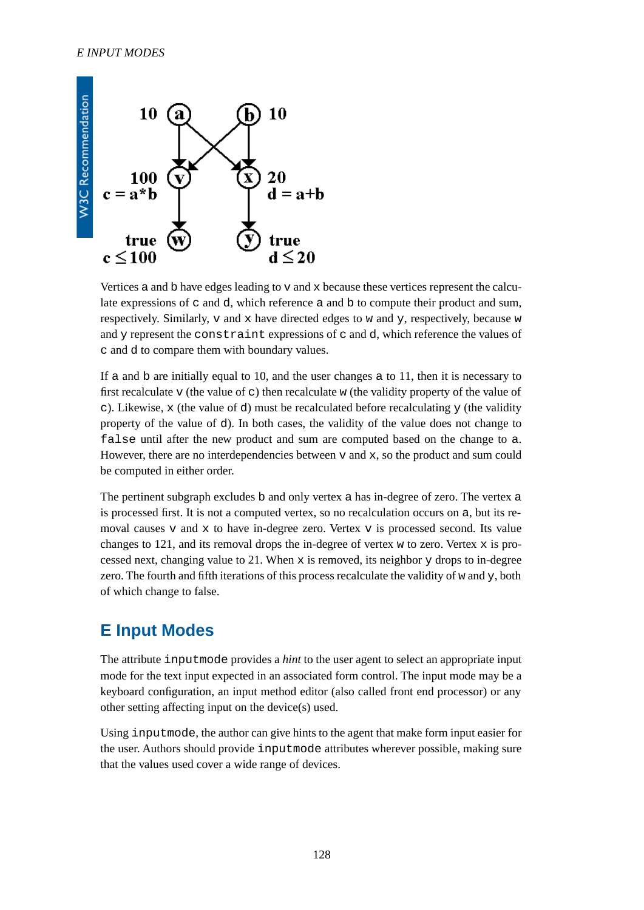

Vertices a and  $b$  have edges leading to  $v$  and  $x$  because these vertices represent the calculate expressions of  $\sigma$  and  $\sigma$ , which reference a and  $\sigma$  to compute their product and sum, respectively. Similarly,  $\nabla$  and  $x$  have directed edges to  $w$  and  $y$ , respectively, because  $w$ and y represent the constraint expressions of c and d, which reference the values of c and d to compare them with boundary values.

If a and  $\bar{b}$  are initially equal to 10, and the user changes a to 11, then it is necessary to first recalculate v (the value of c) then recalculate w (the validity property of the value of c). Likewise, x (the value of d) must be recalculated before recalculating  $\gamma$  (the validity property of the value of d). In both cases, the validity of the value does not change to false until after the new product and sum are computed based on the change to a. However, there are no interdependencies between  $v$  and  $x$ , so the product and sum could be computed in either order.

The pertinent subgraph excludes b and only vertex a has in-degree of zero. The vertex a is processed first. It is not a computed vertex, so no recalculation occurs on a, but its removal causes  $v$  and  $x$  to have in-degree zero. Vertex  $v$  is processed second. Its value changes to 121, and its removal drops the in-degree of vertex w to zero. Vertex  $x$  is processed next, changing value to 21. When  $x$  is removed, its neighbor  $y$  drops to in-degree zero. The fourth and fifth iterations of this process recalculate the validity of w and y, both of which change to false.

## **E Input Modes**

The attribute inputmode provides a *hint* to the user agent to select an appropriate input mode for the text input expected in an associated form control. The input mode may be a keyboard configuration, an input method editor (also called front end processor) or any other setting affecting input on the device(s) used.

Using inputmode, the author can give hints to the agent that make form input easier for the user. Authors should provide inputmode attributes wherever possible, making sure that the values used cover a wide range of devices.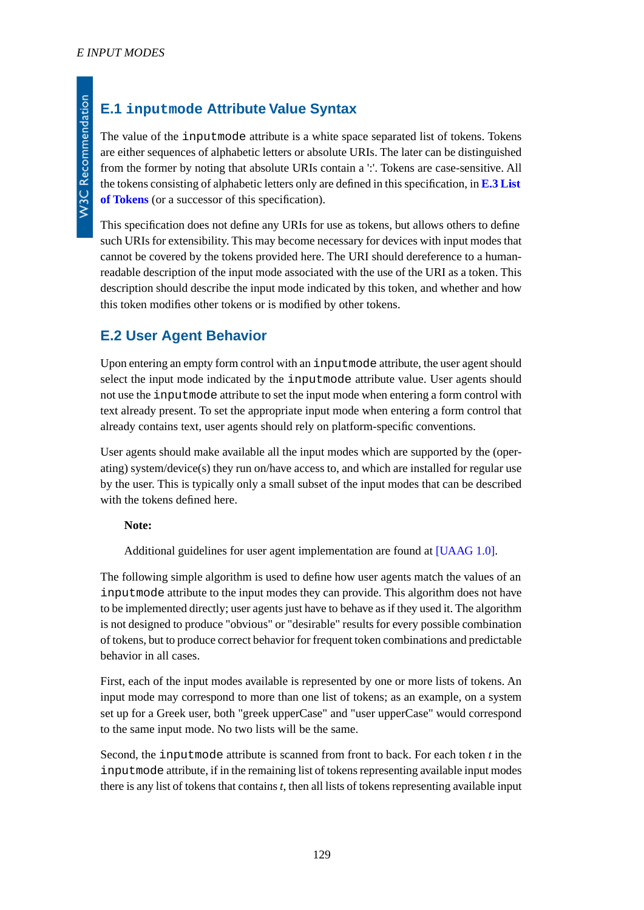W3C Recommendation

## **E.1 inputmode Attribute Value Syntax**

The value of the inputmode attribute is a white space separated list of tokens. Tokens are either sequences of alphabetic letters or absolute URIs. The later can be distinguished from the former by noting that absolute URIs contain a ':'. Tokens are case-sensitive. All the tokens consisting of alphabetic letters only are defined in this specification, in **[E.3 List](#page-129-0) [of Tokens](#page-129-0)** (or a successor of this specification).

This specification does not define any URIs for use as tokens, but allows others to define such URIs for extensibility. This may become necessary for devices with input modes that cannot be covered by the tokens provided here. The URI should dereference to a humanreadable description of the input mode associated with the use of the URI as a token. This description should describe the input mode indicated by this token, and whether and how this token modifies other tokens or is modified by other tokens.

### **E.2 User Agent Behavior**

Upon entering an empty form control with an inputmode attribute, the user agent should select the input mode indicated by the inputmode attribute value. User agents should not use the inputmode attribute to set the input mode when entering a form control with text already present. To set the appropriate input mode when entering a form control that already contains text, user agents should rely on platform-specific conventions.

User agents should make available all the input modes which are supported by the (operating) system/device(s) they run on/have access to, and which are installed for regular use by the user. This is typically only a small subset of the input modes that can be described with the tokens defined here.

#### **Note:**

Additional guidelines for user agent implementation are found at [\[UAAG 1.0\].](#page-122-3)

The following simple algorithm is used to define how user agents match the values of an inputmode attribute to the input modes they can provide. This algorithm does not have to be implemented directly; user agents just have to behave as if they used it. The algorithm is not designed to produce "obvious" or "desirable" results for every possible combination of tokens, but to produce correct behavior for frequent token combinations and predictable behavior in all cases.

First, each of the input modes available is represented by one or more lists of tokens. An input mode may correspond to more than one list of tokens; as an example, on a system set up for a Greek user, both "greek upperCase" and "user upperCase" would correspond to the same input mode. No two lists will be the same.

Second, the inputmode attribute is scanned from front to back. For each token *t* in the inputmode attribute, if in the remaining list of tokens representing available input modes there is any list of tokens that contains *t*, then all lists of tokens representing available input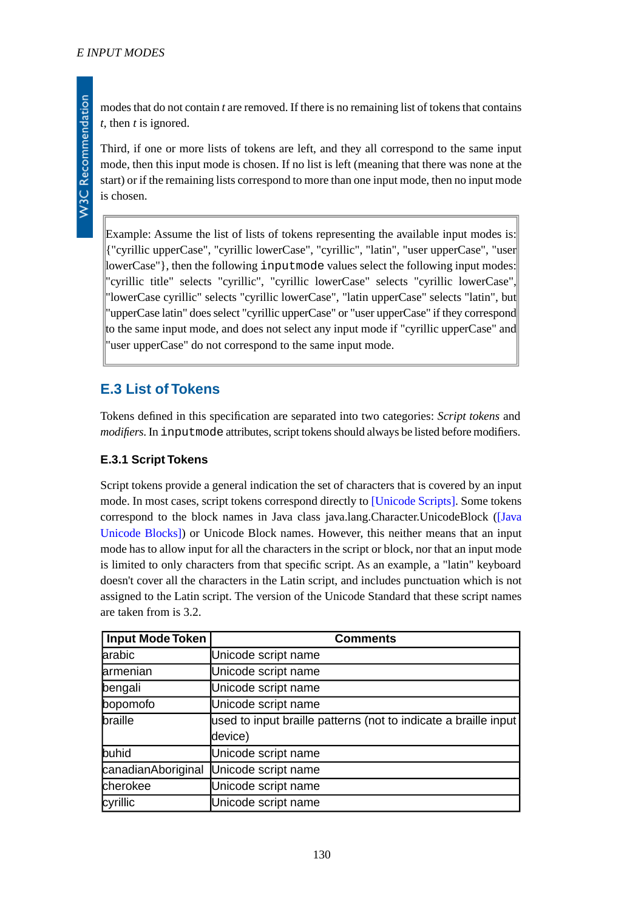modes that do not contain *t* are removed. If there is no remaining list of tokens that contains *t*, then *t* is ignored.

Third, if one or more lists of tokens are left, and they all correspond to the same input mode, then this input mode is chosen. If no list is left (meaning that there was none at the start) or if the remaining lists correspond to more than one input mode, then no input mode is chosen.

Example: Assume the list of lists of tokens representing the available input modes is: {"cyrillic upperCase", "cyrillic lowerCase", "cyrillic", "latin", "user upperCase", "user lowerCase"}, then the following inputmode values select the following input modes: "cyrillic title" selects "cyrillic", "cyrillic lowerCase" selects "cyrillic lowerCase", "lowerCase cyrillic" selects "cyrillic lowerCase", "latin upperCase" selects "latin", but "upperCase latin" does select "cyrillic upperCase" or "user upperCase" if they correspond to the same input mode, and does not select any input mode if "cyrillic upperCase" and "user upperCase" do not correspond to the same input mode.

### <span id="page-129-0"></span>**E.3 List of Tokens**

Tokens defined in this specification are separated into two categories: *Script tokens* and *modifiers*. In inputmode attributes, script tokens should always be listed before modifiers.

#### **E.3.1 Script Tokens**

Script tokens provide a general indication the set of characters that is covered by an input mode. In most cases, script tokens correspond directly to [\[Unicode Scripts\].](#page-122-4) Some tokens correspond to the block names in Java class java.lang.Character.UnicodeBlock ([\[Java](#page-122-5) [Unicode Blocks\]](#page-122-5)) or Unicode Block names. However, this neither means that an input mode has to allow input for all the characters in the script or block, nor that an input mode is limited to only characters from that specific script. As an example, a "latin" keyboard doesn't cover all the characters in the Latin script, and includes punctuation which is not assigned to the Latin script. The version of the Unicode Standard that these script names are taken from is 3.2.

| <b>Input Mode Token</b> | <b>Comments</b>                                                  |
|-------------------------|------------------------------------------------------------------|
| arabic                  | Unicode script name                                              |
| armenian                | Unicode script name                                              |
| bengali                 | Unicode script name                                              |
| bopomofo                | Unicode script name                                              |
| braille                 | used to input braille patterns (not to indicate a braille input) |
|                         | device)                                                          |
| buhid                   | Unicode script name                                              |
| canadianAboriginal      | Unicode script name                                              |
| cherokee                | Unicode script name                                              |
| cyrillic                | Unicode script name                                              |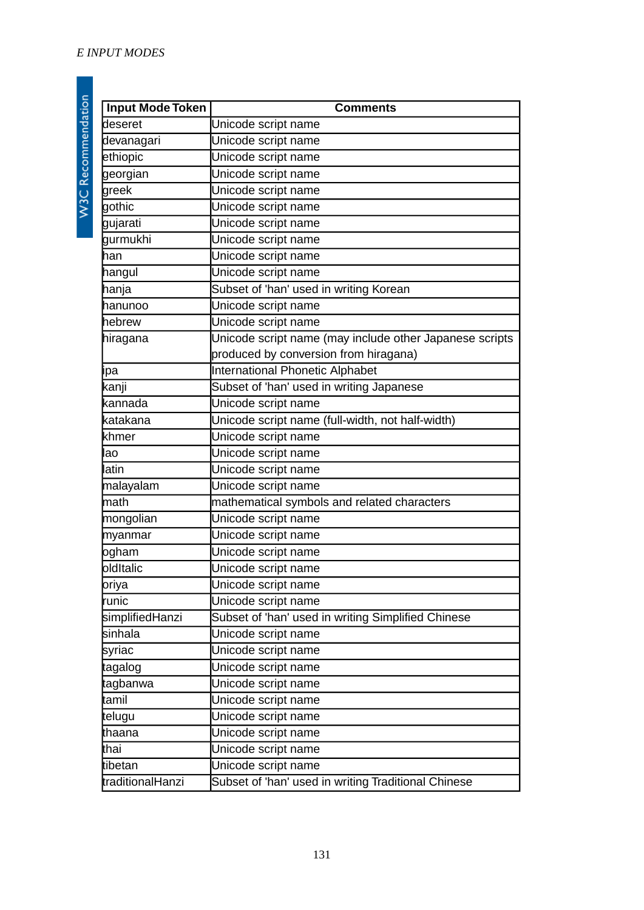| <b>Input Mode Token</b> | <b>Comments</b>                                         |  |
|-------------------------|---------------------------------------------------------|--|
| deseret                 | Unicode script name                                     |  |
| devanagari              | Unicode script name                                     |  |
| ethiopic                | Unicode script name                                     |  |
| georgian                | Unicode script name                                     |  |
| greek                   | Unicode script name                                     |  |
| gothic                  | Unicode script name                                     |  |
| gujarati                | Unicode script name                                     |  |
| gurmukhi                | Unicode script name                                     |  |
| han                     | Unicode script name                                     |  |
| hangul                  | Unicode script name                                     |  |
| hanja                   | Subset of 'han' used in writing Korean                  |  |
| hanunoo                 | Unicode script name                                     |  |
| hebrew                  | Unicode script name                                     |  |
| hiragana                | Unicode script name (may include other Japanese scripts |  |
|                         | produced by conversion from hiragana)                   |  |
| ipa                     | International Phonetic Alphabet                         |  |
| kanji                   | Subset of 'han' used in writing Japanese                |  |
| kannada                 | Unicode script name                                     |  |
| katakana                | Unicode script name (full-width, not half-width)        |  |
| khmer                   | Unicode script name                                     |  |
| lao                     | Unicode script name                                     |  |
| latin                   | Unicode script name                                     |  |
| malayalam               | Unicode script name                                     |  |
| math                    | mathematical symbols and related characters             |  |
| mongolian               | Unicode script name                                     |  |
| myanmar                 | Unicode script name                                     |  |
| ogham                   | Unicode script name                                     |  |
| oldItalic               | Unicode script name                                     |  |
| oriya                   | Unicode script name                                     |  |
| runic                   | Unicode script name                                     |  |
| simplifiedHanzi         | Subset of 'han' used in writing Simplified Chinese      |  |
| sinhala                 | Unicode script name                                     |  |
| syriac                  | Unicode script name                                     |  |
| tagalog                 | Unicode script name                                     |  |
| tagbanwa                | Unicode script name                                     |  |
| tamil                   | Unicode script name                                     |  |
| telugu                  | Unicode script name                                     |  |
| thaana                  | Unicode script name                                     |  |
| thai                    | Unicode script name                                     |  |
| tibetan                 | Unicode script name                                     |  |
| traditionalHanzi        | Subset of 'han' used in writing Traditional Chinese     |  |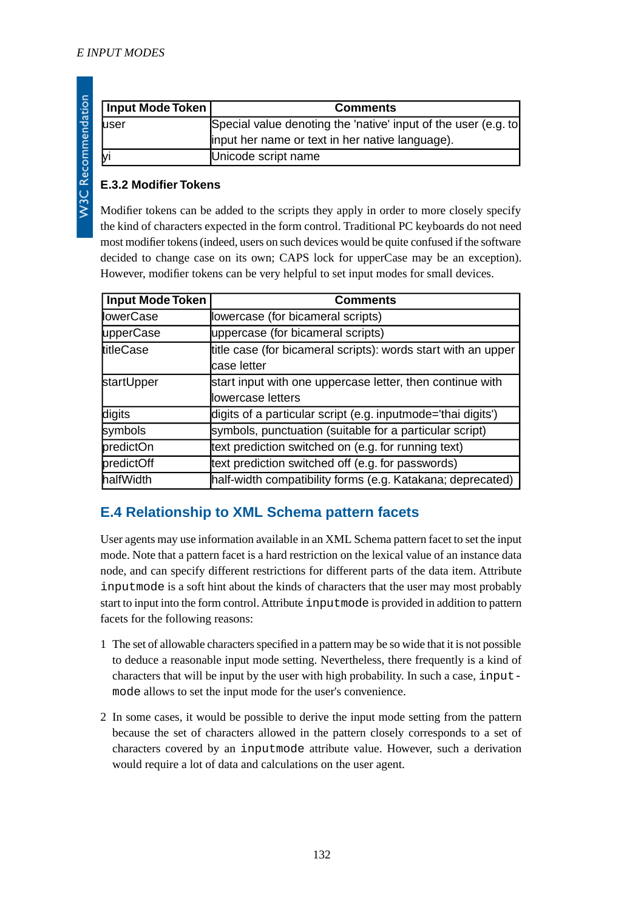| Input Mode Token | <b>Comments</b>                                                |
|------------------|----------------------------------------------------------------|
| luser            | Special value denoting the 'native' input of the user (e.g. to |
|                  | linput her name or text in her native language).               |
| lyi              | Unicode script name                                            |

### **E.3.2 Modifier Tokens**

Modifier tokens can be added to the scripts they apply in order to more closely specify the kind of characters expected in the form control. Traditional PC keyboards do not need most modifier tokens (indeed, users on such devices would be quite confused if the software decided to change case on its own; CAPS lock for upperCase may be an exception). However, modifier tokens can be very helpful to set input modes for small devices.

| <b>Input Mode Token</b> | <b>Comments</b>                                               |
|-------------------------|---------------------------------------------------------------|
| <b>lowerCase</b>        | lowercase (for bicameral scripts)                             |
| upperCase               | uppercase (for bicameral scripts)                             |
| titleCase               | title case (for bicameral scripts): words start with an upper |
|                         | lcase letter                                                  |
| startUpper              | start input with one uppercase letter, then continue with     |
|                         | llowercase letters                                            |
| digits                  | digits of a particular script (e.g. inputmode='thai digits')  |
| symbols                 | symbols, punctuation (suitable for a particular script)       |
| predictOn               | text prediction switched on (e.g. for running text)           |
| predictOff              | text prediction switched off (e.g. for passwords)             |
| halfWidth               | half-width compatibility forms (e.g. Katakana; deprecated)    |

### **E.4 Relationship to XML Schema pattern facets**

User agents may use information available in an XML Schema pattern facet to set the input mode. Note that a pattern facet is a hard restriction on the lexical value of an instance data node, and can specify different restrictions for different parts of the data item. Attribute inputmode is a soft hint about the kinds of characters that the user may most probably start to input into the form control. Attribute inputmode is provided in addition to pattern facets for the following reasons:

- 1 The set of allowable characters specified in a pattern may be so wide that it is not possible to deduce a reasonable input mode setting. Nevertheless, there frequently is a kind of characters that will be input by the user with high probability. In such a case, inputmode allows to set the input mode for the user's convenience.
- 2 In some cases, it would be possible to derive the input mode setting from the pattern because the set of characters allowed in the pattern closely corresponds to a set of characters covered by an inputmode attribute value. However, such a derivation would require a lot of data and calculations on the user agent.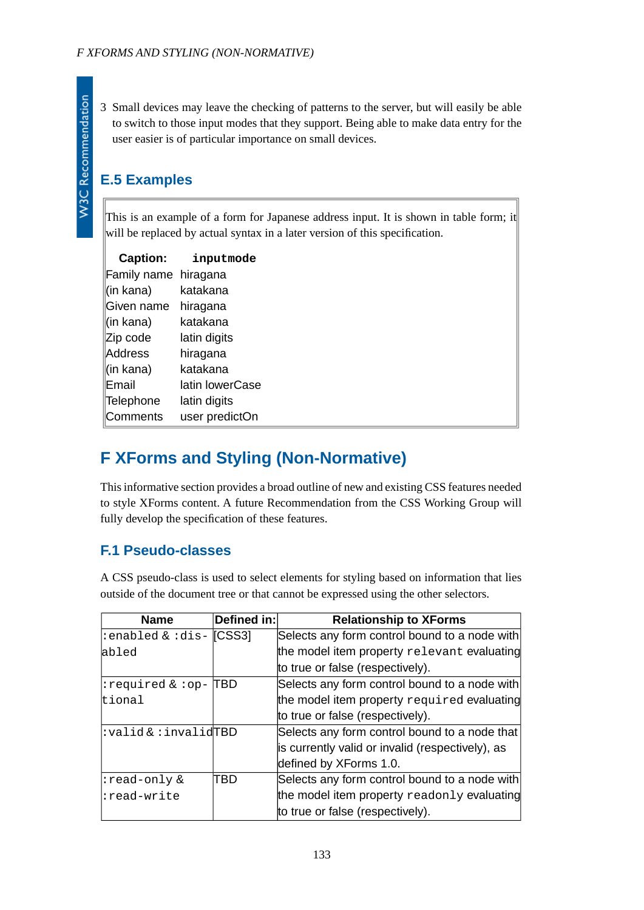**W3C Recommendation** 

3 Small devices may leave the checking of patterns to the server, but will easily be able to switch to those input modes that they support. Being able to make data entry for the user easier is of particular importance on small devices.

## **E.5 Examples**

This is an example of a form for Japanese address input. It is shown in table form; it will be replaced by actual syntax in a later version of this specification.

| <b>Caption:</b> | inputmode       |
|-----------------|-----------------|
| Family name     | hiragana        |
| (in kana)       | katakana        |
| Given name      | hiragana        |
| (in kana)       | katakana        |
| Zip code        | latin digits    |
| Address         | hiragana        |
| (in kana)       | katakana        |
| Email           | latin lowerCase |
| Telephone       | latin digits    |
| Comments        | user predictOn  |

## **F XForms and Styling (Non-Normative)**

This informative section provides a broad outline of new and existing CSS features needed to style XForms content. A future Recommendation from the CSS Working Group will fully develop the specification of these features.

### **F.1 Pseudo-classes**

A CSS pseudo-class is used to select elements for styling based on information that lies outside of the document tree or that cannot be expressed using the other selectors.

| <b>Name</b>                        | Defined in: | <b>Relationship to XForms</b>                        |
|------------------------------------|-------------|------------------------------------------------------|
| :enabled & :dis- [CSS3]            |             | Selects any form control bound to a node with        |
| abled                              |             | the model item property relevant evaluating          |
|                                    |             | to true or false (respectively).                     |
| :required & :op-  TBD              |             | Selects any form control bound to a node with        |
| tional                             |             | the model item property required evaluating          |
|                                    |             | to true or false (respectively).                     |
| :valid&:invalidTBD                 |             | Selects any form control bound to a node that        |
|                                    |             | is currently valid or invalid (respectively), as     |
|                                    |             | defined by XForms 1.0.                               |
| $ :\texttt{read-only}~\mathbf{\&}$ | TBD         | Selects any form control bound to a node with        |
| :read-write                        |             | the model item property $\text{readonly}$ evaluating |
|                                    |             | to true or false (respectively).                     |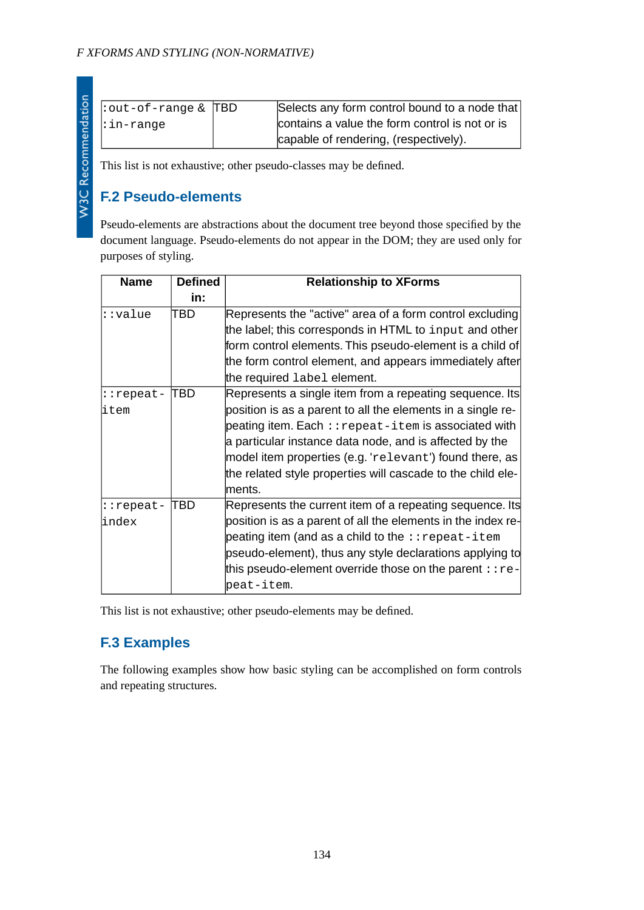| l  |
|----|
|    |
|    |
|    |
|    |
|    |
|    |
| ı  |
|    |
|    |
| ֩֘ |
|    |
| I  |
|    |
|    |
|    |
| İ  |
|    |
| I  |
|    |
|    |
|    |
|    |
|    |
|    |
|    |
| I  |
|    |
|    |
|    |
|    |
|    |
|    |
|    |
|    |
|    |
|    |
|    |
|    |
|    |
|    |
|    |
|    |

| : out-of-range $\&$ TBD | Selects any form control bound to a node that  |
|-------------------------|------------------------------------------------|
| :in-range               | contains a value the form control is not or is |
|                         | capable of rendering, (respectively).          |

This list is not exhaustive; other pseudo-classes may be defined.

## **F.2 Pseudo-elements**

Pseudo-elements are abstractions about the document tree beyond those specified by the document language. Pseudo-elements do not appear in the DOM; they are used only for purposes of styling.

| <b>Name</b> | <b>Defined</b> | <b>Relationship to XForms</b>                                |
|-------------|----------------|--------------------------------------------------------------|
|             | in:            |                                                              |
| ::value     | TBD            | Represents the "active" area of a form control excluding     |
|             |                | the label; this corresponds in HTML to input and other       |
|             |                | form control elements. This pseudo-element is a child of     |
|             |                | the form control element, and appears immediately after      |
|             |                | the required label element.                                  |
| ::repeat-   | TBD            | Represents a single item from a repeating sequence. Its      |
| litem       |                | position is as a parent to all the elements in a single re-  |
|             |                | $\beta$ peating item. Each :: repeat-item is associated with |
|             |                | a particular instance data node, and is affected by the      |
|             |                | model item properties (e.g. 'relevant') found there, as      |
|             |                | the related style properties will cascade to the child ele-  |
|             |                | lments.                                                      |
| ::repeat-   | TBD            | Represents the current item of a repeating sequence. Its     |
| lindex      |                | position is as a parent of all the elements in the index re- |
|             |                | peating item (and as a child to the $:$ repeat-item          |
|             |                | pseudo-element), thus any style declarations applying to     |
|             |                | this pseudo-element override those on the parent $: re-$     |
|             |                | peat-item.                                                   |

This list is not exhaustive; other pseudo-elements may be defined.

## **F.3 Examples**

The following examples show how basic styling can be accomplished on form controls and repeating structures.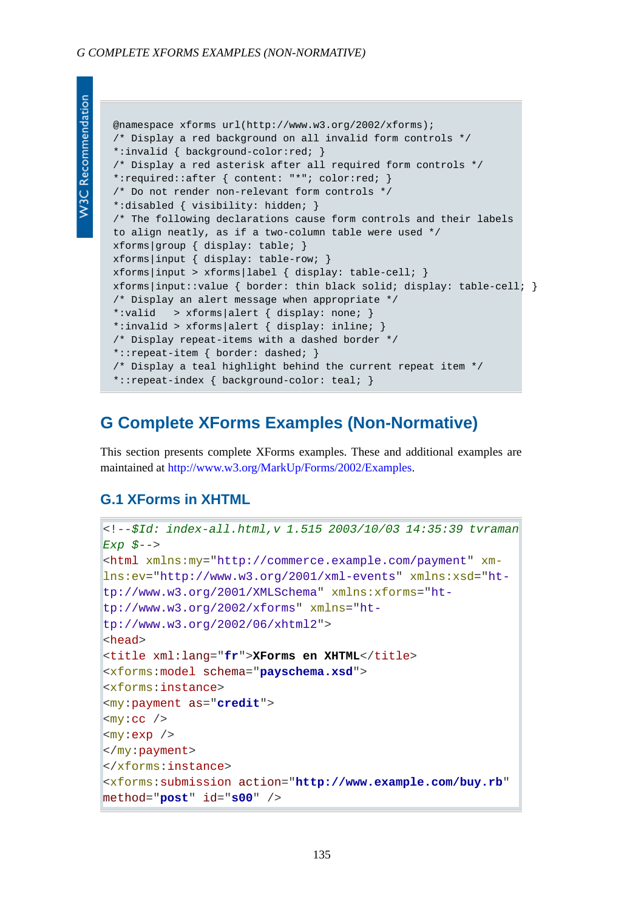```
N3C Recommendation
```

```
@namespace xforms url(http://www.w3.org/2002/xforms);
/* Display a red background on all invalid form controls */
*:invalid { background-color:red; }
/* Display a red asterisk after all required form controls */
*:required::after { content: "*"; color:red; }
/* Do not render non-relevant form controls */
*:disabled { visibility: hidden; }
/* The following declarations cause form controls and their labels
to align neatly, as if a two-column table were used */
xforms|group { display: table; }
xforms|input { display: table-row; }
xforms|input > xforms|label { display: table-cell; }
xforms|input::value { border: thin black solid; display: table-cell; }
/* Display an alert message when appropriate */
*:valid > xforms|alert { display: none; }
*:invalid > xforms|alert { display: inline; }
/* Display repeat-items with a dashed border */
*::repeat-item { border: dashed; }
/* Display a teal highlight behind the current repeat item */
*::repeat-index { background-color: teal; }
```
## **G Complete XForms Examples (Non-Normative)**

This section presents complete XForms examples. These and additional examples are maintained at [http://www.w3.org/MarkUp/Forms/2002/Examples.](http://www.w3.org/MarkUp/Forms/2002/Examples/)

### **G.1 XForms in XHTML**

```
<!--$Id: index-all.html,v 1.515 2003/10/03 14:35:39 tvraman
Exp $-->
<html xmlns:my="http://commerce.example.com/payment" xm-
lns:ev="http://www.w3.org/2001/xml-events" xmlns:xsd="ht-
tp://www.w3.org/2001/XMLSchema" xmlns:xforms="ht-
tp://www.w3.org/2002/xforms" xmlns="ht-
tp://www.w3.org/2002/06/xhtml2">
<head>
<title xml:lang="fr">XForms en XHTML</title>
<xforms:model schema="payschema.xsd">
<xforms:instance>
<my:payment as="credit">
<my:cc />
<my:exp />
</my:payment>
</xforms:instance>
<xforms:submission action="http://www.example.com/buy.rb"
method="post" id="s00" />
```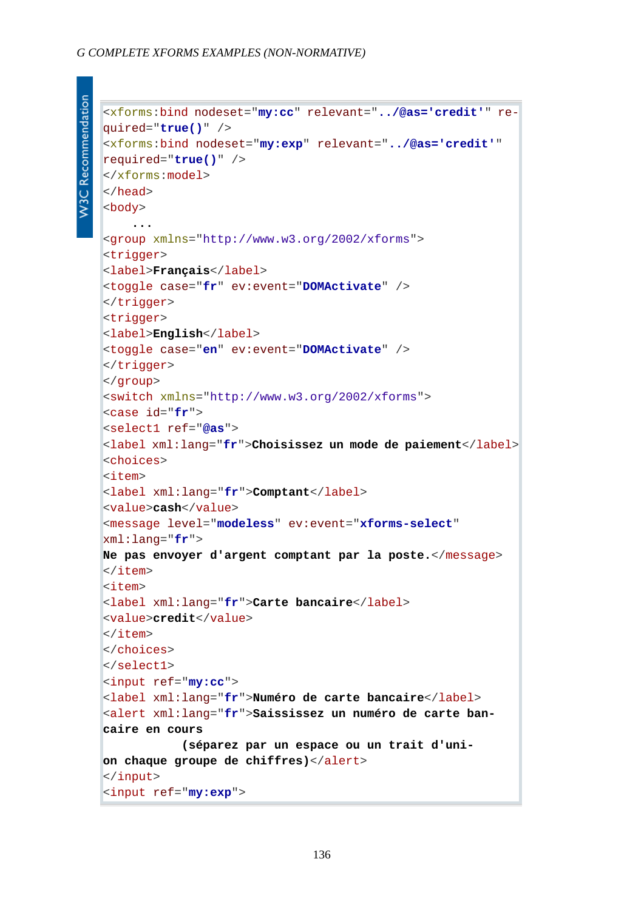```
<xforms:bind nodeset="my:cc" relevant="../@as='credit'" re-
quired="true()" />
<xforms:bind nodeset="my:exp" relevant="../@as='credit'"
required="true()" />
</xforms:model>
</head>
<body>
     ...
<group xmlns="http://www.w3.org/2002/xforms">
<trigger>
<label>Français</label>
<toggle case="fr" ev:event="DOMActivate" />
</trigger>
<trigger>
<label>English</label>
<toggle case="en" ev:event="DOMActivate" />
</trigger>
</group>
<switch xmlns="http://www.w3.org/2002/xforms">
<case id="fr">
<select1 ref="@as">
<label xml:lang="fr">Choisissez un mode de paiement</label>
<choices>
<item>
<label xml:lang="fr">Comptant</label>
<value>cash</value>
<message level="modeless" ev:event="xforms-select"
xml:lang="fr">
Ne pas envoyer d'argent comptant par la poste.</message>
</item>
<item>
<label xml:lang="fr">Carte bancaire</label>
<value>credit</value>
</item>
</choices>
</select1>
<input ref="my:cc">
<label xml:lang="fr">Numéro de carte bancaire</label>
<alert xml:lang="fr">Saississez un numéro de carte ban-
caire en cours
            (séparez par un espace ou un trait d'uni-
on chaque groupe de chiffres)</alert>
</input>
<input ref="my:exp">
```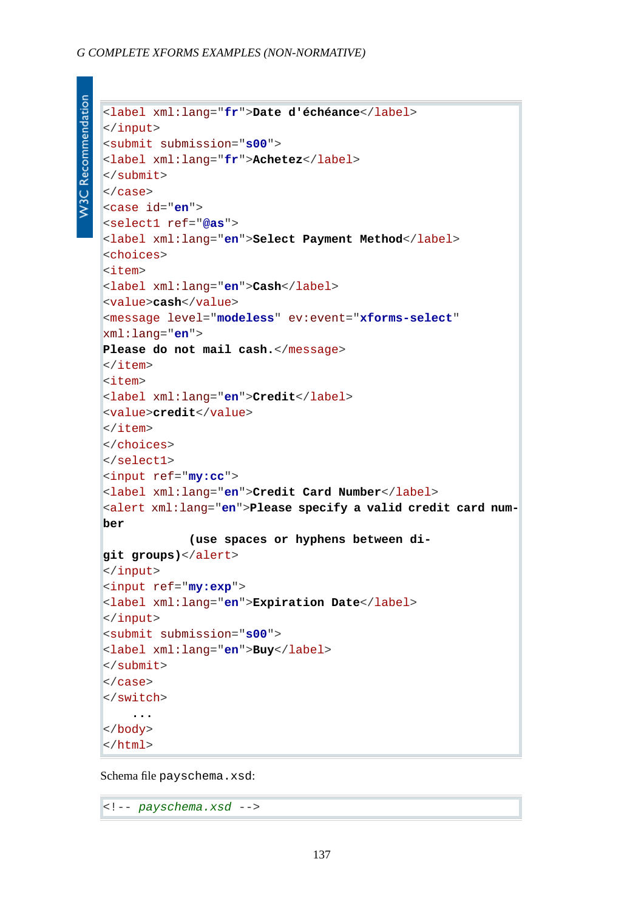#### *G COMPLETE XFORMS EXAMPLES (NON-NORMATIVE)*

**W3C Recommendation** 

```
<label xml:lang="fr">Date d'échéance</label>
</input>
<submit submission="s00">
<label xml:lang="fr">Achetez</label>
</submit>
</case>
<case id="en">
<select1 ref="@as">
<label xml:lang="en">Select Payment Method</label>
<choices>
<item>
<label xml:lang="en">Cash</label>
<value>cash</value>
<message level="modeless" ev:event="xforms-select"
xml:lang="en">
Please do not mail cash.</message>
\langleitem>
<item>
<label xml:lang="en">Credit</label>
<value>credit</value>
\langleitem\rangle</choices>
</select1>
<input ref="my:cc">
<label xml:lang="en">Credit Card Number</label>
<alert xml:lang="en">Please specify a valid credit card num-
ber
              (use spaces or hyphens between di-
git groups)</alert>
</input>
<input ref="my:exp">
<label xml:lang="en">Expiration Date</label>
</input>
<submit submission="s00">
<label xml:lang="en">Buy</label>
</submit>
</case>
</switch>
     ...
</body>
</html>
```
Schema file payschema.xsd:

<!-- *payschema.xsd* -->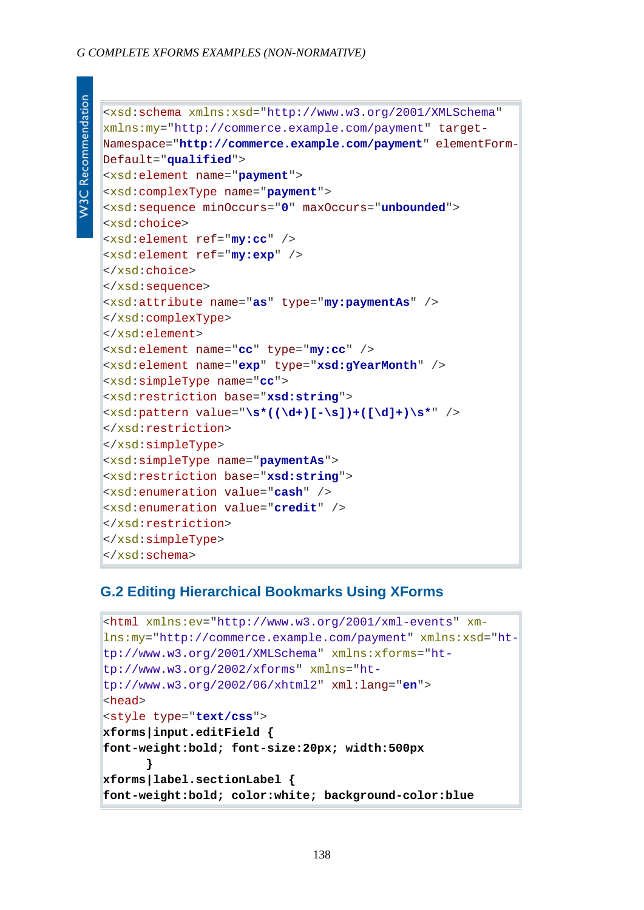```
W3C Recommendation
```

```
<xsd:schema xmlns:xsd="http://www.w3.org/2001/XMLSchema"
xmlns:my="http://commerce.example.com/payment" target-
Namespace="http://commerce.example.com/payment" elementForm-
Default="qualified">
<xsd:element name="payment">
<xsd:complexType name="payment">
<xsd:sequence minOccurs="0" maxOccurs="unbounded">
<xsd:choice>
<xsd:element ref="my:cc" />
<xsd:element ref="my:exp" />
</xsd:choice>
</xsd:sequence>
<xsd:attribute name="as" type="my:paymentAs" />
</xsd:complexType>
</xsd:element>
<xsd:element name="cc" type="my:cc" />
<xsd:element name="exp" type="xsd:gYearMonth" />
<xsd:simpleType name="cc">
<xsd:restriction base="xsd:string">
<xsd:pattern value="\s*((\d+)[-\s])+([\d]+)\s*" />
</xsd:restriction>
</xsd:simpleType>
<xsd:simpleType name="paymentAs">
<xsd:restriction base="xsd:string">
<xsd:enumeration value="cash" />
<xsd:enumeration value="credit" />
</xsd:restriction>
</xsd:simpleType>
</xsd:schema>
```
### **G.2 Editing Hierarchical Bookmarks Using XForms**

```
<html xmlns:ev="http://www.w3.org/2001/xml-events" xm-
lns:my="http://commerce.example.com/payment" xmlns:xsd="ht-
tp://www.w3.org/2001/XMLSchema" xmlns:xforms="ht-
tp://www.w3.org/2002/xforms" xmlns="ht-
tp://www.w3.org/2002/06/xhtml2" xml:lang="en">
<head>
<style type="text/css">
xforms|input.editField {
font-weight:bold; font-size:20px; width:500px
 }
xforms|label.sectionLabel {
font-weight:bold; color:white; background-color:blue
```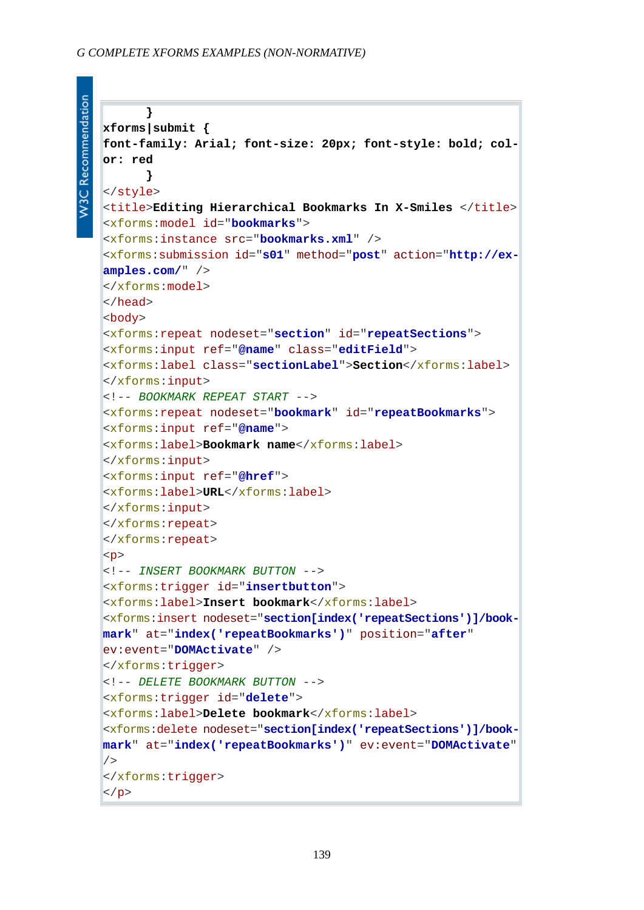```
W3C Recommendation
```

```
 }
xforms|submit {
font-family: Arial; font-size: 20px; font-style: bold; col-
or: red
       }
</style>
<title>Editing Hierarchical Bookmarks In X-Smiles </title>
<xforms:model id="bookmarks">
<xforms:instance src="bookmarks.xml" />
<xforms:submission id="s01" method="post" action="http://ex-
amples.com/" />
</xforms:model>
</head>
<body>
<xforms:repeat nodeset="section" id="repeatSections">
<xforms:input ref="@name" class="editField">
<xforms:label class="sectionLabel">Section</xforms:label>
</xforms:input>
<!-- BOOKMARK REPEAT START -->
<xforms:repeat nodeset="bookmark" id="repeatBookmarks">
<xforms:input ref="@name">
<xforms:label>Bookmark name</xforms:label>
</xforms:input>
<xforms:input ref="@href">
<xforms:label>URL</xforms:label>
</xforms:input>
</xforms:repeat>
</xforms:repeat>
\langle n \rangle<!-- INSERT BOOKMARK BUTTON -->
<xforms:trigger id="insertbutton">
<xforms:label>Insert bookmark</xforms:label>
<xforms:insert nodeset="section[index('repeatSections')]/book-
mark" at="index('repeatBookmarks')" position="after"
ev:event="DOMActivate" />
</xforms:trigger>
<!-- DELETE BOOKMARK BUTTON -->
<xforms:trigger id="delete">
<xforms:label>Delete bookmark</xforms:label>
<xforms:delete nodeset="section[index('repeatSections')]/book-
mark" at="index('repeatBookmarks')" ev:event="DOMActivate"
/</xforms:trigger>
\langle/p>
```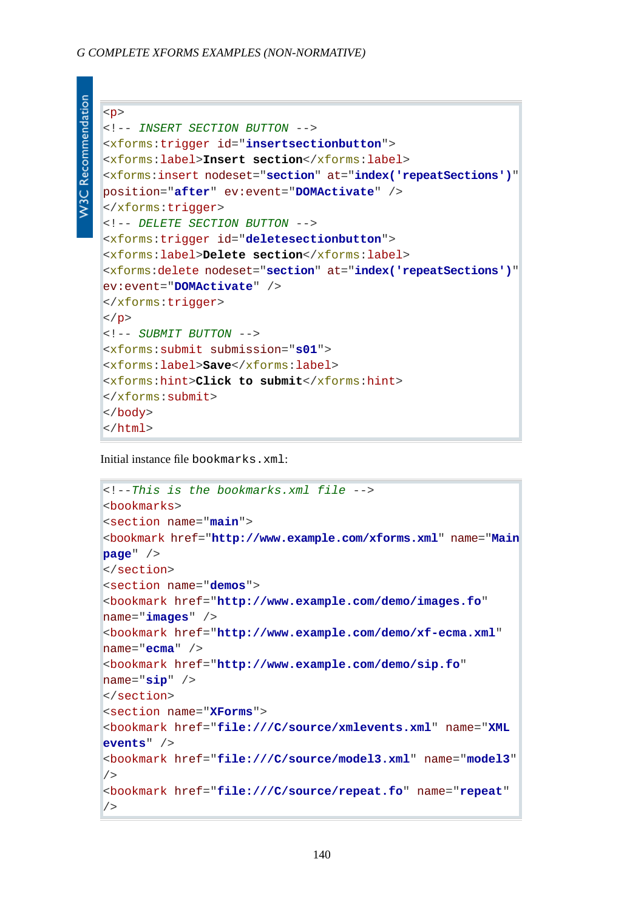```
W3C Recommendation
```

```
<p>
<!-- INSERT SECTION BUTTON -->
<xforms:trigger id="insertsectionbutton">
<xforms:label>Insert section</xforms:label>
<xforms:insert nodeset="section" at="index('repeatSections')"
position="after" ev:event="DOMActivate" />
</xforms:trigger>
<!-- DELETE SECTION BUTTON -->
<xforms:trigger id="deletesectionbutton">
<xforms:label>Delete section</xforms:label>
<xforms:delete nodeset="section" at="index('repeatSections')"
ev:event="DOMActivate" />
</xforms:trigger>
|</p>
<!-- SUBMIT BUTTON -->
<xforms:submit submission="s01">
<xforms:label>Save</xforms:label>
<xforms:hint>Click to submit</xforms:hint>
</xforms:submit>
</body>
</html>
```
Initial instance file bookmarks.xml:

```
<!--This is the bookmarks.xml file -->
<bookmarks>
<section name="main">
<bookmark href="http://www.example.com/xforms.xml" name="Main
page" />
</section>
<section name="demos">
<bookmark href="http://www.example.com/demo/images.fo"
name="images" />
<bookmark href="http://www.example.com/demo/xf-ecma.xml"
name="ecma" />
<bookmark href="http://www.example.com/demo/sip.fo"
name="sip" />
</section>
<section name="XForms">
<bookmark href="file:///C/source/xmlevents.xml" name="XML
events" />
<bookmark href="file:///C/source/model3.xml" name="model3"
/<bookmark href="file:///C/source/repeat.fo" name="repeat"
/>
```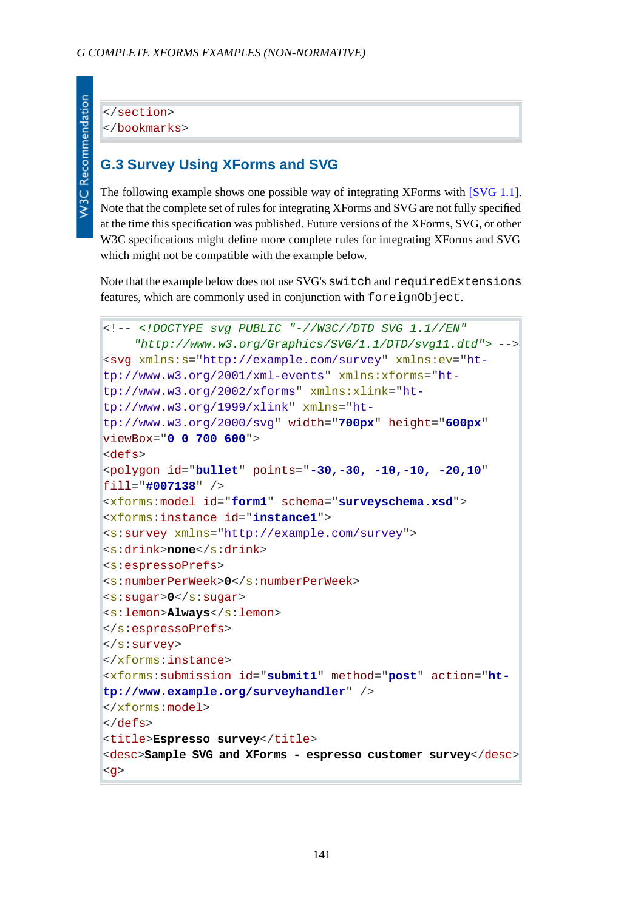```
W3C Recommendation
```
</section> </bookmarks>

## **G.3 Survey Using XForms and SVG**

The following example shows one possible way of integrating XForms with [\[SVG 1.1\].](#page-122-6) Note that the complete set of rules for integrating XForms and SVG are not fully specified at the time this specification was published. Future versions of the XForms, SVG, or other W3C specifications might define more complete rules for integrating XForms and SVG which might not be compatible with the example below.

Note that the example below does not use SVG's switch and requiredExtensions features, which are commonly used in conjunction with foreignObject.

```
<!-- <!DOCTYPE svg PUBLIC "-//W3C//DTD SVG 1.1//EN" 
     "http://www.w3.org/Graphics/SVG/1.1/DTD/svg11.dtd"> -->
<svg xmlns:s="http://example.com/survey" xmlns:ev="ht-
tp://www.w3.org/2001/xml-events" xmlns:xforms="ht-
tp://www.w3.org/2002/xforms" xmlns:xlink="ht-
tp://www.w3.org/1999/xlink" xmlns="ht-
tp://www.w3.org/2000/svg" width="700px" height="600px"
viewBox="0 0 700 600">
<defs>
<polygon id="bullet" points="-30,-30, -10,-10, -20,10"
fill="#007138" />
<xforms:model id="form1" schema="surveyschema.xsd">
<xforms:instance id="instance1">
<s:survey xmlns="http://example.com/survey">
<s:drink>none</s:drink>
<s:espressoPrefs>
<s:numberPerWeek>0</s:numberPerWeek>
<s:sugar>0</s:sugar>
<s:lemon>Always</s:lemon>
</s:espressoPrefs>
</s:survey>
</xforms:instance>
<xforms:submission id="submit1" method="post" action="ht-
tp://www.example.org/surveyhandler" />
</xforms:model>
</defs>
<title>Espresso survey</title>
<desc>Sample SVG and XForms - espresso customer survey</desc>
<g>
```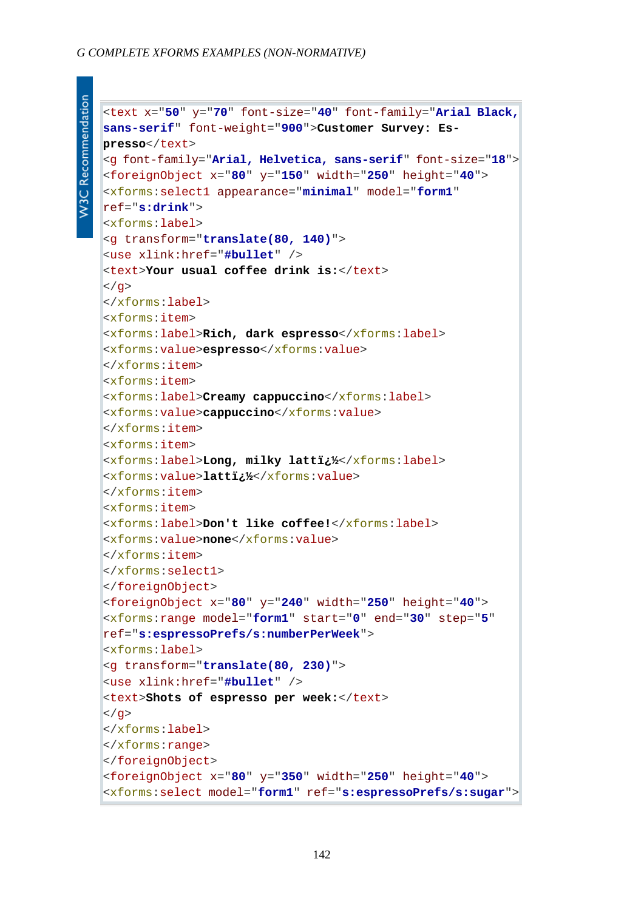#### *G COMPLETE XFORMS EXAMPLES (NON-NORMATIVE)*

```
<text x="50" y="70" font-size="40" font-family="Arial Black,
sans-serif" font-weight="900">Customer Survey: Es-
presso</text>
<g font-family="Arial, Helvetica, sans-serif" font-size="18">
<foreignObject x="80" y="150" width="250" height="40">
<xforms:select1 appearance="minimal" model="form1"
ref="s:drink">
<xforms:label>
<g transform="translate(80, 140)">
<use xlink:href="#bullet" />
<text>Your usual coffee drink is:</text>
|</g>
</xforms:label>
<xforms:item>
<xforms:label>Rich, dark espresso</xforms:label>
<xforms:value>espresso</xforms:value>
</xforms:item>
<xforms:item>
<xforms:label>Creamy cappuccino</xforms:label>
<xforms:value>cappuccino</xforms:value>
</xforms:item>
<xforms:item>
<xforms:label>Long, milky latt�</xforms:label>
<xforms:value>latt�</xforms:value>
</xforms:item>
<xforms:item>
<xforms:label>Don't like coffee!</xforms:label>
<xforms:value>none</xforms:value>
</xforms:item>
</xforms:select1>
</foreignObject>
<foreignObject x="80" y="240" width="250" height="40">
<xforms:range model="form1" start="0" end="30" step="5"
ref="s:espressoPrefs/s:numberPerWeek">
<xforms:label>
<g transform="translate(80, 230)">
<use xlink:href="#bullet" />
<text>Shots of espresso per week:</text>
</q>
</xforms:label>
</xforms:range>
</foreignObject>
<foreignObject x="80" y="350" width="250" height="40">
<xforms:select model="form1" ref="s:espressoPrefs/s:sugar">
```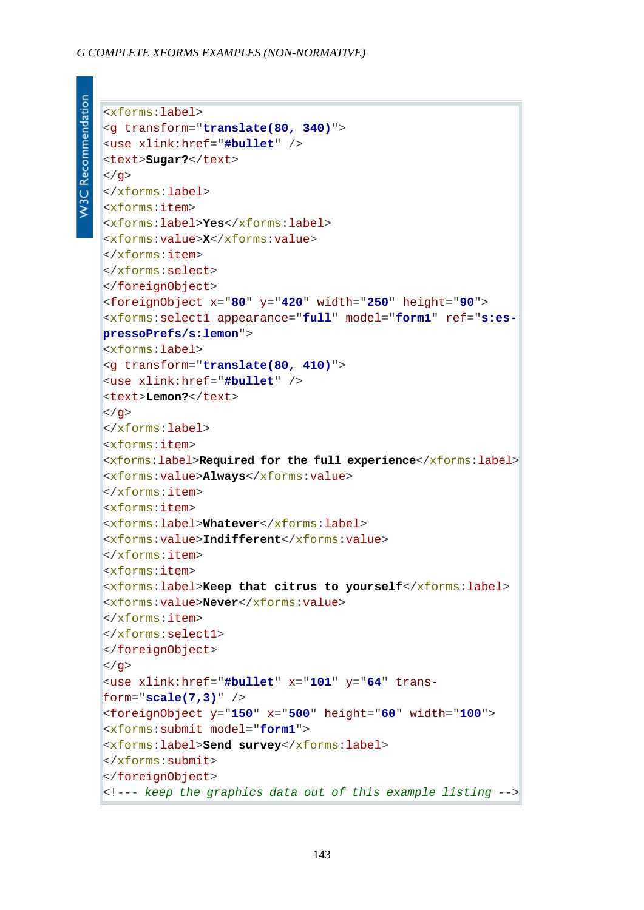#### *G COMPLETE XFORMS EXAMPLES (NON-NORMATIVE)*

```
W3C Recommendation
```

```
<xforms:label>
<g transform="translate(80, 340)">
<use xlink:href="#bullet" />
<text>Sugar?</text>
</q>
</xforms:label>
<xforms:item>
<xforms:label>Yes</xforms:label>
<xforms:value>X</xforms:value>
</xforms:item>
</xforms:select>
</foreignObject>
<foreignObject x="80" y="420" width="250" height="90">
<xforms:select1 appearance="full" model="form1" ref="s:es-
pressoPrefs/s:lemon">
<xforms:label>
<g transform="translate(80, 410)">
<use xlink:href="#bullet" />
<text>Lemon?</text>
\langle / q>
</xforms:label>
<xforms:item>
<xforms:label>Required for the full experience</xforms:label>
<xforms:value>Always</xforms:value>
</xforms:item>
<xforms:item>
<xforms:label>Whatever</xforms:label>
<xforms:value>Indifferent</xforms:value>
</xforms:item>
<xforms:item>
<xforms:label>Keep that citrus to yourself</xforms:label>
<xforms:value>Never</xforms:value>
</xforms:item>
</xforms:select1>
</foreignObject>
</q>
<use xlink:href="#bullet" x="101" y="64" trans-
form="scale(7,3)" />
<foreignObject y="150" x="500" height="60" width="100">
<xforms:submit model="form1">
<xforms:label>Send survey</xforms:label>
</xforms:submit>
</foreignObject>
<!--- keep the graphics data out of this example listing -->
```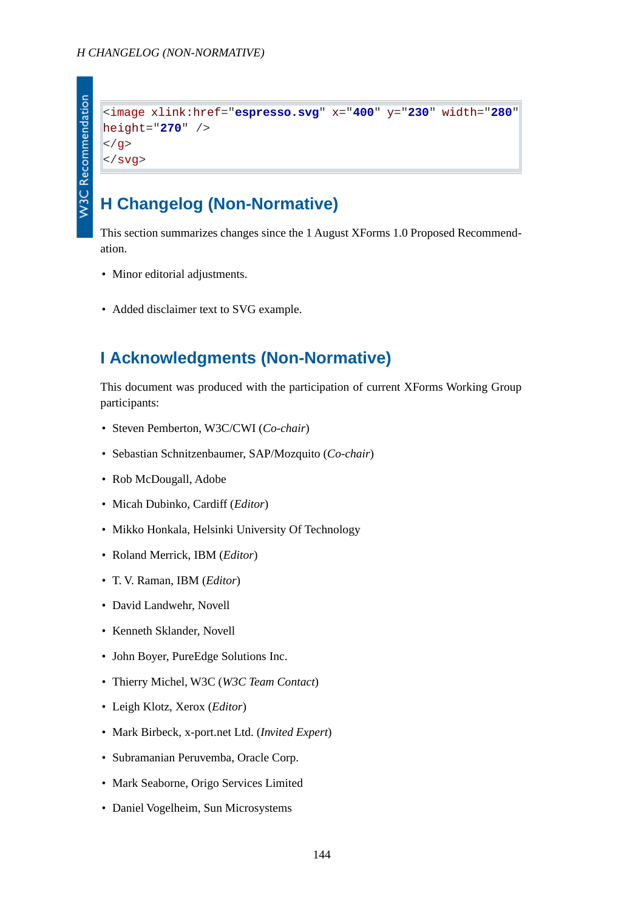

```
<image xlink:href="espresso.svg" x="400" y="230" width="280"
height="270" />
</q>
</svg>
```
## **H Changelog (Non-Normative)**

This section summarizes changes since the 1 August XForms 1.0 Proposed Recommendation.

- Minor editorial adjustments.
- Added disclaimer text to SVG example.

## **I Acknowledgments (Non-Normative)**

This document was produced with the participation of current XForms Working Group participants:

- Steven Pemberton, W3C/CWI (*Co-chair*)
- Sebastian Schnitzenbaumer, SAP/Mozquito (*Co-chair*)
- Rob McDougall, Adobe
- Micah Dubinko, Cardiff (*Editor*)
- Mikko Honkala, Helsinki University Of Technology
- Roland Merrick, IBM (*Editor*)
- T. V. Raman, IBM (*Editor*)
- David Landwehr, Novell
- Kenneth Sklander, Novell
- John Boyer, PureEdge Solutions Inc.
- Thierry Michel, W3C (*W3C Team Contact*)
- Leigh Klotz, Xerox (*Editor*)
- Mark Birbeck, x-port.net Ltd. (*Invited Expert*)
- Subramanian Peruvemba, Oracle Corp.
- Mark Seaborne, Origo Services Limited
- Daniel Vogelheim, Sun Microsystems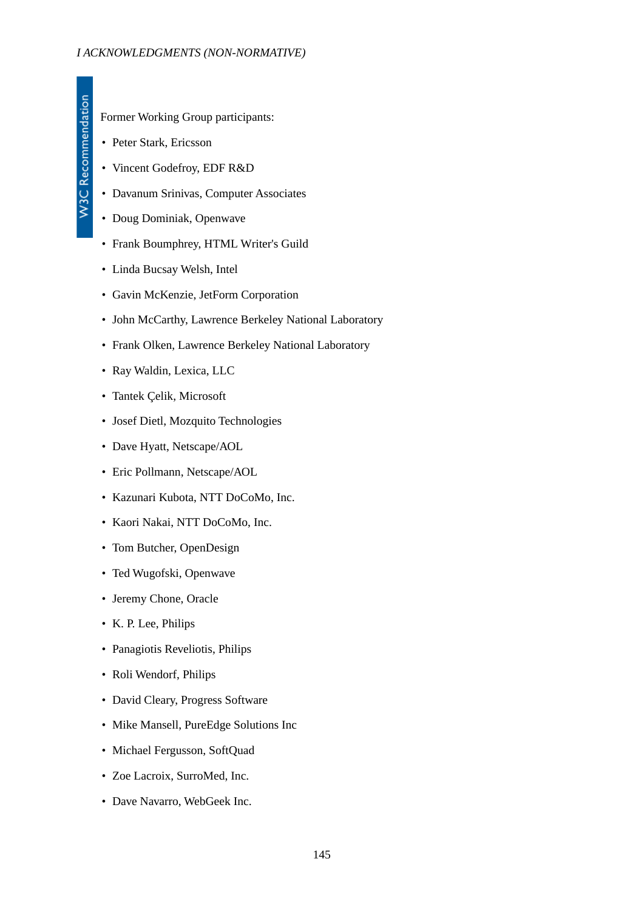W3C Recommendation

Former Working Group participants:

- Peter Stark, Ericsson
- Vincent Godefroy, EDF R&D
- Davanum Srinivas, Computer Associates
- Doug Dominiak, Openwave
- Frank Boumphrey, HTML Writer's Guild
- Linda Bucsay Welsh, Intel
- Gavin McKenzie, JetForm Corporation
- John McCarthy, Lawrence Berkeley National Laboratory
- Frank Olken, Lawrence Berkeley National Laboratory
- Ray Waldin, Lexica, LLC
- Tantek Çelik, Microsoft
- Josef Dietl, Mozquito Technologies
- Dave Hyatt, Netscape/AOL
- Eric Pollmann, Netscape/AOL
- Kazunari Kubota, NTT DoCoMo, Inc.
- Kaori Nakai, NTT DoCoMo, Inc.
- Tom Butcher, OpenDesign
- Ted Wugofski, Openwave
- Jeremy Chone, Oracle
- K. P. Lee, Philips
- Panagiotis Reveliotis, Philips
- Roli Wendorf, Philips
- David Cleary, Progress Software
- Mike Mansell, PureEdge Solutions Inc
- Michael Fergusson, SoftQuad
- Zoe Lacroix, SurroMed, Inc.
- Dave Navarro, WebGeek Inc.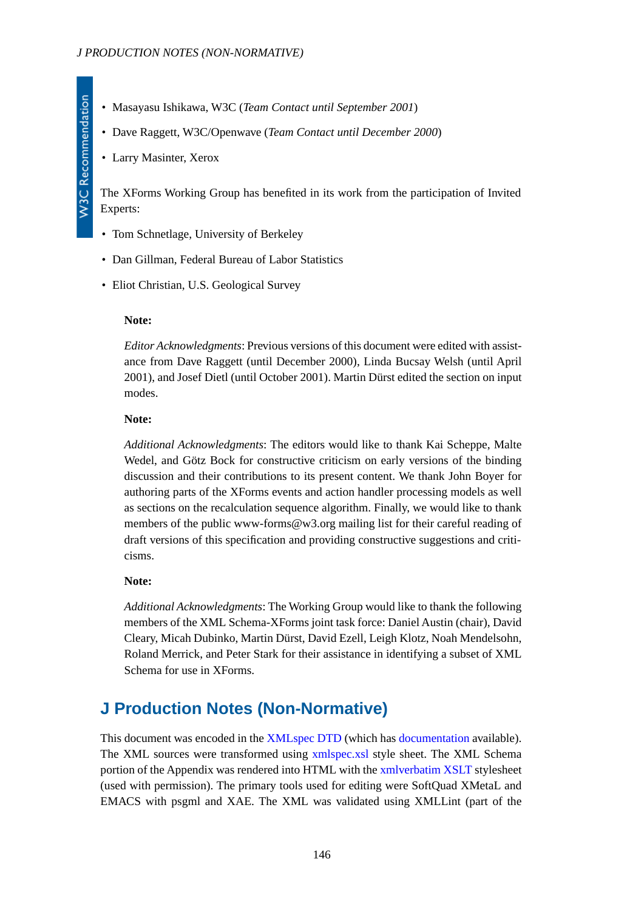- Masayasu Ishikawa, W3C (*Team Contact until September 2001*)
- Dave Raggett, W3C/Openwave (*Team Contact until December 2000*)
- Larry Masinter, Xerox

The XForms Working Group has benefited in its work from the participation of Invited Experts:

- Tom Schnetlage, University of Berkeley
- Dan Gillman, Federal Bureau of Labor Statistics
- Eliot Christian, U.S. Geological Survey

### **Note:**

*Editor Acknowledgments*: Previous versions of this document were edited with assistance from Dave Raggett (until December 2000), Linda Bucsay Welsh (until April 2001), and Josef Dietl (until October 2001). Martin Dürst edited the section on input modes.

### **Note:**

*Additional Acknowledgments*: The editors would like to thank Kai Scheppe, Malte Wedel, and Götz Bock for constructive criticism on early versions of the binding discussion and their contributions to its present content. We thank John Boyer for authoring parts of the XForms events and action handler processing models as well as sections on the recalculation sequence algorithm. Finally, we would like to thank members of the public www-forms@w3.org mailing list for their careful reading of draft versions of this specification and providing constructive suggestions and criticisms.

## **Note:**

*Additional Acknowledgments*: The Working Group would like to thank the following members of the XML Schema-XForms joint task force: Daniel Austin (chair), David Cleary, Micah Dubinko, Martin Dürst, David Ezell, Leigh Klotz, Noah Mendelsohn, Roland Merrick, and Peter Stark for their assistance in identifying a subset of XML Schema for use in XForms.

# **J Production Notes (Non-Normative)**

This document was encoded in the [XMLspec DTD](http://www.w3.org/XML/1998/06/xmlspec-v21.dtd) (which has [documentation](http://www.w3.org/XML/1998/06/xmlspec-report-v21.htm) available). The XML sources were transformed using [xmlspec.xsl](http://www.w3.org/XML/1998/06/xmlspec.xsl) style sheet. The XML Schema portion of the Appendix was rendered into HTML with the [xmlverbatim XSLT](http://www.informatik.hu-berlin.de/%7Eobecker/XSLT/) stylesheet (used with permission). The primary tools used for editing were SoftQuad XMetaL and EMACS with psgml and XAE. The XML was validated using XMLLint (part of the